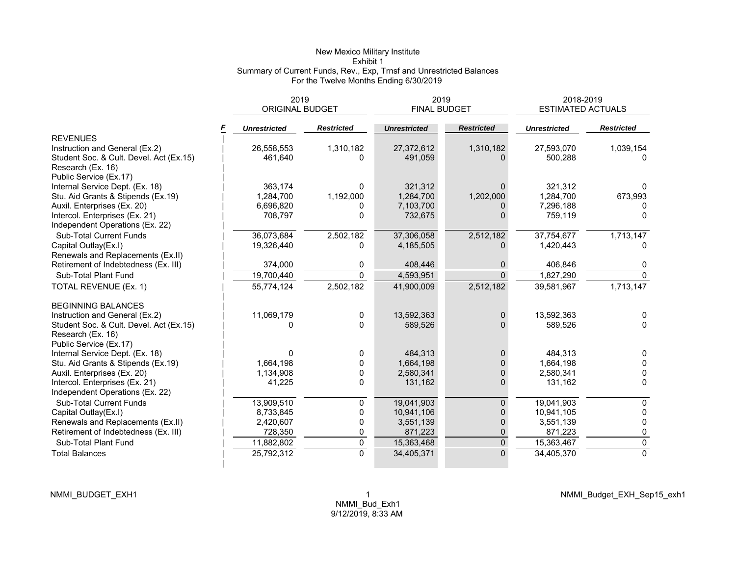#### New Mexico Military Institute Exhibit 1 Summary of Current Funds, Rev., Exp, Trnsf and Unrestricted Balances For the Twelve Months Ending 6/30/2019

|                                         | 2019                   |                   | 2019                |                   | 2018-2019                |                   |  |
|-----------------------------------------|------------------------|-------------------|---------------------|-------------------|--------------------------|-------------------|--|
|                                         | <b>ORIGINAL BUDGET</b> |                   | <b>FINAL BUDGET</b> |                   | <b>ESTIMATED ACTUALS</b> |                   |  |
|                                         | <b>Unrestricted</b>    | <b>Restricted</b> | <b>Unrestricted</b> | <b>Restricted</b> | <b>Unrestricted</b>      | <b>Restricted</b> |  |
| <b>REVENUES</b>                         |                        |                   |                     |                   |                          |                   |  |
| Instruction and General (Ex.2)          | 26,558,553             | 1,310,182         | 27,372,612          | 1,310,182         | 27,593,070               | 1,039,154         |  |
| Student Soc. & Cult. Devel. Act (Ex.15) | 461,640                | 0                 | 491,059             | <sup>n</sup>      | 500,288                  |                   |  |
| Research (Ex. 16)                       |                        |                   |                     |                   |                          |                   |  |
| Public Service (Ex.17)                  |                        |                   |                     |                   |                          |                   |  |
| Internal Service Dept. (Ex. 18)         | 363.174                | 0                 | 321,312             | 0                 | 321,312                  |                   |  |
| Stu. Aid Grants & Stipends (Ex.19)      | 1,284,700              | 1,192,000         | 1,284,700           | 1,202,000         | 1,284,700                | 673,993           |  |
| Auxil. Enterprises (Ex. 20)             | 6,696,820              | 0                 | 7,103,700           | 0                 | 7,296,188                |                   |  |
| Intercol. Enterprises (Ex. 21)          | 708,797                | 0                 | 732,675             | 0                 | 759,119                  | $\Omega$          |  |
| Independent Operations (Ex. 22)         |                        |                   |                     |                   |                          |                   |  |
| <b>Sub-Total Current Funds</b>          | 36.073.684             | 2,502,182         | 37,306,058          | 2,512,182         | 37,754,677               | 1,713,147         |  |
| Capital Outlay(Ex.I)                    | 19,326,440             | 0                 | 4,185,505           | 0                 | 1,420,443                | n                 |  |
| Renewals and Replacements (Ex.II)       |                        |                   |                     |                   |                          |                   |  |
| Retirement of Indebtedness (Ex. III)    | 374,000                | 0                 | 408,446             |                   | 406,846                  | 0                 |  |
| Sub-Total Plant Fund                    | 19,700,440             | $\Omega$          | 4,593,951           | $\Omega$          | 1,827,290                | $\Omega$          |  |
| TOTAL REVENUE (Ex. 1)                   | 55,774,124             | 2,502,182         | 41,900,009          | 2,512,182         | 39,581,967               | 1,713,147         |  |
| <b>BEGINNING BALANCES</b>               |                        |                   |                     |                   |                          |                   |  |
| Instruction and General (Ex.2)          | 11,069,179             | 0                 | 13,592,363          | 0                 | 13,592,363               | $\Omega$          |  |
| Student Soc. & Cult. Devel. Act (Ex.15) | <sup>0</sup>           | $\Omega$          | 589,526             | $\Omega$          | 589,526                  | $\Omega$          |  |
| Research (Ex. 16)                       |                        |                   |                     |                   |                          |                   |  |
| Public Service (Ex.17)                  |                        |                   |                     |                   |                          |                   |  |
| Internal Service Dept. (Ex. 18)         | <sup>0</sup>           | 0                 | 484,313             | 0                 | 484,313                  | $\Omega$          |  |
| Stu. Aid Grants & Stipends (Ex.19)      | 1.664.198              | 0                 | 1,664,198           | $\Omega$          | 1,664,198                | $\Omega$          |  |
| Auxil. Enterprises (Ex. 20)             | 1,134,908              | 0                 | 2,580,341           | $\Omega$          | 2,580,341                | $\Omega$          |  |
| Intercol. Enterprises (Ex. 21)          | 41,225                 | $\mathbf 0$       | 131,162             | 0                 | 131,162                  | $\mathbf{0}$      |  |
| Independent Operations (Ex. 22)         |                        |                   |                     |                   |                          |                   |  |
| <b>Sub-Total Current Funds</b>          | 13,909,510             | 0                 | 19,041,903          | 0                 | 19,041,903               | $\mathbf{0}$      |  |
| Capital Outlay(Ex.I)                    | 8,733,845              | 0                 | 10,941,106          | 0                 | 10,941,105               | $\mathbf{0}$      |  |
| Renewals and Replacements (Ex.II)       | 2,420,607              | 0                 | 3,551,139           | 0                 | 3,551,139                | 0                 |  |
| Retirement of Indebtedness (Ex. III)    | 728,350                | 0                 | 871,223             | 0                 | 871,223                  | 0                 |  |
| Sub-Total Plant Fund                    | 11,882,802             | $\pmb{0}$         | 15,363,468          | 0                 | 15,363,467               | $\pmb{0}$         |  |
| <b>Total Balances</b>                   | 25,792,312             | $\overline{0}$    | 34,405,371          | $\Omega$          | 34,405,370               | $\overline{0}$    |  |
|                                         |                        |                   |                     |                   |                          |                   |  |

NMMI\_Budget\_EXH\_Sep15\_exh1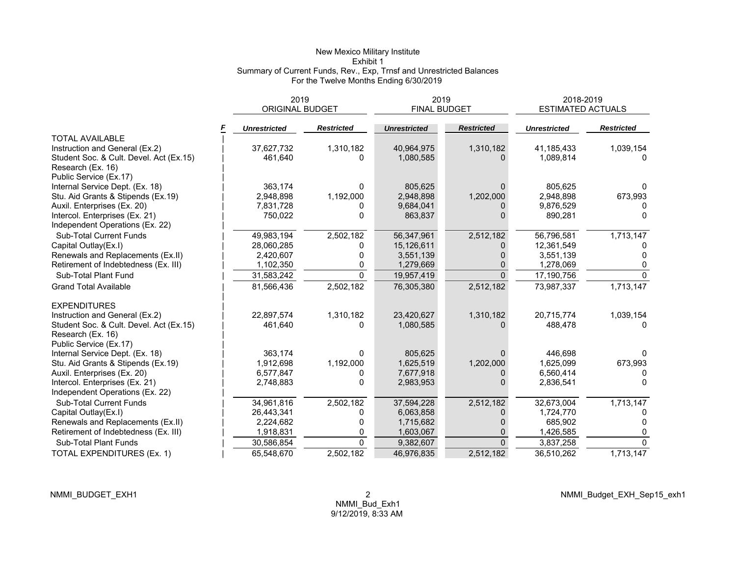#### New Mexico Military Institute Exhibit 1 Summary of Current Funds, Rev., Exp, Trnsf and Unrestricted Balances For the Twelve Months Ending 6/30/2019

|                                                                   | 2019<br><b>ORIGINAL BUDGET</b> |                   | 2019<br><b>FINAL BUDGET</b> |                   | 2018-2019<br><b>ESTIMATED ACTUALS</b> |                   |  |
|-------------------------------------------------------------------|--------------------------------|-------------------|-----------------------------|-------------------|---------------------------------------|-------------------|--|
|                                                                   | <b>Unrestricted</b>            | <b>Restricted</b> | <b>Unrestricted</b>         | <b>Restricted</b> | <b>Unrestricted</b>                   | <b>Restricted</b> |  |
| <b>TOTAL AVAILABLE</b>                                            |                                |                   |                             |                   |                                       |                   |  |
| Instruction and General (Ex.2)                                    | 37,627,732                     | 1,310,182         | 40,964,975                  | 1,310,182         | 41,185,433                            | 1,039,154         |  |
| Student Soc. & Cult. Devel. Act (Ex.15)<br>Research (Ex. 16)      | 461,640                        | $\Omega$          | 1,080,585                   | 0                 | 1,089,814                             | 0                 |  |
| Public Service (Ex.17)                                            |                                | $\Omega$          |                             | $\Omega$          |                                       |                   |  |
| Internal Service Dept. (Ex. 18)                                   | 363,174                        |                   | 805,625                     |                   | 805,625                               | 0                 |  |
| Stu. Aid Grants & Stipends (Ex.19)                                | 2,948,898                      | 1,192,000         | 2,948,898                   | 1,202,000         | 2,948,898                             | 673,993           |  |
| Auxil. Enterprises (Ex. 20)                                       | 7,831,728                      | <sup>0</sup>      | 9,684,041                   |                   | 9,876,529                             |                   |  |
| Intercol. Enterprises (Ex. 21)<br>Independent Operations (Ex. 22) | 750,022                        | $\Omega$          | 863,837                     | $\Omega$          | 890,281                               | 0                 |  |
| <b>Sub-Total Current Funds</b>                                    | 49,983,194                     | 2,502,182         | 56,347,961                  | 2,512,182         | 56,796,581                            | 1,713,147         |  |
| Capital Outlay(Ex.I)                                              | 28,060,285                     | 0                 | 15,126,611                  |                   | 12,361,549                            |                   |  |
| Renewals and Replacements (Ex.II)                                 | 2,420,607                      | 0                 | 3,551,139                   |                   | 3,551,139                             |                   |  |
| Retirement of Indebtedness (Ex. III)                              | 1,102,350                      | 0                 | 1,279,669                   | $\Omega$          | 1,278,069                             | 0                 |  |
| Sub-Total Plant Fund                                              | 31,583,242                     | $\Omega$          | 19,957,419                  | $\Omega$          | 17,190,756                            | $\Omega$          |  |
| <b>Grand Total Available</b>                                      | 81,566,436                     | 2,502,182         | 76,305,380                  | 2,512,182         | 73,987,337                            | 1,713,147         |  |
| <b>EXPENDITURES</b>                                               |                                |                   |                             |                   |                                       |                   |  |
| Instruction and General (Ex.2)                                    | 22,897,574                     | 1,310,182         | 23,420,627                  | 1,310,182         | 20,715,774                            | 1,039,154         |  |
| Student Soc. & Cult. Devel. Act (Ex.15)<br>Research (Ex. 16)      | 461,640                        | $\Omega$          | 1,080,585                   |                   | 488,478                               |                   |  |
| Public Service (Ex.17)                                            |                                |                   |                             |                   |                                       |                   |  |
| Internal Service Dept. (Ex. 18)                                   | 363,174                        | $\Omega$          | 805,625                     | $\Omega$          | 446.698                               |                   |  |
| Stu. Aid Grants & Stipends (Ex.19)                                | 1,912,698                      | 1,192,000         | 1,625,519                   | 1,202,000         | 1,625,099                             | 673,993           |  |
| Auxil. Enterprises (Ex. 20)                                       | 6,577,847                      | 0                 | 7,677,918                   | 0                 | 6,560,414                             | 0                 |  |
| Intercol. Enterprises (Ex. 21)                                    | 2,748,883                      | $\Omega$          | 2,983,953                   |                   | 2,836,541                             | $\Omega$          |  |
| Independent Operations (Ex. 22)                                   |                                |                   |                             |                   |                                       |                   |  |
| <b>Sub-Total Current Funds</b>                                    | 34,961,816                     | 2,502,182         | 37,594,228                  | 2,512,182         | 32,673,004                            | 1,713,147         |  |
| Capital Outlay(Ex.I)                                              | 26,443,341                     | 0                 | 6,063,858                   | $\Omega$          | 1,724,770                             |                   |  |
| Renewals and Replacements (Ex.II)                                 | 2,224,682                      | 0                 | 1,715,682                   |                   | 685,902                               | <sup>0</sup>      |  |
| Retirement of Indebtedness (Ex. III)                              | 1,918,831                      | 0                 | 1,603,067                   | 0                 | 1,426,585                             | 0                 |  |
| Sub-Total Plant Funds                                             | 30,586,854                     | $\mathbf{0}$      | 9,382,607                   | $\Omega$          | 3,837,258                             | $\Omega$          |  |
| TOTAL EXPENDITURES (Ex. 1)                                        | 65,548,670                     | 2,502,182         | 46,976,835                  | 2,512,182         | 36,510,262                            | 1,713,147         |  |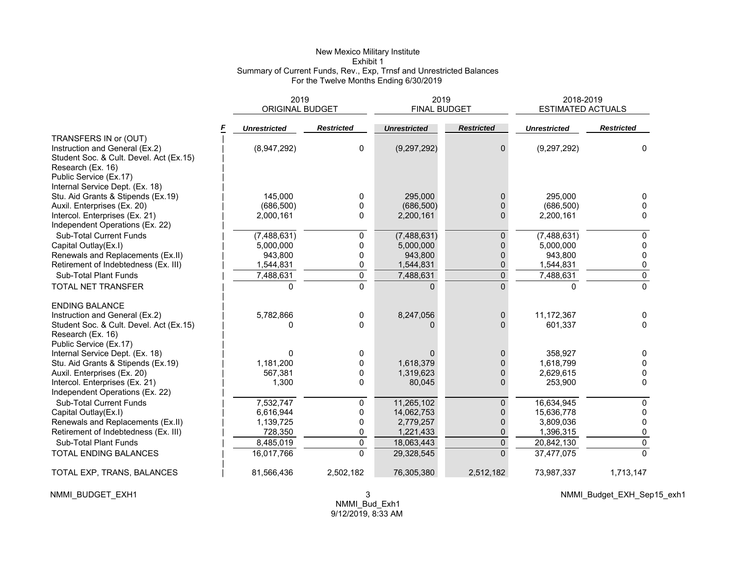#### New Mexico Military Institute Exhibit 1 Summary of Current Funds, Rev., Exp, Trnsf and Unrestricted Balances For the Twelve Months Ending 6/30/2019

|                                         | 2019<br><b>ORIGINAL BUDGET</b> |                   | 2019<br>FINAL BUDGET |                   | 2018-2019<br><b>ESTIMATED ACTUALS</b> |                   |  |
|-----------------------------------------|--------------------------------|-------------------|----------------------|-------------------|---------------------------------------|-------------------|--|
|                                         | <b>Unrestricted</b>            | <b>Restricted</b> | <b>Unrestricted</b>  | <b>Restricted</b> | <b>Unrestricted</b>                   | <b>Restricted</b> |  |
| TRANSFERS IN or (OUT)                   |                                |                   |                      |                   |                                       |                   |  |
| Instruction and General (Ex.2)          | (8,947,292)                    | 0                 | (9, 297, 292)        | 0                 | (9, 297, 292)                         | 0                 |  |
| Student Soc. & Cult. Devel. Act (Ex.15) |                                |                   |                      |                   |                                       |                   |  |
| Research (Ex. 16)                       |                                |                   |                      |                   |                                       |                   |  |
| Public Service (Ex.17)                  |                                |                   |                      |                   |                                       |                   |  |
| Internal Service Dept. (Ex. 18)         |                                |                   |                      |                   |                                       |                   |  |
| Stu. Aid Grants & Stipends (Ex.19)      | 145.000                        | 0                 | 295,000              | 0                 | 295.000                               | <sup>0</sup>      |  |
| Auxil. Enterprises (Ex. 20)             | (686, 500)                     | 0                 | (686, 500)           | 0                 | (686, 500)                            | $\Omega$          |  |
| Intercol. Enterprises (Ex. 21)          | 2,000,161                      | 0                 | 2,200,161            | 0                 | 2,200,161                             | $\Omega$          |  |
| Independent Operations (Ex. 22)         |                                |                   |                      |                   |                                       |                   |  |
| <b>Sub-Total Current Funds</b>          | (7,488,631)                    | 0                 | (7,488,631)          | 0                 | (7,488,631)                           | $\mathbf{0}$      |  |
| Capital Outlay(Ex.I)                    | 5,000,000                      | 0                 | 5,000,000            | 0                 | 5,000,000                             | 0                 |  |
| Renewals and Replacements (Ex.II)       | 943,800                        | 0                 | 943.800              | $\overline{0}$    | 943.800                               | 0                 |  |
| Retirement of Indebtedness (Ex. III)    | 1,544,831                      | 0                 | 1,544,831            | 0                 | 1,544,831                             | 0                 |  |
| Sub-Total Plant Funds                   | 7,488,631                      | $\pmb{0}$         | 7,488,631            | 0                 | 7,488,631                             | $\pmb{0}$         |  |
| TOTAL NET TRANSFER                      |                                | $\mathbf 0$       |                      | 0                 |                                       | $\Omega$          |  |
| <b>ENDING BALANCE</b>                   |                                |                   |                      |                   |                                       |                   |  |
| Instruction and General (Ex.2)          | 5,782,866                      | 0                 | 8,247,056            | 0                 | 11,172,367                            | 0                 |  |
| Student Soc. & Cult. Devel. Act (Ex.15) | U                              | $\Omega$          |                      | 0                 | 601,337                               | $\Omega$          |  |
| Research (Ex. 16)                       |                                |                   |                      |                   |                                       |                   |  |
| Public Service (Ex.17)                  |                                |                   |                      |                   |                                       |                   |  |
| Internal Service Dept. (Ex. 18)         | O                              | 0                 | $\Omega$             | 0                 | 358,927                               | $\mathbf{0}$      |  |
| Stu. Aid Grants & Stipends (Ex.19)      | 1,181,200                      | 0                 | 1,618,379            | 0                 | 1,618,799                             | $\Omega$          |  |
| Auxil. Enterprises (Ex. 20)             | 567,381                        | 0                 | 1,319,623            | $\overline{0}$    | 2,629,615                             | 0                 |  |
| Intercol. Enterprises (Ex. 21)          | 1,300                          | 0                 | 80,045               | 0                 | 253,900                               | 0                 |  |
| Independent Operations (Ex. 22)         |                                |                   |                      |                   |                                       |                   |  |
| <b>Sub-Total Current Funds</b>          | 7,532,747                      | 0                 | 11,265,102           | 0                 | 16,634,945                            | 0                 |  |
| Capital Outlay(Ex.I)                    | 6,616,944                      | 0                 | 14,062,753           | 0                 | 15,636,778                            | 0                 |  |
| Renewals and Replacements (Ex.II)       | 1,139,725                      | 0                 | 2,779,257            | 0                 | 3,809,036                             | 0                 |  |
| Retirement of Indebtedness (Ex. III)    | 728,350                        | 0                 | 1,221,433            | 0                 | 1,396,315                             | 0                 |  |
| Sub-Total Plant Funds                   | 8.485.019                      | $\pmb{0}$         | 18,063,443           | $\overline{0}$    | 20,842,130                            | $\mathbf 0$       |  |
| TOTAL ENDING BALANCES                   | 16,017,766                     | $\overline{0}$    | 29,328,545           | $\overline{0}$    | 37,477,075                            | $\overline{0}$    |  |
| TOTAL EXP, TRANS, BALANCES              | 81,566,436                     | 2,502,182         | 76,305,380           | 2,512,182         | 73,987,337                            | 1,713,147         |  |

NMMI\_BUDGET\_EXH1 3

NMMI\_Budget\_EXH\_Sep15\_exh1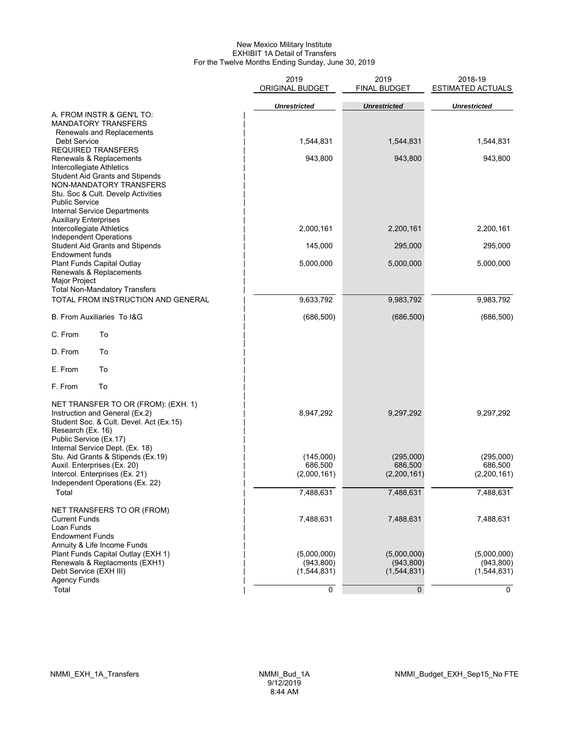#### New Mexico Military Institute EXHIBIT 1A Detail of Transfers For the Twelve Months Ending Sunday, June 30, 2019

|                                                                                                                                                                                                                          | 2019<br><b>ORIGINAL BUDGET</b>           | 2019<br><b>FINAL BUDGET</b>              | 2018-19<br><b>ESTIMATED ACTUALS</b>      |  |  |
|--------------------------------------------------------------------------------------------------------------------------------------------------------------------------------------------------------------------------|------------------------------------------|------------------------------------------|------------------------------------------|--|--|
|                                                                                                                                                                                                                          | <b>Unrestricted</b>                      | <b>Unrestricted</b>                      | <b>Unrestricted</b>                      |  |  |
| A. FROM INSTR & GEN'L TO:<br><b>MANDATORY TRANSFERS</b><br>Renewals and Replacements                                                                                                                                     |                                          |                                          |                                          |  |  |
| Debt Service<br><b>REQUIRED TRANSFERS</b>                                                                                                                                                                                | 1,544,831                                | 1,544,831                                | 1,544,831                                |  |  |
| Renewals & Replacements<br>Intercollegiate Athletics<br><b>Student Aid Grants and Stipends</b><br>NON-MANDATORY TRANSFERS<br>Stu. Soc & Cult. Develp Activities<br><b>Public Service</b><br>Internal Service Departments | 943,800                                  | 943,800                                  | 943,800                                  |  |  |
| <b>Auxiliary Enterprises</b><br>Intercollegiate Athletics<br>Independent Operations                                                                                                                                      | 2,000,161                                | 2,200,161                                | 2,200,161                                |  |  |
| <b>Student Aid Grants and Stipends</b>                                                                                                                                                                                   | 145,000                                  | 295,000                                  | 295,000                                  |  |  |
| <b>Endowment funds</b><br>Plant Funds Capital Outlay<br>Renewals & Replacements<br>Major Project                                                                                                                         | 5,000,000                                | 5,000,000                                | 5,000,000                                |  |  |
| <b>Total Non-Mandatory Transfers</b><br>TOTAL FROM INSTRUCTION AND GENERAL                                                                                                                                               | 9,633,792                                | 9,983,792                                | 9,983,792                                |  |  |
| <b>B. From Auxiliaries To I&amp;G</b>                                                                                                                                                                                    | (686, 500)                               | (686, 500)                               | (686, 500)                               |  |  |
| C. From<br>To                                                                                                                                                                                                            |                                          |                                          |                                          |  |  |
| D. From<br>To                                                                                                                                                                                                            |                                          |                                          |                                          |  |  |
| E. From<br>To                                                                                                                                                                                                            |                                          |                                          |                                          |  |  |
| F. From<br>To                                                                                                                                                                                                            |                                          |                                          |                                          |  |  |
| NET TRANSFER TO OR (FROM): (EXH. 1)<br>Instruction and General (Ex.2)<br>Student Soc. & Cult. Devel. Act (Ex.15)<br>Research (Ex. 16)<br>Public Service (Ex.17)<br>Internal Service Dept. (Ex. 18)                       | 8,947,292                                | 9,297,292                                | 9,297,292                                |  |  |
| Stu. Aid Grants & Stipends (Ex.19)                                                                                                                                                                                       | (145,000)                                | (295,000)                                | (295,000)                                |  |  |
| Auxil. Enterprises (Ex. 20)<br>Intercol. Enterprises (Ex. 21)                                                                                                                                                            | 686,500<br>(2,000,161)                   | 686,500<br>(2,200,161)                   | 686,500<br>(2,200,161)                   |  |  |
| Independent Operations (Ex. 22)<br>Total                                                                                                                                                                                 | 7,488,631                                | 7,488,631                                | 7,488,631                                |  |  |
| NET TRANSFERS TO OR (FROM)<br><b>Current Funds</b><br>Loan Funds<br><b>Endowment Funds</b>                                                                                                                               | 7,488,631                                | 7,488,631                                | 7,488,631                                |  |  |
| Annuity & Life Income Funds<br>Plant Funds Capital Outlay (EXH 1)<br>Renewals & Replacments (EXH1)<br>Debt Service (EXH III)<br><b>Agency Funds</b>                                                                      | (5,000,000)<br>(943, 800)<br>(1,544,831) | (5,000,000)<br>(943, 800)<br>(1,544,831) | (5,000,000)<br>(943, 800)<br>(1,544,831) |  |  |
| Total                                                                                                                                                                                                                    | 0                                        | $\Omega$                                 | 0                                        |  |  |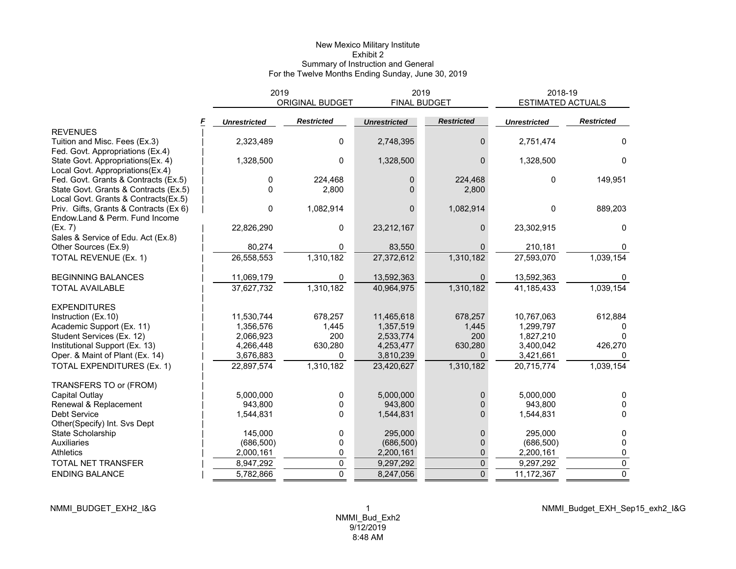# New Mexico Military Institute Exhibit 2 Summary of Instruction and General For the Twelve Months Ending Sunday, June 30, 2019

|                                        | 2019                | <b>ORIGINAL BUDGET</b> | 2019<br><b>FINAL BUDGET</b> |                   | 2018-19<br><b>ESTIMATED ACTUALS</b> |                   |
|----------------------------------------|---------------------|------------------------|-----------------------------|-------------------|-------------------------------------|-------------------|
|                                        | <b>Unrestricted</b> | <b>Restricted</b>      | <b>Unrestricted</b>         | <b>Restricted</b> | <b>Unrestricted</b>                 | <b>Restricted</b> |
| <b>REVENUES</b>                        |                     |                        |                             |                   |                                     |                   |
| Tuition and Misc. Fees (Ex.3)          | 2,323,489           | 0                      | 2,748,395                   | 0                 | 2,751,474                           | 0                 |
| Fed. Govt. Appropriations (Ex.4)       |                     |                        |                             |                   |                                     |                   |
| State Govt. Appropriations(Ex. 4)      | 1,328,500           | 0                      | 1,328,500                   | 0                 | 1,328,500                           | $\mathbf{0}$      |
| Local Govt. Appropriations(Ex.4)       |                     |                        |                             |                   |                                     |                   |
| Fed. Govt. Grants & Contracts (Ex.5)   | 0                   | 224,468                | $\mathbf{0}$                | 224,468           | $\Omega$                            | 149,951           |
| State Govt. Grants & Contracts (Ex.5)  | $\Omega$            | 2,800                  | $\Omega$                    | 2,800             |                                     |                   |
| Local Govt. Grants & Contracts(Ex.5)   |                     |                        |                             |                   |                                     |                   |
| Priv. Gifts, Grants & Contracts (Ex 6) | 0                   | 1,082,914              | $\Omega$                    | 1,082,914         | $\Omega$                            | 889,203           |
| Endow.Land & Perm. Fund Income         |                     |                        |                             |                   |                                     |                   |
| (Ex. 7)                                | 22,826,290          | 0                      | 23,212,167                  | 0                 | 23,302,915                          | 0                 |
| Sales & Service of Edu. Act (Ex.8)     |                     |                        |                             |                   |                                     |                   |
| Other Sources (Ex.9)                   | 80,274              | 0                      | 83,550                      |                   | 210,181                             |                   |
| TOTAL REVENUE (Ex. 1)                  | 26,558,553          | 1,310,182              | 27,372,612                  | 1,310,182         | 27,593,070                          | 1,039,154         |
| <b>BEGINNING BALANCES</b>              | 11,069,179          | 0                      | 13,592,363                  | 0                 | 13,592,363                          |                   |
| <b>TOTAL AVAILABLE</b>                 | 37,627,732          | 1,310,182              | 40,964,975                  | 1,310,182         | 41,185,433                          | 1,039,154         |
| <b>EXPENDITURES</b>                    |                     |                        |                             |                   |                                     |                   |
| Instruction (Ex.10)                    | 11,530,744          | 678,257                | 11,465,618                  | 678,257           | 10,767,063                          | 612,884           |
| Academic Support (Ex. 11)              | 1,356,576           | 1,445                  | 1,357,519                   | 1,445             | 1,299,797                           |                   |
| Student Services (Ex. 12)              | 2,066,923           | 200                    | 2,533,774                   | 200               | 1,827,210                           |                   |
| Institutional Support (Ex. 13)         | 4,266,448           | 630,280                | 4,253,477                   | 630,280           | 3,400,042                           | 426,270           |
| Oper. & Maint of Plant (Ex. 14)        | 3,676,883           | 0                      | 3,810,239                   | 0                 | 3,421,661                           |                   |
| TOTAL EXPENDITURES (Ex. 1)             | 22,897,574          | 1,310,182              | 23,420,627                  | 1,310,182         | 20,715,774                          | 1,039,154         |
| TRANSFERS TO or (FROM)                 |                     |                        |                             |                   |                                     |                   |
| Capital Outlay                         | 5.000.000           | 0                      | 5,000,000                   | 0                 | 5.000.000                           | 0                 |
| Renewal & Replacement                  | 943.800             | 0                      | 943.800                     |                   | 943.800                             | 0                 |
| Debt Service                           | 1,544,831           | 0                      | 1,544,831                   | 0                 | 1,544,831                           | 0                 |
| Other(Specify) Int. Svs Dept           |                     |                        |                             |                   |                                     |                   |
| State Scholarship                      | 145,000             | 0                      | 295,000                     | 0                 | 295,000                             | 0                 |
| Auxiliaries                            | (686, 500)          | 0                      | (686, 500)                  | 0                 | (686, 500)                          | 0                 |
| <b>Athletics</b>                       | 2,000,161           | 0                      | 2,200,161                   | 0                 | 2,200,161                           | 0                 |
| TOTAL NET TRANSFER                     | 8,947,292           | 0                      | 9,297,292                   | 0                 | 9,297,292                           | $\mathbf 0$       |
| <b>ENDING BALANCE</b>                  | 5,782,866           | $\Omega$               | 8,247,056                   | $\overline{0}$    | 11,172,367                          | $\Omega$          |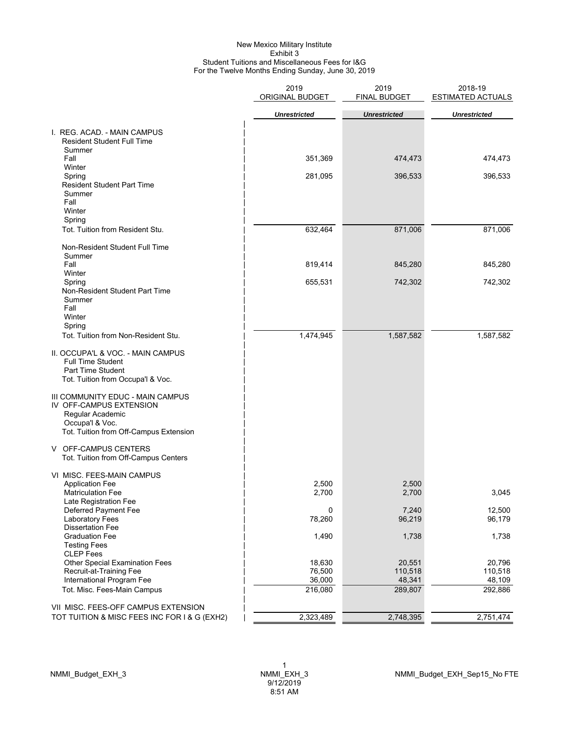#### New Mexico Military Institute Exhibit 3 Student Tuitions and Miscellaneous Fees for I&G For the Twelve Months Ending Sunday, June 30, 2019

|                                                                                                                                              | 2019<br>ORIGINAL BUDGET | 2019<br>FINAL BUDGET | 2018-19<br><b>ESTIMATED ACTUALS</b> |
|----------------------------------------------------------------------------------------------------------------------------------------------|-------------------------|----------------------|-------------------------------------|
|                                                                                                                                              | <b>Unrestricted</b>     | <b>Unrestricted</b>  | <b>Unrestricted</b>                 |
| I. REG. ACAD. - MAIN CAMPUS<br><b>Resident Student Full Time</b><br>Summer                                                                   |                         |                      |                                     |
| Fall                                                                                                                                         | 351,369                 | 474,473              | 474,473                             |
| Winter<br>Spring<br><b>Resident Student Part Time</b><br>Summer<br>Fall<br>Winter<br>Spring                                                  | 281,095                 | 396,533              | 396,533                             |
| Tot. Tuition from Resident Stu.                                                                                                              | 632,464                 | 871,006              | 871,006                             |
| Non-Resident Student Full Time<br>Summer<br>Fall                                                                                             | 819,414                 | 845,280              | 845,280                             |
| Winter                                                                                                                                       |                         |                      |                                     |
| Spring<br>Non-Resident Student Part Time<br>Summer<br>Fall<br>Winter<br>Spring                                                               | 655,531                 | 742,302              | 742,302                             |
| Tot. Tuition from Non-Resident Stu.                                                                                                          | 1,474,945               | 1,587,582            | 1,587,582                           |
| II. OCCUPA'L & VOC. - MAIN CAMPUS<br><b>Full Time Student</b><br>Part Time Student<br>Tot. Tuition from Occupa'l & Voc.                      |                         |                      |                                     |
| III COMMUNITY EDUC - MAIN CAMPUS<br>IV OFF-CAMPUS EXTENSION<br>Regular Academic<br>Occupa'l & Voc.<br>Tot. Tuition from Off-Campus Extension |                         |                      |                                     |
| V OFF-CAMPUS CENTERS<br>Tot. Tuition from Off-Campus Centers                                                                                 |                         |                      |                                     |
| VI MISC. FEES-MAIN CAMPUS<br><b>Application Fee</b><br><b>Matriculation Fee</b>                                                              | 2,500<br>2,700          | 2,500<br>2,700       | 3,045                               |
| Late Registration Fee<br>Deferred Payment Fee                                                                                                | 0                       | 7,240                | 12,500                              |
| <b>Laboratory Fees</b><br><b>Dissertation Fee</b>                                                                                            | 78,260                  | 96,219               | 96,179                              |
| <b>Graduation Fee</b><br><b>Testing Fees</b><br><b>CLEP</b> Fees                                                                             | 1,490                   | 1,738                | 1,738                               |
| <b>Other Special Examination Fees</b><br>Recruit-at-Training Fee                                                                             | 18,630<br>76,500        | 20,551<br>110,518    | 20,796<br>110,518                   |
| International Program Fee                                                                                                                    | 36,000                  | 48,341               | 48,109                              |
| Tot. Misc. Fees-Main Campus                                                                                                                  | 216,080                 | 289,807              | 292,886                             |
| VII MISC. FEES-OFF CAMPUS EXTENSION<br>TOT TUITION & MISC FEES INC FOR I & G (EXH2)                                                          | 2,323,489               | 2,748,395            | 2,751,474                           |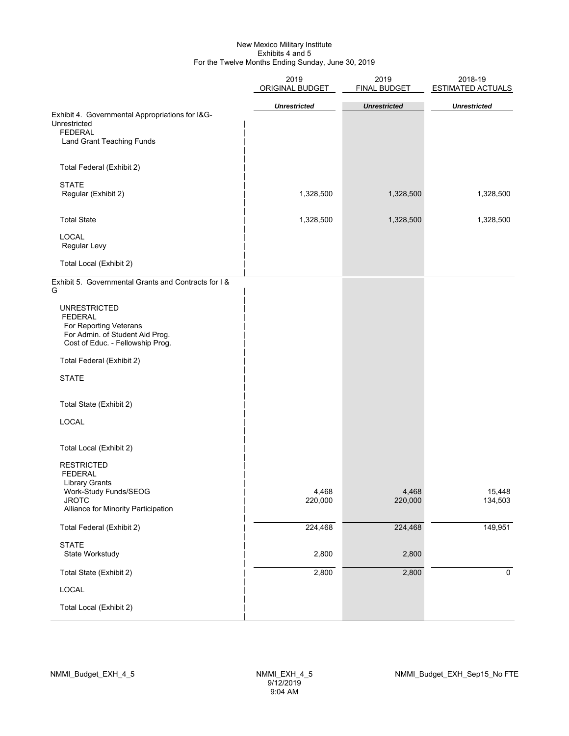#### New Mexico Military Institute Exhibits 4 and 5 For the Twelve Months Ending Sunday, June 30, 2019

|                                                                                                                                                                                                                                                                                                                                                        | 2019<br>ORIGINAL BUDGET | 2019<br>FINAL BUDGET | 2018-19<br>ESTIMATED ACTUALS |  |  |
|--------------------------------------------------------------------------------------------------------------------------------------------------------------------------------------------------------------------------------------------------------------------------------------------------------------------------------------------------------|-------------------------|----------------------|------------------------------|--|--|
| Exhibit 4. Governmental Appropriations for I&G-<br>Unrestricted<br><b>FEDERAL</b><br>Land Grant Teaching Funds                                                                                                                                                                                                                                         | <b>Unrestricted</b>     | <b>Unrestricted</b>  | <b>Unrestricted</b>          |  |  |
| Total Federal (Exhibit 2)                                                                                                                                                                                                                                                                                                                              |                         |                      |                              |  |  |
| <b>STATE</b><br>Regular (Exhibit 2)                                                                                                                                                                                                                                                                                                                    | 1,328,500               | 1,328,500            | 1,328,500                    |  |  |
| <b>Total State</b>                                                                                                                                                                                                                                                                                                                                     | 1,328,500               | 1,328,500            | 1,328,500                    |  |  |
| <b>LOCAL</b><br>Regular Levy                                                                                                                                                                                                                                                                                                                           |                         |                      |                              |  |  |
| Total Local (Exhibit 2)                                                                                                                                                                                                                                                                                                                                |                         |                      |                              |  |  |
| Exhibit 5. Governmental Grants and Contracts for I &<br>G<br><b>UNRESTRICTED</b><br><b>FEDERAL</b><br>For Reporting Veterans<br>For Admin. of Student Aid Prog.<br>Cost of Educ. - Fellowship Prog.<br>Total Federal (Exhibit 2)<br><b>STATE</b><br>Total State (Exhibit 2)<br>LOCAL<br>Total Local (Exhibit 2)<br><b>RESTRICTED</b><br><b>FEDERAL</b> |                         |                      |                              |  |  |
| <b>Library Grants</b><br>Work-Study Funds/SEOG<br><b>JROTC</b><br>Alliance for Minority Participation                                                                                                                                                                                                                                                  | 4,468<br>220,000        | 4,468<br>220,000     | 15,448<br>134,503            |  |  |
| Total Federal (Exhibit 2)                                                                                                                                                                                                                                                                                                                              | 224,468                 | 224,468              | 149,951                      |  |  |
| <b>STATE</b><br>State Workstudy                                                                                                                                                                                                                                                                                                                        | 2,800                   | 2,800                |                              |  |  |
| Total State (Exhibit 2)                                                                                                                                                                                                                                                                                                                                | 2,800                   | 2,800                | $\mathsf{O}\xspace$          |  |  |
| LOCAL                                                                                                                                                                                                                                                                                                                                                  |                         |                      |                              |  |  |
| Total Local (Exhibit 2)                                                                                                                                                                                                                                                                                                                                |                         |                      |                              |  |  |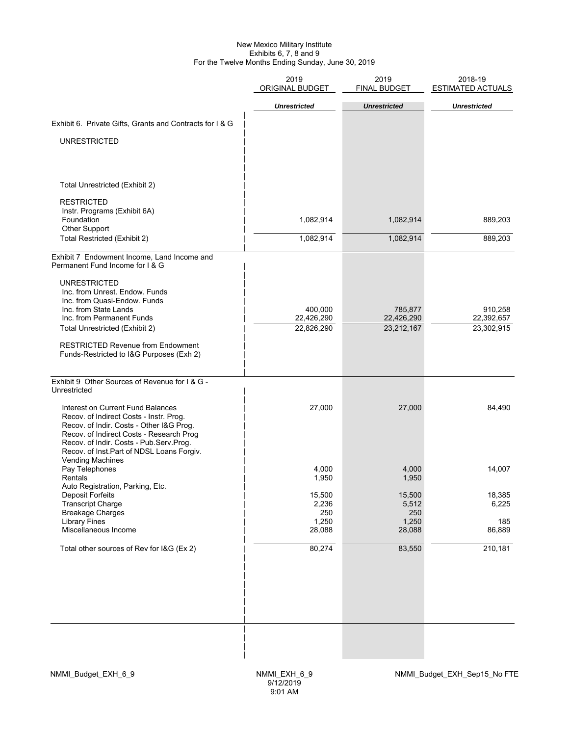#### New Mexico Military Institute Exhibits 6, 7, 8 and 9 For the Twelve Months Ending Sunday, June 30, 2019

|                                                                                                                                                                                                                                                              | 2019<br><b>ORIGINAL BUDGET</b> | 2019<br>FINAL BUDGET   | 2018-19<br><b>ESTIMATED ACTUALS</b> |
|--------------------------------------------------------------------------------------------------------------------------------------------------------------------------------------------------------------------------------------------------------------|--------------------------------|------------------------|-------------------------------------|
|                                                                                                                                                                                                                                                              | <b>Unrestricted</b>            | <b>Unrestricted</b>    | <b>Unrestricted</b>                 |
| Exhibit 6. Private Gifts, Grants and Contracts for I & G                                                                                                                                                                                                     |                                |                        |                                     |
|                                                                                                                                                                                                                                                              |                                |                        |                                     |
| <b>UNRESTRICTED</b>                                                                                                                                                                                                                                          |                                |                        |                                     |
| Total Unrestricted (Exhibit 2)                                                                                                                                                                                                                               |                                |                        |                                     |
|                                                                                                                                                                                                                                                              |                                |                        |                                     |
| <b>RESTRICTED</b><br>Instr. Programs (Exhibit 6A)<br>Foundation<br>Other Support                                                                                                                                                                             | 1,082,914                      | 1,082,914              | 889,203                             |
| Total Restricted (Exhibit 2)                                                                                                                                                                                                                                 | 1,082,914                      | 1,082,914              | 889,203                             |
| Exhibit 7 Endowment Income, Land Income and<br>Permanent Fund Income for I & G<br><b>UNRESTRICTED</b><br>Inc. from Unrest. Endow. Funds                                                                                                                      |                                |                        |                                     |
| Inc. from Quasi-Endow. Funds<br>Inc. from State Lands                                                                                                                                                                                                        | 400,000                        | 785,877                | 910,258                             |
| Inc. from Permanent Funds                                                                                                                                                                                                                                    | 22,426,290                     | 22,426,290             | 22,392,657                          |
| Total Unrestricted (Exhibit 2)                                                                                                                                                                                                                               | 22,826,290                     | 23,212,167             | 23,302,915                          |
| <b>RESTRICTED Revenue from Endowment</b><br>Funds-Restricted to I&G Purposes (Exh 2)                                                                                                                                                                         |                                |                        |                                     |
| Exhibit 9 Other Sources of Revenue for I & G -<br>Unrestricted                                                                                                                                                                                               |                                |                        |                                     |
| Interest on Current Fund Balances<br>Recov. of Indirect Costs - Instr. Prog.<br>Recov. of Indir. Costs - Other I&G Prog.<br>Recov. of Indirect Costs - Research Prog<br>Recov. of Indir. Costs - Pub.Serv.Prog.<br>Recov. of Inst.Part of NDSL Loans Forgiv. | 27,000                         | 27,000                 | 84,490                              |
| <b>Vending Machines</b><br>Pay Telephones<br>Rentals                                                                                                                                                                                                         | 4,000<br>1,950                 | 4,000<br>1,950         | 14,007                              |
| Auto Registration, Parking, Etc.<br>Deposit Forfeits<br><b>Transcript Charge</b><br><b>Breakage Charges</b>                                                                                                                                                  | 15,500<br>2,236<br>250         | 15,500<br>5,512<br>250 | 18,385<br>6,225                     |
| <b>Library Fines</b><br>Miscellaneous Income                                                                                                                                                                                                                 | 1,250<br>28,088                | 1,250<br>28,088        | 185<br>86,889                       |
| Total other sources of Rev for I&G (Ex 2)                                                                                                                                                                                                                    | 80,274                         | 83,550                 | 210,181                             |
|                                                                                                                                                                                                                                                              |                                |                        |                                     |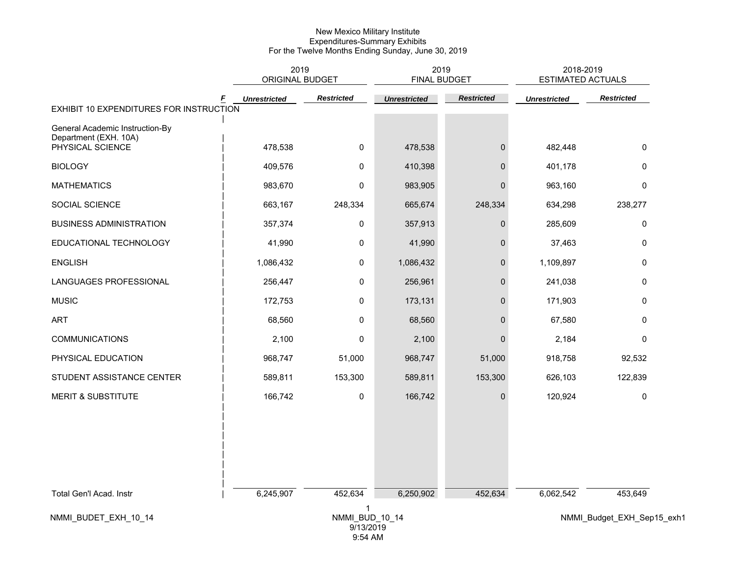|                                                          | 2019<br><b>ORIGINAL BUDGET</b> |                             | 2019<br><b>FINAL BUDGET</b> |                   | 2018-2019<br><b>ESTIMATED ACTUALS</b> |                            |  |
|----------------------------------------------------------|--------------------------------|-----------------------------|-----------------------------|-------------------|---------------------------------------|----------------------------|--|
|                                                          | F<br><b>Unrestricted</b>       | <b>Restricted</b>           | <b>Unrestricted</b>         | <b>Restricted</b> | <b>Unrestricted</b>                   | <b>Restricted</b>          |  |
| EXHIBIT 10 EXPENDITURES FOR INSTRUCTION                  |                                |                             |                             |                   |                                       |                            |  |
| General Academic Instruction-By<br>Department (EXH. 10A) |                                |                             |                             |                   |                                       |                            |  |
| PHYSICAL SCIENCE                                         | 478,538                        | $\mathbf 0$                 | 478,538                     | $\mathbf{0}$      | 482,448                               | $\mathbf 0$                |  |
| <b>BIOLOGY</b>                                           | 409,576                        | 0                           | 410,398                     | $\mathbf{0}$      | 401,178                               | $\mathbf 0$                |  |
| <b>MATHEMATICS</b>                                       | 983,670                        | $\mathbf 0$                 | 983,905                     | $\Omega$          | 963,160                               | $\mathbf 0$                |  |
| SOCIAL SCIENCE                                           | 663,167                        | 248,334                     | 665,674                     | 248,334           | 634,298                               | 238,277                    |  |
| <b>BUSINESS ADMINISTRATION</b>                           | 357,374                        | $\pmb{0}$                   | 357,913                     | 0                 | 285,609                               | 0                          |  |
| EDUCATIONAL TECHNOLOGY                                   | 41,990                         | $\mathbf 0$                 | 41,990                      | $\Omega$          | 37,463                                | $\mathbf 0$                |  |
| <b>ENGLISH</b>                                           | 1,086,432                      | $\mathbf 0$                 | 1,086,432                   | $\mathbf{0}$      | 1,109,897                             | $\mathbf 0$                |  |
| LANGUAGES PROFESSIONAL                                   | 256,447                        | $\pmb{0}$                   | 256,961                     | $\mathbf{0}$      | 241,038                               | $\mathbf 0$                |  |
| <b>MUSIC</b>                                             | 172,753                        | 0                           | 173,131                     | $\mathbf 0$       | 171,903                               | 0                          |  |
| <b>ART</b>                                               | 68,560                         | 0                           | 68,560                      | $\Omega$          | 67,580                                | 0                          |  |
| <b>COMMUNICATIONS</b>                                    | 2,100                          | $\mathbf 0$                 | 2,100                       | $\mathbf{0}$      | 2,184                                 | $\mathbf 0$                |  |
| PHYSICAL EDUCATION                                       | 968,747                        | 51,000                      | 968,747                     | 51,000            | 918,758                               | 92,532                     |  |
| STUDENT ASSISTANCE CENTER                                | 589,811                        | 153,300                     | 589,811                     | 153,300           | 626,103                               | 122,839                    |  |
| <b>MERIT &amp; SUBSTITUTE</b>                            | 166,742                        | 0                           | 166,742                     | $\mathbf{0}$      | 120,924                               | $\mathbf 0$                |  |
|                                                          |                                |                             |                             |                   |                                       |                            |  |
|                                                          |                                |                             |                             |                   |                                       |                            |  |
|                                                          |                                |                             |                             |                   |                                       |                            |  |
|                                                          |                                |                             |                             |                   |                                       |                            |  |
| Total Gen'l Acad. Instr                                  | 6,245,907                      | 452,634                     | 6,250,902                   | 452,634           | 6,062,542                             | 453,649                    |  |
|                                                          |                                | 1                           |                             |                   |                                       |                            |  |
| NMMI_BUDET_EXH_10_14                                     |                                | NMMI BUD 10 14<br>9/13/2019 |                             |                   |                                       | NMMI_Budget_EXH_Sep15_exh1 |  |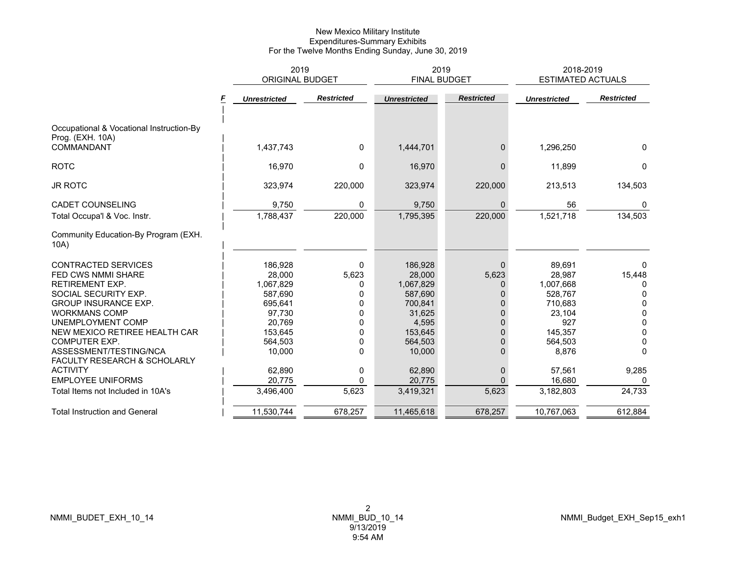|                                                                                                                                                                                                                                                                          | 2019<br><b>ORIGINAL BUDGET</b>                                                                           |                                               |                                                                                                         | 2019<br><b>FINAL BUDGET</b>                                                                                    | 2018-2019<br><b>ESTIMATED ACTUALS</b>                                                               |                                                                                                           |  |
|--------------------------------------------------------------------------------------------------------------------------------------------------------------------------------------------------------------------------------------------------------------------------|----------------------------------------------------------------------------------------------------------|-----------------------------------------------|---------------------------------------------------------------------------------------------------------|----------------------------------------------------------------------------------------------------------------|-----------------------------------------------------------------------------------------------------|-----------------------------------------------------------------------------------------------------------|--|
|                                                                                                                                                                                                                                                                          | <b>Unrestricted</b>                                                                                      | <b>Restricted</b>                             | <b>Unrestricted</b>                                                                                     | <b>Restricted</b>                                                                                              | <b>Unrestricted</b>                                                                                 | <b>Restricted</b>                                                                                         |  |
| Occupational & Vocational Instruction-By<br>Prog. (EXH. 10A)<br>COMMANDANT                                                                                                                                                                                               | 1,437,743                                                                                                | $\mathbf{0}$                                  | 1,444,701                                                                                               | $\mathbf{0}$                                                                                                   | 1,296,250                                                                                           | $\mathbf{0}$                                                                                              |  |
|                                                                                                                                                                                                                                                                          |                                                                                                          |                                               |                                                                                                         |                                                                                                                |                                                                                                     |                                                                                                           |  |
| <b>ROTC</b>                                                                                                                                                                                                                                                              | 16,970                                                                                                   | $\Omega$                                      | 16,970                                                                                                  | $\Omega$                                                                                                       | 11,899                                                                                              | $\mathbf{0}$                                                                                              |  |
| <b>JR ROTC</b>                                                                                                                                                                                                                                                           | 323,974                                                                                                  | 220,000                                       | 323,974                                                                                                 | 220,000                                                                                                        | 213,513                                                                                             | 134,503                                                                                                   |  |
| <b>CADET COUNSELING</b>                                                                                                                                                                                                                                                  | 9,750                                                                                                    | 0                                             | 9,750                                                                                                   | $\Omega$                                                                                                       | 56                                                                                                  | $\mathbf{0}$                                                                                              |  |
| Total Occupa'l & Voc. Instr.                                                                                                                                                                                                                                             | 1,788,437                                                                                                | 220,000                                       | 1,795,395                                                                                               | 220,000                                                                                                        | 1,521,718                                                                                           | 134,503                                                                                                   |  |
| Community Education-By Program (EXH.<br>10A)                                                                                                                                                                                                                             |                                                                                                          |                                               |                                                                                                         |                                                                                                                |                                                                                                     |                                                                                                           |  |
| <b>CONTRACTED SERVICES</b><br><b>FED CWS NMMI SHARE</b><br><b>RETIREMENT EXP.</b><br>SOCIAL SECURITY EXP.<br><b>GROUP INSURANCE EXP.</b><br><b>WORKMANS COMP</b><br>UNEMPLOYMENT COMP<br>NEW MEXICO RETIREE HEALTH CAR<br><b>COMPUTER EXP.</b><br>ASSESSMENT/TESTING/NCA | 186,928<br>28,000<br>1,067,829<br>587,690<br>695,641<br>97,730<br>20.769<br>153,645<br>564,503<br>10,000 | 0<br>5,623<br>0<br>U<br>0<br>O<br>U<br>U<br>O | 186,928<br>28,000<br>1,067,829<br>587,690<br>700.841<br>31,625<br>4,595<br>153,645<br>564,503<br>10,000 | $\mathbf{0}$<br>5,623<br>$\Omega$<br>0<br>$\Omega$<br>$\Omega$<br>$\Omega$<br>$\Omega$<br>$\Omega$<br>$\Omega$ | 89,691<br>28,987<br>1,007,668<br>528,767<br>710,683<br>23,104<br>927<br>145.357<br>564,503<br>8,876 | $\Omega$<br>15,448<br>$\Omega$<br>0<br>$\mathbf{0}$<br>$\mathbf{0}$<br>$\mathbf{0}$<br>0<br>0<br>$\Omega$ |  |
| FACULTY RESEARCH & SCHOLARLY<br><b>ACTIVITY</b><br><b>EMPLOYEE UNIFORMS</b><br>Total Items not Included in 10A's                                                                                                                                                         | 62,890<br>20,775<br>3,496,400                                                                            | 0<br>0<br>5,623                               | 62,890<br>20,775<br>3,419,321                                                                           | $\mathbf{0}$<br>$\Omega$<br>5,623                                                                              | 57,561<br>16,680<br>3,182,803                                                                       | 9,285<br>0<br>24,733                                                                                      |  |
| <b>Total Instruction and General</b>                                                                                                                                                                                                                                     | 11,530,744                                                                                               | 678,257                                       | 11,465,618                                                                                              | 678,257                                                                                                        | 10,767,063                                                                                          | 612,884                                                                                                   |  |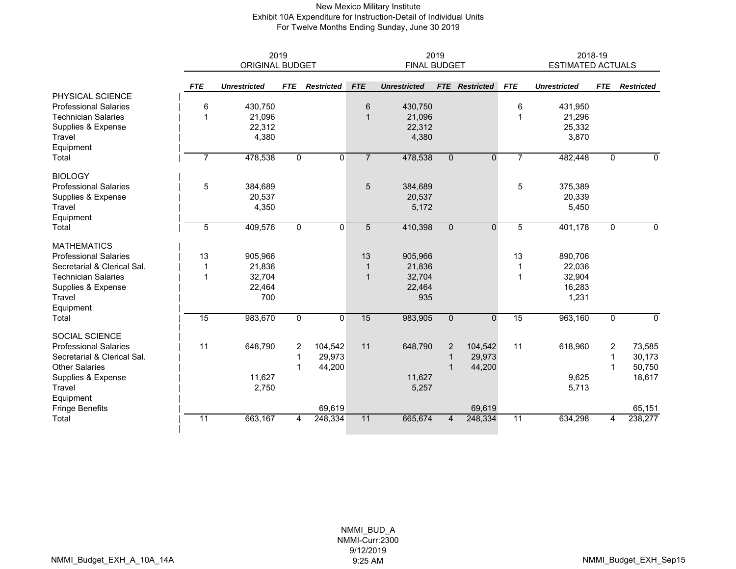#### New Mexico Military Institute Exhibit 10A Expenditure for Instruction-Detail of Individual Units For Twelve Months Ending Sunday, June 30 2019

|                              | 2019<br><b>ORIGINAL BUDGET</b> |                     |             |                   |                | 2019<br><b>FINAL BUDGET</b> |                |                       |                | 2018-19<br><b>ESTIMATED ACTUALS</b> |              |                   |
|------------------------------|--------------------------------|---------------------|-------------|-------------------|----------------|-----------------------------|----------------|-----------------------|----------------|-------------------------------------|--------------|-------------------|
|                              | <b>FTE</b>                     | <b>Unrestricted</b> | <b>FTE</b>  | <b>Restricted</b> | <b>FTE</b>     | <b>Unrestricted</b>         |                | <b>FTE</b> Restricted | <b>FTE</b>     | <b>Unrestricted</b>                 | <b>FTE</b>   | <b>Restricted</b> |
| PHYSICAL SCIENCE             |                                |                     |             |                   |                |                             |                |                       |                |                                     |              |                   |
| <b>Professional Salaries</b> | 6                              | 430,750             |             |                   | 6              | 430,750                     |                |                       | 6              | 431,950                             |              |                   |
| <b>Technician Salaries</b>   |                                | 21,096              |             |                   | $\mathbf{1}$   | 21,096                      |                |                       | 1              | 21,296                              |              |                   |
| Supplies & Expense           |                                | 22,312              |             |                   |                | 22,312                      |                |                       |                | 25,332                              |              |                   |
| Travel                       |                                | 4,380               |             |                   |                | 4,380                       |                |                       |                | 3,870                               |              |                   |
| Equipment                    |                                |                     |             |                   |                |                             |                |                       |                |                                     |              |                   |
| Total                        | 7                              | 478,538             | $\mathbf 0$ | $\mathbf 0$       | $\overline{7}$ | 478,538                     | $\overline{0}$ | $\mathbf{0}$          | $\overline{7}$ | 482,448                             | $\mathbf 0$  | $\mathbf 0$       |
| <b>BIOLOGY</b>               |                                |                     |             |                   |                |                             |                |                       |                |                                     |              |                   |
| <b>Professional Salaries</b> | 5                              | 384,689             |             |                   | 5              | 384,689                     |                |                       | 5              | 375,389                             |              |                   |
| Supplies & Expense           |                                | 20,537              |             |                   |                | 20,537                      |                |                       |                | 20,339                              |              |                   |
| Travel                       |                                | 4,350               |             |                   |                | 5,172                       |                |                       |                | 5,450                               |              |                   |
| Equipment                    |                                |                     |             |                   |                |                             |                |                       |                |                                     |              |                   |
| Total                        | 5                              | 409,576             | $\mathbf 0$ | $\mathbf{0}$      | 5              | 410,398                     | $\Omega$       | $\Omega$              | 5              | 401,178                             | $\mathbf{0}$ | $\mathbf{0}$      |
| <b>MATHEMATICS</b>           |                                |                     |             |                   |                |                             |                |                       |                |                                     |              |                   |
| <b>Professional Salaries</b> | 13                             | 905,966             |             |                   | 13             | 905,966                     |                |                       | 13             | 890,706                             |              |                   |
| Secretarial & Clerical Sal.  | 1                              | 21,836              |             |                   | $\mathbf 1$    | 21,836                      |                |                       |                | 22,036                              |              |                   |
| <b>Technician Salaries</b>   | 1                              | 32,704              |             |                   | $\mathbf{1}$   | 32,704                      |                |                       | 1              | 32,904                              |              |                   |
| Supplies & Expense           |                                | 22,464              |             |                   |                | 22,464                      |                |                       |                | 16,283                              |              |                   |
| Travel                       |                                | 700                 |             |                   |                | 935                         |                |                       |                | 1,231                               |              |                   |
| Equipment                    |                                |                     |             |                   |                |                             |                |                       |                |                                     |              |                   |
| Total                        | 15                             | 983,670             | $\mathbf 0$ | $\Omega$          | 15             | 983,905                     | $\mathbf{0}$   | $\Omega$              | 15             | 963,160                             | $\mathbf 0$  | $\mathbf{0}$      |
| <b>SOCIAL SCIENCE</b>        |                                |                     |             |                   |                |                             |                |                       |                |                                     |              |                   |
| <b>Professional Salaries</b> | 11                             | 648,790             | 2           | 104,542           | 11             | 648,790                     | $\overline{2}$ | 104,542               | 11             | 618,960                             | 2            | 73,585            |
| Secretarial & Clerical Sal.  |                                |                     | $\mathbf 1$ | 29,973            |                |                             | $\mathbf 1$    | 29,973                |                |                                     | 1            | 30,173            |
| <b>Other Salaries</b>        |                                |                     | 1           | 44,200            |                |                             |                | 44,200                |                |                                     | 1            | 50,750            |
| Supplies & Expense           |                                | 11,627              |             |                   |                | 11,627                      |                |                       |                | 9,625                               |              | 18,617            |
| Travel                       |                                | 2,750               |             |                   |                | 5,257                       |                |                       |                | 5,713                               |              |                   |
| Equipment                    |                                |                     |             |                   |                |                             |                |                       |                |                                     |              |                   |
| <b>Fringe Benefits</b>       |                                |                     |             | 69,619            |                |                             |                | 69,619                |                |                                     |              | 65,151            |
| Total                        | $\overline{11}$                | 663,167             | 4           | 248,334           | 11             | 665,674                     | $\overline{4}$ | 248,334               | 11             | 634,298                             | 4            | 238,277           |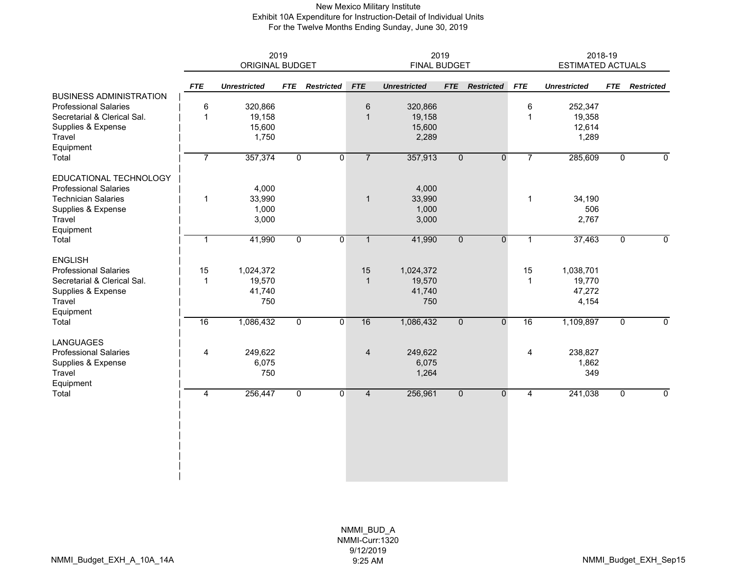#### New Mexico Military Institute Exhibit 10A Expenditure for Instruction-Detail of Individual Units For the Twelve Months Ending Sunday, June 30, 2019

|                                                                | 2019<br><b>ORIGINAL BUDGET</b> |                     |                | 2019<br><b>FINAL BUDGET</b> |                |                     |                |                   | 2018-19<br><b>ESTIMATED ACTUALS</b> |                     |                |                   |
|----------------------------------------------------------------|--------------------------------|---------------------|----------------|-----------------------------|----------------|---------------------|----------------|-------------------|-------------------------------------|---------------------|----------------|-------------------|
|                                                                | <b>FTE</b>                     | <b>Unrestricted</b> | <b>FTE</b>     | <b>Restricted</b>           | <b>FTE</b>     | <b>Unrestricted</b> | <b>FTE</b>     | <b>Restricted</b> | <b>FTE</b>                          | <b>Unrestricted</b> | <b>FTE</b>     | <b>Restricted</b> |
| <b>BUSINESS ADMINISTRATION</b><br><b>Professional Salaries</b> | 6                              | 320,866             |                |                             | 6              | 320,866             |                |                   | 6                                   | 252,347             |                |                   |
| Secretarial & Clerical Sal.                                    | $\mathbf{1}$                   | 19,158              |                |                             | $\mathbf{1}$   | 19,158              |                |                   | 1                                   | 19,358              |                |                   |
| Supplies & Expense                                             |                                | 15,600              |                |                             |                | 15,600              |                |                   |                                     | 12,614              |                |                   |
| Travel                                                         |                                | 1,750               |                |                             |                | 2,289               |                |                   |                                     | 1,289               |                |                   |
| Equipment                                                      |                                |                     |                |                             |                |                     |                |                   |                                     |                     |                |                   |
| Total                                                          | $\overline{7}$                 | 357,374             | $\overline{0}$ | $\overline{0}$              | $\overline{7}$ | 357,913             | $\overline{0}$ | $\overline{0}$    | $\overline{7}$                      | 285,609             | $\overline{0}$ | $\mathbf 0$       |
| EDUCATIONAL TECHNOLOGY                                         |                                |                     |                |                             |                |                     |                |                   |                                     |                     |                |                   |
| <b>Professional Salaries</b>                                   |                                | 4,000               |                |                             |                | 4,000               |                |                   |                                     |                     |                |                   |
| <b>Technician Salaries</b>                                     | 1                              | 33,990              |                |                             | $\mathbf{1}$   | 33,990              |                |                   | 1                                   | 34,190              |                |                   |
| Supplies & Expense                                             |                                | 1,000               |                |                             |                | 1,000               |                |                   |                                     | 506                 |                |                   |
| <b>Travel</b>                                                  |                                | 3,000               |                |                             |                | 3,000               |                |                   |                                     | 2,767               |                |                   |
| Equipment                                                      |                                |                     |                |                             |                |                     |                |                   |                                     |                     |                |                   |
| Total                                                          | 1                              | 41,990              | $\mathbf 0$    | $\mathbf 0$                 | $\mathbf{1}$   | 41,990              | $\mathbf{0}$   | $\mathbf{0}$      | 1                                   | 37,463              | $\Omega$       | $\mathbf 0$       |
| <b>ENGLISH</b>                                                 |                                |                     |                |                             |                |                     |                |                   |                                     |                     |                |                   |
| <b>Professional Salaries</b>                                   | 15                             | 1,024,372           |                |                             | 15             | 1,024,372           |                |                   | 15                                  | 1,038,701           |                |                   |
| Secretarial & Clerical Sal.                                    | $\mathbf 1$                    | 19,570              |                |                             | $\mathbf{1}$   | 19,570              |                |                   | $\mathbf{1}$                        | 19,770              |                |                   |
| Supplies & Expense                                             |                                | 41,740              |                |                             |                | 41,740              |                |                   |                                     | 47,272              |                |                   |
| Travel                                                         |                                | 750                 |                |                             |                | 750                 |                |                   |                                     | 4,154               |                |                   |
| Equipment                                                      |                                |                     |                |                             |                |                     |                |                   |                                     |                     |                |                   |
| Total                                                          | 16                             | 1,086,432           | $\overline{0}$ | $\overline{0}$              | 16             | 1,086,432           | $\overline{0}$ | $\overline{0}$    | 16                                  | 1,109,897           | 0              | $\overline{0}$    |
| <b>LANGUAGES</b>                                               |                                |                     |                |                             |                |                     |                |                   |                                     |                     |                |                   |
| <b>Professional Salaries</b>                                   | 4                              | 249,622             |                |                             | $\overline{4}$ | 249,622             |                |                   | 4                                   | 238,827             |                |                   |
| Supplies & Expense                                             |                                | 6,075               |                |                             |                | 6,075               |                |                   |                                     | 1,862               |                |                   |
| Travel                                                         |                                | 750                 |                |                             |                | 1,264               |                |                   |                                     | 349                 |                |                   |
| Equipment                                                      |                                |                     |                |                             |                |                     |                |                   |                                     |                     |                |                   |
| Total                                                          | $\overline{4}$                 | 256,447             | $\mathbf 0$    | $\mathbf 0$                 | $\overline{4}$ | 256,961             | $\overline{0}$ | $\mathbf 0$       | $\overline{4}$                      | 241,038             | $\mathbf 0$    | $\mathbf 0$       |
|                                                                |                                |                     |                |                             |                |                     |                |                   |                                     |                     |                |                   |
|                                                                |                                |                     |                |                             |                |                     |                |                   |                                     |                     |                |                   |
|                                                                |                                |                     |                |                             |                |                     |                |                   |                                     |                     |                |                   |
|                                                                |                                |                     |                |                             |                |                     |                |                   |                                     |                     |                |                   |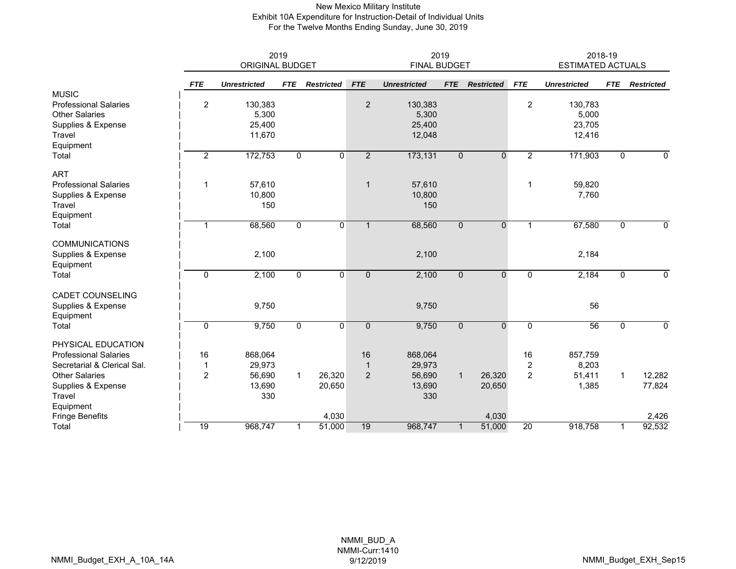#### New Mexico Military Institute Exhibit 10A Expenditure for Instruction-Detail of Individual Units For the Twelve Months Ending Sunday, June 30, 2019

|                              |                 | 2019<br><b>ORIGINAL BUDGET</b> |                | 2019<br><b>FINAL BUDGET</b> |                |                     |              |                   | 2018-19<br><b>ESTIMATED ACTUALS</b> |                     |                |                   |
|------------------------------|-----------------|--------------------------------|----------------|-----------------------------|----------------|---------------------|--------------|-------------------|-------------------------------------|---------------------|----------------|-------------------|
|                              | <b>FTE</b>      | <b>Unrestricted</b>            | <b>FTE</b>     | <b>Restricted</b>           | <b>FTE</b>     | <b>Unrestricted</b> | <b>FTE</b>   | <b>Restricted</b> | <b>FTE</b>                          | <b>Unrestricted</b> | <b>FTE</b>     | <b>Restricted</b> |
| <b>MUSIC</b>                 |                 |                                |                |                             |                |                     |              |                   |                                     |                     |                |                   |
| <b>Professional Salaries</b> | $\overline{c}$  | 130,383                        |                |                             | $\overline{2}$ | 130,383             |              |                   | $\overline{c}$                      | 130,783             |                |                   |
| <b>Other Salaries</b>        |                 | 5,300                          |                |                             |                | 5,300               |              |                   |                                     | 5,000               |                |                   |
| Supplies & Expense           |                 | 25,400                         |                |                             |                | 25,400              |              |                   |                                     | 23,705              |                |                   |
| Travel                       |                 | 11,670                         |                |                             |                | 12,048              |              |                   |                                     | 12,416              |                |                   |
| Equipment<br>Total           | $\overline{2}$  | 172,753                        | $\mathbf 0$    | $\Omega$                    | $\overline{2}$ | 173,131             | $\mathbf 0$  | $\mathbf 0$       | $\overline{2}$                      | 171,903             | $\Omega$       | $\mathbf 0$       |
| <b>ART</b>                   |                 |                                |                |                             |                |                     |              |                   |                                     |                     |                |                   |
| <b>Professional Salaries</b> | 1               | 57,610                         |                |                             | $\mathbf{1}$   | 57,610              |              |                   | $\mathbf{1}$                        | 59,820              |                |                   |
| Supplies & Expense           |                 | 10,800                         |                |                             |                | 10,800              |              |                   |                                     | 7,760               |                |                   |
| Travel                       |                 | 150                            |                |                             |                | 150                 |              |                   |                                     |                     |                |                   |
| Equipment                    |                 |                                |                |                             |                |                     |              |                   |                                     |                     |                |                   |
| Total                        | 1               | 68,560                         | $\overline{0}$ | $\mathbf{0}$                | $\mathbf{1}$   | 68,560              | $\mathbf{0}$ | $\mathbf{0}$      | $\mathbf{1}$                        | 67,580              | $\mathbf 0$    | $\mathbf 0$       |
| <b>COMMUNICATIONS</b>        |                 |                                |                |                             |                |                     |              |                   |                                     |                     |                |                   |
| Supplies & Expense           |                 | 2,100                          |                |                             |                | 2,100               |              |                   |                                     | 2,184               |                |                   |
| Equipment                    |                 |                                |                |                             |                |                     |              |                   |                                     |                     |                |                   |
| Total                        | $\mathbf 0$     | 2,100                          | $\mathbf 0$    | $\mathbf{0}$                | $\mathbf 0$    | 2,100               | $\mathbf{0}$ | $\mathbf{0}$      | $\mathbf 0$                         | 2,184               | 0              | 0                 |
| <b>CADET COUNSELING</b>      |                 |                                |                |                             |                |                     |              |                   |                                     |                     |                |                   |
| Supplies & Expense           |                 | 9,750                          |                |                             |                | 9,750               |              |                   |                                     | 56                  |                |                   |
| Equipment                    |                 |                                |                |                             |                |                     |              |                   |                                     |                     |                |                   |
| Total                        | 0               | 9,750                          | $\mathbf 0$    | $\mathbf 0$                 | $\mathbf 0$    | 9,750               | $\mathbf{0}$ | $\mathbf{0}$      | 0                                   | 56                  | $\mathbf 0$    | 0                 |
| PHYSICAL EDUCATION           |                 |                                |                |                             |                |                     |              |                   |                                     |                     |                |                   |
| <b>Professional Salaries</b> | 16              | 868,064                        |                |                             | 16             | 868,064             |              |                   | 16                                  | 857,759             |                |                   |
| Secretarial & Clerical Sal.  | 1               | 29,973                         |                |                             | $\mathbf{1}$   | 29,973              |              |                   | $\overline{\mathbf{c}}$             | 8,203               |                |                   |
| <b>Other Salaries</b>        | $\overline{c}$  | 56,690                         | $\mathbf{1}$   | 26,320                      | $\overline{2}$ | 56,690              | $\mathbf{1}$ | 26,320            | $\overline{c}$                      | 51,411              | $\overline{1}$ | 12,282            |
| Supplies & Expense           |                 | 13,690                         |                | 20,650                      |                | 13,690              |              | 20,650            |                                     | 1,385               |                | 77,824            |
| Travel                       |                 | 330                            |                |                             |                | 330                 |              |                   |                                     |                     |                |                   |
| Equipment                    |                 |                                |                |                             |                |                     |              |                   |                                     |                     |                |                   |
| <b>Fringe Benefits</b>       |                 |                                |                | 4,030                       |                |                     |              | 4,030             |                                     |                     |                | 2,426             |
| Total                        | $\overline{19}$ | 968,747                        | 1              | 51,000                      | 19             | 968,747             | $\mathbf{1}$ | 51,000            | $\overline{20}$                     | 918,758             | $\mathbf{1}$   | 92,532            |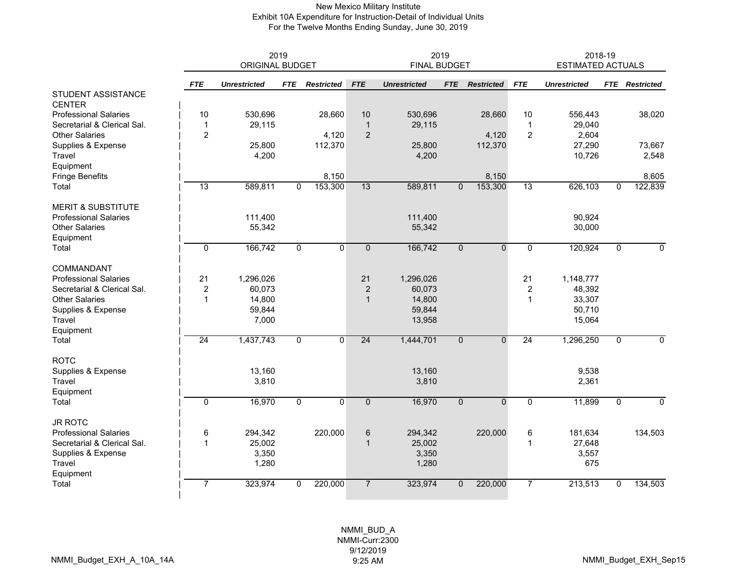#### New Mexico Military Institute Exhibit 10A Expenditure for Instruction-Detail of Individual Units For the Twelve Months Ending Sunday, June 30, 2019

|                                     |                | <b>ORIGINAL BUDGET</b> | 2019           |                   |                | 2019<br><b>FINAL BUDGET</b> |                | 2018-19<br><b>ESTIMATED ACTUALS</b> |                         |                     |                |                       |
|-------------------------------------|----------------|------------------------|----------------|-------------------|----------------|-----------------------------|----------------|-------------------------------------|-------------------------|---------------------|----------------|-----------------------|
|                                     | <b>FTE</b>     | <b>Unrestricted</b>    | <b>FTE</b>     | <b>Restricted</b> | <b>FTE</b>     | <b>Unrestricted</b>         | <b>FTE</b>     | <b>Restricted</b>                   | <b>FTE</b>              | <b>Unrestricted</b> |                | <b>FTE</b> Restricted |
| STUDENT ASSISTANCE<br><b>CENTER</b> |                |                        |                |                   |                |                             |                |                                     |                         |                     |                |                       |
| <b>Professional Salaries</b>        | $10$           | 530,696                |                | 28,660            | 10             | 530,696                     |                | 28,660                              | 10                      | 556,443             |                | 38,020                |
| Secretarial & Clerical Sal.         | $\mathbf{1}$   | 29,115                 |                |                   | $\mathbf{1}$   | 29,115                      |                |                                     | $\mathbf 1$             | 29,040              |                |                       |
| <b>Other Salaries</b>               | 2              |                        |                | 4,120             | 2              |                             |                | 4,120                               | $\overline{2}$          | 2,604               |                |                       |
| Supplies & Expense                  |                | 25,800                 |                | 112,370           |                | 25,800                      |                | 112,370                             |                         | 27,290              |                | 73,667                |
| Travel                              |                | 4,200                  |                |                   |                | 4,200                       |                |                                     |                         | 10,726              |                | 2,548                 |
| Equipment                           |                |                        |                |                   |                |                             |                |                                     |                         |                     |                |                       |
| <b>Fringe Benefits</b>              |                |                        |                | 8,150             |                |                             |                | 8,150                               |                         |                     |                | 8,605                 |
| Total                               | 13             | 589,811                | $\overline{0}$ | 153,300           | 13             | 589,811                     | $\overline{0}$ | 153,300                             | 13                      | 626,103             | $\overline{0}$ | 122,839               |
| <b>MERIT &amp; SUBSTITUTE</b>       |                |                        |                |                   |                |                             |                |                                     |                         |                     |                |                       |
| <b>Professional Salaries</b>        |                | 111,400                |                |                   |                | 111,400                     |                |                                     |                         | 90,924              |                |                       |
| <b>Other Salaries</b>               |                | 55,342                 |                |                   |                | 55,342                      |                |                                     |                         | 30,000              |                |                       |
| Equipment                           |                |                        |                |                   |                |                             |                |                                     |                         |                     |                |                       |
| Total                               | $\mathbf 0$    | 166,742                | 0              | $\mathbf{0}$      | $\mathbf{0}$   | 166,742                     | $\mathbf{0}$   | $\mathbf{0}$                        | $\Omega$                | 120,924             | $\mathbf{0}$   | $\mathbf{0}$          |
| COMMANDANT                          |                |                        |                |                   |                |                             |                |                                     |                         |                     |                |                       |
| <b>Professional Salaries</b>        | 21             | 1,296,026              |                |                   | 21             | 1,296,026                   |                |                                     | 21                      | 1,148,777           |                |                       |
| Secretarial & Clerical Sal.         | $\overline{c}$ | 60,073                 |                |                   | $\overline{2}$ | 60,073                      |                |                                     | $\overline{\mathbf{c}}$ | 48,392              |                |                       |
| <b>Other Salaries</b>               | $\overline{1}$ | 14,800                 |                |                   | $\mathbf{1}$   | 14,800                      |                |                                     | 1                       | 33,307              |                |                       |
| Supplies & Expense                  |                | 59,844                 |                |                   |                | 59,844                      |                |                                     |                         | 50,710              |                |                       |
| Travel                              |                | 7,000                  |                |                   |                | 13,958                      |                |                                     |                         | 15,064              |                |                       |
| Equipment                           |                |                        |                |                   |                |                             |                |                                     |                         |                     |                |                       |
| Total                               | 24             | 1,437,743              | 0              | 0                 | 24             | 1,444,701                   | $\mathbf 0$    | $\Omega$                            | 24                      | 1,296,250           | 0              | $\mathbf 0$           |
| <b>ROTC</b>                         |                |                        |                |                   |                |                             |                |                                     |                         |                     |                |                       |
| Supplies & Expense                  |                | 13,160                 |                |                   |                | 13,160                      |                |                                     |                         | 9,538               |                |                       |
| Travel                              |                | 3,810                  |                |                   |                | 3,810                       |                |                                     |                         | 2,361               |                |                       |
| Equipment                           |                |                        |                |                   |                |                             |                |                                     |                         |                     |                |                       |
| Total                               | $\overline{0}$ | 16,970                 | $\overline{0}$ | $\overline{0}$    | $\overline{0}$ | 16,970                      | $\overline{0}$ | $\overline{0}$                      | $\overline{0}$          | 11,899              | $\mathbf{0}$   | $\overline{0}$        |
| <b>JR ROTC</b>                      |                |                        |                |                   |                |                             |                |                                     |                         |                     |                |                       |
| <b>Professional Salaries</b>        | 6              | 294,342                |                | 220,000           | 6              | 294,342                     |                | 220,000                             | 6                       | 181,634             |                | 134,503               |
| Secretarial & Clerical Sal.         | $\mathbf{1}$   | 25,002                 |                |                   | $\mathbf{1}$   | 25,002                      |                |                                     |                         | 27,648              |                |                       |
| Supplies & Expense                  |                | 3,350                  |                |                   |                | 3,350                       |                |                                     |                         | 3,557               |                |                       |
| Travel                              |                | 1,280                  |                |                   |                | 1,280                       |                |                                     |                         | 675                 |                |                       |
| Equipment                           |                |                        |                |                   |                |                             |                |                                     |                         |                     |                |                       |
| Total                               | 7              | 323,974                | 0              | 220,000           | $\overline{7}$ | 323,974                     | 0              | 220,000                             | 7                       | 213,513             | $\mathbf{0}$   | 134,503               |
|                                     |                |                        |                |                   |                |                             |                |                                     |                         |                     |                |                       |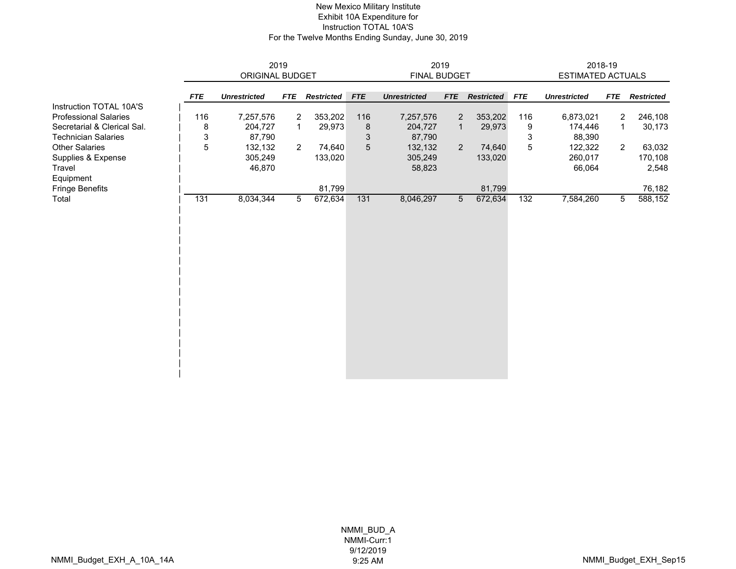#### New Mexico Military Institute Exhibit 10A Expenditure for Instruction TOTAL 10A'S For the Twelve Months Ending Sunday, June 30, 2019

|                             |            |                        | 2019       |                   | 2019       |                     |            |                   |            | 2018-19                  |                |                   |  |
|-----------------------------|------------|------------------------|------------|-------------------|------------|---------------------|------------|-------------------|------------|--------------------------|----------------|-------------------|--|
|                             |            | <b>ORIGINAL BUDGET</b> |            |                   |            | <b>FINAL BUDGET</b> |            |                   |            | <b>ESTIMATED ACTUALS</b> |                |                   |  |
|                             | <b>FTE</b> | <b>Unrestricted</b>    | <b>FTE</b> | <b>Restricted</b> | <b>FTE</b> | <b>Unrestricted</b> | <b>FTE</b> | <b>Restricted</b> | <b>FTE</b> | <b>Unrestricted</b>      | <b>FTE</b>     | <b>Restricted</b> |  |
| Instruction TOTAL 10A'S     |            |                        |            |                   |            |                     |            |                   |            |                          |                |                   |  |
| Professional Salaries       | 116        | 7,257,576              | 2          | 353,202           | 116        | 7,257,576           | 2          | 353,202           | 116        | 6,873,021                | $\overline{2}$ | 246,108           |  |
| Secretarial & Clerical Sal. | 8          | 204,727                | 1          | 29,973            | 8          | 204,727             | 1          | 29,973            | 9          | 174,446                  | -1             | 30,173            |  |
| Technician Salaries         | 3          | 87,790                 |            |                   | 3          | 87,790              |            |                   | 3          | 88,390                   |                |                   |  |
| Other Salaries              | 5          | 132,132                | 2          | 74,640            | 5          | 132,132             | 2          | 74,640            | 5          | 122,322                  | 2              | 63,032            |  |
| Supplies & Expense          |            | 305,249                |            | 133,020           |            | 305,249             |            | 133,020           |            | 260,017                  |                | 170,108           |  |
| Travel                      |            | 46,870                 |            |                   |            | 58,823              |            |                   |            | 66,064                   |                | 2,548             |  |
| Equipment                   |            |                        |            |                   |            |                     |            |                   |            |                          |                |                   |  |
| Fringe Benefits             |            |                        |            | 81,799            |            |                     |            | 81,799            |            |                          |                | 76,182            |  |
| Total                       | 131        | 8,034,344              | 5          | 672,634           | 131        | 8,046,297           | 5          | 672,634           | 132        | 7,584,260                | 5              | 588,152           |  |
|                             |            |                        |            |                   |            |                     |            |                   |            |                          |                |                   |  |
|                             |            |                        |            |                   |            |                     |            |                   |            |                          |                |                   |  |
|                             |            |                        |            |                   |            |                     |            |                   |            |                          |                |                   |  |
|                             |            |                        |            |                   |            |                     |            |                   |            |                          |                |                   |  |
|                             |            |                        |            |                   |            |                     |            |                   |            |                          |                |                   |  |
|                             |            |                        |            |                   |            |                     |            |                   |            |                          |                |                   |  |
|                             |            |                        |            |                   |            |                     |            |                   |            |                          |                |                   |  |
|                             |            |                        |            |                   |            |                     |            |                   |            |                          |                |                   |  |
|                             |            |                        |            |                   |            |                     |            |                   |            |                          |                |                   |  |
|                             |            |                        |            |                   |            |                     |            |                   |            |                          |                |                   |  |
|                             |            |                        |            |                   |            |                     |            |                   |            |                          |                |                   |  |
|                             |            |                        |            |                   |            |                     |            |                   |            |                          |                |                   |  |
|                             |            |                        |            |                   |            |                     |            |                   |            |                          |                |                   |  |
|                             |            |                        |            |                   |            |                     |            |                   |            |                          |                |                   |  |
|                             |            |                        |            |                   |            |                     |            |                   |            |                          |                |                   |  |
|                             |            |                        |            |                   |            |                     |            |                   |            |                          |                |                   |  |

 $\overline{\phantom{a}}$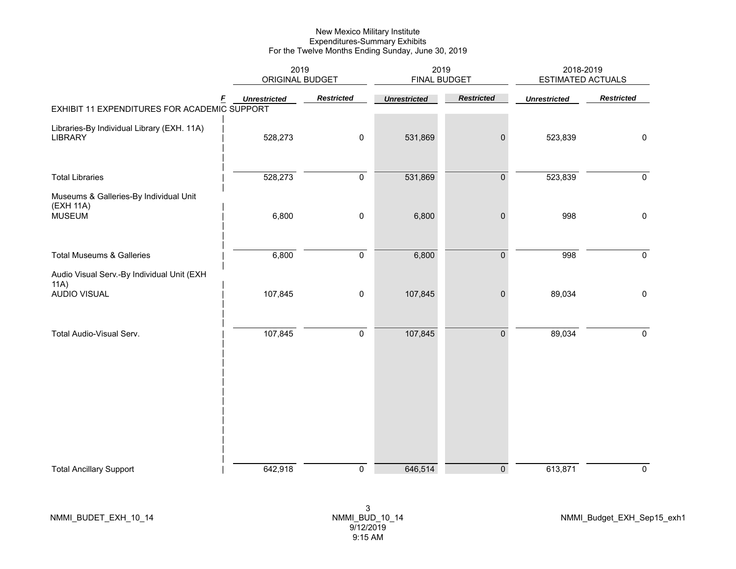|                                                                      | 2019<br>ORIGINAL BUDGET |                   | 2019<br><b>FINAL BUDGET</b> |                     | 2018-2019<br><b>ESTIMATED ACTUALS</b> |                   |  |
|----------------------------------------------------------------------|-------------------------|-------------------|-----------------------------|---------------------|---------------------------------------|-------------------|--|
| F<br>EXHIBIT 11 EXPENDITURES FOR ACADEMIC SUPPORT                    | <b>Unrestricted</b>     | <b>Restricted</b> | <b>Unrestricted</b>         | <b>Restricted</b>   | <b>Unrestricted</b>                   | <b>Restricted</b> |  |
| Libraries-By Individual Library (EXH. 11A)<br>LIBRARY                | 528,273                 | $\pmb{0}$         | 531,869                     | $\pmb{0}$           | 523,839                               | $\pmb{0}$         |  |
| <b>Total Libraries</b>                                               | 528,273                 | $\pmb{0}$         | 531,869                     | $\pmb{0}$           | 523,839                               | $\mathbf 0$       |  |
| Museums & Galleries-By Individual Unit<br>(EXH 11A)<br><b>MUSEUM</b> | 6,800                   | $\pmb{0}$         | 6,800                       | $\boldsymbol{0}$    | 998                                   | $\mathbf 0$       |  |
| <b>Total Museums &amp; Galleries</b>                                 | 6,800                   | $\pmb{0}$         | 6,800                       | $\pmb{0}$           | 998                                   | $\mathbf 0$       |  |
| Audio Visual Serv.-By Individual Unit (EXH<br>11A)<br>AUDIO VISUAL   | 107,845                 | $\pmb{0}$         | 107,845                     | $\pmb{0}$           | 89,034                                | $\mathbf 0$       |  |
| Total Audio-Visual Serv.                                             | 107,845                 | $\pmb{0}$         | 107,845                     | $\mathsf{O}\xspace$ | 89,034                                | $\mathbf 0$       |  |
|                                                                      |                         |                   |                             |                     |                                       |                   |  |
|                                                                      |                         |                   |                             |                     |                                       |                   |  |
| <b>Total Ancillary Support</b>                                       | 642,918                 | $\pmb{0}$         | 646,514                     | $\mathsf{O}\xspace$ | 613,871                               | $\mathbf 0$       |  |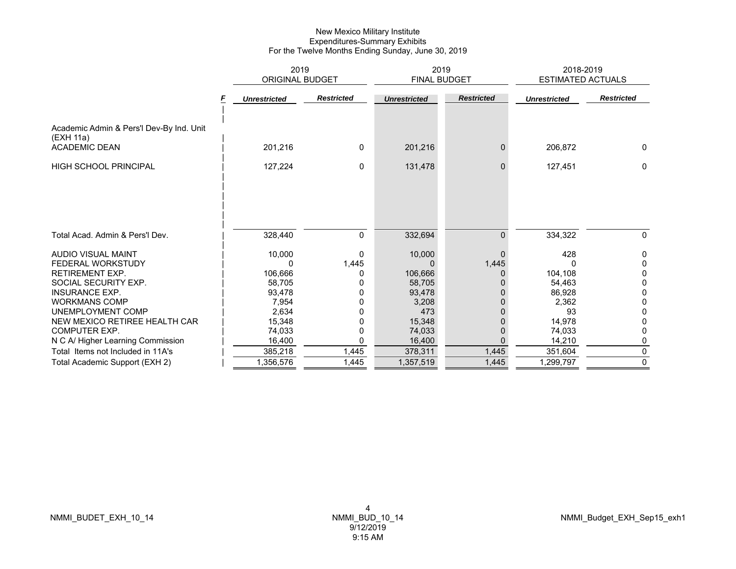|                                                       | 2019                |                   | 2019                |                   | 2018-2019                |                   |
|-------------------------------------------------------|---------------------|-------------------|---------------------|-------------------|--------------------------|-------------------|
|                                                       | ORIGINAL BUDGET     |                   | FINAL BUDGET        |                   | <b>ESTIMATED ACTUALS</b> |                   |
|                                                       | <b>Unrestricted</b> | <b>Restricted</b> | <b>Unrestricted</b> | <b>Restricted</b> | <b>Unrestricted</b>      | <b>Restricted</b> |
| Academic Admin & Pers'l Dev-By Ind. Unit<br>(EXH 11a) |                     |                   |                     |                   |                          |                   |
| <b>ACADEMIC DEAN</b>                                  | 201,216             | 0                 | 201,216             | 0                 | 206,872                  | $\mathbf{0}$      |
| <b>HIGH SCHOOL PRINCIPAL</b>                          | 127,224             | 0                 | 131,478             | $\mathbf{0}$      | 127,451                  | 0                 |
|                                                       |                     |                   |                     |                   |                          |                   |
| Total Acad. Admin & Pers'l Dev.                       | 328,440             | 0                 | 332,694             | $\mathbf{0}$      | 334,322                  | 0                 |
| <b>AUDIO VISUAL MAINT</b>                             | 10,000              | 0                 | 10,000              | $\Omega$          | 428                      | 0                 |
| FEDERAL WORKSTUDY                                     | U                   | 1,445             | 0                   | 1,445             |                          | 0                 |
| <b>RETIREMENT EXP.</b>                                | 106,666             |                   | 106,666             | 0                 | 104,108                  | 0                 |
| SOCIAL SECURITY EXP.                                  | 58.705              |                   | 58.705              |                   | 54,463                   | 0                 |
| <b>INSURANCE EXP.</b>                                 | 93,478              | 0                 | 93,478              |                   | 86.928                   | 0                 |
| <b>WORKMANS COMP</b>                                  | 7,954               |                   | 3,208               |                   | 2,362                    | 0                 |
| UNEMPLOYMENT COMP                                     | 2,634               |                   | 473                 |                   | 93                       | 0                 |
| NEW MEXICO RETIREE HEALTH CAR                         | 15,348              |                   | 15,348              |                   | 14,978                   | 0                 |
| <b>COMPUTER EXP.</b>                                  | 74,033              | 0                 | 74,033              | 0                 | 74,033                   | 0                 |
| N C A/ Higher Learning Commission                     | 16,400              | 0                 | 16,400              | $\Omega$          | 14,210                   | 0                 |
| Total Items not Included in 11A's                     | 385,218             | 1,445             | 378,311             | 1,445             | 351,604                  | $\Omega$          |
| Total Academic Support (EXH 2)                        | 1,356,576           | 1,445             | 1,357,519           | 1,445             | 1,299,797                | 0                 |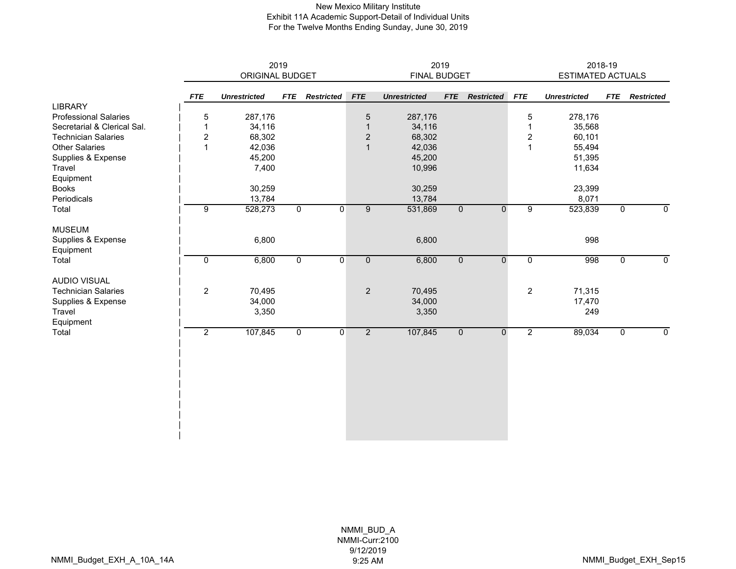#### New Mexico Military Institute Exhibit 11A Academic Support-Detail of Individual Units For the Twelve Months Ending Sunday, June 30, 2019

|                              |                  |                        | 2019           |                   | 2019           |                     |                |                   |                         | 2018-19<br><b>ESTIMATED ACTUALS</b> |             |                   |  |
|------------------------------|------------------|------------------------|----------------|-------------------|----------------|---------------------|----------------|-------------------|-------------------------|-------------------------------------|-------------|-------------------|--|
|                              |                  | <b>ORIGINAL BUDGET</b> |                |                   |                | FINAL BUDGET        |                |                   |                         |                                     |             |                   |  |
|                              | <b>FTE</b>       | <b>Unrestricted</b>    | <b>FTE</b>     | <b>Restricted</b> | <b>FTE</b>     | <b>Unrestricted</b> | <b>FTE</b>     | <b>Restricted</b> | <b>FTE</b>              | <b>Unrestricted</b>                 | <b>FTE</b>  | <b>Restricted</b> |  |
| <b>LIBRARY</b>               |                  |                        |                |                   |                |                     |                |                   |                         |                                     |             |                   |  |
| <b>Professional Salaries</b> | $\mathbf 5$      | 287,176                |                |                   | $\mathbf 5$    | 287,176             |                |                   | 5                       | 278,176                             |             |                   |  |
| Secretarial & Clerical Sal.  | 1                | 34,116                 |                |                   | $\overline{1}$ | 34,116              |                |                   | 1                       | 35,568                              |             |                   |  |
| <b>Technician Salaries</b>   | $\boldsymbol{2}$ | 68,302                 |                |                   | $\mathbf 2$    | 68,302              |                |                   | $\overline{\mathbf{c}}$ | 60,101                              |             |                   |  |
| <b>Other Salaries</b>        | $\mathbf{1}$     | 42,036                 |                |                   | $\mathbf{1}$   | 42,036              |                |                   | $\overline{1}$          | 55,494                              |             |                   |  |
| Supplies & Expense           |                  | 45,200                 |                |                   |                | 45,200              |                |                   |                         | 51,395                              |             |                   |  |
| Travel                       |                  | 7,400                  |                |                   |                | 10,996              |                |                   |                         | 11,634                              |             |                   |  |
| Equipment                    |                  |                        |                |                   |                |                     |                |                   |                         |                                     |             |                   |  |
| <b>Books</b>                 |                  | 30,259                 |                |                   |                | 30,259              |                |                   |                         | 23,399                              |             |                   |  |
| Periodicals                  |                  | 13,784                 |                |                   |                | 13,784              |                |                   |                         | 8,071                               |             |                   |  |
| Total                        | 9                | 528,273                | $\overline{0}$ | $\mathbf 0$       | $\overline{9}$ | 531,869             | $\mathbf 0$    | $\mathbf 0$       | $\overline{9}$          | 523,839                             | $\mathbf 0$ | 0                 |  |
| <b>MUSEUM</b>                |                  |                        |                |                   |                |                     |                |                   |                         |                                     |             |                   |  |
| Supplies & Expense           |                  | 6,800                  |                |                   |                | 6,800               |                |                   |                         | 998                                 |             |                   |  |
| Equipment                    |                  |                        |                |                   |                |                     |                |                   |                         |                                     |             |                   |  |
| Total                        | $\mathbf 0$      | 6,800                  | $\mathbf 0$    | 0                 | $\mathbf 0$    | 6,800               | $\overline{0}$ | 0                 | 0                       | 998                                 | 0           | 0                 |  |
| <b>AUDIO VISUAL</b>          |                  |                        |                |                   |                |                     |                |                   |                         |                                     |             |                   |  |
| <b>Technician Salaries</b>   | $\overline{c}$   | 70,495                 |                |                   | $\overline{c}$ | 70,495              |                |                   | $\overline{2}$          | 71,315                              |             |                   |  |
| Supplies & Expense           |                  | 34,000                 |                |                   |                | 34,000              |                |                   |                         | 17,470                              |             |                   |  |
| Travel<br>Equipment          |                  | 3,350                  |                |                   |                | 3,350               |                |                   |                         | 249                                 |             |                   |  |
| Total                        | $\overline{2}$   | 107,845                | $\overline{0}$ | $\overline{0}$    | $\overline{2}$ | 107,845             | $\overline{0}$ | $\overline{0}$    | $\overline{2}$          | 89,034                              | $\mathbf 0$ | 0                 |  |
|                              |                  |                        |                |                   |                |                     |                |                   |                         |                                     |             |                   |  |
|                              |                  |                        |                |                   |                |                     |                |                   |                         |                                     |             |                   |  |
|                              |                  |                        |                |                   |                |                     |                |                   |                         |                                     |             |                   |  |
|                              |                  |                        |                |                   |                |                     |                |                   |                         |                                     |             |                   |  |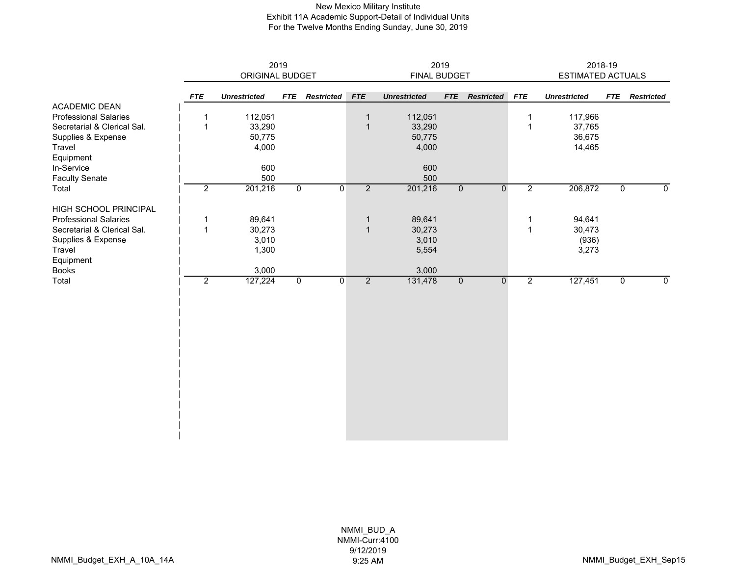#### New Mexico Military Institute Exhibit 11A Academic Support-Detail of Individual Units For the Twelve Months Ending Sunday, June 30, 2019

|                              |                | ORIGINAL BUDGET     | 2019           |                   | 2019<br>FINAL BUDGET |                     |                |                   |                | 2018-19<br>ESTIMATED ACTUALS |                |                   |  |
|------------------------------|----------------|---------------------|----------------|-------------------|----------------------|---------------------|----------------|-------------------|----------------|------------------------------|----------------|-------------------|--|
|                              |                |                     |                |                   |                      |                     |                |                   |                |                              |                |                   |  |
|                              | <b>FTE</b>     | <b>Unrestricted</b> | <b>FTE</b>     | <b>Restricted</b> | <b>FTE</b>           | <b>Unrestricted</b> | <b>FTE</b>     | <b>Restricted</b> | <b>FTE</b>     | <b>Unrestricted</b>          | <b>FTE</b>     | <b>Restricted</b> |  |
| <b>ACADEMIC DEAN</b>         |                |                     |                |                   |                      |                     |                |                   |                |                              |                |                   |  |
| <b>Professional Salaries</b> | 1              | 112,051             |                |                   | $\mathbf{1}$         | 112,051             |                |                   | 1              | 117,966                      |                |                   |  |
| Secretarial & Clerical Sal.  | $\overline{1}$ | 33,290              |                |                   | $\mathbf{1}$         | 33,290              |                |                   | 1              | 37,765                       |                |                   |  |
| Supplies & Expense           |                | 50,775              |                |                   |                      | 50,775              |                |                   |                | 36,675                       |                |                   |  |
| Travel                       |                | 4,000               |                |                   |                      | 4,000               |                |                   |                | 14,465                       |                |                   |  |
| Equipment                    |                |                     |                |                   |                      |                     |                |                   |                |                              |                |                   |  |
| In-Service                   |                | 600                 |                |                   |                      | 600                 |                |                   |                |                              |                |                   |  |
| <b>Faculty Senate</b>        |                | 500                 |                |                   |                      | 500                 |                |                   |                |                              |                |                   |  |
| Total                        | $\overline{2}$ | 201,216             | $\overline{0}$ | $\mathbf{0}$      | $\overline{2}$       | 201,216             | $\overline{0}$ | $\overline{0}$    | $\overline{2}$ | 206,872                      | $\overline{0}$ | $\mathbf 0$       |  |
| HIGH SCHOOL PRINCIPAL        |                |                     |                |                   |                      |                     |                |                   |                |                              |                |                   |  |
| <b>Professional Salaries</b> | 1              | 89,641              |                |                   | $\mathbf{1}$         | 89,641              |                |                   | 1              | 94,641                       |                |                   |  |
| Secretarial & Clerical Sal.  | $\mathbf{1}$   | 30,273              |                |                   | $\mathbf{1}$         | 30,273              |                |                   | $\mathbf{1}$   | 30,473                       |                |                   |  |
| Supplies & Expense           |                | 3,010               |                |                   |                      | 3,010               |                |                   |                | (936)                        |                |                   |  |
| Travel                       |                | 1,300               |                |                   |                      | 5,554               |                |                   |                | 3,273                        |                |                   |  |
| Equipment                    |                |                     |                |                   |                      |                     |                |                   |                |                              |                |                   |  |
| <b>Books</b>                 |                | 3,000               |                |                   |                      | 3,000               |                |                   |                |                              |                |                   |  |
| Total                        | $\overline{2}$ | 127,224             | $\mathbf 0$    | $\overline{0}$    | $\overline{2}$       | 131,478             | $\overline{0}$ | $\mathbf 0$       | $\overline{2}$ | 127,451                      | $\mathbf 0$    | $\mathbf 0$       |  |
|                              |                |                     |                |                   |                      |                     |                |                   |                |                              |                |                   |  |
|                              |                |                     |                |                   |                      |                     |                |                   |                |                              |                |                   |  |
|                              |                |                     |                |                   |                      |                     |                |                   |                |                              |                |                   |  |
|                              |                |                     |                |                   |                      |                     |                |                   |                |                              |                |                   |  |
|                              |                |                     |                |                   |                      |                     |                |                   |                |                              |                |                   |  |
|                              |                |                     |                |                   |                      |                     |                |                   |                |                              |                |                   |  |
|                              |                |                     |                |                   |                      |                     |                |                   |                |                              |                |                   |  |
|                              |                |                     |                |                   |                      |                     |                |                   |                |                              |                |                   |  |
|                              |                |                     |                |                   |                      |                     |                |                   |                |                              |                |                   |  |
|                              |                |                     |                |                   |                      |                     |                |                   |                |                              |                |                   |  |
|                              |                |                     |                |                   |                      |                     |                |                   |                |                              |                |                   |  |
|                              |                |                     |                |                   |                      |                     |                |                   |                |                              |                |                   |  |
|                              |                |                     |                |                   |                      |                     |                |                   |                |                              |                |                   |  |
|                              |                |                     |                |                   |                      |                     |                |                   |                |                              |                |                   |  |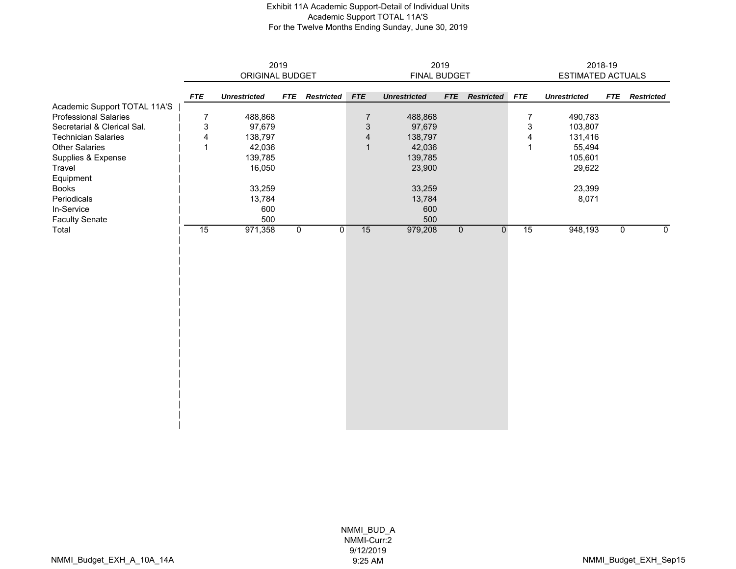#### Exhibit 11A Academic Support-Detail of Individual Units Academic Support TOTAL 11A'S For the Twelve Months Ending Sunday, June 30, 2019

|                              |                           |                     | 2019           |                   | 2019                      |                     |             |                   |             | 2018-19             |            |                   |
|------------------------------|---------------------------|---------------------|----------------|-------------------|---------------------------|---------------------|-------------|-------------------|-------------|---------------------|------------|-------------------|
|                              |                           | ORIGINAL BUDGET     |                |                   |                           | FINAL BUDGET        |             |                   |             | ESTIMATED ACTUALS   |            |                   |
|                              | <b>FTE</b>                | <b>Unrestricted</b> | <b>FTE</b>     | <b>Restricted</b> | ${\it FTE}$               | <b>Unrestricted</b> | <b>FTE</b>  | <b>Restricted</b> | ${\it FTE}$ | <b>Unrestricted</b> | <b>FTE</b> | <b>Restricted</b> |
| Academic Support TOTAL 11A'S |                           |                     |                |                   |                           |                     |             |                   |             |                     |            |                   |
| <b>Professional Salaries</b> | 7                         | 488,868             |                |                   | $\overline{7}$            | 488,868             |             |                   | 7           | 490,783             |            |                   |
| Secretarial & Clerical Sal.  | $\ensuremath{\mathsf{3}}$ | 97,679              |                |                   | $\ensuremath{\mathsf{3}}$ | 97,679              |             |                   | 3           | 103,807             |            |                   |
| <b>Technician Salaries</b>   | $\overline{\mathbf{4}}$   | 138,797             |                |                   | $\overline{\mathbf{4}}$   | 138,797             |             |                   | 4           | 131,416             |            |                   |
| <b>Other Salaries</b>        | $\mathbf{1}$              | 42,036              |                |                   | $\mathbf{1}$              | 42,036              |             |                   | 1           | 55,494              |            |                   |
| Supplies & Expense           |                           | 139,785             |                |                   |                           | 139,785             |             |                   |             | 105,601             |            |                   |
| Travel                       |                           | 16,050              |                |                   |                           | 23,900              |             |                   |             | 29,622              |            |                   |
| Equipment                    |                           |                     |                |                   |                           |                     |             |                   |             |                     |            |                   |
| Books                        |                           | 33,259              |                |                   |                           | 33,259              |             |                   |             | 23,399              |            |                   |
| Periodicals                  |                           | 13,784              |                |                   |                           | 13,784              |             |                   |             | 8,071               |            |                   |
| In-Service                   |                           | 600                 |                |                   |                           | 600                 |             |                   |             |                     |            |                   |
| <b>Faculty Senate</b>        |                           | 500                 |                |                   |                           | 500                 |             |                   |             |                     |            |                   |
| Total                        | 15                        | 971,358             | $\overline{0}$ | $\mathbf 0$       | 15                        | 979,208             | $\mathbf 0$ | $\mathbf 0$       | 15          | 948,193             | 0          | $\overline{0}$    |
|                              |                           |                     |                |                   |                           |                     |             |                   |             |                     |            |                   |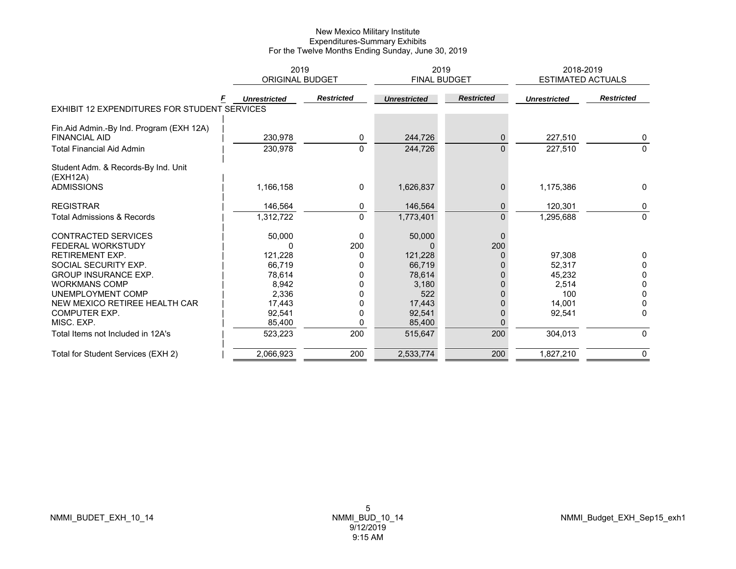|                                              | 2019                   |                   |                     | 2019              | 2018-2019                |                   |
|----------------------------------------------|------------------------|-------------------|---------------------|-------------------|--------------------------|-------------------|
|                                              | <b>ORIGINAL BUDGET</b> |                   |                     | FINAL BUDGET      | <b>ESTIMATED ACTUALS</b> |                   |
|                                              | <b>Unrestricted</b>    | <b>Restricted</b> | <b>Unrestricted</b> | <b>Restricted</b> | <b>Unrestricted</b>      | <b>Restricted</b> |
| EXHIBIT 12 EXPENDITURES FOR STUDENT SERVICES |                        |                   |                     |                   |                          |                   |
| Fin.Aid Admin.-By Ind. Program (EXH 12A)     |                        |                   |                     |                   |                          |                   |
| <b>FINANCIAL AID</b>                         | 230.978                | 0                 | 244.726             | $\mathbf 0$       | 227,510                  | 0                 |
| <b>Total Financial Aid Admin</b>             | 230,978                | $\Omega$          | 244,726             | $\overline{0}$    | 227,510                  | $\Omega$          |
| Student Adm. & Records-By Ind. Unit          |                        |                   |                     |                   |                          |                   |
| (EXH12A)                                     |                        |                   |                     |                   |                          |                   |
| <b>ADMISSIONS</b>                            | 1,166,158              | 0                 | 1,626,837           | $\mathbf{0}$      | 1,175,386                | 0                 |
| <b>REGISTRAR</b>                             | 146,564                | 0                 | 146,564             | $\mathbf{0}$      | 120,301                  | 0                 |
| <b>Total Admissions &amp; Records</b>        | 1,312,722              | $\Omega$          | 1,773,401           | $\mathbf{0}$      | 1,295,688                | $\mathbf{0}$      |
| <b>CONTRACTED SERVICES</b>                   | 50,000                 | 0                 | 50,000              | $\mathbf{0}$      |                          |                   |
| <b>FEDERAL WORKSTUDY</b>                     |                        | 200               |                     | 200               |                          |                   |
| <b>RETIREMENT EXP.</b>                       | 121,228                | 0                 | 121,228             |                   | 97.308                   | 0                 |
| SOCIAL SECURITY EXP.                         | 66.719                 |                   | 66,719              |                   | 52,317                   | 0                 |
| <b>GROUP INSURANCE EXP.</b>                  | 78,614                 |                   | 78,614              |                   | 45,232                   | 0                 |
| <b>WORKMANS COMP</b>                         | 8,942                  |                   | 3,180               |                   | 2,514                    | $\Omega$          |
| UNEMPLOYMENT COMP                            | 2,336                  |                   | 522                 |                   | 100                      | 0                 |
| NEW MEXICO RETIREE HEALTH CAR                | 17,443                 |                   | 17,443              |                   | 14,001                   | <sup>0</sup>      |
| <b>COMPUTER EXP.</b>                         | 92,541                 |                   | 92,541              | 0                 | 92,541                   | $\Omega$          |
| MISC. EXP.                                   | 85,400                 | 0                 | 85,400              |                   |                          |                   |
| Total Items not Included in 12A's            | 523,223                | 200               | 515,647             | 200               | 304,013                  | $\mathbf{0}$      |
| Total for Student Services (EXH 2)           | 2,066,923              | 200               | 2,533,774           | 200               | 1,827,210                | 0                 |
|                                              |                        |                   |                     |                   |                          |                   |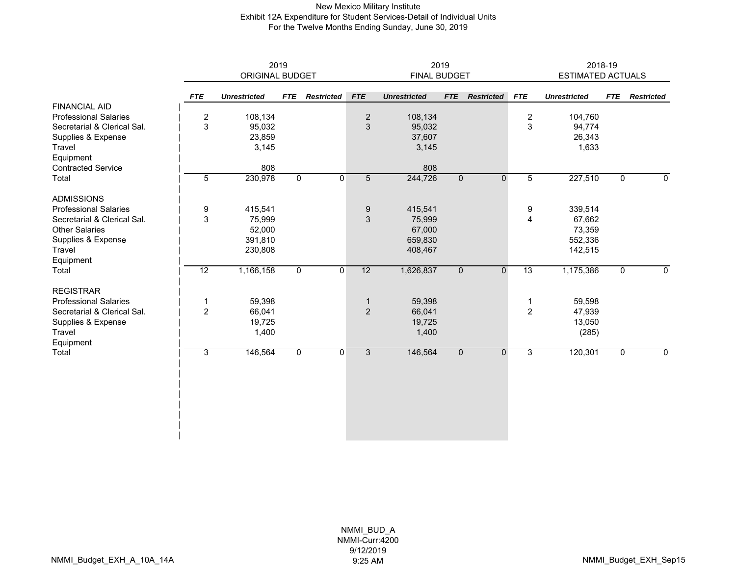#### New Mexico Military Institute Exhibit 12A Expenditure for Student Services-Detail of Individual Units For the Twelve Months Ending Sunday, June 30, 2019

|                              |                |                     | 2019         |                   | 2019           |                     |                |                   |                | 2018-19                  |                |                   |  |
|------------------------------|----------------|---------------------|--------------|-------------------|----------------|---------------------|----------------|-------------------|----------------|--------------------------|----------------|-------------------|--|
|                              |                | ORIGINAL BUDGET     |              |                   |                | <b>FINAL BUDGET</b> |                |                   |                | <b>ESTIMATED ACTUALS</b> |                |                   |  |
|                              | <b>FTE</b>     | <b>Unrestricted</b> | <b>FTE</b>   | <b>Restricted</b> | <b>FTE</b>     | <b>Unrestricted</b> | <b>FTE</b>     | <b>Restricted</b> | <b>FTE</b>     | <b>Unrestricted</b>      | <b>FTE</b>     | <b>Restricted</b> |  |
| <b>FINANCIAL AID</b>         |                |                     |              |                   |                |                     |                |                   |                |                          |                |                   |  |
| <b>Professional Salaries</b> | $\overline{c}$ | 108,134             |              |                   | $\mathbf 2$    | 108,134             |                |                   | $\overline{c}$ | 104,760                  |                |                   |  |
| Secretarial & Clerical Sal.  | 3              | 95,032              |              |                   | 3              | 95,032              |                |                   | 3              | 94,774                   |                |                   |  |
| Supplies & Expense           |                | 23,859              |              |                   |                | 37,607              |                |                   |                | 26,343                   |                |                   |  |
| Travel                       |                | 3,145               |              |                   |                | 3,145               |                |                   |                | 1,633                    |                |                   |  |
| Equipment                    |                |                     |              |                   |                |                     |                |                   |                |                          |                |                   |  |
| <b>Contracted Service</b>    |                | 808                 |              |                   |                | 808                 |                |                   |                |                          |                |                   |  |
| Total                        | $\overline{5}$ | 230,978             | $\mathbf 0$  | $\mathbf{0}$      | $\overline{5}$ | 244,726             | $\overline{0}$ | $\mathbf 0$       | $\overline{5}$ | 227,510                  | $\overline{0}$ | $\mathbf 0$       |  |
| <b>ADMISSIONS</b>            |                |                     |              |                   |                |                     |                |                   |                |                          |                |                   |  |
| <b>Professional Salaries</b> | 9              | 415,541             |              |                   | 9              | 415,541             |                |                   | 9              | 339,514                  |                |                   |  |
| Secretarial & Clerical Sal.  | 3              | 75,999              |              |                   | $\mathfrak{S}$ | 75,999              |                |                   | 4              | 67,662                   |                |                   |  |
| <b>Other Salaries</b>        |                | 52,000              |              |                   |                | 67,000              |                |                   |                | 73,359                   |                |                   |  |
| Supplies & Expense           |                | 391,810             |              |                   |                | 659,830             |                |                   |                | 552,336                  |                |                   |  |
| Travel                       |                | 230,808             |              |                   |                | 408,467             |                |                   |                | 142,515                  |                |                   |  |
| Equipment                    |                |                     |              |                   |                |                     |                |                   |                |                          |                |                   |  |
| Total                        | 12             | 1,166,158           | $\mathsf{O}$ | $\overline{0}$    | 12             | 1,626,837           | $\overline{0}$ | $\mathbf 0$       | 13             | 1,175,386                | $\mathbf 0$    | $\mathbf 0$       |  |
| <b>REGISTRAR</b>             |                |                     |              |                   |                |                     |                |                   |                |                          |                |                   |  |
| <b>Professional Salaries</b> | -1             | 59,398              |              |                   | $\mathbf 1$    | 59,398              |                |                   | 1              | 59,598                   |                |                   |  |
| Secretarial & Clerical Sal.  | $\overline{2}$ | 66,041              |              |                   | $\overline{2}$ | 66,041              |                |                   | $\overline{c}$ | 47,939                   |                |                   |  |
| Supplies & Expense           |                | 19,725              |              |                   |                | 19,725              |                |                   |                | 13,050                   |                |                   |  |
| Travel                       |                | 1,400               |              |                   |                | 1,400               |                |                   |                | (285)                    |                |                   |  |
| Equipment                    |                |                     |              |                   |                |                     |                |                   |                |                          |                |                   |  |
| Total                        | 3              | 146,564             | $\mathbf 0$  | $\overline{0}$    | 3              | 146,564             | $\mathbf 0$    | $\mathbf 0$       | $\overline{3}$ | 120,301                  | $\mathbf 0$    | 0                 |  |
|                              |                |                     |              |                   |                |                     |                |                   |                |                          |                |                   |  |
|                              |                |                     |              |                   |                |                     |                |                   |                |                          |                |                   |  |
|                              |                |                     |              |                   |                |                     |                |                   |                |                          |                |                   |  |
|                              |                |                     |              |                   |                |                     |                |                   |                |                          |                |                   |  |
|                              |                |                     |              |                   |                |                     |                |                   |                |                          |                |                   |  |
|                              |                |                     |              |                   |                |                     |                |                   |                |                          |                |                   |  |
|                              |                |                     |              |                   |                |                     |                |                   |                |                          |                |                   |  |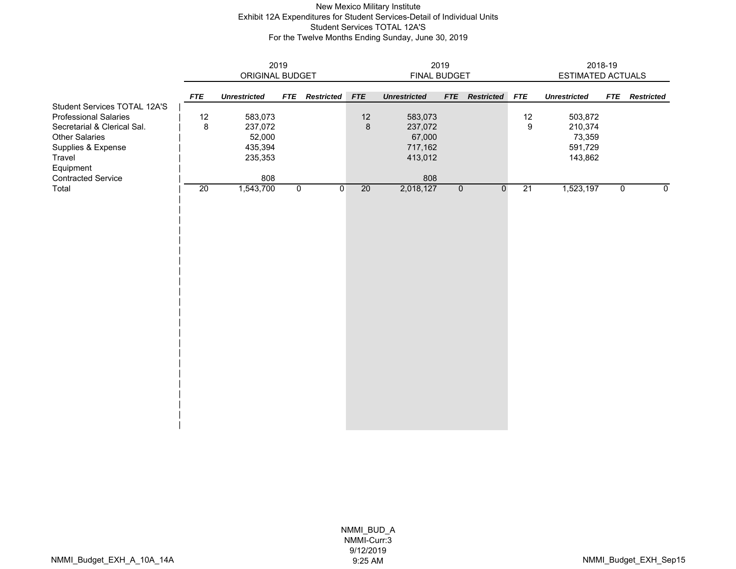### New Mexico Military Institute Exhibit 12A Expenditures for Student Services-Detail of Individual Units Student Services TOTAL 12A'S For the Twelve Months Ending Sunday, June 30, 2019

|                                        |            | ORIGINAL BUDGET     | 2019           |                   | 2019<br>FINAL BUDGET |                     |                |                   |            | 2018-19<br>ESTIMATED ACTUALS |                |                   |  |
|----------------------------------------|------------|---------------------|----------------|-------------------|----------------------|---------------------|----------------|-------------------|------------|------------------------------|----------------|-------------------|--|
|                                        |            |                     |                |                   |                      |                     |                |                   |            |                              |                |                   |  |
| Student Services TOTAL 12A'S           | <b>FTE</b> | <b>Unrestricted</b> | <b>FTE</b>     | <b>Restricted</b> | FTE                  | <b>Unrestricted</b> | <b>FTE</b>     | <b>Restricted</b> | <b>FTE</b> | <b>Unrestricted</b>          | <b>FTE</b>     | <b>Restricted</b> |  |
| <b>Professional Salaries</b>           | 12         | 583,073             |                |                   | 12                   | 583,073             |                |                   | 12         | 503,872                      |                |                   |  |
| Secretarial & Clerical Sal.            | 8          | 237,072             |                |                   | $\bf 8$              | 237,072             |                |                   | 9          | 210,374                      |                |                   |  |
| <b>Other Salaries</b>                  |            | 52,000              |                |                   |                      | 67,000              |                |                   |            | 73,359                       |                |                   |  |
| Supplies & Expense                     |            | 435,394             |                |                   |                      | 717,162             |                |                   |            | 591,729                      |                |                   |  |
| Travel                                 |            | 235,353             |                |                   |                      | 413,012             |                |                   |            | 143,862                      |                |                   |  |
| Equipment<br><b>Contracted Service</b> |            | 808                 |                |                   |                      | 808                 |                |                   |            |                              |                |                   |  |
| Total                                  | 20         | 1,543,700           | $\overline{0}$ | $\overline{0}$    | 20                   | 2,018,127           | $\overline{0}$ | $\overline{0}$    | 21         | 1,523,197                    | $\overline{0}$ | 0                 |  |
|                                        |            |                     |                |                   |                      |                     |                |                   |            |                              |                |                   |  |
|                                        |            |                     |                |                   |                      |                     |                |                   |            |                              |                |                   |  |
|                                        |            |                     |                |                   |                      |                     |                |                   |            |                              |                |                   |  |
|                                        |            |                     |                |                   |                      |                     |                |                   |            |                              |                |                   |  |
|                                        |            |                     |                |                   |                      |                     |                |                   |            |                              |                |                   |  |
|                                        |            |                     |                |                   |                      |                     |                |                   |            |                              |                |                   |  |
|                                        |            |                     |                |                   |                      |                     |                |                   |            |                              |                |                   |  |
|                                        |            |                     |                |                   |                      |                     |                |                   |            |                              |                |                   |  |
|                                        |            |                     |                |                   |                      |                     |                |                   |            |                              |                |                   |  |
|                                        |            |                     |                |                   |                      |                     |                |                   |            |                              |                |                   |  |
|                                        |            |                     |                |                   |                      |                     |                |                   |            |                              |                |                   |  |
|                                        |            |                     |                |                   |                      |                     |                |                   |            |                              |                |                   |  |
|                                        |            |                     |                |                   |                      |                     |                |                   |            |                              |                |                   |  |
|                                        |            |                     |                |                   |                      |                     |                |                   |            |                              |                |                   |  |
|                                        |            |                     |                |                   |                      |                     |                |                   |            |                              |                |                   |  |
|                                        |            |                     |                |                   |                      |                     |                |                   |            |                              |                |                   |  |
|                                        |            |                     |                |                   |                      |                     |                |                   |            |                              |                |                   |  |
|                                        |            |                     |                |                   |                      |                     |                |                   |            |                              |                |                   |  |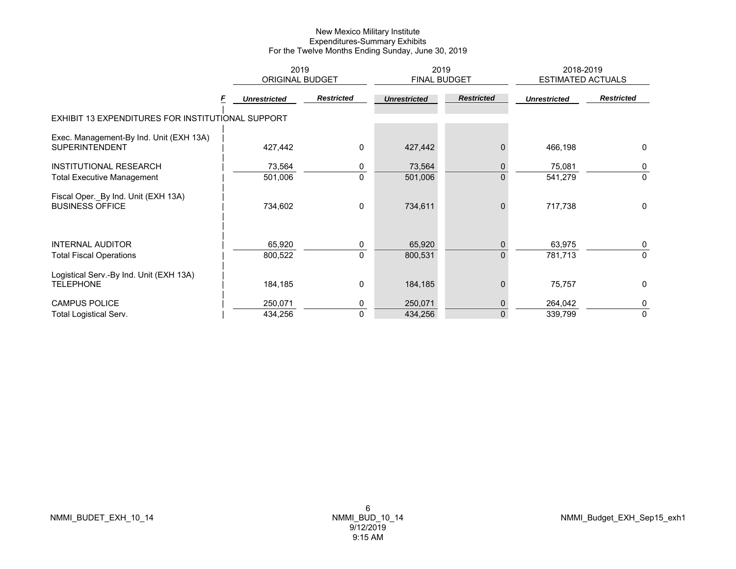|                                                                  | 2019<br><b>ORIGINAL BUDGET</b> |                   | 2019<br>FINAL BUDGET |                                | 2018-2019<br><b>ESTIMATED ACTUALS</b> |                   |
|------------------------------------------------------------------|--------------------------------|-------------------|----------------------|--------------------------------|---------------------------------------|-------------------|
|                                                                  | <b>Unrestricted</b>            | <b>Restricted</b> | <b>Unrestricted</b>  | <b>Restricted</b>              | <b>Unrestricted</b>                   | <b>Restricted</b> |
| EXHIBIT 13 EXPENDITURES FOR INSTITUTIONAL SUPPORT                |                                |                   |                      |                                |                                       |                   |
| Exec. Management-By Ind. Unit (EXH 13A)<br><b>SUPERINTENDENT</b> | 427,442                        | $\mathbf{0}$      | 427,442              | 0                              | 466,198                               | $\mathbf{0}$      |
| INSTITUTIONAL RESEARCH<br><b>Total Executive Management</b>      | 73,564<br>501,006              | 0<br>$\Omega$     | 73,564<br>501,006    | $\mathbf{0}$<br>$\mathbf{0}$   | 75,081<br>541,279                     | 0<br>$\mathbf{0}$ |
| Fiscal Oper._By Ind. Unit (EXH 13A)<br><b>BUSINESS OFFICE</b>    | 734,602                        | 0                 | 734,611              | $\mathbf{0}$                   | 717,738                               | $\mathbf{0}$      |
| <b>INTERNAL AUDITOR</b><br><b>Total Fiscal Operations</b>        | 65,920<br>800,522              | 0<br>$\mathbf{0}$ | 65,920<br>800,531    | $\mathbf{0}$<br>$\overline{0}$ | 63,975<br>781,713                     | 0<br>$\mathbf{0}$ |
| Logistical Serv.-By Ind. Unit (EXH 13A)<br><b>TELEPHONE</b>      | 184,185                        | 0                 | 184,185              | $\Omega$                       | 75,757                                | $\mathbf{0}$      |
| <b>CAMPUS POLICE</b>                                             | 250,071                        | 0                 | 250,071              | $\mathbf{0}$                   | 264,042                               | 0                 |
| <b>Total Logistical Serv.</b>                                    | 434,256                        | $\mathbf 0$       | 434,256              | $\overline{0}$                 | 339,799                               | $\mathbf 0$       |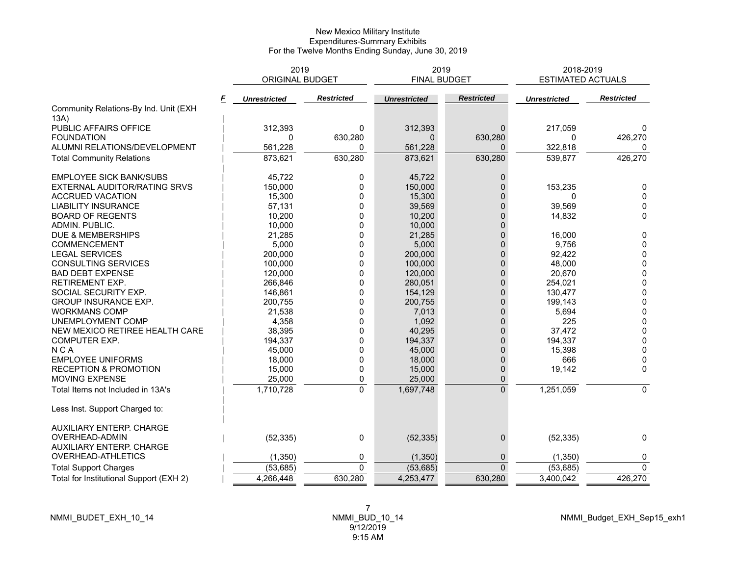|                                         | 2019<br><b>ORIGINAL BUDGET</b> |                   |                     | 2019<br><b>FINAL BUDGET</b> | 2018-2019<br><b>ESTIMATED ACTUALS</b> |                   |
|-----------------------------------------|--------------------------------|-------------------|---------------------|-----------------------------|---------------------------------------|-------------------|
| F                                       | <b>Unrestricted</b>            | <b>Restricted</b> | <b>Unrestricted</b> | <b>Restricted</b>           | <b>Unrestricted</b>                   | <b>Restricted</b> |
| Community Relations-By Ind. Unit (EXH   |                                |                   |                     |                             |                                       |                   |
| 13A)                                    |                                |                   |                     |                             |                                       |                   |
| PUBLIC AFFAIRS OFFICE                   | 312,393                        | 0                 | 312,393             | $\mathbf{0}$                | 217,059                               | 0                 |
| <b>FOUNDATION</b>                       | $\Omega$                       | 630,280           | $\Omega$            | 630,280                     | 0                                     | 426,270           |
| ALUMNI RELATIONS/DEVELOPMENT            | 561,228                        | 0                 | 561,228             | 0                           | 322,818                               | 0                 |
| <b>Total Community Relations</b>        | 873,621                        | 630,280           | 873,621             | 630,280                     | 539,877                               | 426,270           |
| <b>EMPLOYEE SICK BANK/SUBS</b>          | 45,722                         | 0                 | 45,722              | 0                           |                                       |                   |
| EXTERNAL AUDITOR/RATING SRVS            | 150,000                        | 0                 | 150,000             | $\Omega$                    | 153,235                               | 0                 |
| <b>ACCRUED VACATION</b>                 | 15,300                         | 0                 | 15,300              | $\Omega$                    | 0                                     | $\mathbf{0}$      |
| <b>LIABILITY INSURANCE</b>              | 57,131                         | 0                 | 39,569              | 0                           | 39,569                                | 0                 |
| <b>BOARD OF REGENTS</b>                 | 10,200                         | $\Omega$          | 10,200              | $\Omega$                    | 14,832                                | 0                 |
| ADMIN. PUBLIC.                          | 10,000                         | 0                 | 10,000              | $\Omega$                    |                                       |                   |
| DUE & MEMBERSHIPS                       | 21,285                         | 0                 | 21,285              | $\mathbf{0}$                | 16,000                                | 0                 |
| COMMENCEMENT                            | 5,000                          | 0                 | 5,000               | 0                           | 9,756                                 | $\mathbf 0$       |
| <b>LEGAL SERVICES</b>                   | 200,000                        | 0                 | 200,000             | $\overline{0}$              | 92,422                                | 0                 |
| CONSULTING SERVICES                     | 100,000                        | 0                 | 100,000             | $\mathbf{0}$                | 48,000                                | $\mathbf 0$       |
| <b>BAD DEBT EXPENSE</b>                 | 120,000                        | 0                 | 120,000             | $\mathbf{0}$                | 20,670                                | $\pmb{0}$         |
| <b>RETIREMENT EXP.</b>                  | 266,846                        | $\Omega$          | 280,051             | $\overline{0}$              | 254,021                               | $\pmb{0}$         |
| SOCIAL SECURITY EXP.                    | 146,861                        | 0                 | 154,129             | $\Omega$                    | 130,477                               | $\pmb{0}$         |
| GROUP INSURANCE EXP.                    | 200,755                        | 0                 | 200,755             | $\mathbf{0}$                | 199,143                               | $\pmb{0}$         |
| <b>WORKMANS COMP</b>                    | 21,538                         | 0                 | 7,013               | 0                           | 5,694                                 | $\pmb{0}$         |
| UNEMPLOYMENT COMP                       | 4,358                          | 0                 | 1,092               | $\Omega$                    | 225                                   | $\pmb{0}$         |
| NEW MEXICO RETIREE HEALTH CARE          | 38,395                         | $\Omega$          | 40,295              | $\Omega$                    | 37,472                                | $\mathbf 0$       |
| COMPUTER EXP.                           | 194,337                        | 0                 | 194,337             | $\Omega$                    | 194,337                               | $\mathbf 0$       |
| <b>NCA</b>                              | 45,000                         | 0                 | 45,000              | $\overline{0}$              | 15,398                                | 0                 |
| <b>EMPLOYEE UNIFORMS</b>                | 18,000                         | 0                 | 18,000              | $\Omega$                    | 666                                   | 0                 |
| <b>RECEPTION &amp; PROMOTION</b>        | 15,000                         | 0                 | 15,000              | $\mathbf{0}$                | 19,142                                | $\mathbf{0}$      |
| MOVING EXPENSE                          | 25,000                         | 0                 | 25,000              | $\mathbf 0$                 |                                       |                   |
| Total Items not Included in 13A's       | 1,710,728                      | $\mathbf 0$       | 1,697,748           | $\mathbf 0$                 | 1,251,059                             | $\mathbf{0}$      |
| Less Inst. Support Charged to:          |                                |                   |                     |                             |                                       |                   |
| <b>AUXILIARY ENTERP. CHARGE</b>         |                                |                   |                     |                             |                                       |                   |
| <b>OVERHEAD-ADMIN</b>                   | (52, 335)                      | 0                 | (52, 335)           | $\mathbf 0$                 | (52, 335)                             | $\mathbf{0}$      |
| <b>AUXILIARY ENTERP, CHARGE</b>         |                                |                   |                     |                             |                                       |                   |
| <b>OVERHEAD-ATHLETICS</b>               | (1, 350)                       | 0                 | (1, 350)            | $\mathbf 0$                 | (1, 350)                              | 0                 |
| <b>Total Support Charges</b>            | (53, 685)                      | $\Omega$          | (53, 685)           | $\Omega$                    | (53, 685)                             | $\Omega$          |
| Total for Institutional Support (EXH 2) | 4,266,448                      | 630,280           | 4,253,477           | 630,280                     | 3,400,042                             | 426,270           |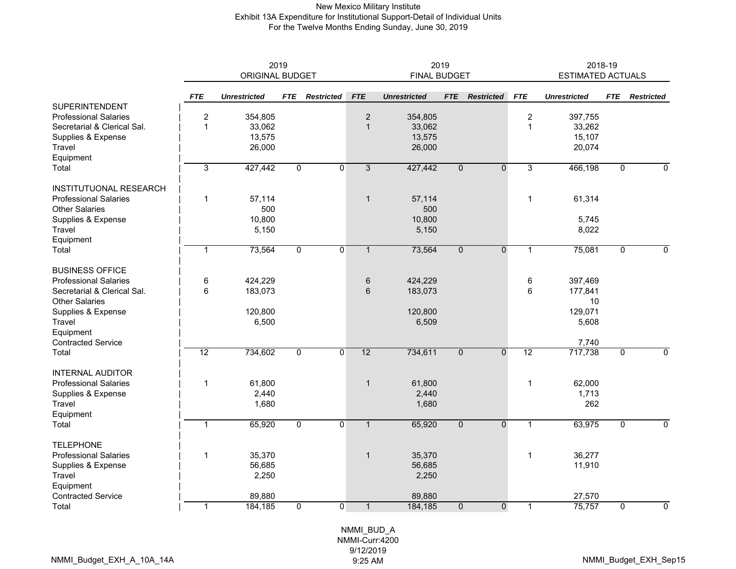### New Mexico Military Institute Exhibit 13A Expenditure for Institutional Support-Detail of Individual Units For the Twelve Months Ending Sunday, June 30, 2019

|                               | 2019<br>ORIGINAL BUDGET |                     |                |                   |                | <b>FINAL BUDGET</b> | 2019           |                   | 2018-19<br><b>ESTIMATED ACTUALS</b> |                     |                |                   |  |
|-------------------------------|-------------------------|---------------------|----------------|-------------------|----------------|---------------------|----------------|-------------------|-------------------------------------|---------------------|----------------|-------------------|--|
|                               | <b>FTE</b>              | <b>Unrestricted</b> | <b>FTE</b>     | <b>Restricted</b> | <b>FTE</b>     | <b>Unrestricted</b> | <b>FTE</b>     | <b>Restricted</b> | <b>FTE</b>                          | <b>Unrestricted</b> | <b>FTE</b>     | <b>Restricted</b> |  |
| <b>SUPERINTENDENT</b>         |                         |                     |                |                   |                |                     |                |                   |                                     |                     |                |                   |  |
| <b>Professional Salaries</b>  | $\boldsymbol{2}$        | 354,805             |                |                   | $\sqrt{2}$     | 354,805             |                |                   | $\boldsymbol{2}$                    | 397,755             |                |                   |  |
| Secretarial & Clerical Sal.   | $\mathbf{1}$            | 33,062              |                |                   | $\mathbf{1}$   | 33,062              |                |                   | $\mathbf{1}$                        | 33,262              |                |                   |  |
| Supplies & Expense            |                         | 13,575              |                |                   |                | 13,575              |                |                   |                                     | 15,107              |                |                   |  |
| Travel                        |                         | 26,000              |                |                   |                | 26,000              |                |                   |                                     | 20,074              |                |                   |  |
| Equipment                     |                         |                     |                |                   |                |                     |                |                   |                                     |                     |                |                   |  |
| Total                         | 3                       | 427,442             | $\overline{0}$ | $\overline{0}$    | $\overline{3}$ | 427,442             | $\overline{0}$ | $\overline{0}$    | 3                                   | 466,198             | $\mathbf 0$    | $\mathbf{0}$      |  |
| <b>INSTITUTUONAL RESEARCH</b> |                         |                     |                |                   |                |                     |                |                   |                                     |                     |                |                   |  |
| <b>Professional Salaries</b>  | 1                       | 57,114              |                |                   | $\mathbf{1}$   | 57,114              |                |                   | $\mathbf{1}$                        | 61,314              |                |                   |  |
| <b>Other Salaries</b>         |                         | 500                 |                |                   |                | 500                 |                |                   |                                     |                     |                |                   |  |
| Supplies & Expense            |                         | 10,800              |                |                   |                | 10,800              |                |                   |                                     | 5,745               |                |                   |  |
| Travel                        |                         | 5,150               |                |                   |                | 5,150               |                |                   |                                     | 8,022               |                |                   |  |
| Equipment                     |                         |                     |                |                   |                |                     |                |                   |                                     |                     |                |                   |  |
| Total                         | $\mathbf{1}$            | 73,564              | $\overline{0}$ | $\overline{0}$    | $\mathbf{1}$   | 73,564              | $\overline{0}$ | $\overline{0}$    | $\mathbf{1}$                        | 75,081              | $\overline{0}$ | $\overline{0}$    |  |
| <b>BUSINESS OFFICE</b>        |                         |                     |                |                   |                |                     |                |                   |                                     |                     |                |                   |  |
| <b>Professional Salaries</b>  | $\,6$                   | 424,229             |                |                   | $\,6\,$        | 424,229             |                |                   | 6                                   | 397,469             |                |                   |  |
| Secretarial & Clerical Sal.   | 6                       | 183,073             |                |                   | 6              | 183,073             |                |                   | 6                                   | 177,841             |                |                   |  |
| <b>Other Salaries</b>         |                         |                     |                |                   |                |                     |                |                   |                                     | 10                  |                |                   |  |
| Supplies & Expense            |                         | 120,800             |                |                   |                | 120,800             |                |                   |                                     | 129,071             |                |                   |  |
| Travel                        |                         | 6,500               |                |                   |                | 6,509               |                |                   |                                     | 5,608               |                |                   |  |
| Equipment                     |                         |                     |                |                   |                |                     |                |                   |                                     |                     |                |                   |  |
| <b>Contracted Service</b>     |                         |                     |                |                   |                |                     |                |                   |                                     | 7,740               |                |                   |  |
| Total                         | 12                      | 734,602             | $\overline{0}$ | $\overline{0}$    | 12             | 734,611             | $\overline{0}$ | $\overline{0}$    | 12                                  | 717,738             | $\mathbf 0$    | $\overline{0}$    |  |
| <b>INTERNAL AUDITOR</b>       |                         |                     |                |                   |                |                     |                |                   |                                     |                     |                |                   |  |
| <b>Professional Salaries</b>  | 1                       | 61,800              |                |                   | $\mathbf{1}$   | 61,800              |                |                   | $\mathbf{1}$                        | 62,000              |                |                   |  |
| Supplies & Expense            |                         | 2,440               |                |                   |                | 2,440               |                |                   |                                     | 1,713               |                |                   |  |
| Travel                        |                         | 1,680               |                |                   |                | 1,680               |                |                   |                                     | 262                 |                |                   |  |
| Equipment                     |                         |                     |                |                   |                |                     |                |                   |                                     |                     |                |                   |  |
| Total                         | $\overline{1}$          | 65,920              | $\overline{0}$ | $\overline{0}$    | $\mathbf{1}$   | 65,920              | $\overline{0}$ | $\overline{0}$    | $\mathbf{1}$                        | 63,975              | $\overline{0}$ | $\mathbf 0$       |  |
| <b>TELEPHONE</b>              |                         |                     |                |                   |                |                     |                |                   |                                     |                     |                |                   |  |
| <b>Professional Salaries</b>  | $\mathbf{1}$<br>35,370  |                     |                | $\mathbf{1}$      | 35,370         |                     |                | $\mathbf{1}$      | 36,277                              |                     |                |                   |  |
| Supplies & Expense            | 56,685                  |                     |                | 56,685            |                |                     |                |                   | 11,910                              |                     |                |                   |  |
| Travel                        |                         | 2,250               |                |                   |                | 2,250               |                |                   |                                     |                     |                |                   |  |
| Equipment                     |                         |                     |                |                   |                |                     |                |                   |                                     |                     |                |                   |  |
| <b>Contracted Service</b>     |                         | 89,880              |                |                   |                | 89,880              |                |                   |                                     | 27,570              |                |                   |  |
| Total                         | 1                       | 184,185             | $\Omega$       | $\Omega$          | $\mathbf{1}$   | 184,185             | $\Omega$       | $\mathbf{0}$      | $\mathbf{1}$                        | 75,757              | $\Omega$       | $\mathbf{0}$      |  |
|                               |                         |                     |                |                   |                |                     |                |                   |                                     |                     |                |                   |  |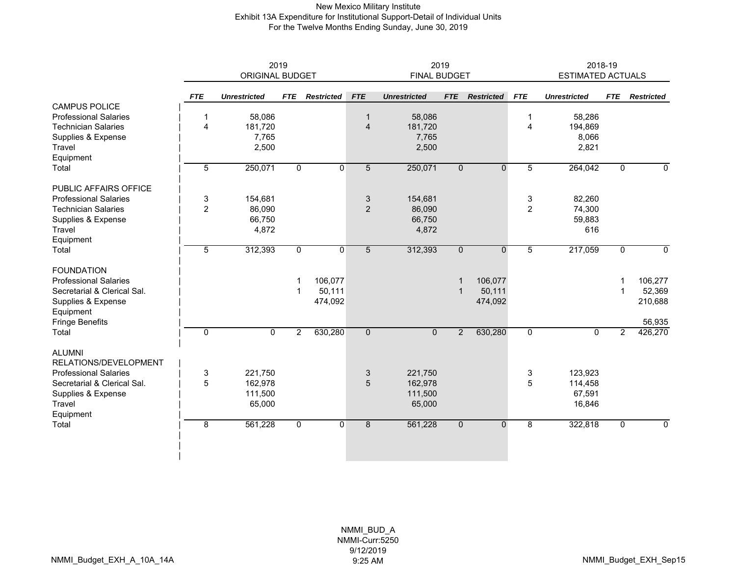### New Mexico Military Institute Exhibit 13A Expenditure for Institutional Support-Detail of Individual Units For the Twelve Months Ending Sunday, June 30, 2019

|                              | 2019           |                        |                |                   |                | 2019                |                | 2018-19           |                |                          |                |                   |
|------------------------------|----------------|------------------------|----------------|-------------------|----------------|---------------------|----------------|-------------------|----------------|--------------------------|----------------|-------------------|
|                              |                | <b>ORIGINAL BUDGET</b> |                |                   |                | <b>FINAL BUDGET</b> |                |                   |                | <b>ESTIMATED ACTUALS</b> |                |                   |
|                              | <b>FTE</b>     | <b>Unrestricted</b>    | <b>FTE</b>     | <b>Restricted</b> | <b>FTE</b>     | <b>Unrestricted</b> | <b>FTE</b>     | <b>Restricted</b> | <b>FTE</b>     | <b>Unrestricted</b>      | <b>FTE</b>     | <b>Restricted</b> |
| <b>CAMPUS POLICE</b>         |                |                        |                |                   |                |                     |                |                   |                |                          |                |                   |
| <b>Professional Salaries</b> | 1              | 58,086                 |                |                   | $\mathbf{1}$   | 58,086              |                |                   | -1             | 58,286                   |                |                   |
| <b>Technician Salaries</b>   | 4              | 181,720                |                |                   | $\overline{4}$ | 181,720             |                |                   | $\overline{4}$ | 194,869                  |                |                   |
| Supplies & Expense           |                | 7,765                  |                |                   |                | 7,765               |                |                   |                | 8,066                    |                |                   |
| <b>Travel</b>                |                | 2,500                  |                |                   |                | 2,500               |                |                   |                | 2,821                    |                |                   |
| Equipment                    |                |                        |                |                   |                |                     |                |                   |                |                          |                |                   |
| Total                        | 5              | 250,071                | $\overline{0}$ | $\mathbf 0$       | 5              | 250,071             | $\mathbf 0$    | $\mathbf{0}$      | 5              | 264,042                  | 0              | 0                 |
| PUBLIC AFFAIRS OFFICE        |                |                        |                |                   |                |                     |                |                   |                |                          |                |                   |
| <b>Professional Salaries</b> | 3              | 154,681                |                |                   | 3              | 154,681             |                |                   | 3              | 82,260                   |                |                   |
| <b>Technician Salaries</b>   | $\overline{2}$ | 86,090                 |                |                   | $\overline{2}$ | 86,090              |                |                   | $\overline{2}$ | 74,300                   |                |                   |
| Supplies & Expense           |                | 66,750                 |                |                   |                | 66,750              |                |                   |                | 59,883                   |                |                   |
| Travel                       |                | 4,872                  |                |                   |                | 4,872               |                |                   |                | 616                      |                |                   |
| Equipment                    |                |                        |                |                   |                |                     |                |                   |                |                          |                |                   |
| Total                        | 5              | 312,393                | $\mathbf 0$    | $\mathbf{0}$      | 5              | 312,393             | $\mathbf{0}$   | $\Omega$          | 5              | 217,059                  | $\mathbf{0}$   | $\mathbf{0}$      |
| <b>FOUNDATION</b>            |                |                        |                |                   |                |                     |                |                   |                |                          |                |                   |
| <b>Professional Salaries</b> |                |                        |                | 106,077           |                |                     | 1              | 106,077           |                |                          |                | 106,277           |
| Secretarial & Clerical Sal.  |                |                        | -1             | 50,111            |                |                     | 1              | 50,111            |                |                          |                | 52,369            |
| Supplies & Expense           |                |                        |                | 474,092           |                |                     |                | 474,092           |                |                          |                | 210,688           |
| Equipment                    |                |                        |                |                   |                |                     |                |                   |                |                          |                |                   |
| Fringe Benefits              |                |                        |                |                   |                |                     |                |                   |                |                          |                | 56,935            |
| Total                        | $\mathbf 0$    | $\overline{0}$         | $\overline{2}$ | 630,280           | $\overline{0}$ | $\overline{0}$      | $\overline{2}$ | 630,280           | $\overline{0}$ | $\mathbf 0$              | $\overline{2}$ | 426,270           |
| <b>ALUMNI</b>                |                |                        |                |                   |                |                     |                |                   |                |                          |                |                   |
| RELATIONS/DEVELOPMENT        |                |                        |                |                   |                |                     |                |                   |                |                          |                |                   |
| <b>Professional Salaries</b> | 3              | 221,750                |                |                   | 3              | 221,750             |                |                   | 3              | 123,923                  |                |                   |
| Secretarial & Clerical Sal.  | 5              | 162,978                |                |                   | 5              | 162,978             |                |                   | 5              | 114,458                  |                |                   |
| Supplies & Expense           |                | 111,500                |                |                   |                | 111,500             |                |                   |                | 67,591                   |                |                   |
| Travel                       |                | 65,000                 |                |                   |                | 65,000              |                |                   |                | 16,846                   |                |                   |
| Equipment                    |                |                        |                |                   |                |                     |                |                   |                |                          |                |                   |
| Total                        | $\overline{8}$ | 561,228                | $\overline{0}$ | $\mathbf 0$       | 8              | 561,228             | $\mathbf 0$    | $\mathbf 0$       | 8              | 322,818                  | 0              | $\pmb{0}$         |
|                              |                |                        |                |                   |                |                     |                |                   |                |                          |                |                   |
|                              |                |                        |                |                   |                |                     |                |                   |                |                          |                |                   |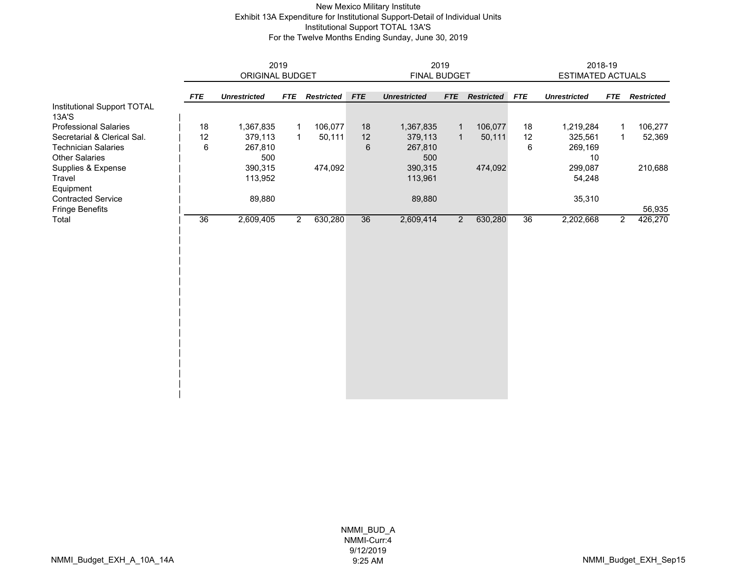### New Mexico Military Institute Exhibit 13A Expenditure for Institutional Support-Detail of Individual Units Institutional Support TOTAL 13A'S For the Twelve Months Ending Sunday, June 30, 2019

|                                      | 2019       |                     |                |                   | 2019            |                     |                |                   |            | 2018-19             |                |                   |  |
|--------------------------------------|------------|---------------------|----------------|-------------------|-----------------|---------------------|----------------|-------------------|------------|---------------------|----------------|-------------------|--|
|                                      |            | ORIGINAL BUDGET     |                |                   |                 | FINAL BUDGET        |                |                   |            | ESTIMATED ACTUALS   |                |                   |  |
|                                      | <b>FTE</b> | <b>Unrestricted</b> | <b>FTE</b>     | <b>Restricted</b> | <b>FTE</b>      | <b>Unrestricted</b> | <b>FTE</b>     | <b>Restricted</b> | <b>FTE</b> | <b>Unrestricted</b> | <b>FTE</b>     | <b>Restricted</b> |  |
| Institutional Support TOTAL<br>13A'S |            |                     |                |                   |                 |                     |                |                   |            |                     |                |                   |  |
| <b>Professional Salaries</b>         | 18         | 1,367,835           |                | 106,077           | 18              | 1,367,835           | $\mathbf{1}$   | 106,077           | 18         | 1,219,284           | 1              | 106,277           |  |
| Secretarial & Clerical Sal.          | 12         | 379,113             | $\mathbf{1}$   | 50,111            | 12              | 379,113             | $\mathbf{1}$   | 50,111            | 12         | 325,561             | $\mathbf{1}$   | 52,369            |  |
| <b>Technician Salaries</b>           | 6          | 267,810             |                |                   | $6\phantom{1}6$ | 267,810             |                |                   | 6          | 269,169             |                |                   |  |
| <b>Other Salaries</b>                |            | 500                 |                |                   |                 | 500                 |                |                   |            | 10                  |                |                   |  |
| Supplies & Expense                   |            | 390,315             |                | 474,092           |                 | 390,315             |                | 474,092           |            | 299,087             |                | 210,688           |  |
| Travel                               |            | 113,952             |                |                   |                 | 113,961             |                |                   |            | 54,248              |                |                   |  |
| Equipment                            |            |                     |                |                   |                 |                     |                |                   |            |                     |                |                   |  |
| <b>Contracted Service</b>            |            | 89,880              |                |                   | 89,880          |                     |                | 35,310            |            |                     |                |                   |  |
| <b>Fringe Benefits</b>               |            |                     |                |                   |                 |                     |                |                   |            |                     |                | 56,935            |  |
| Total                                | 36         | 2,609,405           | $\overline{2}$ | 630,280           | 36              | 2,609,414           | $\overline{2}$ | 630,280           | 36         | 2,202,668           | $\overline{2}$ | 426,270           |  |
|                                      |            |                     |                |                   |                 |                     |                |                   |            |                     |                |                   |  |
|                                      |            |                     |                |                   |                 |                     |                |                   |            |                     |                |                   |  |
|                                      |            |                     |                |                   |                 |                     |                |                   |            |                     |                |                   |  |
|                                      |            |                     |                |                   |                 |                     |                |                   |            |                     |                |                   |  |
|                                      |            |                     |                |                   |                 |                     |                |                   |            |                     |                |                   |  |
|                                      |            |                     |                |                   |                 |                     |                |                   |            |                     |                |                   |  |
|                                      |            |                     |                |                   |                 |                     |                |                   |            |                     |                |                   |  |
|                                      |            |                     |                |                   |                 |                     |                |                   |            |                     |                |                   |  |
|                                      |            |                     |                |                   |                 |                     |                |                   |            |                     |                |                   |  |
|                                      |            |                     |                |                   |                 |                     |                |                   |            |                     |                |                   |  |
|                                      |            |                     |                |                   |                 |                     |                |                   |            |                     |                |                   |  |
|                                      |            |                     |                |                   |                 |                     |                |                   |            |                     |                |                   |  |
|                                      |            |                     |                |                   |                 |                     |                |                   |            |                     |                |                   |  |
|                                      |            |                     |                |                   |                 |                     |                |                   |            |                     |                |                   |  |
|                                      |            |                     |                |                   |                 |                     |                |                   |            |                     |                |                   |  |
|                                      |            |                     |                |                   |                 |                     |                |                   |            |                     |                |                   |  |
|                                      |            |                     |                |                   |                 |                     |                |                   |            |                     |                |                   |  |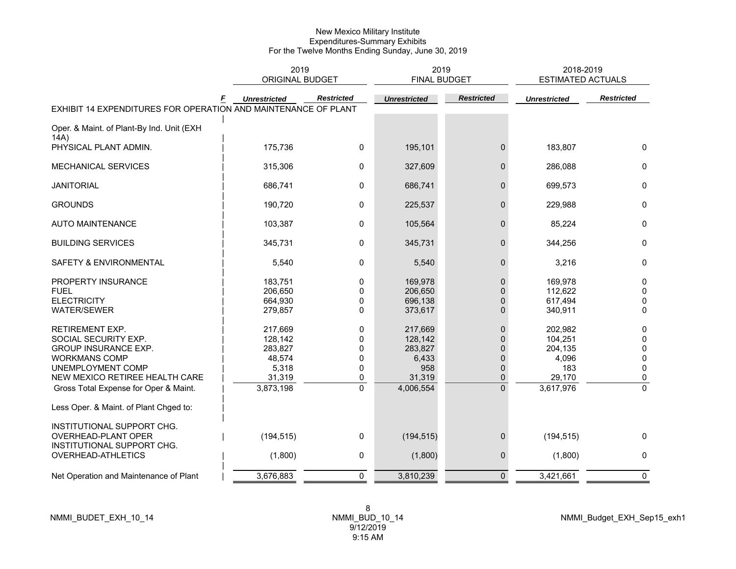|                                                                | 2019<br><b>ORIGINAL BUDGET</b> |                   | 2019<br><b>FINAL BUDGET</b> |                   | 2018-2019<br><b>ESTIMATED ACTUALS</b> |                   |
|----------------------------------------------------------------|--------------------------------|-------------------|-----------------------------|-------------------|---------------------------------------|-------------------|
| EXHIBIT 14 EXPENDITURES FOR OPERATION AND MAINTENANCE OF PLANT | <b>Unrestricted</b>            | <b>Restricted</b> | <b>Unrestricted</b>         | <b>Restricted</b> | <b>Unrestricted</b>                   | <b>Restricted</b> |
| Oper. & Maint. of Plant-By Ind. Unit (EXH                      |                                |                   |                             |                   |                                       |                   |
| 14A)                                                           |                                |                   |                             |                   |                                       |                   |
| PHYSICAL PLANT ADMIN.                                          | 175,736                        | 0                 | 195,101                     | $\mathbf{0}$      | 183,807                               | $\mathbf{0}$      |
| MECHANICAL SERVICES                                            | 315,306                        | 0                 | 327,609                     | $\mathbf{0}$      | 286,088                               | 0                 |
| <b>JANITORIAL</b>                                              | 686,741                        | 0                 | 686,741                     | 0                 | 699,573                               | 0                 |
| <b>GROUNDS</b>                                                 | 190,720                        | 0                 | 225,537                     | $\mathbf{0}$      | 229,988                               | $\mathbf{0}$      |
| <b>AUTO MAINTENANCE</b>                                        | 103,387                        | $\mathbf 0$       | 105,564                     | $\mathbf{0}$      | 85,224                                | $\mathbf{0}$      |
| <b>BUILDING SERVICES</b>                                       | 345,731                        | 0                 | 345,731                     | 0                 | 344,256                               | $\mathbf 0$       |
| SAFETY & ENVIRONMENTAL                                         | 5,540                          | 0                 | 5,540                       | $\mathbf{0}$      | 3,216                                 | $\mathbf{0}$      |
| PROPERTY INSURANCE                                             | 183,751                        | 0                 | 169,978                     | $\mathbf{0}$      | 169,978                               | 0                 |
| <b>FUEL</b>                                                    | 206,650                        | 0                 | 206,650                     | $\Omega$          | 112,622                               | $\mathbf 0$       |
| <b>ELECTRICITY</b>                                             | 664,930                        | 0                 | 696,138                     | $\Omega$          | 617,494                               | 0                 |
| <b>WATER/SEWER</b>                                             | 279,857                        | 0                 | 373,617                     | $\mathbf{0}$      | 340,911                               | $\mathbf 0$       |
| <b>RETIREMENT EXP.</b>                                         | 217,669                        | 0                 | 217,669                     | $\mathbf{0}$      | 202,982                               | 0                 |
| SOCIAL SECURITY EXP.                                           | 128,142                        | 0                 | 128,142                     | $\Omega$          | 104,251                               | 0                 |
| <b>GROUP INSURANCE EXP.</b>                                    | 283,827                        | 0                 | 283,827                     | $\Omega$          | 204,135                               | 0                 |
| <b>WORKMANS COMP</b>                                           | 48,574                         | 0                 | 6,433                       | $\Omega$          | 4,096                                 | $\pmb{0}$         |
| UNEMPLOYMENT COMP                                              | 5,318                          | $\mathbf{0}$      | 958                         | $\Omega$          | 183                                   | $\mathbf{0}$      |
| NEW MEXICO RETIREE HEALTH CARE                                 | 31,319                         | 0                 | 31,319                      | $\mathbf{0}$      | 29,170                                | 0                 |
| Gross Total Expense for Oper & Maint.                          | 3,873,198                      | $\overline{0}$    | 4,006,554                   | $\overline{0}$    | 3,617,976                             | $\mathbf 0$       |
| Less Oper. & Maint. of Plant Chged to:                         |                                |                   |                             |                   |                                       |                   |
| INSTITUTIONAL SUPPORT CHG.                                     |                                |                   |                             |                   |                                       |                   |
| OVERHEAD-PLANT OPER<br>INSTITUTIONAL SUPPORT CHG.              | (194, 515)                     | 0                 | (194, 515)                  | $\mathbf{0}$      | (194, 515)                            | $\mathbf{0}$      |
| OVERHEAD-ATHLETICS                                             | (1,800)                        | 0                 | (1,800)                     | 0                 | (1,800)                               | 0                 |
| Net Operation and Maintenance of Plant                         | 3,676,883                      | $\mathbf 0$       | 3,810,239                   | $\mathbf 0$       | 3,421,661                             | 0                 |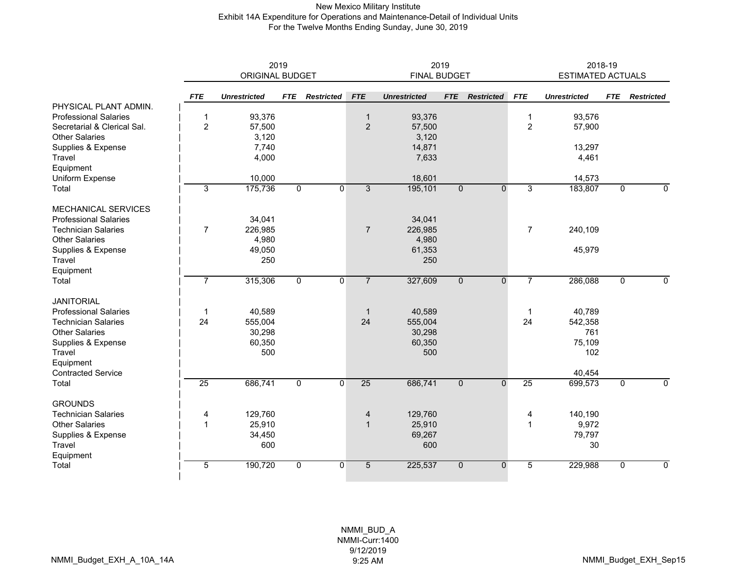### New Mexico Military Institute Exhibit 14A Expenditure for Operations and Maintenance-Detail of Individual Units For the Twelve Months Ending Sunday, June 30, 2019

|                              | 2019<br>ORIGINAL BUDGET |                     |                |                   |                 | 2019                | 2018-19<br><b>ESTIMATED ACTUALS</b> |                   |                |                     |             |                   |
|------------------------------|-------------------------|---------------------|----------------|-------------------|-----------------|---------------------|-------------------------------------|-------------------|----------------|---------------------|-------------|-------------------|
|                              |                         |                     |                |                   |                 | <b>FINAL BUDGET</b> |                                     |                   |                |                     |             |                   |
|                              | <b>FTE</b>              | <b>Unrestricted</b> | <b>FTE</b>     | <b>Restricted</b> | <b>FTE</b>      | <b>Unrestricted</b> | <b>FTE</b>                          | <b>Restricted</b> | <b>FTE</b>     | <b>Unrestricted</b> | <b>FTE</b>  | <b>Restricted</b> |
| PHYSICAL PLANT ADMIN.        |                         |                     |                |                   |                 |                     |                                     |                   |                |                     |             |                   |
| <b>Professional Salaries</b> | 1                       | 93,376              |                |                   | $\mathbf{1}$    | 93,376              |                                     |                   | $\mathbf{1}$   | 93,576              |             |                   |
| Secretarial & Clerical Sal.  | $\overline{c}$          | 57,500              |                |                   | $\overline{2}$  | 57,500              |                                     |                   | $\overline{2}$ | 57,900              |             |                   |
| <b>Other Salaries</b>        |                         | 3,120               |                |                   |                 | 3,120               |                                     |                   |                |                     |             |                   |
| Supplies & Expense           |                         | 7,740               |                |                   |                 | 14,871              |                                     |                   |                | 13,297              |             |                   |
| Travel                       |                         | 4,000               |                |                   |                 | 7,633               |                                     |                   |                | 4,461               |             |                   |
| Equipment                    |                         |                     |                |                   |                 |                     |                                     |                   |                |                     |             |                   |
| Uniform Expense              |                         | 10,000              |                |                   |                 | 18,601              |                                     |                   |                | 14,573              |             |                   |
| Total                        | 3                       | 175,736             | $\overline{0}$ | $\overline{0}$    | $\overline{3}$  | 195,101             | $\overline{0}$                      | $\overline{0}$    | 3              | 183,807             | $\Omega$    | $\overline{0}$    |
| MECHANICAL SERVICES          |                         |                     |                |                   |                 |                     |                                     |                   |                |                     |             |                   |
| <b>Professional Salaries</b> |                         | 34,041              |                |                   |                 | 34,041              |                                     |                   |                |                     |             |                   |
| <b>Technician Salaries</b>   | $\overline{7}$          | 226,985             |                |                   | $\overline{7}$  | 226,985             |                                     |                   | $\overline{7}$ | 240,109             |             |                   |
| <b>Other Salaries</b>        |                         | 4,980               |                |                   |                 | 4,980               |                                     |                   |                |                     |             |                   |
| Supplies & Expense           |                         | 49,050              |                |                   |                 | 61,353              |                                     |                   |                | 45,979              |             |                   |
| <b>Travel</b>                |                         | 250                 |                |                   |                 | 250                 |                                     |                   |                |                     |             |                   |
| Equipment                    |                         |                     |                |                   |                 |                     |                                     |                   |                |                     |             |                   |
| Total                        | $\overline{7}$          | 315,306             | $\mathbf 0$    | $\mathbf{0}$      | $\overline{7}$  | 327,609             | $\mathbf 0$                         | $\mathbf 0$       | $\overline{7}$ | 286,088             | $\mathbf 0$ | $\mathbf 0$       |
| <b>JANITORIAL</b>            |                         |                     |                |                   |                 |                     |                                     |                   |                |                     |             |                   |
| <b>Professional Salaries</b> | $\mathbf 1$             | 40,589              |                |                   | $\mathbf{1}$    | 40,589              |                                     |                   | $\mathbf{1}$   | 40,789              |             |                   |
| <b>Technician Salaries</b>   | 24                      | 555,004             |                |                   | 24              | 555,004             |                                     |                   | 24             | 542,358             |             |                   |
| <b>Other Salaries</b>        |                         | 30,298              |                |                   |                 | 30,298              |                                     |                   |                | 761                 |             |                   |
| Supplies & Expense           |                         | 60,350              |                |                   |                 | 60,350              |                                     |                   |                | 75,109              |             |                   |
| Travel                       |                         | 500                 |                |                   |                 | 500                 |                                     |                   |                | 102                 |             |                   |
| Equipment                    |                         |                     |                |                   |                 |                     |                                     |                   |                |                     |             |                   |
| <b>Contracted Service</b>    |                         |                     |                |                   |                 |                     |                                     |                   |                | 40,454              |             |                   |
| Total                        | 25                      | 686,741             | 0              | $\mathbf{0}$      | 25              | 686,741             | $\mathbf 0$                         | $\mathbf{0}$      | 25             | 699,573             | 0           | 0                 |
| <b>GROUNDS</b>               |                         |                     |                |                   |                 |                     |                                     |                   |                |                     |             |                   |
| <b>Technician Salaries</b>   | 4                       | 129,760             |                |                   | 4               | 129,760             |                                     |                   | 4              | 140,190             |             |                   |
| <b>Other Salaries</b>        | 1                       | 25,910              |                |                   | $\mathbf{1}$    | 25,910              |                                     |                   | 1              | 9,972               |             |                   |
| Supplies & Expense           |                         | 34,450              |                |                   |                 | 69,267              |                                     |                   |                | 79,797              |             |                   |
| Travel                       |                         | 600                 |                |                   |                 | 600                 |                                     |                   |                | 30                  |             |                   |
| Equipment                    |                         |                     |                |                   |                 |                     |                                     |                   |                |                     |             |                   |
| Total                        | 5                       | 190,720             | $\mathbf 0$    | $\mathbf{0}$      | $5\overline{)}$ | 225,537             | $\mathbf{0}$                        | $\mathbf{0}$      | 5              | 229,988             | 0           | $\mathbf 0$       |
|                              |                         |                     |                |                   |                 |                     |                                     |                   |                |                     |             |                   |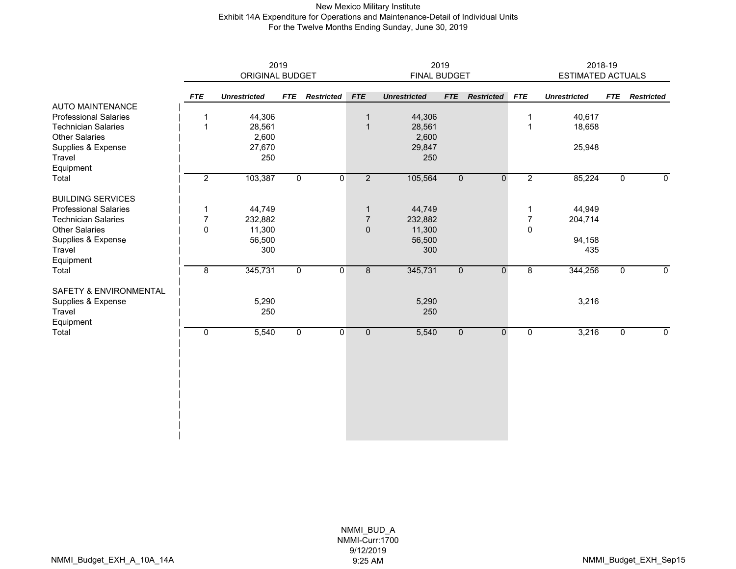### New Mexico Military Institute Exhibit 14A Expenditure for Operations and Maintenance-Detail of Individual Units For the Twelve Months Ending Sunday, June 30, 2019

|                              |                | 2019<br>ORIGINAL BUDGET |                |                   | FINAL BUDGET   | 2019                | 2018-19<br>ESTIMATED ACTUALS |                   |                |                     |                |                   |
|------------------------------|----------------|-------------------------|----------------|-------------------|----------------|---------------------|------------------------------|-------------------|----------------|---------------------|----------------|-------------------|
|                              | <b>FTE</b>     | <b>Unrestricted</b>     | <b>FTE</b>     | <b>Restricted</b> | <b>FTE</b>     | <b>Unrestricted</b> | <b>FTE</b>                   | <b>Restricted</b> | <b>FTE</b>     | <b>Unrestricted</b> | <b>FTE</b>     | <b>Restricted</b> |
| <b>AUTO MAINTENANCE</b>      |                |                         |                |                   |                |                     |                              |                   |                |                     |                |                   |
| <b>Professional Salaries</b> | $\mathbf 1$    | 44,306                  |                |                   | $\mathbf{1}$   | 44,306              |                              |                   | $\mathbf 1$    | 40,617              |                |                   |
| <b>Technician Salaries</b>   | $\mathbf{1}$   | 28,561                  |                |                   | $\mathbf{1}$   | 28,561              |                              |                   | $\mathbf{1}$   | 18,658              |                |                   |
| <b>Other Salaries</b>        |                | 2,600                   |                |                   |                | 2,600               |                              |                   |                |                     |                |                   |
| Supplies & Expense           |                | 27,670                  |                |                   |                | 29,847              |                              |                   |                | 25,948              |                |                   |
| Travel                       |                | 250                     |                |                   |                | 250                 |                              |                   |                |                     |                |                   |
| Equipment                    |                |                         |                |                   |                |                     |                              |                   |                |                     |                |                   |
| Total                        | $\overline{2}$ | 103,387                 | $\overline{0}$ | $\mathbf{0}$      | $\overline{2}$ | 105,564             | $\overline{0}$               | $\mathbf 0$       | $\overline{2}$ | 85,224              | $\overline{0}$ | $\mathbf 0$       |
| <b>BUILDING SERVICES</b>     |                |                         |                |                   |                |                     |                              |                   |                |                     |                |                   |
| <b>Professional Salaries</b> | 1              | 44,749                  |                |                   | $\mathbf{1}$   | 44,749              |                              |                   | 1              | 44,949              |                |                   |
| <b>Technician Salaries</b>   | $\overline{7}$ | 232,882                 |                |                   | $\overline{7}$ | 232,882             |                              |                   | $\overline{7}$ | 204,714             |                |                   |
| <b>Other Salaries</b>        | 0              | 11,300                  |                |                   | $\mathbf{0}$   | 11,300              |                              |                   | $\Omega$       |                     |                |                   |
| Supplies & Expense           |                | 56,500                  |                |                   |                | 56,500              |                              |                   |                | 94,158              |                |                   |
| Travel                       |                | 300                     |                |                   |                | 300                 |                              |                   |                | 435                 |                |                   |
| Equipment                    |                |                         |                |                   |                |                     |                              |                   |                |                     |                |                   |
| Total                        | 8              | 345,731                 | $\overline{0}$ | $\mathbf{0}$      | $\overline{8}$ | 345,731             | $\mathbf 0$                  | $\mathbf 0$       | $\overline{8}$ | 344,256             | $\overline{0}$ | $\overline{0}$    |
| SAFETY & ENVIRONMENTAL       |                |                         |                |                   |                |                     |                              |                   |                |                     |                |                   |
| Supplies & Expense           |                | 5,290                   |                |                   |                | 5,290               |                              |                   |                | 3,216               |                |                   |
| Travel                       |                | 250                     |                |                   |                | 250                 |                              |                   |                |                     |                |                   |
| Equipment                    |                |                         |                |                   |                |                     |                              |                   |                |                     |                |                   |
| Total                        | 0              | 5,540                   | $\overline{0}$ | $\mathbf 0$       | $\mathbf 0$    | 5,540               | $\mathbf 0$                  | $\mathbf 0$       | 0              | 3,216               | 0              | 0                 |
|                              |                |                         |                |                   |                |                     |                              |                   |                |                     |                |                   |
|                              |                |                         |                |                   |                |                     |                              |                   |                |                     |                |                   |
|                              |                |                         |                |                   |                |                     |                              |                   |                |                     |                |                   |
|                              |                |                         |                |                   |                |                     |                              |                   |                |                     |                |                   |
|                              |                |                         |                |                   |                |                     |                              |                   |                |                     |                |                   |
|                              |                |                         |                |                   |                |                     |                              |                   |                |                     |                |                   |
|                              |                |                         |                |                   |                |                     |                              |                   |                |                     |                |                   |
|                              |                |                         |                |                   |                |                     |                              |                   |                |                     |                |                   |
|                              |                |                         |                |                   |                |                     |                              |                   |                |                     |                |                   |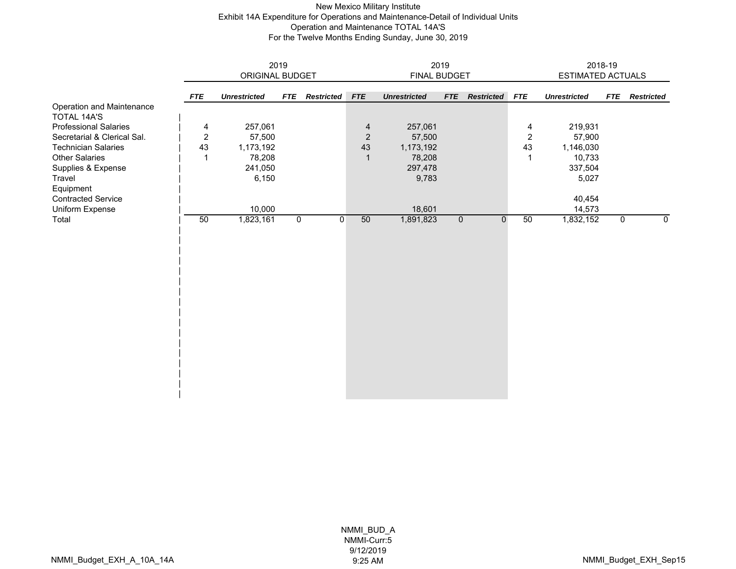### New Mexico Military Institute Exhibit 14A Expenditure for Operations and Maintenance-Detail of Individual Units Operation and Maintenance TOTAL 14A'S For the Twelve Months Ending Sunday, June 30, 2019

|                              |                | 2019                |                |                   | 2019           |                     | 2018-19        |                   |                |                     |             |                   |
|------------------------------|----------------|---------------------|----------------|-------------------|----------------|---------------------|----------------|-------------------|----------------|---------------------|-------------|-------------------|
|                              |                | ORIGINAL BUDGET     |                |                   |                | FINAL BUDGET        |                |                   |                | ESTIMATED ACTUALS   |             |                   |
|                              |                |                     |                |                   |                |                     |                |                   |                |                     |             |                   |
|                              | <b>FTE</b>     | <b>Unrestricted</b> | <b>FTE</b>     | <b>Restricted</b> | <b>FTE</b>     | <b>Unrestricted</b> | <b>FTE</b>     | <b>Restricted</b> | <b>FTE</b>     | <b>Unrestricted</b> | <b>FTE</b>  | <b>Restricted</b> |
| Operation and Maintenance    |                |                     |                |                   |                |                     |                |                   |                |                     |             |                   |
| <b>TOTAL 14A'S</b>           |                |                     |                |                   |                |                     |                |                   |                |                     |             |                   |
| <b>Professional Salaries</b> | 4              | 257,061             |                |                   | $\overline{4}$ | 257,061             |                |                   | 4              | 219,931             |             |                   |
| Secretarial & Clerical Sal.  | $\overline{2}$ | 57,500              |                |                   | $\overline{2}$ | 57,500              |                |                   | $\overline{2}$ | 57,900              |             |                   |
| <b>Technician Salaries</b>   | 43             | 1,173,192           |                |                   | 43             | 1,173,192           |                |                   | 43             | 1,146,030           |             |                   |
| <b>Other Salaries</b>        | 1              | 78,208              |                |                   | $\mathbf{1}$   | 78,208              |                |                   | $\mathbf 1$    | 10,733              |             |                   |
| Supplies & Expense           |                | 241,050             |                |                   |                | 297,478             |                |                   |                | 337,504             |             |                   |
| Travel                       |                | 6,150               |                |                   |                | 9,783               |                |                   |                | 5,027               |             |                   |
| Equipment                    |                |                     |                |                   |                |                     |                |                   |                |                     |             |                   |
| <b>Contracted Service</b>    |                |                     |                |                   |                |                     |                | 40,454            |                |                     |             |                   |
| Uniform Expense              |                | 10,000              |                |                   |                | 18,601              |                |                   |                | 14,573              |             |                   |
| Total                        | 50             | 1,823,161           | $\overline{0}$ | $\mathbf 0$       | 50             | 1,891,823           | $\overline{0}$ | $\mathbf{0}$      | 50             | 1,832,152           | $\mathbf 0$ | 0                 |
|                              |                |                     |                |                   |                |                     |                |                   |                |                     |             |                   |
|                              |                |                     |                |                   |                |                     |                |                   |                |                     |             |                   |
|                              |                |                     |                |                   |                |                     |                |                   |                |                     |             |                   |
|                              |                |                     |                |                   |                |                     |                |                   |                |                     |             |                   |
|                              |                |                     |                |                   |                |                     |                |                   |                |                     |             |                   |
|                              |                |                     |                |                   |                |                     |                |                   |                |                     |             |                   |
|                              |                |                     |                |                   |                |                     |                |                   |                |                     |             |                   |
|                              |                |                     |                |                   |                |                     |                |                   |                |                     |             |                   |
|                              |                |                     |                |                   |                |                     |                |                   |                |                     |             |                   |
|                              |                |                     |                |                   |                |                     |                |                   |                |                     |             |                   |
|                              |                |                     |                |                   |                |                     |                |                   |                |                     |             |                   |
|                              |                |                     |                |                   |                |                     |                |                   |                |                     |             |                   |
|                              |                |                     |                |                   |                |                     |                |                   |                |                     |             |                   |
|                              |                |                     |                |                   |                |                     |                |                   |                |                     |             |                   |
|                              |                |                     |                |                   |                |                     |                |                   |                |                     |             |                   |
|                              |                |                     |                |                   |                |                     |                |                   |                |                     |             |                   |
|                              |                |                     |                |                   |                |                     |                |                   |                |                     |             |                   |
|                              |                |                     |                |                   |                |                     |                |                   |                |                     |             |                   |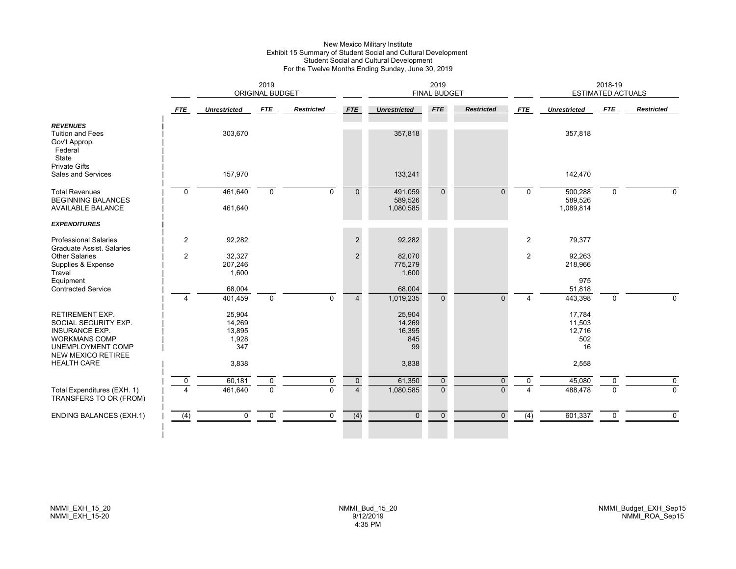#### New Mexico Military Institute Exhibit 15 Summary of Student Social and Cultural Development Student Social and Cultural Development For the Twelve Months Ending Sunday, June 30, 2019

|                                                                                                                                                          |                         |                                            | 2019<br><b>ORIGINAL BUDGET</b> |                   |                                  | <b>FINAL BUDGET</b>                     |                          |                          | 2018-19<br><b>ESTIMATED ACTUALS</b> |                                         |               |                         |
|----------------------------------------------------------------------------------------------------------------------------------------------------------|-------------------------|--------------------------------------------|--------------------------------|-------------------|----------------------------------|-----------------------------------------|--------------------------|--------------------------|-------------------------------------|-----------------------------------------|---------------|-------------------------|
|                                                                                                                                                          | <b>FTE</b>              | <b>Unrestricted</b>                        | FTE                            | <b>Restricted</b> | <b>FTE</b>                       | <b>Unrestricted</b>                     | <b>FTE</b>               | <b>Restricted</b>        | <b>FTE</b>                          | <b>Unrestricted</b>                     | FTE           | <b>Restricted</b>       |
| <b>REVENUES</b><br><b>Tuition and Fees</b><br>Gov't Approp.<br>Federal<br>State                                                                          |                         | 303,670                                    |                                |                   |                                  | 357,818                                 |                          |                          |                                     | 357,818                                 |               |                         |
| <b>Private Gifts</b><br>Sales and Services                                                                                                               |                         | 157,970                                    |                                |                   |                                  | 133,241                                 |                          |                          |                                     | 142,470                                 |               |                         |
| <b>Total Revenues</b><br><b>BEGINNING BALANCES</b><br><b>AVAILABLE BALANCE</b>                                                                           | $\Omega$                | 461,640<br>461,640                         | $\mathbf 0$                    | $\Omega$          | $\overline{0}$                   | 491,059<br>589,526<br>1,080,585         | $\mathbf{0}$             | $\Omega$                 | $\Omega$                            | 500,288<br>589,526<br>1,089,814         | $\mathbf 0$   | $\Omega$                |
| <b>EXPENDITURES</b>                                                                                                                                      |                         |                                            |                                |                   |                                  |                                         |                          |                          |                                     |                                         |               |                         |
| <b>Professional Salaries</b><br>Graduate Assist. Salaries                                                                                                | 2                       | 92,282                                     |                                |                   | $\overline{c}$                   | 92,282                                  |                          |                          | 2                                   | 79,377                                  |               |                         |
| <b>Other Salaries</b><br>Supplies & Expense<br>Travel<br>Equipment                                                                                       | $\overline{2}$          | 32,327<br>207,246<br>1,600                 |                                |                   | $\overline{2}$                   | 82,070<br>775,279<br>1,600              |                          |                          | 2                                   | 92,263<br>218,966<br>975                |               |                         |
| <b>Contracted Service</b>                                                                                                                                | $\overline{4}$          | 68,004<br>401,459                          | $\mathbf 0$                    | $\Omega$          | $\overline{4}$                   | 68,004<br>1,019,235                     | $\Omega$                 | $\Omega$                 | Δ                                   | 51,818<br>443,398                       | $\Omega$      | $\Omega$                |
| <b>RETIREMENT EXP.</b><br>SOCIAL SECURITY EXP.<br><b>INSURANCE EXP.</b><br><b>WORKMANS COMP</b><br><b>UNEMPLOYMENT COMP</b><br><b>NEW MEXICO RETIREE</b> |                         | 25,904<br>14,269<br>13,895<br>1,928<br>347 |                                |                   |                                  | 25,904<br>14,269<br>16,395<br>845<br>99 |                          |                          |                                     | 17,784<br>11,503<br>12,716<br>502<br>16 |               |                         |
| <b>HEALTH CARE</b>                                                                                                                                       |                         | 3,838                                      |                                |                   |                                  | 3,838                                   |                          |                          |                                     | 2,558                                   |               |                         |
| Total Expenditures (EXH. 1)<br>TRANSFERS TO OR (FROM)                                                                                                    | $\mathbf 0$<br>$\Delta$ | 60,181<br>461,640                          | $\mathbf 0$<br>$\Omega$        | 0<br>$\Omega$     | $\overline{0}$<br>$\overline{4}$ | 61,350<br>1,080,585                     | $\mathbf{0}$<br>$\Omega$ | $\mathbf{0}$<br>$\Omega$ | $\mathbf{0}$                        | 45,080<br>488,478                       | 0<br>$\Omega$ | $\mathbf 0$<br>$\Omega$ |
| <b>ENDING BALANCES (EXH.1)</b>                                                                                                                           | (4)                     | $\mathbf 0$                                | $\mathbf 0$                    | 0                 | (4)                              | $\overline{0}$                          | $\mathbf{0}$             | $\mathbf{0}$             | (4)                                 | 601,337                                 | 0             | $\mathbf 0$             |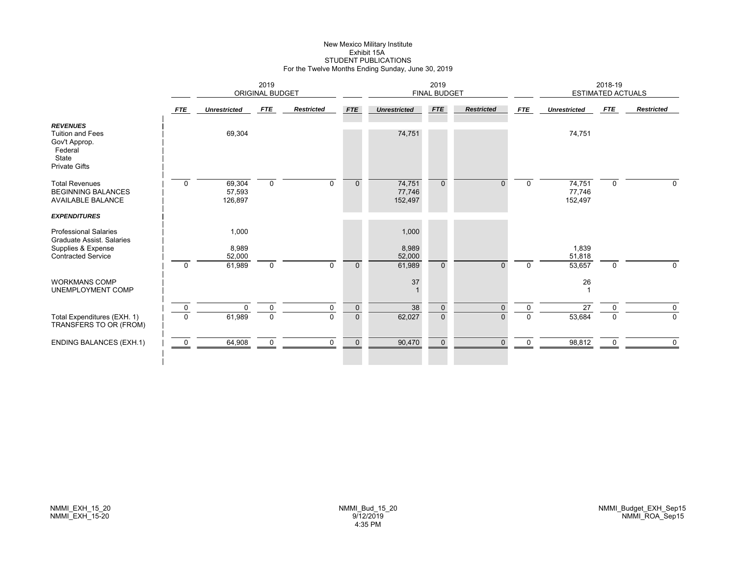# New Mexico Military Institute Exhibit 15ASTUDENT PUBLICATIONS For the Twelve Months Ending Sunday, June 30, 2019

|                                                                                                                     |                         | 2019<br><b>ORIGINAL BUDGET</b>     |             |                   |              | 2019<br><b>FINAL BUDGET</b>        |                |                   |              | 2018-19<br><b>ESTIMATED ACTUALS</b> |             |                   |  |
|---------------------------------------------------------------------------------------------------------------------|-------------------------|------------------------------------|-------------|-------------------|--------------|------------------------------------|----------------|-------------------|--------------|-------------------------------------|-------------|-------------------|--|
|                                                                                                                     | FTE                     | <b>Unrestricted</b>                | <b>FTE</b>  | <b>Restricted</b> | <b>FTE</b>   | <b>Unrestricted</b>                | <b>FTE</b>     | <b>Restricted</b> | <b>FTE</b>   | <b>Unrestricted</b>                 | FTE         | <b>Restricted</b> |  |
| <b>REVENUES</b><br><b>Tuition and Fees</b><br>Gov't Approp.<br>Federal<br>State<br><b>Private Gifts</b>             |                         | 69,304                             |             |                   |              | 74,751                             |                |                   |              | 74,751                              |             |                   |  |
| <b>Total Revenues</b><br><b>BEGINNING BALANCES</b><br><b>AVAILABLE BALANCE</b>                                      | $\mathbf 0$             | 69,304<br>57,593<br>126,897        | $\mathbf 0$ | $\Omega$          | $\mathbf{0}$ | 74,751<br>77,746<br>152,497        | $\Omega$       | $\Omega$          | $\mathbf 0$  | 74,751<br>77,746<br>152,497         | $\mathbf 0$ | $\Omega$          |  |
| <b>EXPENDITURES</b>                                                                                                 |                         |                                    |             |                   |              |                                    |                |                   |              |                                     |             |                   |  |
| <b>Professional Salaries</b><br><b>Graduate Assist, Salaries</b><br>Supplies & Expense<br><b>Contracted Service</b> | $\mathbf 0$             | 1,000<br>8,989<br>52,000<br>61,989 | $\mathbf 0$ | $\mathbf{0}$      | $\mathbf{0}$ | 1,000<br>8,989<br>52,000<br>61,989 | $\Omega$       | $\Omega$          | $\mathbf 0$  | 1,839<br>51,818<br>53,657           | $\mathbf 0$ | 0                 |  |
| <b>WORKMANS COMP</b><br>UNEMPLOYMENT COMP                                                                           |                         |                                    |             |                   |              | 37                                 |                |                   |              | 26                                  |             |                   |  |
|                                                                                                                     | $\overline{\mathbf{0}}$ | $\Omega$                           | $\mathbf 0$ | $\Omega$          | $\mathbf 0$  | 38                                 | $\Omega$       | $\Omega$          | $\mathbf{0}$ | 27                                  | $\Omega$    | $\mathbf 0$       |  |
| Total Expenditures (EXH. 1)<br>TRANSFERS TO OR (FROM)                                                               | $\mathbf 0$             | 61,989                             | $\mathbf 0$ | $\mathbf 0$       | $\mathbf 0$  | 62,027                             | $\overline{0}$ | $\overline{0}$    | $\mathbf 0$  | 53,684                              | $\mathbf 0$ | $\mathbf 0$       |  |
| <b>ENDING BALANCES (EXH.1)</b>                                                                                      | 0                       | 64,908                             | $\Omega$    | $\mathbf 0$       | $\Omega$     | 90,470                             | $\Omega$       | $\Omega$          | $\Omega$     | 98,812                              | $\mathbf 0$ | $\Omega$          |  |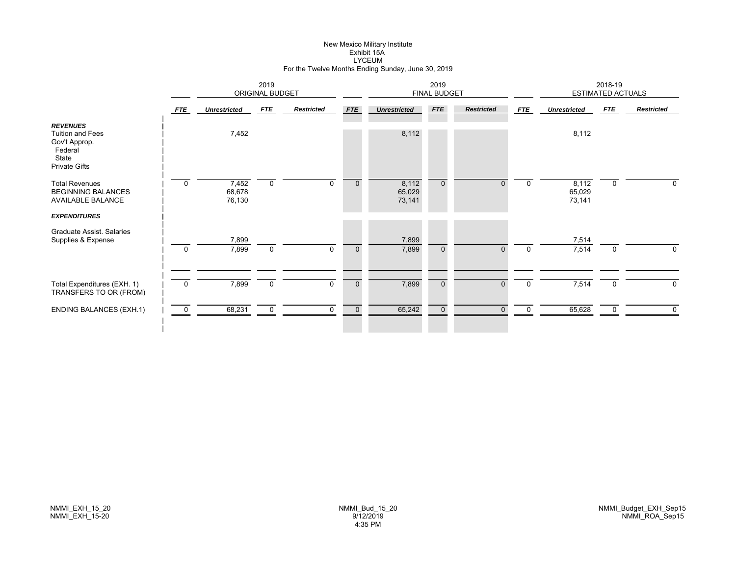# New Mexico Military Institute Exhibit 15ALYCEUM For the Twelve Months Ending Sunday, June 30, 2019

|                                                                                                         |             |                           | 2019<br><b>ORIGINAL BUDGET</b> |                   |              | 2019<br><b>FINAL BUDGET</b> |              |                   |             | 2018-19<br><b>ESTIMATED ACTUALS</b> |             |                   |  |
|---------------------------------------------------------------------------------------------------------|-------------|---------------------------|--------------------------------|-------------------|--------------|-----------------------------|--------------|-------------------|-------------|-------------------------------------|-------------|-------------------|--|
|                                                                                                         | <b>FTE</b>  | <b>Unrestricted</b>       | <b>FTE</b>                     | <b>Restricted</b> | <b>FTE</b>   | <b>Unrestricted</b>         | <b>FTE</b>   | <b>Restricted</b> | FTE         | <b>Unrestricted</b>                 | <b>FTE</b>  | <b>Restricted</b> |  |
| <b>REVENUES</b><br><b>Tuition and Fees</b><br>Gov't Approp.<br>Federal<br>State<br><b>Private Gifts</b> |             | 7,452                     |                                |                   |              | 8,112                       |              |                   |             | 8,112                               |             |                   |  |
| <b>Total Revenues</b><br><b>BEGINNING BALANCES</b><br><b>AVAILABLE BALANCE</b>                          | $\Omega$    | 7,452<br>68,678<br>76,130 | $\mathbf 0$                    | $\Omega$          | $\mathbf{0}$ | 8,112<br>65,029<br>73,141   | $\mathbf{0}$ | $\Omega$          | $\mathbf 0$ | 8,112<br>65,029<br>73,141           | $\mathbf 0$ | 0                 |  |
| <b>EXPENDITURES</b><br>Graduate Assist, Salaries<br>Supplies & Expense                                  |             | 7,899                     |                                |                   |              | 7,899                       |              |                   |             | 7,514                               |             |                   |  |
|                                                                                                         | $\mathbf 0$ | 7,899                     | $\mathbf 0$                    | $\mathbf 0$       | $\mathbf 0$  | 7,899                       | $\mathbf 0$  | $\mathbf{0}$      | $\mathbf 0$ | 7,514                               | $\mathbf 0$ | 0                 |  |
| Total Expenditures (EXH. 1)<br>TRANSFERS TO OR (FROM)                                                   | $\mathbf 0$ | 7,899                     | $\mathbf 0$                    | $\Omega$          | $\mathbf 0$  | 7,899                       | $\mathbf{0}$ | $\Omega$          | $\mathbf 0$ | 7,514                               | $\mathbf 0$ | $\mathbf 0$       |  |
| <b>ENDING BALANCES (EXH.1)</b>                                                                          | 0           | 68,231                    | $\mathbf 0$                    | 0                 | $\mathbf 0$  | 65,242                      | $\mathbf 0$  | $\mathbf{0}$      | 0           | 65,628                              | 0           | $\mathbf 0$       |  |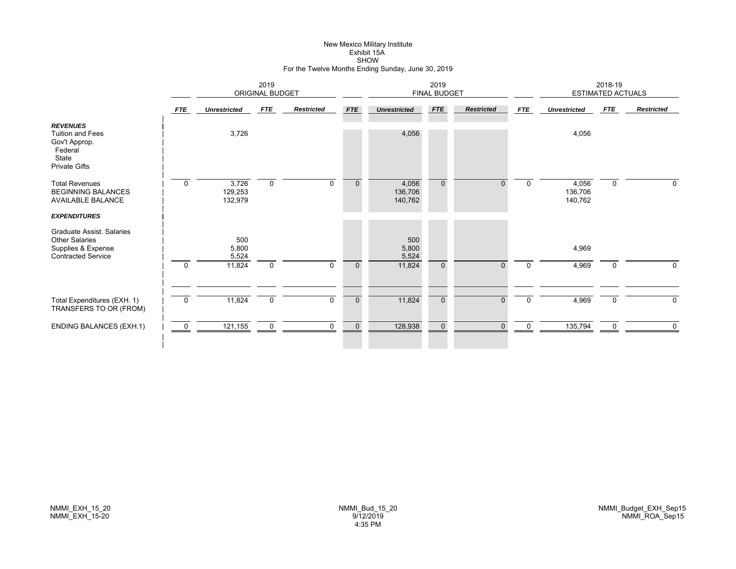# New Mexico Military Institute Exhibit 15ASHOW For the Twelve Months Ending Sunday, June 30, 2019

|                                                                                                         |                | 2019<br>ORIGINAL BUDGET     |             |                   |             | 2019<br><b>FINAL BUDGET</b> |                |                   |              | 2018-19<br>ESTIMATED ACTUALS |             |                   |  |
|---------------------------------------------------------------------------------------------------------|----------------|-----------------------------|-------------|-------------------|-------------|-----------------------------|----------------|-------------------|--------------|------------------------------|-------------|-------------------|--|
|                                                                                                         | <b>FTE</b>     | <b>Unrestricted</b>         | FTE         | <b>Restricted</b> | <b>FTE</b>  | <b>Unrestricted</b>         | <b>FTE</b>     | <b>Restricted</b> | FTE          | <b>Unrestricted</b>          | <b>FTE</b>  | <b>Restricted</b> |  |
| <b>REVENUES</b><br><b>Tuition and Fees</b><br>Gov't Approp.<br>Federal<br>State<br><b>Private Gifts</b> |                | 3,726                       |             |                   |             | 4,056                       |                |                   |              | 4,056                        |             |                   |  |
| <b>Total Revenues</b><br><b>BEGINNING BALANCES</b><br><b>AVAILABLE BALANCE</b>                          | $\mathbf 0$    | 3,726<br>129,253<br>132,979 | $\mathbf 0$ | $\Omega$          | $\mathbf 0$ | 4,056<br>136,706<br>140,762 | $\mathbf{0}$   | $\Omega$          | $\mathbf 0$  | 4,056<br>136,706<br>140,762  | $\mathbf 0$ | 0                 |  |
| <b>EXPENDITURES</b>                                                                                     |                |                             |             |                   |             |                             |                |                   |              |                              |             |                   |  |
| Graduate Assist. Salaries<br><b>Other Salaries</b><br>Supplies & Expense<br><b>Contracted Service</b>   |                | 500<br>5,800<br>5,524       |             |                   |             | 500<br>5,800<br>5,524       |                |                   |              | 4,969                        |             |                   |  |
|                                                                                                         | $\mathbf 0$    | 11,824                      | $\mathbf 0$ | $\mathbf 0$       | $\mathbf 0$ | 11,824                      | $\mathbf{0}$   | $\mathbf{0}$      | $\mathbf 0$  | 4,969                        | 0           | 0                 |  |
|                                                                                                         |                |                             |             |                   |             |                             |                |                   |              |                              |             |                   |  |
| Total Expenditures (EXH. 1)<br>TRANSFERS TO OR (FROM)                                                   | $\mathbf 0$    | 11,824                      | $\mathbf 0$ | $\mathbf 0$       | $\mathbf 0$ | 11,824                      | $\overline{0}$ | $\mathbf{0}$      | $\mathbf 0$  | 4,969                        | 0           | 0                 |  |
| <b>ENDING BALANCES (EXH.1)</b>                                                                          | $\overline{0}$ | 121,155                     | $\Omega$    | $\Omega$          | $\mathbf 0$ | 128,938                     | $\mathbf{0}$   | $\Omega$          | $\mathbf{0}$ | 135,794                      | $\Omega$    | $\mathbf 0$       |  |
|                                                                                                         |                |                             |             |                   |             |                             |                |                   |              |                              |             |                   |  |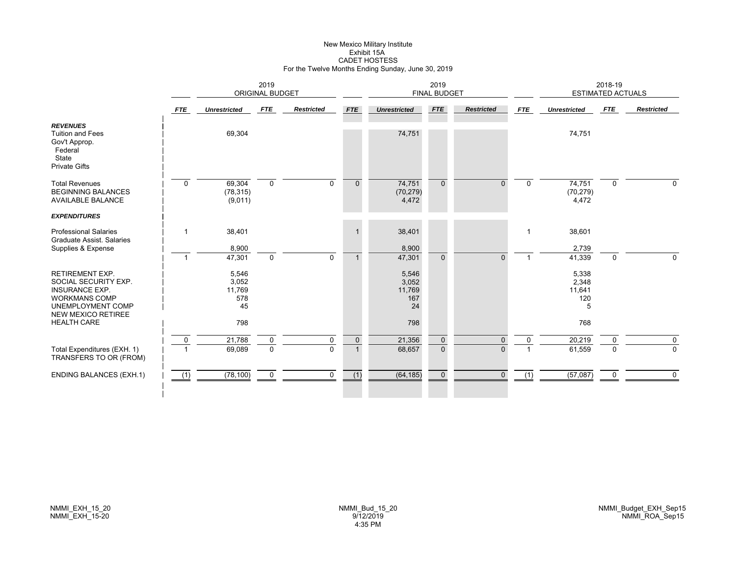# New Mexico Military Institute Exhibit 15ACADET HOSTESS For the Twelve Months Ending Sunday, June 30, 2019

|                                                                                                                                                   |                | 2019<br><b>ORIGINAL BUDGET</b>        |                         |                   |                              |                                       | 2019<br><b>FINAL BUDGET</b>   |                          |             | <b>ESTIMATED ACTUALS</b>             | 2018-19       |                         |
|---------------------------------------------------------------------------------------------------------------------------------------------------|----------------|---------------------------------------|-------------------------|-------------------|------------------------------|---------------------------------------|-------------------------------|--------------------------|-------------|--------------------------------------|---------------|-------------------------|
|                                                                                                                                                   | <b>FTE</b>     | <b>Unrestricted</b>                   | FTE                     | <b>Restricted</b> | <b>FTE</b>                   | <b>Unrestricted</b>                   | <b>FTE</b>                    | <b>Restricted</b>        | <b>FTE</b>  | <b>Unrestricted</b>                  | <b>FTE</b>    | <b>Restricted</b>       |
| <b>REVENUES</b><br><b>Tuition and Fees</b><br>Gov't Approp.<br>Federal<br>State<br><b>Private Gifts</b>                                           |                | 69,304                                |                         |                   |                              | 74,751                                |                               |                          |             | 74,751                               |               |                         |
| <b>Total Revenues</b><br><b>BEGINNING BALANCES</b><br><b>AVAILABLE BALANCE</b>                                                                    | $\Omega$       | 69,304<br>(78, 315)<br>(9,011)        | $\mathbf 0$             | $\Omega$          | $\mathbf{0}$                 | 74,751<br>(70, 279)<br>4,472          | $\Omega$                      | $\Omega$                 | $\Omega$    | 74,751<br>(70, 279)<br>4,472         | 0             | $\Omega$                |
| <b>EXPENDITURES</b>                                                                                                                               |                |                                       |                         |                   |                              |                                       |                               |                          |             |                                      |               |                         |
| <b>Professional Salaries</b><br><b>Graduate Assist, Salaries</b><br>Supplies & Expense                                                            | -1             | 38,401<br>8,900                       |                         |                   |                              | 38,401<br>8,900                       |                               |                          |             | 38,601<br>2,739                      |               |                         |
|                                                                                                                                                   | $\mathbf{1}$   | 47,301                                | $\mathbf 0$             | $\Omega$          |                              | 47,301                                | $\Omega$                      | $\Omega$                 |             | 41,339                               | 0             | $\Omega$                |
| <b>RETIREMENT EXP.</b><br>SOCIAL SECURITY EXP.<br><b>INSURANCE EXP.</b><br><b>WORKMANS COMP</b><br>UNEMPLOYMENT COMP<br><b>NEW MEXICO RETIREE</b> |                | 5,546<br>3,052<br>11,769<br>578<br>45 |                         |                   |                              | 5,546<br>3,052<br>11,769<br>167<br>24 |                               |                          |             | 5,338<br>2,348<br>11,641<br>120<br>5 |               |                         |
| <b>HEALTH CARE</b>                                                                                                                                |                | 798                                   |                         |                   |                              | 798                                   |                               |                          |             | 768                                  |               |                         |
| Total Expenditures (EXH. 1)<br>TRANSFERS TO OR (FROM)                                                                                             | $\overline{0}$ | 21,788<br>69,089                      | $\mathbf 0$<br>$\Omega$ | 0<br>$\Omega$     | $\mathbf{0}$<br>$\mathbf{1}$ | 21,356<br>68,657                      | $\mathbf 0$<br>$\overline{0}$ | $\mathbf{0}$<br>$\Omega$ | $\mathbf 0$ | 20,219<br>61,559                     | 0<br>$\Omega$ | $\mathbf 0$<br>$\Omega$ |
| <b>ENDING BALANCES (EXH.1)</b>                                                                                                                    | (1)            | (78, 100)                             | $\mathbf 0$             | $\Omega$          | (1)                          | (64, 185)                             | $\mathbf{0}$                  | $\Omega$                 | (1)         | (57,087)                             | 0             | $\Omega$                |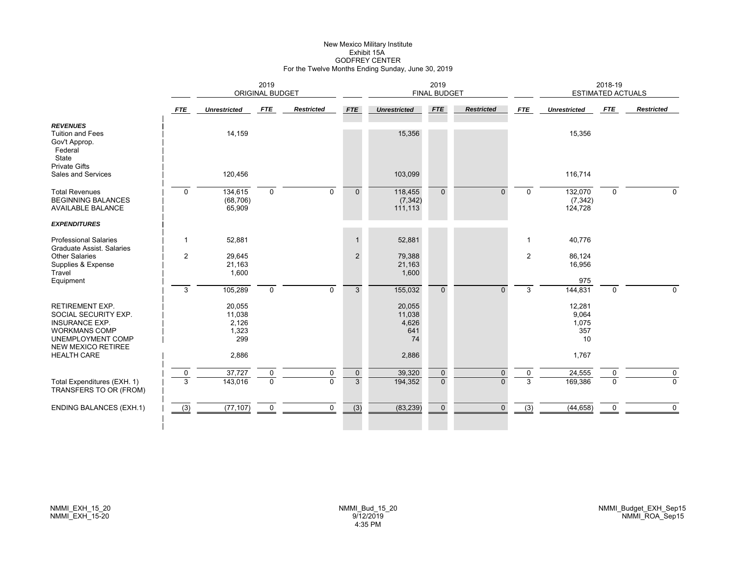# New Mexico Military Institute Exhibit 15AGODFREY CENTER For the Twelve Months Ending Sunday, June 30, 2019

|                                                                                                                                            |                  | 2019<br><b>ORIGINAL BUDGET</b>            |                         |                   |                               |                                        | 2019<br><b>FINAL BUDGET</b> |                          |                  |                                       | 2018-19<br><b>ESTIMATED ACTUALS</b> |                         |
|--------------------------------------------------------------------------------------------------------------------------------------------|------------------|-------------------------------------------|-------------------------|-------------------|-------------------------------|----------------------------------------|-----------------------------|--------------------------|------------------|---------------------------------------|-------------------------------------|-------------------------|
|                                                                                                                                            | <b>FTE</b>       | <b>Unrestricted</b>                       | FTE                     | <b>Restricted</b> | <b>FTE</b>                    | <b>Unrestricted</b>                    | <b>FTE</b>                  | <b>Restricted</b>        | <b>FTE</b>       | <b>Unrestricted</b>                   | FTE                                 | <b>Restricted</b>       |
| <b>REVENUES</b><br><b>Tuition and Fees</b><br>Gov't Approp.<br>Federal<br>State<br><b>Private Gifts</b>                                    |                  | 14,159                                    |                         |                   |                               | 15,356                                 |                             |                          |                  | 15,356                                |                                     |                         |
| Sales and Services                                                                                                                         |                  | 120,456                                   |                         |                   |                               | 103,099                                |                             |                          |                  | 116,714                               |                                     |                         |
| <b>Total Revenues</b><br><b>BEGINNING BALANCES</b><br><b>AVAILABLE BALANCE</b>                                                             | $\mathbf 0$      | 134,615<br>(68, 706)<br>65,909            | $\mathbf 0$             | $\mathbf 0$       | $\mathbf{0}$                  | 118,455<br>(7, 342)<br>111,113         | $\Omega$                    | $\Omega$                 | $\mathbf 0$      | 132,070<br>(7, 342)<br>124,728        | 0                                   | $\Omega$                |
| <b>EXPENDITURES</b>                                                                                                                        |                  |                                           |                         |                   |                               |                                        |                             |                          |                  |                                       |                                     |                         |
| <b>Professional Salaries</b><br>Graduate Assist. Salaries                                                                                  | $\mathbf{1}$     | 52,881                                    |                         |                   | $\mathbf{1}$                  | 52,881                                 |                             |                          | $\mathbf{1}$     | 40,776                                |                                     |                         |
| Other Salaries<br>Supplies & Expense<br>Travel                                                                                             | $\overline{2}$   | 29,645<br>21,163<br>1,600                 |                         |                   | 2                             | 79,388<br>21,163<br>1,600              |                             |                          | 2                | 86,124<br>16,956                      |                                     |                         |
| Equipment                                                                                                                                  | 3                | 105,289                                   | $\mathbf 0$             | $\Omega$          | 3                             | 155,032                                | $\Omega$                    | $\Omega$                 | 3                | 975<br>144,831                        | $\Omega$                            | $\Omega$                |
| <b>RETIREMENT EXP.</b><br>SOCIAL SECURITY EXP.<br><b>INSURANCE EXP.</b><br><b>WORKMANS COMP</b><br>UNEMPLOYMENT COMP<br>NEW MEXICO RETIREE |                  | 20,055<br>11,038<br>2,126<br>1,323<br>299 |                         |                   |                               | 20,055<br>11,038<br>4,626<br>641<br>74 |                             |                          |                  | 12,281<br>9,064<br>1,075<br>357<br>10 |                                     |                         |
| <b>HEALTH CARE</b>                                                                                                                         |                  | 2,886                                     |                         |                   |                               | 2,886                                  |                             |                          |                  | 1,767                                 |                                     |                         |
| Total Expenditures (EXH. 1)<br>TRANSFERS TO OR (FROM)                                                                                      | $\mathbf 0$<br>3 | 37,727<br>143,016                         | $\mathbf 0$<br>$\Omega$ | 0<br>$\Omega$     | $\mathbf 0$<br>$\overline{3}$ | 39,320<br>194,352                      | $\mathbf 0$<br>$\Omega$     | $\mathbf{0}$<br>$\Omega$ | 0<br>3           | 24,555<br>169,386                     | 0<br>$\Omega$                       | $\mathbf 0$<br>$\Omega$ |
| <b>ENDING BALANCES (EXH.1)</b>                                                                                                             | (3)              | (77, 107)                                 | $\mathbf 0$             | 0                 | $\overline{(3)}$              | (83, 239)                              | $\mathbf 0$                 | $\mathbf{0}$             | $\overline{(3)}$ | (44, 658)                             | 0                                   | $\mathbf 0$             |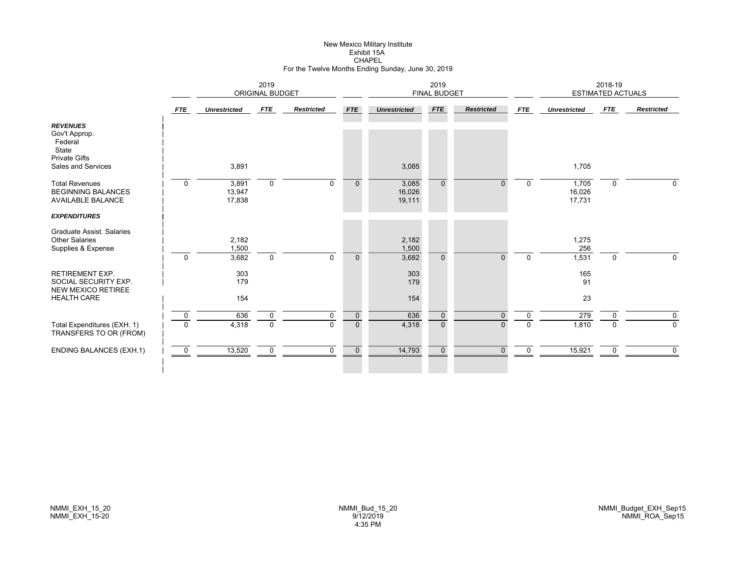# New Mexico Military Institute Exhibit 15ACHAPEL For the Twelve Months Ending Sunday, June 30, 2019

|                                                                                                    | 2019<br><b>ORIGINAL BUDGET</b> |                           |                |                   |                |                           | 2019<br><b>FINAL BUDGET</b> |                   |             |                           | 2018-19<br><b>ESTIMATED ACTUALS</b> |                   |
|----------------------------------------------------------------------------------------------------|--------------------------------|---------------------------|----------------|-------------------|----------------|---------------------------|-----------------------------|-------------------|-------------|---------------------------|-------------------------------------|-------------------|
|                                                                                                    | <b>FTE</b>                     | <b>Unrestricted</b>       | FTE            | <b>Restricted</b> | <b>FTE</b>     | <b>Unrestricted</b>       | <b>FTE</b>                  | <b>Restricted</b> | <b>FTE</b>  | <b>Unrestricted</b>       | FTE                                 | <b>Restricted</b> |
| <b>REVENUES</b><br>Gov't Approp.<br>Federal<br>State<br><b>Private Gifts</b><br>Sales and Services |                                | 3,891                     |                |                   |                | 3,085                     |                             |                   |             | 1,705                     |                                     |                   |
| <b>Total Revenues</b><br><b>BEGINNING BALANCES</b><br><b>AVAILABLE BALANCE</b>                     | $\mathbf 0$                    | 3,891<br>13,947<br>17,838 | $\mathbf 0$    | $\Omega$          | $\mathbf{0}$   | 3,085<br>16,026<br>19,111 | $\Omega$                    | $\Omega$          | $\Omega$    | 1,705<br>16,026<br>17,731 | $\mathbf 0$                         | $\Omega$          |
| <b>EXPENDITURES</b>                                                                                |                                |                           |                |                   |                |                           |                             |                   |             |                           |                                     |                   |
| Graduate Assist, Salaries<br><b>Other Salaries</b><br>Supplies & Expense                           | $\Omega$                       | 2,182<br>1,500<br>3,682   | $\mathbf 0$    | $\Omega$          | $\Omega$       | 2,182<br>1,500<br>3,682   | $\Omega$                    | $\Omega$          | $\Omega$    | 1,275<br>256<br>1,531     | $\Omega$                            | 0                 |
| <b>RETIREMENT EXP.</b><br>SOCIAL SECURITY EXP.<br><b>NEW MEXICO RETIREE</b><br><b>HEALTH CARE</b>  |                                | 303<br>179<br>154         |                |                   |                | 303<br>179<br>154         |                             |                   |             | 165<br>91<br>23           |                                     |                   |
|                                                                                                    |                                |                           |                |                   |                |                           |                             |                   |             |                           |                                     |                   |
|                                                                                                    | $\mathbf 0$                    | 636                       | 0              | 0                 | $\mathbf 0$    | 636                       | $\mathbf 0$                 | 0                 | 0           | 279                       |                                     | 0                 |
| Total Expenditures (EXH. 1)<br>TRANSFERS TO OR (FROM)                                              | $\Omega$                       | 4,318                     | $\overline{0}$ | $\Omega$          | $\overline{0}$ | 4,318                     | $\Omega$                    | $\Omega$          | $\Omega$    | 1,810                     | n                                   | $\mathbf 0$       |
| <b>ENDING BALANCES (EXH.1)</b>                                                                     | $\overline{0}$                 | 13,520                    | $\mathbf 0$    | $\mathbf 0$       | $\mathbf 0$    | 14,793                    | $\mathbf{0}$                | $\Omega$          | $\mathbf 0$ | 15,921                    | $\Omega$                            | $\mathbf 0$       |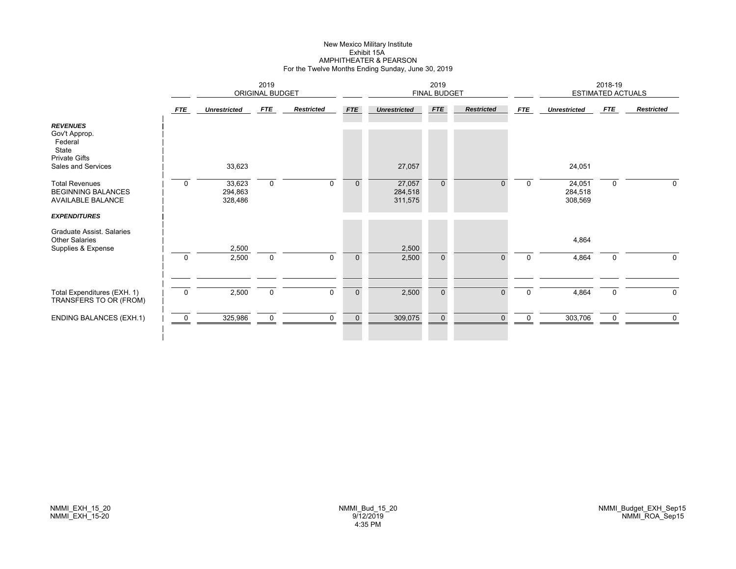#### New Mexico Military Institute Exhibit 15A AMPHITHEATER & PEARSON For the Twelve Months Ending Sunday, June 30, 2019

|                                                                                                    |            | 2019<br><b>ORIGINAL BUDGET</b> |             |                   |              |                              | 2019<br><b>FINAL BUDGET</b> |                   |          |                              | 2018-19<br><b>ESTIMATED ACTUALS</b> |                   |
|----------------------------------------------------------------------------------------------------|------------|--------------------------------|-------------|-------------------|--------------|------------------------------|-----------------------------|-------------------|----------|------------------------------|-------------------------------------|-------------------|
|                                                                                                    | <b>FTE</b> | <b>Unrestricted</b>            | FTE         | <b>Restricted</b> | <b>FTE</b>   | <b>Unrestricted</b>          | <b>FTE</b>                  | <b>Restricted</b> | FTE      | <b>Unrestricted</b>          | FTE                                 | <b>Restricted</b> |
| <b>REVENUES</b><br>Gov't Approp.<br>Federal<br>State<br><b>Private Gifts</b><br>Sales and Services |            | 33,623                         |             |                   |              | 27,057                       |                             |                   |          | 24,051                       |                                     |                   |
| <b>Total Revenues</b><br><b>BEGINNING BALANCES</b><br><b>AVAILABLE BALANCE</b>                     | $\Omega$   | 33,623<br>294,863<br>328,486   | 0           | $\mathbf{0}$      | $\mathbf{0}$ | 27,057<br>284,518<br>311,575 | $\mathbf{0}$                | $\Omega$          | 0        | 24,051<br>284,518<br>308,569 | $\mathbf 0$                         | $\Omega$          |
| <b>EXPENDITURES</b>                                                                                |            |                                |             |                   |              |                              |                             |                   |          |                              |                                     |                   |
| <b>Graduate Assist, Salaries</b><br><b>Other Salaries</b><br>Supplies & Expense                    |            | 2,500                          |             |                   |              | 2,500                        |                             |                   |          | 4,864                        |                                     |                   |
|                                                                                                    | $\Omega$   | 2,500                          | $\mathbf 0$ | $\mathbf{0}$      | $\mathbf 0$  | 2,500                        | $\Omega$                    | $\Omega$          | $\Omega$ | 4,864                        | $\mathbf 0$                         | $\Omega$          |
| Total Expenditures (EXH. 1)<br>TRANSFERS TO OR (FROM)                                              | $\Omega$   | 2,500                          | $\mathsf 0$ | $\Omega$          | $\mathbf 0$  | 2,500                        | $\mathbf{0}$                | $\overline{0}$    | $\Omega$ | 4,864                        | $\mathsf 0$                         | $\Omega$          |
| <b>ENDING BALANCES (EXH.1)</b>                                                                     | - 0        | 325,986                        | $\mathbf 0$ | $\mathbf 0$       | $\mathbf 0$  | 309,075                      | $\overline{0}$              | $\mathbf{0}$      | $\Omega$ | 303,706                      | 0                                   | $\mathbf{0}$      |
|                                                                                                    |            |                                |             |                   |              |                              |                             |                   |          |                              |                                     |                   |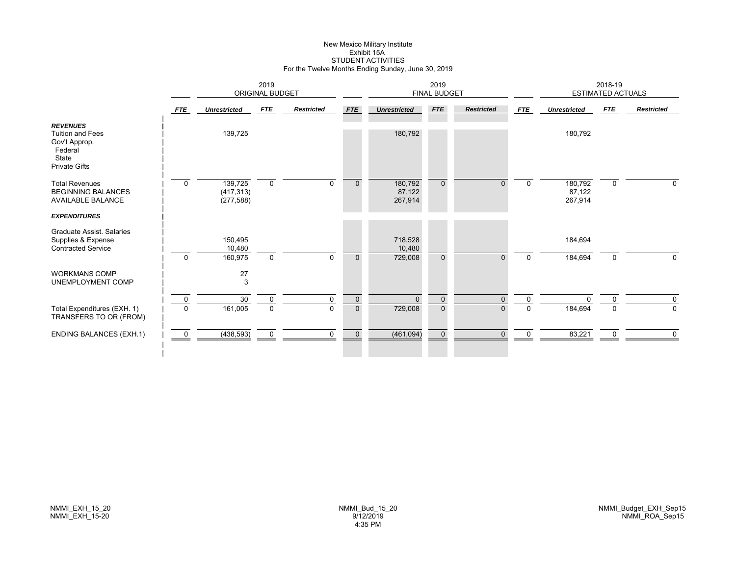# New Mexico Military Institute Exhibit 15ASTUDENT ACTIVITIES For the Twelve Months Ending Sunday, June 30, 2019

|                                                                                                         |              | <b>ORIGINAL BUDGET</b>              |             |                   |              | 2019<br><b>FINAL BUDGET</b>  |              |                   |             | 2018-19<br><b>ESTIMATED ACTUALS</b> |             |                   |
|---------------------------------------------------------------------------------------------------------|--------------|-------------------------------------|-------------|-------------------|--------------|------------------------------|--------------|-------------------|-------------|-------------------------------------|-------------|-------------------|
|                                                                                                         | <b>FTE</b>   | <b>Unrestricted</b>                 | FTE         | <b>Restricted</b> | <b>FTE</b>   | <b>Unrestricted</b>          | FTE          | <b>Restricted</b> | <b>FTE</b>  | <b>Unrestricted</b>                 | <b>FTE</b>  | <b>Restricted</b> |
| <b>REVENUES</b><br><b>Tuition and Fees</b><br>Gov't Approp.<br>Federal<br>State<br><b>Private Gifts</b> |              | 139,725                             |             |                   |              | 180,792                      |              |                   |             | 180,792                             |             |                   |
| <b>Total Revenues</b><br><b>BEGINNING BALANCES</b><br><b>AVAILABLE BALANCE</b>                          | $\mathbf 0$  | 139,725<br>(417, 313)<br>(277, 588) | $\mathbf 0$ | $\mathbf 0$       | $\mathbf{0}$ | 180,792<br>87,122<br>267,914 | $\mathbf{0}$ | 0                 | $\mathbf 0$ | 180,792<br>87,122<br>267,914        | $\mathbf 0$ | 0                 |
| <b>EXPENDITURES</b>                                                                                     |              |                                     |             |                   |              |                              |              |                   |             |                                     |             |                   |
| Graduate Assist, Salaries<br>Supplies & Expense<br><b>Contracted Service</b>                            |              | 150,495<br>10,480                   |             |                   |              | 718,528<br>10,480            |              |                   |             | 184,694                             |             |                   |
|                                                                                                         | $\mathbf{0}$ | 160,975                             | $\mathbf 0$ | $\Omega$          | $\Omega$     | 729,008                      | $\mathbf{0}$ | $\overline{0}$    | 0           | 184,694                             | 0           | $\Omega$          |
| <b>WORKMANS COMP</b><br>UNEMPLOYMENT COMP                                                               |              | 27<br>3                             |             |                   |              |                              |              |                   |             |                                     |             |                   |
|                                                                                                         | $\mathbf 0$  | 30                                  | $\mathbf 0$ | $\mathbf 0$       | $\mathbf 0$  | $\Omega$                     | $\mathbf 0$  | $\overline{0}$    | $\mathbf 0$ | $\Omega$                            | $\Omega$    | 0                 |
| Total Expenditures (EXH. 1)<br>TRANSFERS TO OR (FROM)                                                   | $\Omega$     | 161,005                             | $\mathbf 0$ | $\Omega$          | $\mathbf 0$  | 729,008                      | $\mathbf 0$  | 0                 | 0           | 184,694                             | $\Omega$    | 0                 |
| <b>ENDING BALANCES (EXH.1)</b>                                                                          | $\mathbf 0$  | (438, 593)                          | $\mathbf 0$ | $\Omega$          | $\mathbf 0$  | (461, 094)                   | $\mathbf 0$  | $\Omega$          | $\Omega$    | 83,221                              | $\mathbf 0$ | $\Omega$          |
|                                                                                                         |              |                                     |             |                   |              |                              |              |                   |             |                                     |             |                   |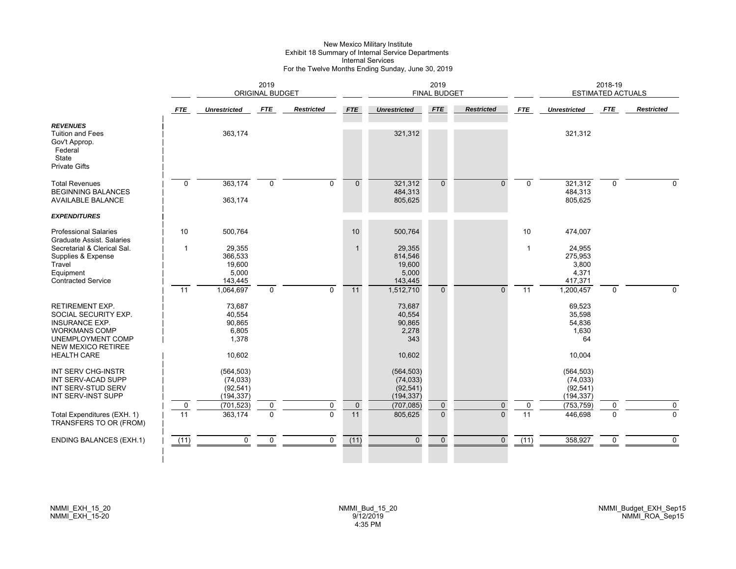# New Mexico Military Institute Exhibit 18 Summary of Internal Service Departments Internal Services For the Twelve Months Ending Sunday, June 30, 2019

|                                                                                                                                                                  |                   | 2019<br><b>ORIGINAL BUDGET</b>                         |                         |                   |                   |                                                      | 2019<br><b>FINAL BUDGET</b> |                      |                                |                                                     | 2018-19<br><b>ESTIMATED ACTUALS</b> |                         |
|------------------------------------------------------------------------------------------------------------------------------------------------------------------|-------------------|--------------------------------------------------------|-------------------------|-------------------|-------------------|------------------------------------------------------|-----------------------------|----------------------|--------------------------------|-----------------------------------------------------|-------------------------------------|-------------------------|
|                                                                                                                                                                  | <b>FTE</b>        | <b>Unrestricted</b>                                    | <b>FTE</b>              | <b>Restricted</b> | <b>FTE</b>        | <b>Unrestricted</b>                                  | <b>FTE</b>                  | <b>Restricted</b>    | <b>FTE</b>                     | <b>Unrestricted</b>                                 | <b>FTE</b>                          | <b>Restricted</b>       |
| <b>REVENUES</b><br><b>Tuition and Fees</b><br>Gov't Approp.<br>Federal<br>State<br><b>Private Gifts</b>                                                          |                   | 363,174                                                |                         |                   |                   | 321,312                                              |                             |                      |                                | 321,312                                             |                                     |                         |
| <b>Total Revenues</b><br><b>BEGINNING BALANCES</b><br><b>AVAILABLE BALANCE</b>                                                                                   | $\mathbf 0$       | 363,174<br>363,174                                     | $\mathbf 0$             | $\mathbf 0$       | $\mathbf{0}$      | 321,312<br>484,313<br>805,625                        | $\Omega$                    | $\Omega$             | $\mathbf{0}$                   | 321,312<br>484,313<br>805,625                       | $\mathbf 0$                         | $\Omega$                |
| <b>EXPENDITURES</b>                                                                                                                                              |                   |                                                        |                         |                   |                   |                                                      |                             |                      |                                |                                                     |                                     |                         |
| <b>Professional Salaries</b><br><b>Graduate Assist, Salaries</b>                                                                                                 | 10 <sup>10</sup>  | 500,764                                                |                         |                   | 10                | 500,764                                              |                             |                      | 10                             | 474,007                                             |                                     |                         |
| Secretarial & Clerical Sal.<br>Supplies & Expense<br>Travel<br>Equipment<br><b>Contracted Service</b>                                                            | $\mathbf{1}$      | 29,355<br>366,533<br>19,600<br>5,000<br>143,445        |                         |                   |                   | 29,355<br>814,546<br>19,600<br>5,000<br>143,445      |                             |                      | $\mathbf{1}$                   | 24,955<br>275,953<br>3,800<br>4,371<br>417,371      |                                     |                         |
|                                                                                                                                                                  | 11                | 1,064,697                                              | $\mathbf 0$             | $\Omega$          | 11                | 1,512,710                                            | $\Omega$                    | $\Omega$             | 11                             | 1,200,457                                           | $\mathbf 0$                         | $\Omega$                |
| RETIREMENT EXP.<br>SOCIAL SECURITY EXP.<br><b>INSURANCE EXP.</b><br><b>WORKMANS COMP</b><br>UNEMPLOYMENT COMP<br><b>NEW MEXICO RETIREE</b><br><b>HEALTH CARE</b> |                   | 73,687<br>40,554<br>90,865<br>6,805<br>1,378<br>10,602 |                         |                   |                   | 73,687<br>40,554<br>90,865<br>2,278<br>343<br>10,602 |                             |                      |                                | 69,523<br>35,598<br>54,836<br>1,630<br>64<br>10,004 |                                     |                         |
| INT SERV CHG-INSTR<br>INT SERV-ACAD SUPP<br>INT SERV-STUD SERV<br>INT SERV-INST SUPP                                                                             |                   | (564, 503)<br>(74, 033)<br>(92, 541)<br>(194, 337)     |                         |                   |                   | (564, 503)<br>(74, 033)<br>(92, 541)<br>(194, 337)   |                             |                      |                                | (564, 503)<br>(74, 033)<br>(92, 541)<br>(194, 337)  |                                     |                         |
| Total Expenditures (EXH. 1)                                                                                                                                      | $\mathbf 0$<br>11 | (701, 523)<br>363,174                                  | $\mathbf 0$<br>$\Omega$ | 0<br>$\Omega$     | $\mathbf 0$<br>11 | (707, 085)<br>805,625                                | $\mathbf{0}$<br>$\Omega$    | $\Omega$<br>$\Omega$ | $\mathbf 0$<br>$\overline{11}$ | (753, 759)<br>446,698                               | 0<br>$\Omega$                       | $\mathbf 0$<br>$\Omega$ |
| TRANSFERS TO OR (FROM)                                                                                                                                           |                   |                                                        |                         |                   |                   |                                                      |                             |                      |                                |                                                     |                                     |                         |
| <b>ENDING BALANCES (EXH.1)</b>                                                                                                                                   | (11)              | $\mathbf 0$                                            | $\mathbf 0$             | $\mathbf 0$       | (11)              | $\Omega$                                             | $\mathbf{0}$                | $\mathbf{0}$         | $\overline{(11)}$              | 358,927                                             | 0                                   | $\mathbf{0}$            |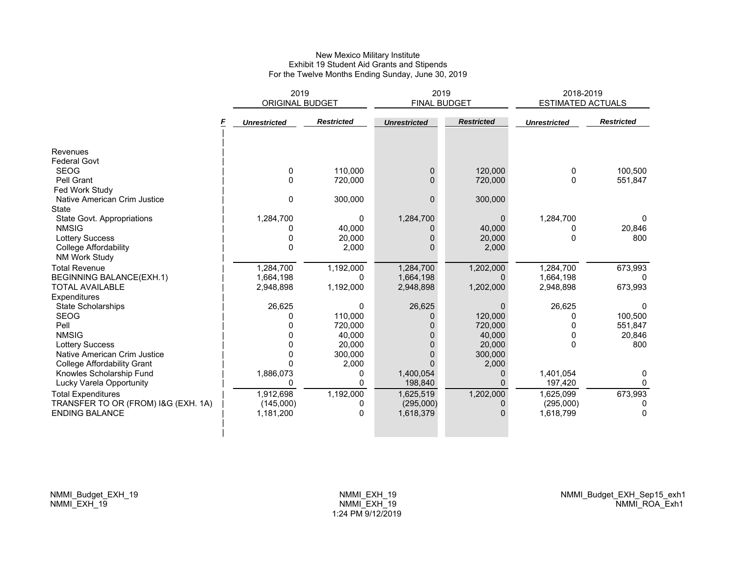#### New Mexico Military Institute Exhibit 19 Student Aid Grants and Stipends For the Twelve Months Ending Sunday, June 30, 2019

|                                     | 2019<br><b>ORIGINAL BUDGET</b> |                   | 2019<br><b>FINAL BUDGET</b> |                   | 2018-2019<br><b>ESTIMATED ACTUALS</b> |                   |
|-------------------------------------|--------------------------------|-------------------|-----------------------------|-------------------|---------------------------------------|-------------------|
|                                     | <b>Unrestricted</b>            | <b>Restricted</b> | <b>Unrestricted</b>         | <b>Restricted</b> | <b>Unrestricted</b>                   | <b>Restricted</b> |
| Revenues                            |                                |                   |                             |                   |                                       |                   |
| <b>Federal Govt</b>                 |                                |                   |                             |                   |                                       |                   |
| <b>SEOG</b>                         | 0                              | 110,000           | 0                           | 120,000           | 0                                     | 100,500           |
| Pell Grant                          | 0                              | 720,000           | 0                           | 720,000           | $\Omega$                              | 551,847           |
| Fed Work Study                      |                                |                   |                             |                   |                                       |                   |
| Native American Crim Justice        | 0                              | 300,000           | $\Omega$                    | 300,000           |                                       |                   |
| <b>State</b>                        |                                |                   |                             |                   |                                       |                   |
| State Govt. Appropriations          | 1,284,700                      | 0                 | 1,284,700                   | $\mathbf{0}$      | 1,284,700                             | 0                 |
| <b>NMSIG</b>                        | 0                              | 40,000            | 0                           | 40,000            | 0                                     | 20,846            |
| <b>Lottery Success</b>              | 0                              | 20,000            |                             | 20,000            | 0                                     | 800               |
| <b>College Affordability</b>        | 0                              | 2,000             |                             | 2,000             |                                       |                   |
| <b>NM Work Study</b>                |                                |                   |                             |                   |                                       |                   |
| <b>Total Revenue</b>                | 1,284,700                      | 1,192,000         | 1,284,700                   | 1,202,000         | 1.284.700                             | 673,993           |
| BEGINNING BALANCE(EXH.1)            | 1,664,198                      | 0                 | 1,664,198                   | $\Omega$          | 1,664,198                             | <sup>0</sup>      |
| <b>TOTAL AVAILABLE</b>              | 2,948,898                      | 1,192,000         | 2,948,898                   | 1,202,000         | 2,948,898                             | 673,993           |
| Expenditures                        |                                |                   |                             |                   |                                       |                   |
| <b>State Scholarships</b>           | 26,625                         | 0                 | 26,625                      | $\mathbf{0}$      | 26,625                                | $\mathbf{0}$      |
| <b>SEOG</b>                         |                                | 110,000           | $\Omega$                    | 120,000           | O                                     | 100,500           |
| Pell                                |                                | 720,000           |                             | 720,000           | 0                                     | 551,847           |
| <b>NMSIG</b>                        |                                | 40,000            |                             | 40,000            | $\Omega$                              | 20,846            |
| <b>Lottery Success</b>              |                                | 20,000            | 0                           | 20,000            | $\Omega$                              | 800               |
| Native American Crim Justice        | 0                              | 300,000           |                             | 300,000           |                                       |                   |
| <b>College Affordability Grant</b>  |                                | 2,000             |                             | 2,000             |                                       |                   |
| Knowles Scholarship Fund            | 1,886,073                      | 0                 | 1,400,054                   | 0                 | 1,401,054                             | 0                 |
| Lucky Varela Opportunity            |                                | 0                 | 198,840                     | 0                 | 197,420                               | 0                 |
| <b>Total Expenditures</b>           | 1,912,698                      | 1,192,000         | 1,625,519                   | 1,202,000         | 1,625,099                             | 673,993           |
| TRANSFER TO OR (FROM) I&G (EXH. 1A) | (145,000)                      | 0                 | (295,000)                   | 0                 | (295,000)                             | 0                 |
| <b>ENDING BALANCE</b>               | 1,181,200                      | $\mathbf 0$       | 1,618,379                   | $\Omega$          | 1,618,799                             | $\mathbf{0}$      |
|                                     |                                |                   |                             |                   |                                       |                   |
|                                     |                                |                   |                             |                   |                                       |                   |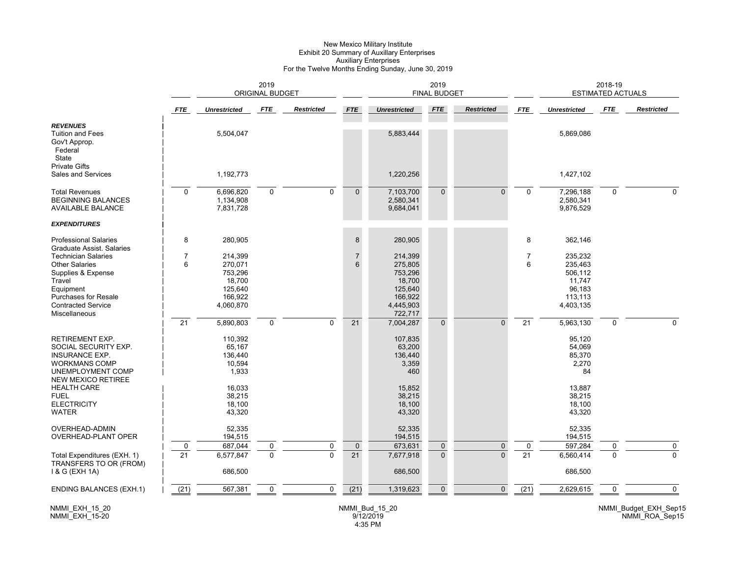#### New Mexico Military Institute Exhibit 20 Summary of Auxillary Enterprises Auxiliary Enterprises For the Twelve Months Ending Sunday, June 30, 2019

|                                                                                                                                                                                                            |                      | <b>ORIGINAL BUDGET</b>                                                     |                               |                               | 2019<br><b>FINAL BUDGET</b>                 |                                                                                       |                             |                         | 2018-19<br><b>ESTIMATED ACTUALS</b> |                                                                           |               |                   |
|------------------------------------------------------------------------------------------------------------------------------------------------------------------------------------------------------------|----------------------|----------------------------------------------------------------------------|-------------------------------|-------------------------------|---------------------------------------------|---------------------------------------------------------------------------------------|-----------------------------|-------------------------|-------------------------------------|---------------------------------------------------------------------------|---------------|-------------------|
|                                                                                                                                                                                                            | <b>FTE</b>           | <b>Unrestricted</b>                                                        | <b>FTE</b>                    | <b>Restricted</b>             | <b>FTE</b>                                  | <b>Unrestricted</b>                                                                   | <b>FTE</b>                  | <b>Restricted</b>       | <b>FTE</b>                          | <b>Unrestricted</b>                                                       | <b>FTE</b>    | <b>Restricted</b> |
| <b>REVENUES</b><br><b>Tuition and Fees</b><br>Gov't Approp.<br>Federal<br>State                                                                                                                            |                      | 5,504,047                                                                  |                               |                               |                                             | 5,883,444                                                                             |                             |                         |                                     | 5,869,086                                                                 |               |                   |
| <b>Private Gifts</b><br>Sales and Services                                                                                                                                                                 |                      | 1,192,773                                                                  |                               |                               |                                             | 1,220,256                                                                             |                             |                         |                                     | 1,427,102                                                                 |               |                   |
| <b>Total Revenues</b><br><b>BEGINNING BALANCES</b><br><b>AVAILABLE BALANCE</b><br><b>EXPENDITURES</b>                                                                                                      | $\mathbf 0$          | 6,696,820<br>1,134,908<br>7,831,728                                        | $\mathbf 0$                   | 0                             | $\mathbf 0$                                 | 7,103,700<br>2,580,341<br>9,684,041                                                   | $\mathbf{0}$                | $\Omega$                | $\mathbf{0}$                        | 7,296,188<br>2,580,341<br>9,876,529                                       | 0             | $\Omega$          |
| <b>Professional Salaries</b>                                                                                                                                                                               | 8                    | 280,905                                                                    |                               |                               | $\,8\,$                                     | 280,905                                                                               |                             |                         | 8                                   | 362,146                                                                   |               |                   |
| Graduate Assist, Salaries<br><b>Technician Salaries</b><br><b>Other Salaries</b><br>Supplies & Expense<br>Travel<br>Equipment<br><b>Purchases for Resale</b><br><b>Contracted Service</b><br>Miscellaneous | $\overline{7}$<br>6  | 214,399<br>270,071<br>753,296<br>18,700<br>125.640<br>166,922<br>4,060,870 |                               |                               | $\overline{\mathfrak{c}}$<br>$6\phantom{1}$ | 214,399<br>275,805<br>753,296<br>18,700<br>125.640<br>166,922<br>4,445,903<br>722,717 |                             |                         | $\overline{7}$<br>6                 | 235,232<br>235,463<br>506,112<br>11,747<br>96,183<br>113,113<br>4,403,135 |               |                   |
|                                                                                                                                                                                                            | 21                   | 5,890,803                                                                  | $\mathbf 0$                   | $\Omega$                      | 21                                          | 7,004,287                                                                             | $\Omega$                    | $\Omega$                | $\overline{21}$                     | 5,963,130                                                                 | $\Omega$      | $\Omega$          |
| RETIREMENT EXP.<br>SOCIAL SECURITY EXP.<br><b>INSURANCE EXP.</b><br><b>WORKMANS COMP</b><br>UNEMPLOYMENT COMP<br><b>NEW MEXICO RETIREE</b>                                                                 |                      | 110,392<br>65,167<br>136,440<br>10,594<br>1,933                            |                               |                               |                                             | 107,835<br>63,200<br>136,440<br>3,359<br>460                                          |                             |                         |                                     | 95,120<br>54,069<br>85,370<br>2,270<br>84                                 |               |                   |
| <b>HEALTH CARE</b><br><b>FUEL</b><br><b>ELECTRICITY</b><br><b>WATER</b>                                                                                                                                    |                      | 16,033<br>38,215<br>18,100<br>43,320                                       |                               |                               |                                             | 15,852<br>38,215<br>18,100<br>43,320                                                  |                             |                         |                                     | 13,887<br>38,215<br>18,100<br>43,320                                      |               |                   |
| OVERHEAD-ADMIN<br>OVERHEAD-PLANT OPER                                                                                                                                                                      |                      | 52,335<br>194,515                                                          |                               |                               |                                             | 52.335<br>194,515                                                                     |                             |                         |                                     | 52,335<br>194,515                                                         |               |                   |
| Total Expenditures (EXH. 1)<br>TRANSFERS TO OR (FROM)<br>1 & G (EXH 1A)                                                                                                                                    | 0<br>$\overline{21}$ | 687,044<br>6,577,847<br>686,500                                            | $\mathbf 0$<br>$\overline{0}$ | $\mathbf 0$<br>$\overline{0}$ | $\mathbf 0$<br>21                           | 673,631<br>7,677,918<br>686,500                                                       | $\mathbf 0$<br>$\mathbf{0}$ | $\mathbf 0$<br>$\Omega$ | 0<br>$\overline{21}$                | 597,284<br>6,560,414<br>686,500                                           | 0<br>$\Omega$ | $\mathbf 0$       |
| <b>ENDING BALANCES (EXH.1)</b>                                                                                                                                                                             | (21)                 | 567,381                                                                    | $\mathbf 0$                   | 0                             | $\overline{(21)}$                           | 1,319,623                                                                             | $\mathbf{0}$                | $\Omega$                | $\overline{(21)}$                   | 2,629,615                                                                 | $\mathbf 0$   | $\mathbf 0$       |

NMMI\_EXH\_15\_20 NMMI\_EXH\_15-20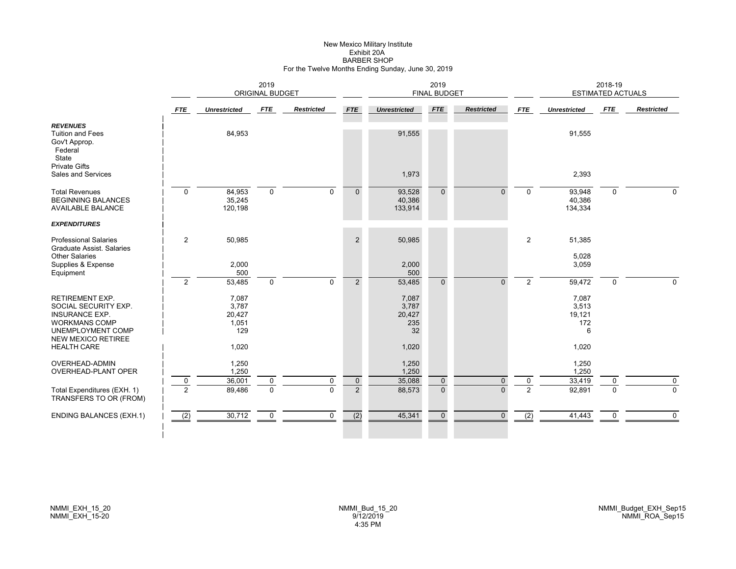#### New Mexico Military Institute Exhibit 20A BARBER SHOPFor the Twelve Months Ending Sunday, June 30, 2019

|                                                                                                                                                   |                | 2019<br><b>ORIGINAL BUDGET</b>           |              |                   |                |                                       | 2019<br><b>FINAL BUDGET</b> |                   |                |                                      | 2018-19<br><b>ESTIMATED ACTUALS</b> |                   |
|---------------------------------------------------------------------------------------------------------------------------------------------------|----------------|------------------------------------------|--------------|-------------------|----------------|---------------------------------------|-----------------------------|-------------------|----------------|--------------------------------------|-------------------------------------|-------------------|
|                                                                                                                                                   | <b>FTE</b>     | <b>Unrestricted</b>                      | FTE          | <b>Restricted</b> | <b>FTE</b>     | <b>Unrestricted</b>                   | <b>FTE</b>                  | <b>Restricted</b> | <b>FTE</b>     | <b>Unrestricted</b>                  | FTE                                 | <b>Restricted</b> |
| <b>REVENUES</b><br><b>Tuition and Fees</b><br>Gov't Approp.<br>Federal<br>State<br><b>Private Gifts</b>                                           |                | 84,953                                   |              |                   |                | 91,555                                |                             |                   |                | 91,555                               |                                     |                   |
| Sales and Services                                                                                                                                |                |                                          |              |                   |                | 1,973                                 |                             |                   |                | 2,393                                |                                     |                   |
| <b>Total Revenues</b><br><b>BEGINNING BALANCES</b><br>AVAILABLE BALANCE                                                                           | $\mathbf 0$    | 84,953<br>35,245<br>120,198              | $\mathbf{0}$ | $\Omega$          | $\Omega$       | 93,528<br>40,386<br>133,914           | $\Omega$                    | $\Omega$          | $\Omega$       | 93,948<br>40,386<br>134,334          | $\mathbf{0}$                        | $\Omega$          |
| <b>EXPENDITURES</b>                                                                                                                               |                |                                          |              |                   |                |                                       |                             |                   |                |                                      |                                     |                   |
| <b>Professional Salaries</b><br><b>Graduate Assist, Salaries</b><br><b>Other Salaries</b>                                                         | 2              | 50,985                                   |              |                   | $\overline{2}$ | 50,985                                |                             |                   | $\overline{2}$ | 51,385<br>5,028                      |                                     |                   |
| Supplies & Expense<br>Equipment                                                                                                                   |                | 2,000<br>500                             |              |                   |                | 2,000<br>500                          |                             |                   |                | 3,059                                |                                     |                   |
|                                                                                                                                                   | $\overline{2}$ | 53,485                                   | $\mathbf 0$  | $\mathbf 0$       | $\overline{2}$ | 53,485                                | $\Omega$                    | $\Omega$          | $\overline{2}$ | 59,472                               | 0                                   | $\Omega$          |
| <b>RETIREMENT EXP.</b><br>SOCIAL SECURITY EXP.<br><b>INSURANCE EXP.</b><br><b>WORKMANS COMP</b><br>UNEMPLOYMENT COMP<br><b>NEW MEXICO RETIREE</b> |                | 7,087<br>3,787<br>20,427<br>1,051<br>129 |              |                   |                | 7,087<br>3,787<br>20,427<br>235<br>32 |                             |                   |                | 7,087<br>3,513<br>19,121<br>172<br>6 |                                     |                   |
| <b>HEALTH CARE</b>                                                                                                                                |                | 1,020                                    |              |                   |                | 1,020                                 |                             |                   |                | 1,020                                |                                     |                   |
| <b>OVERHEAD-ADMIN</b><br>OVERHEAD-PLANT OPER                                                                                                      | $\mathbf 0$    | 1,250<br>1,250<br>36,001                 | 0            | 0                 | $\mathbf 0$    | 1,250<br>1,250<br>35,088              | $\mathbf 0$                 | $\mathbf{0}$      | 0              | 1,250<br>1,250<br>33,419             | 0                                   | $\mathbf 0$       |
| Total Expenditures (EXH. 1)<br>TRANSFERS TO OR (FROM)                                                                                             | 2              | 89,486                                   | $\Omega$     | $\Omega$          | $\overline{2}$ | 88,573                                | $\Omega$                    | $\Omega$          | $\overline{2}$ | 92,891                               | $\Omega$                            | $\overline{0}$    |
| <b>ENDING BALANCES (EXH.1)</b>                                                                                                                    | (2)            | 30,712                                   | $\mathbf 0$  | 0                 | (2)            | 45,341                                | $\mathbf{0}$                | $\mathbf{0}$      | (2)            | 41,443                               | 0                                   | $\mathbf 0$       |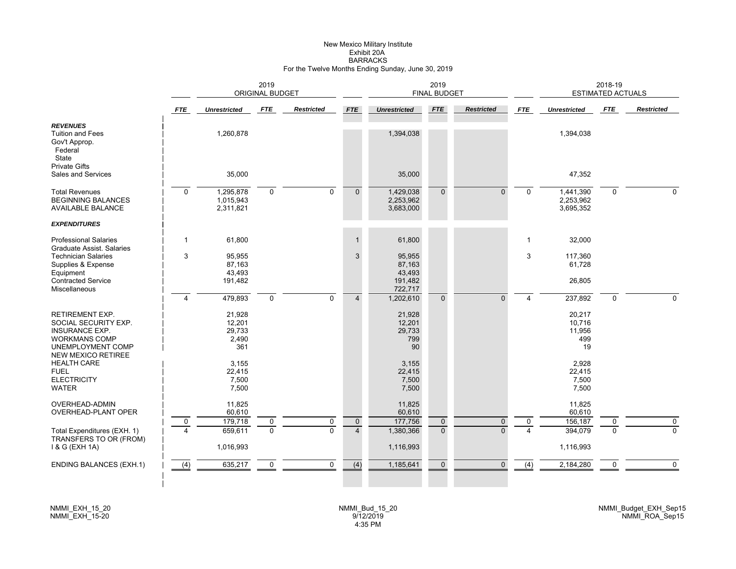# New Mexico Military Institute Exhibit 20ABARRACKS For the Twelve Months Ending Sunday, June 30, 2019

|                                                                                                                                                   |                | 2019<br><b>ORIGINAL BUDGET</b>             |                  |                               |                               |                                         | 2019<br><b>FINAL BUDGET</b> |                          |              |                                         | 2018-19<br><b>ESTIMATED ACTUALS</b> |                     |
|---------------------------------------------------------------------------------------------------------------------------------------------------|----------------|--------------------------------------------|------------------|-------------------------------|-------------------------------|-----------------------------------------|-----------------------------|--------------------------|--------------|-----------------------------------------|-------------------------------------|---------------------|
|                                                                                                                                                   | <b>FTE</b>     | <b>Unrestricted</b>                        | <b>FTE</b>       | <b>Restricted</b>             | <b>FTE</b>                    | <b>Unrestricted</b>                     | <b>FTE</b>                  | <b>Restricted</b>        | <b>FTE</b>   | <b>Unrestricted</b>                     | <b>FTE</b>                          | <b>Restricted</b>   |
| <b>REVENUES</b><br><b>Tuition and Fees</b><br>Gov't Approp.<br>Federal<br>State                                                                   |                | 1,260,878                                  |                  |                               |                               | 1,394,038                               |                             |                          |              | 1,394,038                               |                                     |                     |
| <b>Private Gifts</b><br>Sales and Services                                                                                                        |                | 35,000                                     |                  |                               |                               | 35,000                                  |                             |                          |              | 47,352                                  |                                     |                     |
| <b>Total Revenues</b><br><b>BEGINNING BALANCES</b><br><b>AVAILABLE BALANCE</b>                                                                    | $\mathbf 0$    | 1,295,878<br>1,015,943<br>2,311,821        | $\mathbf 0$      | $\mathbf 0$                   | $\mathbf{0}$                  | 1,429,038<br>2,253,962<br>3,683,000     | $\mathbf{0}$                | $\Omega$                 | $\Omega$     | 1,441,390<br>2,253,962<br>3,695,352     | $\mathbf 0$                         | $\Omega$            |
| <b>EXPENDITURES</b>                                                                                                                               |                |                                            |                  |                               |                               |                                         |                             |                          |              |                                         |                                     |                     |
| <b>Professional Salaries</b><br>Graduate Assist, Salaries                                                                                         | $\mathbf{1}$   | 61,800                                     |                  |                               | $\mathbf{1}$                  | 61,800                                  |                             |                          | $\mathbf{1}$ | 32,000                                  |                                     |                     |
| <b>Technician Salaries</b><br>Supplies & Expense<br>Equipment                                                                                     | 3              | 95,955<br>87,163<br>43,493                 |                  |                               | 3                             | 95,955<br>87,163<br>43,493              |                             |                          | 3            | 117,360<br>61,728                       |                                     |                     |
| Contracted Service<br>Miscellaneous                                                                                                               |                | 191,482                                    |                  |                               |                               | 191,482<br>722,717                      |                             |                          |              | 26,805                                  |                                     |                     |
|                                                                                                                                                   | $\overline{4}$ | 479,893                                    | 0                | $\mathbf 0$                   | $\overline{4}$                | 1,202,610                               | $\mathbf{0}$                | $\Omega$                 | 4            | 237,892                                 | $\mathbf 0$                         | $\Omega$            |
| <b>RETIREMENT EXP.</b><br>SOCIAL SECURITY EXP.<br><b>INSURANCE EXP.</b><br><b>WORKMANS COMP</b><br>UNEMPLOYMENT COMP<br><b>NEW MEXICO RETIREE</b> |                | 21,928<br>12,201<br>29,733<br>2,490<br>361 |                  |                               |                               | 21,928<br>12,201<br>29,733<br>799<br>90 |                             |                          |              | 20,217<br>10,716<br>11,956<br>499<br>19 |                                     |                     |
| <b>HEALTH CARE</b><br><b>FUEL</b><br><b>ELECTRICITY</b><br><b>WATER</b>                                                                           |                | 3,155<br>22,415<br>7,500<br>7,500          |                  |                               |                               | 3,155<br>22,415<br>7,500<br>7,500       |                             |                          |              | 2,928<br>22,415<br>7,500<br>7,500       |                                     |                     |
| OVERHEAD-ADMIN<br>OVERHEAD-PLANT OPER                                                                                                             |                | 11,825<br>60,610                           |                  |                               |                               | 11,825<br>60,610                        |                             |                          |              | 11,825<br>60,610                        |                                     |                     |
| Total Expenditures (EXH. 1)                                                                                                                       | $\mathbf 0$    | 179,718<br>659,611                         | 0<br>$\mathbf 0$ | $\mathbf 0$<br>$\overline{0}$ | $\mathbf 0$<br>$\overline{4}$ | 177,756<br>1,380,366                    | $\mathbf 0$<br>$\mathbf{0}$ | $\mathbf{0}$<br>$\Omega$ | 0            | 156,187<br>394,079                      | 0<br>$\Omega$                       | 0<br>$\overline{0}$ |
| TRANSFERS TO OR (FROM)<br>1 & G (EXH 1A)                                                                                                          |                | 1,016,993                                  |                  |                               |                               | 1,116,993                               |                             |                          |              | 1,116,993                               |                                     |                     |
| <b>ENDING BALANCES (EXH.1)</b>                                                                                                                    | (4)            | 635,217                                    | 0                | $\mathbf 0$                   | $\overline{(4)}$              | 1,185,641                               | $\mathbf 0$                 | $\Omega$                 | (4)          | 2,184,280                               | 0                                   | $\mathbf 0$         |
|                                                                                                                                                   |                |                                            |                  |                               |                               |                                         |                             |                          |              |                                         |                                     |                     |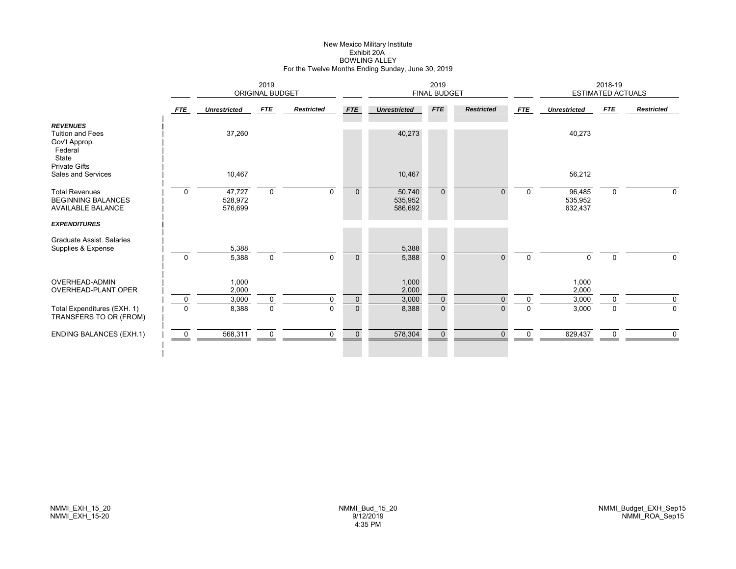# New Mexico Military Institute Exhibit 20ABOWLING ALLEY For the Twelve Months Ending Sunday, June 30, 2019

|                                                                                 | 2019<br><b>ORIGINAL BUDGET</b> |                              |                  |                         |                          |                              | 2019<br><b>FINAL BUDGET</b> |                      |                         |                              | 2018-19<br><b>ESTIMATED ACTUALS</b> |                            |
|---------------------------------------------------------------------------------|--------------------------------|------------------------------|------------------|-------------------------|--------------------------|------------------------------|-----------------------------|----------------------|-------------------------|------------------------------|-------------------------------------|----------------------------|
|                                                                                 | <b>FTE</b>                     | <b>Unrestricted</b>          | <b>FTE</b>       | <b>Restricted</b>       | <b>FTE</b>               | <b>Unrestricted</b>          | <b>FTE</b>                  | <b>Restricted</b>    | <b>FTE</b>              | <b>Unrestricted</b>          | FTE                                 | <b>Restricted</b>          |
| <b>REVENUES</b><br><b>Tuition and Fees</b><br>Gov't Approp.<br>Federal<br>State |                                | 37,260                       |                  |                         |                          | 40,273                       |                             |                      |                         | 40,273                       |                                     |                            |
| <b>Private Gifts</b><br>Sales and Services                                      |                                | 10,467                       |                  |                         |                          | 10,467                       |                             |                      |                         | 56,212                       |                                     |                            |
| <b>Total Revenues</b><br><b>BEGINNING BALANCES</b><br><b>AVAILABLE BALANCE</b>  | $\mathbf 0$                    | 47,727<br>528,972<br>576,699 | $\mathbf 0$      | $\Omega$                | $\mathbf{0}$             | 50,740<br>535,952<br>586,692 | $\mathbf{0}$                | $\Omega$             | $\mathbf 0$             | 96,485<br>535,952<br>632,437 | $\mathbf 0$                         | $\mathbf 0$                |
| <b>EXPENDITURES</b>                                                             |                                |                              |                  |                         |                          |                              |                             |                      |                         |                              |                                     |                            |
| Graduate Assist, Salaries<br>Supplies & Expense                                 | $\mathbf 0$                    | 5,388<br>5,388               | $\mathbf 0$      | $\mathbf 0$             | $\mathbf 0$              | 5,388<br>5,388               | $\mathbf{0}$                | $\Omega$             | $\Omega$                | 0                            | $\mathbf 0$                         | $\mathbf 0$                |
| <b>OVERHEAD-ADMIN</b><br><b>OVERHEAD-PLANT OPER</b>                             |                                | 1,000<br>2,000               |                  |                         |                          | 1,000<br>2,000               |                             |                      |                         | 1,000<br>2,000               |                                     |                            |
| Total Expenditures (EXH. 1)<br>TRANSFERS TO OR (FROM)                           | $\mathbf 0$<br>$\Omega$        | 3,000<br>8,388               | 0<br>$\mathbf 0$ | $\mathbf 0$<br>$\Omega$ | $\pmb{0}$<br>$\mathbf 0$ | 3,000<br>8,388               | $\mathbf 0$<br>$\mathbf{0}$ | $\Omega$<br>$\Omega$ | $\mathbf 0$<br>$\Omega$ | 3,000<br>3,000               | $\mathbf 0$<br>$\mathbf 0$          | $\mathbf 0$<br>$\mathbf 0$ |
| <b>ENDING BALANCES (EXH.1)</b>                                                  | $\mathbf 0$                    | 568,311                      | $\mathbf 0$      | $\mathbf 0$             | $\mathbf 0$              | 578,304                      | $\mathbf{0}$                | $\Omega$             | $\mathbf 0$             | 629,437                      | 0                                   | $\mathbf 0$                |
|                                                                                 |                                |                              |                  |                         |                          |                              |                             |                      |                         |                              |                                     |                            |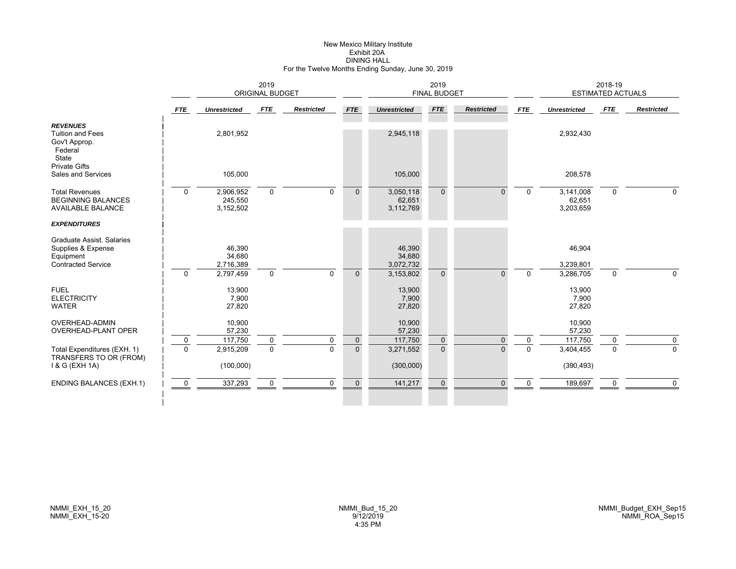# New Mexico Military Institute Exhibit 20ADINING HALL For the Twelve Months Ending Sunday, June 30, 2019

|                                                                                           |                         | 2019<br>ORIGINAL BUDGET                |                  |                   |                             |                                        | 2019<br><b>FINAL BUDGET</b> |                      |                         |                                        | 2018-19<br>ESTIMATED ACTUALS |                            |
|-------------------------------------------------------------------------------------------|-------------------------|----------------------------------------|------------------|-------------------|-----------------------------|----------------------------------------|-----------------------------|----------------------|-------------------------|----------------------------------------|------------------------------|----------------------------|
|                                                                                           | <b>FTE</b>              | <b>Unrestricted</b>                    | FTE              | <b>Restricted</b> | <b>FTE</b>                  | <b>Unrestricted</b>                    | <b>FTE</b>                  | <b>Restricted</b>    | <b>FTE</b>              | <b>Unrestricted</b>                    | FTE                          | <b>Restricted</b>          |
| <b>REVENUES</b><br>Tuition and Fees<br>Gov't Approp.<br>Federal<br>State                  |                         | 2,801,952                              |                  |                   |                             | 2,945,118                              |                             |                      |                         | 2,932,430                              |                              |                            |
| <b>Private Gifts</b><br>Sales and Services                                                |                         | 105,000                                |                  |                   |                             | 105,000                                |                             |                      |                         | 208,578                                |                              |                            |
| <b>Total Revenues</b><br><b>BEGINNING BALANCES</b><br><b>AVAILABLE BALANCE</b>            | $\Omega$                | 2,906,952<br>245,550<br>3,152,502      | $\mathbf 0$      | $\Omega$          | $\mathbf{0}$                | 3,050,118<br>62,651<br>3,112,769       | $\Omega$                    | $\Omega$             | $\Omega$                | 3,141,008<br>62,651<br>3,203,659       | $\mathbf{0}$                 | $\Omega$                   |
| <b>EXPENDITURES</b>                                                                       |                         |                                        |                  |                   |                             |                                        |                             |                      |                         |                                        |                              |                            |
| Graduate Assist. Salaries<br>Supplies & Expense<br>Equipment<br><b>Contracted Service</b> |                         | 46,390<br>34,680<br>2,716,389          |                  |                   |                             | 46,390<br>34,680<br>3,072,732          |                             |                      |                         | 46,904<br>3,239,801                    |                              |                            |
| <b>FUEL</b><br><b>ELECTRICITY</b><br><b>WATER</b>                                         | $\Omega$                | 2,797,459<br>13,900<br>7,900<br>27,820 | $\mathbf 0$      | $\mathbf 0$       | $\mathbf{0}$                | 3,153,802<br>13,900<br>7,900<br>27,820 | $\Omega$                    | $\Omega$             | $\Omega$                | 3,286,705<br>13,900<br>7,900<br>27,820 | $\mathbf 0$                  | $\Omega$                   |
| <b>OVERHEAD-ADMIN</b><br><b>OVERHEAD-PLANT OPER</b>                                       |                         | 10,900<br>57,230                       |                  |                   |                             | 10,900<br>57,230                       |                             |                      |                         | 10,900<br>57,230                       |                              |                            |
| Total Expenditures (EXH. 1)<br>TRANSFERS TO OR (FROM)                                     | $\mathbf 0$<br>$\Omega$ | 117,750<br>2,915,209                   | 0<br>$\mathbf 0$ | 0<br>$\Omega$     | $\mathbf 0$<br>$\mathbf{0}$ | 117,750<br>3,271,552                   | $\mathbf 0$<br>$\mathbf{0}$ | $\Omega$<br>$\Omega$ | $\mathbf 0$<br>$\Omega$ | 117,750<br>3,404,455                   | $\mathbf 0$<br>$\Omega$      | $\mathbf 0$<br>$\mathbf 0$ |
| 1 & G (EXH 1A)                                                                            |                         | (100,000)                              |                  |                   |                             | (300,000)                              |                             |                      |                         | (390, 493)                             |                              |                            |
| <b>ENDING BALANCES (EXH.1)</b>                                                            | $\mathbf 0$             | 337,293                                | $\mathbf 0$      | $\mathbf 0$       | $\mathbf 0$                 | 141,217                                | $\mathbf{0}$                | $\Omega$             | $\Omega$                | 189,697                                | $\mathbf 0$                  | $\mathbf 0$                |
|                                                                                           |                         |                                        |                  |                   |                             |                                        |                             |                      |                         |                                        |                              |                            |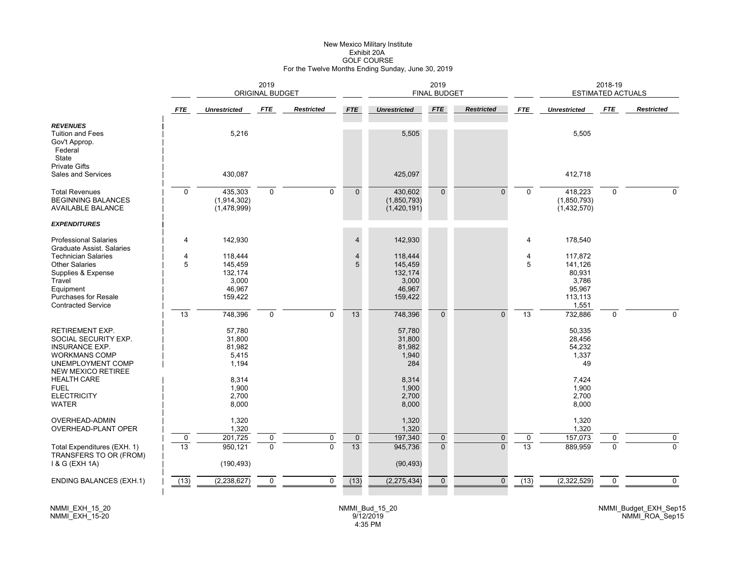# New Mexico Military Institute Exhibit 20AGOLF COURSE For the Twelve Months Ending Sunday, June 30, 2019

|                                                                                                                                                  | 2019<br><b>ORIGINAL BUDGET</b> |                                              |              |                   |                          |                                            | 2019<br><b>FINAL BUDGET</b> |                   |                 |                                                  | 2018-19<br><b>ESTIMATED ACTUALS</b> |                   |
|--------------------------------------------------------------------------------------------------------------------------------------------------|--------------------------------|----------------------------------------------|--------------|-------------------|--------------------------|--------------------------------------------|-----------------------------|-------------------|-----------------|--------------------------------------------------|-------------------------------------|-------------------|
|                                                                                                                                                  | <b>FTE</b>                     | <b>Unrestricted</b>                          | FTE          | <b>Restricted</b> | <b>FTE</b>               | <b>Unrestricted</b>                        | <b>FTE</b>                  | <b>Restricted</b> | <b>FTE</b>      | <b>Unrestricted</b>                              | <b>FTE</b>                          | <b>Restricted</b> |
| <b>REVENUES</b><br><b>Tuition and Fees</b><br>Gov't Approp.<br>Federal<br>State                                                                  |                                | 5,216                                        |              |                   |                          | 5,505                                      |                             |                   |                 | 5,505                                            |                                     |                   |
| <b>Private Gifts</b><br><b>Sales and Services</b>                                                                                                |                                | 430,087                                      |              |                   |                          | 425,097                                    |                             |                   |                 | 412,718                                          |                                     |                   |
| <b>Total Revenues</b><br><b>BEGINNING BALANCES</b><br><b>AVAILABLE BALANCE</b><br><b>EXPENDITURES</b>                                            | $\mathbf 0$                    | 435,303<br>(1,914,302)<br>(1,478,999)        | $\mathbf 0$  | $\mathbf 0$       | $\mathbf{0}$             | 430,602<br>(1,850,793)<br>(1,420,191)      | $\overline{0}$              | $\Omega$          | $\Omega$        | 418,223<br>(1,850,793)<br>(1,432,570)            | $\mathbf 0$                         | $\Omega$          |
|                                                                                                                                                  |                                | 142,930                                      |              |                   |                          | 142,930                                    |                             |                   |                 |                                                  |                                     |                   |
| <b>Professional Salaries</b><br>Graduate Assist, Salaries<br><b>Technician Salaries</b><br><b>Other Salaries</b><br>Supplies & Expense<br>Travel | $\overline{4}$<br>4<br>5       | 118,444<br>145,459<br>132,174<br>3,000       |              |                   | $\overline{4}$<br>4<br>5 | 118,444<br>145,459<br>132,174<br>3,000     |                             |                   | 4<br>4<br>5     | 178,540<br>117,872<br>141,126<br>80,931<br>3,786 |                                     |                   |
| Equipment<br>Purchases for Resale<br><b>Contracted Service</b>                                                                                   | 13                             | 46,967<br>159,422<br>748,396                 | $\mathbf 0$  | $\mathbf 0$       | 13                       | 46,967<br>159,422<br>748,396               | $\overline{0}$              | $\Omega$          | 13              | 95,967<br>113,113<br>1,551<br>732,886            | $\mathbf 0$                         | $\Omega$          |
| RETIREMENT EXP.<br>SOCIAL SECURITY EXP.<br><b>INSURANCE EXP.</b><br><b>WORKMANS COMP</b><br>UNEMPLOYMENT COMP                                    |                                | 57,780<br>31,800<br>81,982<br>5,415<br>1,194 |              |                   |                          | 57,780<br>31,800<br>81,982<br>1,940<br>284 |                             |                   |                 | 50,335<br>28,456<br>54,232<br>1,337<br>49        |                                     |                   |
| <b>NEW MEXICO RETIREE</b><br><b>HEALTH CARE</b><br><b>FUEL</b><br><b>ELECTRICITY</b><br><b>WATER</b>                                             |                                | 8,314<br>1,900<br>2,700<br>8,000             |              |                   |                          | 8,314<br>1,900<br>2,700<br>8,000           |                             |                   |                 | 7,424<br>1,900<br>2,700<br>8,000                 |                                     |                   |
| <b>OVERHEAD-ADMIN</b><br><b>OVERHEAD-PLANT OPER</b>                                                                                              | $\mathbf 0$                    | 1,320<br>1,320<br>201,725                    | 0            | 0                 | $\pmb{0}$                | 1,320<br>1,320<br>197,340                  | $\mathbf 0$                 | $\mathbf{0}$      | 0               | 1,320<br>1,320<br>157,073                        | 0                                   | $\pmb{0}$         |
| Total Expenditures (EXH. 1)<br>TRANSFERS TO OR (FROM)<br>1 & G (EXH 1A)                                                                          | $\overline{13}$                | 950,121<br>(190, 493)                        | $\mathbf{0}$ | $\Omega$          | $\overline{13}$          | 945,736<br>(90, 493)                       | $\overline{0}$              | $\Omega$          | $\overline{13}$ | 889,959                                          | $\Omega$                            | $\overline{0}$    |
| <b>ENDING BALANCES (EXH.1)</b>                                                                                                                   | (13)                           | (2, 238, 627)                                | $\mathbf 0$  | $\mathbf 0$       | (13)                     | (2, 275, 434)                              | $\mathbf 0$                 | $\mathbf{0}$      | (13)            | (2,322,529)                                      | $\mathbf 0$                         | $\mathbf 0$       |

NMMI\_EXH\_15\_20 NMMI\_EXH\_15-20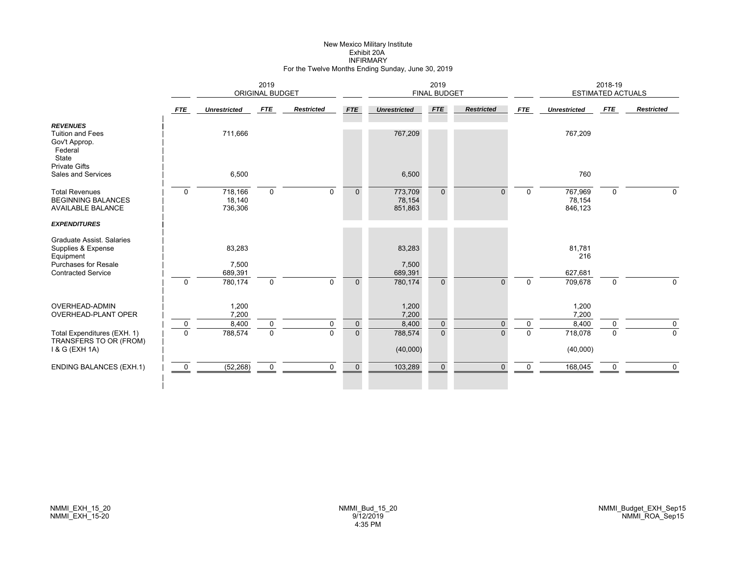# New Mexico Military Institute Exhibit 20AINFIRMARY For the Twelve Months Ending Sunday, June 30, 2019

|                                                                                                    |             |                              | 2019<br><b>ORIGINAL BUDGET</b> |                   |                |                              | 2019<br><b>FINAL BUDGET</b> |                   |            |                              | 2018-19<br><b>ESTIMATED ACTUALS</b> |                   |
|----------------------------------------------------------------------------------------------------|-------------|------------------------------|--------------------------------|-------------------|----------------|------------------------------|-----------------------------|-------------------|------------|------------------------------|-------------------------------------|-------------------|
|                                                                                                    | <b>FTE</b>  | <b>Unrestricted</b>          | <b>FTE</b>                     | <b>Restricted</b> | FTE            | <b>Unrestricted</b>          | <b>FTE</b>                  | <b>Restricted</b> | <b>FTE</b> | <b>Unrestricted</b>          | FTE                                 | <b>Restricted</b> |
| <b>REVENUES</b><br><b>Tuition and Fees</b><br>Gov't Approp.<br>Federal<br>State                    |             | 711,666                      |                                |                   |                | 767,209                      |                             |                   |            | 767,209                      |                                     |                   |
| <b>Private Gifts</b><br>Sales and Services                                                         |             | 6,500                        |                                |                   |                | 6,500                        |                             |                   |            | 760                          |                                     |                   |
| <b>Total Revenues</b><br><b>BEGINNING BALANCES</b><br><b>AVAILABLE BALANCE</b>                     | $\mathbf 0$ | 718,166<br>18,140<br>736,306 | $\mathbf 0$                    | $\Omega$          | $\mathbf{0}$   | 773,709<br>78,154<br>851,863 | $\Omega$                    | $\Omega$          | $\Omega$   | 767,969<br>78,154<br>846,123 | $\mathbf 0$                         | $\Omega$          |
| <b>EXPENDITURES</b>                                                                                |             |                              |                                |                   |                |                              |                             |                   |            |                              |                                     |                   |
| <b>Graduate Assist. Salaries</b><br>Supplies & Expense<br>Equipment<br><b>Purchases for Resale</b> |             | 83,283<br>7,500              |                                |                   |                | 83,283<br>7,500              |                             |                   |            | 81,781<br>216                |                                     |                   |
| <b>Contracted Service</b>                                                                          |             | 689,391                      |                                |                   |                | 689,391                      |                             |                   |            | 627,681                      |                                     |                   |
|                                                                                                    | $\Omega$    | 780,174                      | $\mathbf 0$                    | $\Omega$          | $\mathbf{0}$   | 780,174                      | $\Omega$                    | $\Omega$          | $\Omega$   | 709,678                      | $\mathbf 0$                         | $\Omega$          |
| OVERHEAD-ADMIN<br>OVERHEAD-PLANT OPER                                                              |             | 1,200<br>7,200               |                                |                   |                | 1,200<br>7,200               |                             |                   |            | 1,200<br>7,200               |                                     |                   |
|                                                                                                    | $\mathbf 0$ | 8,400                        | 0                              | 0                 | $\pmb{0}$      | 8,400                        | $\mathbf 0$                 | $\Omega$          | $\Omega$   | 8,400                        | 0                                   | $\mathbf{0}$      |
| Total Expenditures (EXH. 1)<br>TRANSFERS TO OR (FROM)<br>1 & G (EXH 1A)                            | $\Omega$    | 788,574                      | $\mathbf 0$                    | $\Omega$          | $\overline{0}$ | 788,574<br>(40,000)          | $\Omega$                    | $\Omega$          | $\Omega$   | 718,078<br>(40,000)          | $\Omega$                            | $\Omega$          |
| <b>ENDING BALANCES (EXH.1)</b>                                                                     | $\mathbf 0$ | (52, 268)                    | $\mathbf 0$                    | $\mathbf 0$       | $\mathbf 0$    | 103,289                      | $\Omega$                    | $\Omega$          | $\Omega$   | 168,045                      | 0                                   | $\Omega$          |
|                                                                                                    |             |                              |                                |                   |                |                              |                             |                   |            |                              |                                     |                   |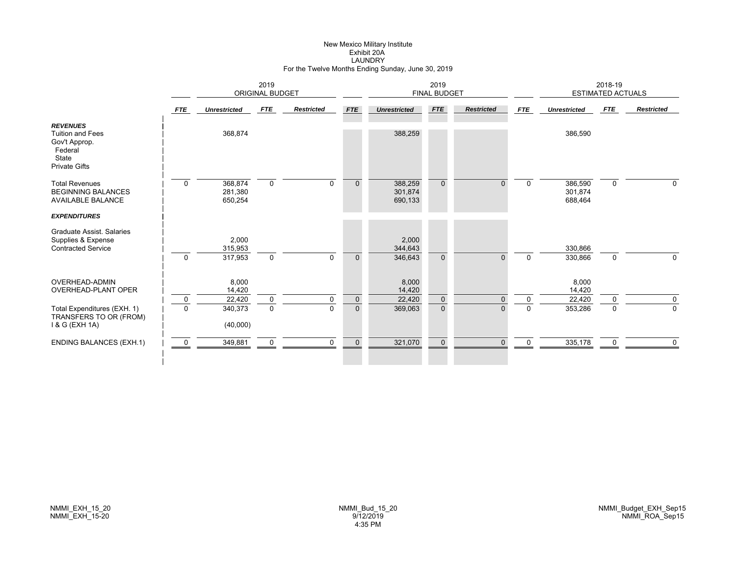# New Mexico Military Institute Exhibit 20ALAUNDRY For the Twelve Months Ending Sunday, June 30, 2019

|                                                                                                         | 2019<br><b>ORIGINAL BUDGET</b> |                               |             |                   |              |                               | 2019<br><b>FINAL BUDGET</b> |                   |              |                               | 2018-19<br><b>ESTIMATED ACTUALS</b> |                   |
|---------------------------------------------------------------------------------------------------------|--------------------------------|-------------------------------|-------------|-------------------|--------------|-------------------------------|-----------------------------|-------------------|--------------|-------------------------------|-------------------------------------|-------------------|
|                                                                                                         | <b>FTE</b>                     | <b>Unrestricted</b>           | FTE         | <b>Restricted</b> | <b>FTE</b>   | <b>Unrestricted</b>           | FTE                         | <b>Restricted</b> | FTE          | <b>Unrestricted</b>           | FTE                                 | <b>Restricted</b> |
| <b>REVENUES</b><br><b>Tuition and Fees</b><br>Gov't Approp.<br>Federal<br>State<br><b>Private Gifts</b> |                                | 368,874                       |             |                   |              | 388,259                       |                             |                   |              | 386,590                       |                                     |                   |
| <b>Total Revenues</b><br><b>BEGINNING BALANCES</b><br><b>AVAILABLE BALANCE</b>                          | $\mathbf 0$                    | 368,874<br>281,380<br>650,254 | $\mathbf 0$ | $\Omega$          | $\Omega$     | 388,259<br>301,874<br>690,133 | $\Omega$                    | $\overline{0}$    | $\mathbf{0}$ | 386,590<br>301,874<br>688,464 | $\mathbf{0}$                        | $\Omega$          |
| <b>EXPENDITURES</b>                                                                                     |                                |                               |             |                   |              |                               |                             |                   |              |                               |                                     |                   |
| Graduate Assist, Salaries<br>Supplies & Expense<br><b>Contracted Service</b>                            |                                | 2,000<br>315,953              |             |                   |              | 2,000<br>344,643              |                             |                   |              | 330,866                       |                                     |                   |
|                                                                                                         | $\Omega$                       | 317,953                       | $\mathbf 0$ | $\Omega$          | $\Omega$     | 346,643                       | $\Omega$                    | $\Omega$          | $\Omega$     | 330,866                       | $\mathbf 0$                         | 0                 |
| <b>OVERHEAD-ADMIN</b><br><b>OVERHEAD-PLANT OPER</b>                                                     |                                | 8,000<br>14,420               |             |                   |              | 8,000<br>14,420               |                             |                   |              | 8,000<br>14,420               |                                     |                   |
|                                                                                                         | $\mathbf 0$                    | 22,420                        | $\mathbf 0$ | $\Omega$          | $\mathbf{0}$ | 22,420                        | $\mathbf{0}$                | $\Omega$          | $\mathbf{0}$ | 22,420                        | $\Omega$                            | 0                 |
| Total Expenditures (EXH. 1)<br>TRANSFERS TO OR (FROM)<br>1 & G (EXH 1A)                                 | $\Omega$                       | 340,373<br>(40,000)           | $\mathbf 0$ | $\Omega$          | $\mathbf{0}$ | 369,063                       | $\mathbf{0}$                | $\overline{0}$    | $\mathbf 0$  | 353,286                       | $\mathbf 0$                         | $\mathbf 0$       |
| <b>ENDING BALANCES (EXH.1)</b>                                                                          | 0                              | 349,881                       | $\mathbf 0$ | $\mathbf 0$       | $\mathbf 0$  | 321,070                       | $\mathbf 0$                 | $\Omega$          | $\Omega$     | 335,178                       | $\mathbf 0$                         | $\Omega$          |
|                                                                                                         |                                |                               |             |                   |              |                               |                             |                   |              |                               |                                     |                   |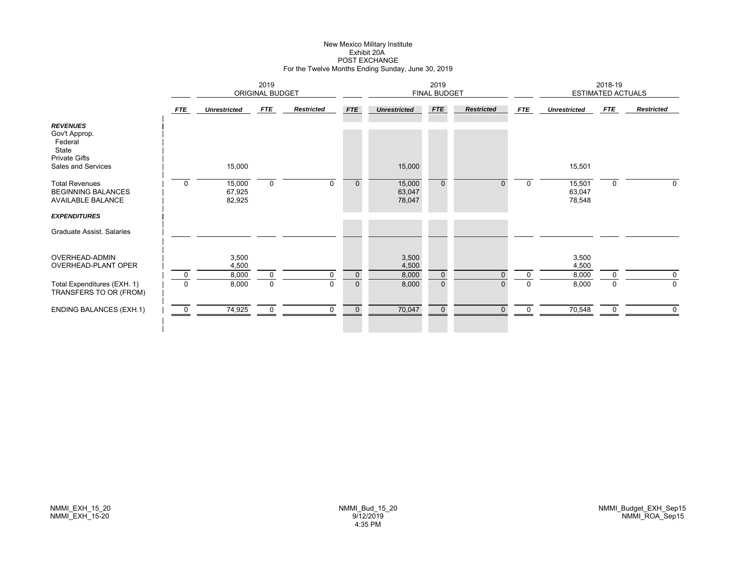# New Mexico Military Institute Exhibit 20APOST EXCHANGE For the Twelve Months Ending Sunday, June 30, 2019

|                                                                                                    |                         | 2019<br><b>ORIGINAL BUDGET</b> |                            |                   |                               |                            | 2019<br><b>FINAL BUDGET</b>  |                   |                      |                            | 2018-19<br><b>ESTIMATED ACTUALS</b> |                            |
|----------------------------------------------------------------------------------------------------|-------------------------|--------------------------------|----------------------------|-------------------|-------------------------------|----------------------------|------------------------------|-------------------|----------------------|----------------------------|-------------------------------------|----------------------------|
|                                                                                                    | <b>FTE</b>              | <b>Unrestricted</b>            | <b>FTE</b>                 | <b>Restricted</b> | <b>FTE</b>                    | <b>Unrestricted</b>        | FTE                          | <b>Restricted</b> | <b>FTE</b>           | <b>Unrestricted</b>        | <b>FTE</b>                          | <b>Restricted</b>          |
| <b>REVENUES</b><br>Gov't Approp.<br>Federal<br>State<br><b>Private Gifts</b><br>Sales and Services |                         | 15,000                         |                            |                   |                               | 15,000                     |                              |                   |                      | 15,501                     |                                     |                            |
| <b>Total Revenues</b><br><b>BEGINNING BALANCES</b><br><b>AVAILABLE BALANCE</b>                     | $\mathbf 0$             | 15,000<br>67,925<br>82,925     | $\mathbf 0$                | $\Omega$          | $\pmb{0}$                     | 15,000<br>63,047<br>78,047 | $\mathbf{0}$                 | $\Omega$          | $\Omega$             | 15,501<br>63,047<br>78,548 | $\mathbf 0$                         | $\Omega$                   |
| <b>EXPENDITURES</b>                                                                                |                         |                                |                            |                   |                               |                            |                              |                   |                      |                            |                                     |                            |
| Graduate Assist, Salaries                                                                          |                         |                                |                            |                   |                               |                            |                              |                   |                      |                            |                                     |                            |
| OVERHEAD-ADMIN<br><b>OVERHEAD-PLANT OPER</b>                                                       |                         | 3,500<br>4,500                 |                            |                   |                               | 3,500<br>4,500             |                              |                   |                      | 3,500<br>4,500             |                                     |                            |
| Total Expenditures (EXH. 1)                                                                        | $\mathbf 0$<br>$\Omega$ | 8,000<br>8,000                 | $\mathbf 0$<br>$\mathbf 0$ | 0<br>$\Omega$     | $\mathbf 0$<br>$\overline{0}$ | 8,000<br>8,000             | $\mathbf{0}$<br>$\mathbf{0}$ | $\Omega$          | $\Omega$<br>$\Omega$ | 8,000<br>8,000             | $\Omega$<br>$\mathbf 0$             | $\mathbf 0$<br>$\mathbf 0$ |
| TRANSFERS TO OR (FROM)                                                                             |                         |                                |                            |                   |                               |                            |                              |                   |                      |                            |                                     |                            |
| <b>ENDING BALANCES (EXH.1)</b>                                                                     | $\mathbf 0$             | 74,925                         | $\mathbf 0$                | 0                 | $\mathbf 0$                   | 70,047                     | $\mathbf 0$                  | $\mathbf{0}$      | $\mathbf 0$          | 70,548                     | 0                                   | $\mathbf 0$                |
|                                                                                                    |                         |                                |                            |                   |                               |                            |                              |                   |                      |                            |                                     |                            |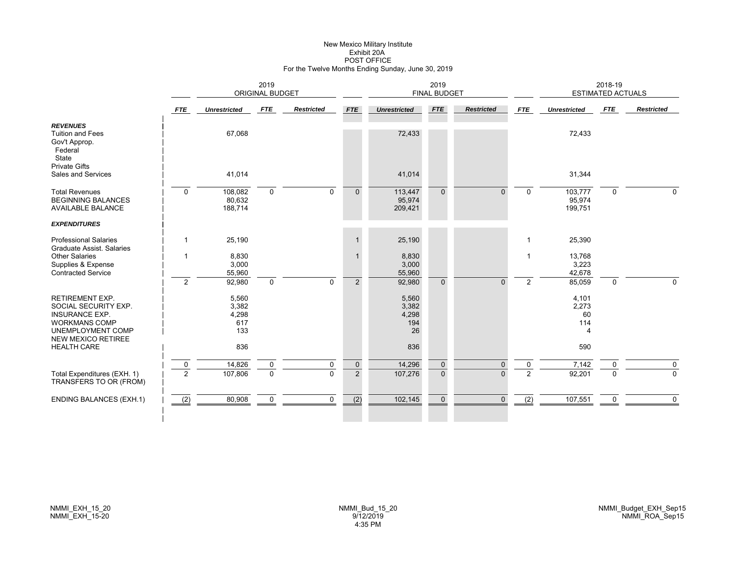# New Mexico Military Institute Exhibit 20APOST OFFICE For the Twelve Months Ending Sunday, June 30, 2019

|                                                                                                                                                   | 2019<br><b>ORIGINAL BUDGET</b> |                                       |                            |                   | 2019<br><b>FINAL BUDGET</b>   |                                      |                               |                      | 2018-19<br>ESTIMATED ACTUALS  |                              |                         |                   |
|---------------------------------------------------------------------------------------------------------------------------------------------------|--------------------------------|---------------------------------------|----------------------------|-------------------|-------------------------------|--------------------------------------|-------------------------------|----------------------|-------------------------------|------------------------------|-------------------------|-------------------|
|                                                                                                                                                   | FTE                            | <b>Unrestricted</b>                   | <b>FTE</b>                 | <b>Restricted</b> | <b>FTE</b>                    | <b>Unrestricted</b>                  | <b>FTE</b>                    | <b>Restricted</b>    | <b>FTE</b>                    | <b>Unrestricted</b>          | FTE                     | <b>Restricted</b> |
| <b>REVENUES</b><br><b>Tuition and Fees</b><br>Gov't Approp.<br>Federal<br>State                                                                   |                                | 67,068                                |                            |                   |                               | 72,433                               |                               |                      |                               | 72,433                       |                         |                   |
| <b>Private Gifts</b><br>Sales and Services                                                                                                        |                                | 41,014                                |                            |                   |                               | 41,014                               |                               |                      |                               | 31,344                       |                         |                   |
| <b>Total Revenues</b><br><b>BEGINNING BALANCES</b><br><b>AVAILABLE BALANCE</b>                                                                    | $\mathbf 0$                    | 108,082<br>80,632<br>188,714          | $\mathbf 0$                | $\mathbf 0$       | $\mathbf{0}$                  | 113,447<br>95,974<br>209,421         | $\mathbf{0}$                  | $\Omega$             | $\Omega$                      | 103,777<br>95,974<br>199,751 | $\mathbf 0$             | 0                 |
| <b>EXPENDITURES</b>                                                                                                                               |                                |                                       |                            |                   |                               |                                      |                               |                      |                               |                              |                         |                   |
| <b>Professional Salaries</b><br>Graduate Assist, Salaries                                                                                         | $\mathbf{1}$                   | 25,190                                |                            |                   | $\mathbf{1}$                  | 25,190                               |                               |                      | $\mathbf{1}$                  | 25,390                       |                         |                   |
| <b>Other Salaries</b><br>Supplies & Expense<br><b>Contracted Service</b>                                                                          |                                | 8,830<br>3,000<br>55,960              |                            |                   | $\mathbf 1$                   | 8,830<br>3,000<br>55,960             |                               |                      | -1                            | 13,768<br>3,223<br>42,678    |                         |                   |
|                                                                                                                                                   | 2                              | 92,980                                | $\mathbf 0$                | $\mathbf 0$       | $\overline{2}$                | 92,980                               | $\mathbf{0}$                  | $\Omega$             | $\overline{2}$                | 85,059                       | $\mathbf 0$             | $\Omega$          |
| <b>RETIREMENT EXP.</b><br>SOCIAL SECURITY EXP.<br><b>INSURANCE EXP.</b><br><b>WORKMANS COMP</b><br>UNEMPLOYMENT COMP<br><b>NEW MEXICO RETIREE</b> |                                | 5,560<br>3,382<br>4,298<br>617<br>133 |                            |                   |                               | 5,560<br>3,382<br>4,298<br>194<br>26 |                               |                      |                               | 4,101<br>2,273<br>60<br>114  |                         |                   |
| <b>HEALTH CARE</b>                                                                                                                                |                                | 836                                   |                            |                   |                               | 836                                  |                               |                      |                               | 590                          |                         |                   |
| Total Expenditures (EXH. 1)<br>TRANSFERS TO OR (FROM)                                                                                             | $\pmb{0}$<br>$\overline{2}$    | 14,826<br>107,806                     | $\mathbf 0$<br>$\mathbf 0$ | 0<br>$\Omega$     | $\mathbf 0$<br>$\overline{2}$ | 14,296<br>107,276                    | $\mathbf 0$<br>$\overline{0}$ | $\Omega$<br>$\Omega$ | $\mathbf 0$<br>$\overline{2}$ | 7,142<br>92,201              | $\mathbf 0$<br>$\Omega$ | 0<br>$\Omega$     |
| <b>ENDING BALANCES (EXH.1)</b>                                                                                                                    | (2)                            | 80,908                                | 0                          | $\mathbf 0$       | $\overline{(2)}$              | 102,145                              | $\mathbf 0$                   | $\mathbf{0}$         | (2)                           | 107,551                      | 0                       | $\mathbf 0$       |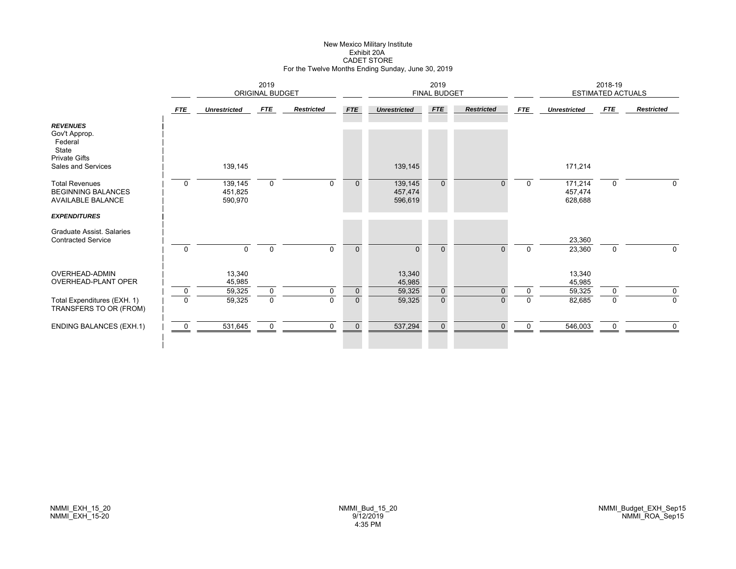# New Mexico Military Institute Exhibit 20ACADET STORE For the Twelve Months Ending Sunday, June 30, 2019

|                                                                                                    | 2019<br>ORIGINAL BUDGET |                               |             |                   |              | 2019<br><b>FINAL BUDGET</b>   |              |                   |              | 2018-19<br><b>ESTIMATED ACTUALS</b> |             |                   |
|----------------------------------------------------------------------------------------------------|-------------------------|-------------------------------|-------------|-------------------|--------------|-------------------------------|--------------|-------------------|--------------|-------------------------------------|-------------|-------------------|
|                                                                                                    | <b>FTE</b>              | <b>Unrestricted</b>           | <b>FTE</b>  | <b>Restricted</b> | <b>FTE</b>   | <b>Unrestricted</b>           | <b>FTE</b>   | <b>Restricted</b> | <b>FTE</b>   | <b>Unrestricted</b>                 | <b>FTE</b>  | <b>Restricted</b> |
| <b>REVENUES</b><br>Gov't Approp.<br>Federal<br>State<br><b>Private Gifts</b><br>Sales and Services |                         | 139,145                       |             |                   |              | 139,145                       |              |                   |              | 171,214                             |             |                   |
| <b>Total Revenues</b><br><b>BEGINNING BALANCES</b><br><b>AVAILABLE BALANCE</b>                     | $\mathbf 0$             | 139,145<br>451,825<br>590,970 | $\mathbf 0$ | $\Omega$          | $\Omega$     | 139,145<br>457,474<br>596,619 | $\mathbf{0}$ | $\Omega$          | $\mathbf 0$  | 171,214<br>457,474<br>628,688       | $\mathbf 0$ | 0                 |
| <b>EXPENDITURES</b>                                                                                |                         |                               |             |                   |              |                               |              |                   |              |                                     |             |                   |
| Graduate Assist, Salaries<br><b>Contracted Service</b>                                             |                         |                               |             |                   |              |                               |              |                   |              | 23,360                              |             |                   |
|                                                                                                    | $\mathbf 0$             | $\Omega$                      | $\mathbf 0$ | $\Omega$          | $\mathbf{0}$ | $\Omega$                      | $\Omega$     | $\Omega$          | $\mathbf{0}$ | 23,360                              | $\mathbf 0$ | 0                 |
| OVERHEAD-ADMIN<br><b>OVERHEAD-PLANT OPER</b>                                                       |                         | 13,340<br>45,985              |             |                   |              | 13,340<br>45,985              |              |                   |              | 13,340<br>45,985                    |             |                   |
|                                                                                                    | $\mathbf 0$             | 59,325                        | $\mathbf 0$ | $\Omega$          | $\mathbf{0}$ | 59,325                        | $\mathbf 0$  | $\Omega$          | 0            | 59,325                              | $\Omega$    | 0                 |
| Total Expenditures (EXH. 1)<br>TRANSFERS TO OR (FROM)                                              | $\mathbf{0}$            | 59,325                        | $\mathbf 0$ | $\Omega$          | $\Omega$     | 59,325                        | $\mathbf 0$  | 0                 | 0            | 82,685                              | $\Omega$    | $\mathbf 0$       |
| <b>ENDING BALANCES (EXH.1)</b>                                                                     | $\mathbf 0$             | 531,645                       | $\mathbf 0$ | $\Omega$          | $\mathbf{0}$ | 537,294                       | $\mathbf 0$  | $\Omega$          | $\Omega$     | 546,003                             | $\Omega$    | 0                 |
|                                                                                                    |                         |                               |             |                   |              |                               |              |                   |              |                                     |             |                   |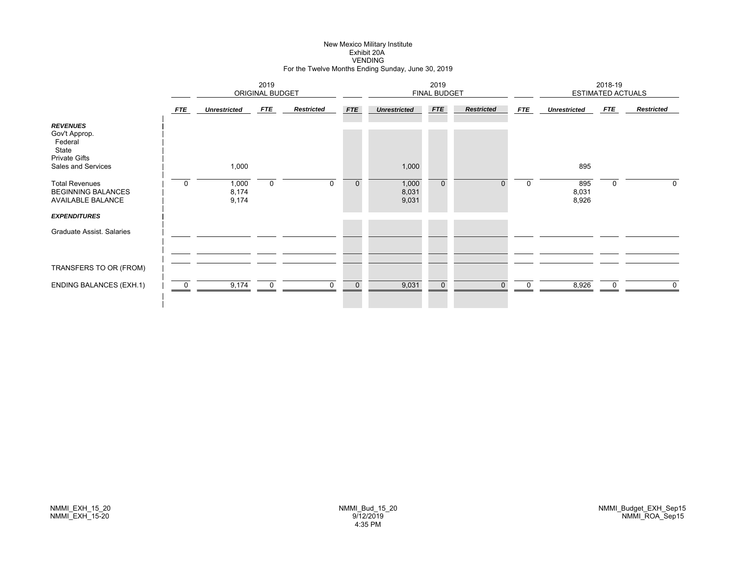# New Mexico Military Institute Exhibit 20AVENDING For the Twelve Months Ending Sunday, June 30, 2019

|                                                                                                    |                |                         | 2019<br><b>ORIGINAL BUDGET</b> |                   |              |                         | 2019<br><b>FINAL BUDGET</b> |                   |             |                       | 2018-19<br><b>ESTIMATED ACTUALS</b> |                   |
|----------------------------------------------------------------------------------------------------|----------------|-------------------------|--------------------------------|-------------------|--------------|-------------------------|-----------------------------|-------------------|-------------|-----------------------|-------------------------------------|-------------------|
|                                                                                                    | FTE            | <b>Unrestricted</b>     | <b>FTE</b>                     | <b>Restricted</b> | <b>FTE</b>   | <b>Unrestricted</b>     | FTE                         | <b>Restricted</b> | <b>FTE</b>  | <b>Unrestricted</b>   | FTE                                 | <b>Restricted</b> |
| <b>REVENUES</b><br>Gov't Approp.<br>Federal<br>State<br><b>Private Gifts</b><br>Sales and Services |                | 1,000                   |                                |                   |              | 1,000                   |                             |                   |             | 895                   |                                     |                   |
| <b>Total Revenues</b><br><b>BEGINNING BALANCES</b><br>AVAILABLE BALANCE                            | $\mathbf 0$    | 1,000<br>8,174<br>9,174 | $\mathbf 0$                    | $\mathbf 0$       | $\mathbf 0$  | 1,000<br>8,031<br>9,031 | $\mathbf{0}$                | 0                 | $\mathbf 0$ | 895<br>8,031<br>8,926 | 0                                   | $\Omega$          |
| <b>EXPENDITURES</b>                                                                                |                |                         |                                |                   |              |                         |                             |                   |             |                       |                                     |                   |
| Graduate Assist. Salaries                                                                          |                |                         |                                |                   |              |                         |                             |                   |             |                       |                                     |                   |
| TRANSFERS TO OR (FROM)                                                                             |                |                         |                                |                   |              |                         |                             |                   |             |                       |                                     |                   |
| <b>ENDING BALANCES (EXH.1)</b>                                                                     | $\overline{0}$ | 9,174                   | $\mathbf 0$                    | $\Omega$          | $\mathbf{0}$ | 9,031                   | $\overline{0}$              | $\Omega$          | $\Omega$    | 8,926                 | $\Omega$                            | $\mathbf{0}$      |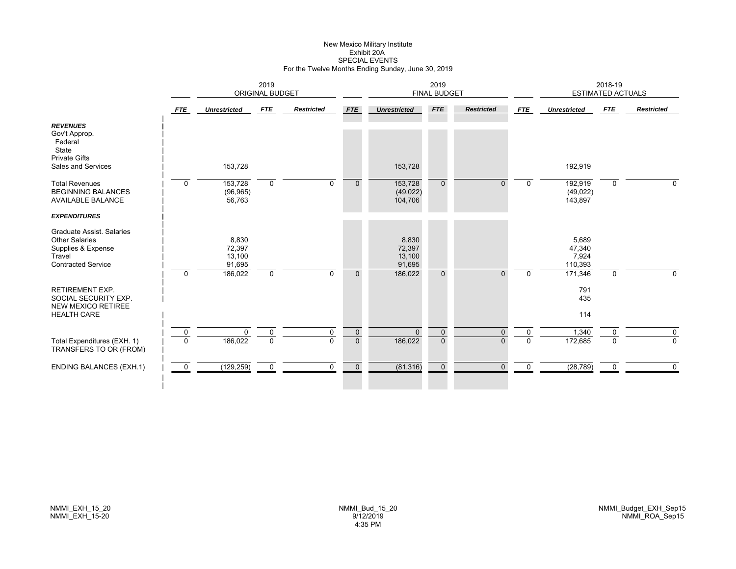# New Mexico Military Institute Exhibit 20ASPECIAL EVENTS For the Twelve Months Ending Sunday, June 30, 2019

|                                                                                                                        |                |                                     | 2019<br><b>ORIGINAL BUDGET</b> |                   |              |                                     | 2019<br><b>FINAL BUDGET</b> |                   |              |                                     | 2018-19<br><b>ESTIMATED ACTUALS</b> |                   |
|------------------------------------------------------------------------------------------------------------------------|----------------|-------------------------------------|--------------------------------|-------------------|--------------|-------------------------------------|-----------------------------|-------------------|--------------|-------------------------------------|-------------------------------------|-------------------|
|                                                                                                                        | <b>FTE</b>     | <b>Unrestricted</b>                 | <b>FTE</b>                     | <b>Restricted</b> | <b>FTE</b>   | <b>Unrestricted</b>                 | <b>FTE</b>                  | <b>Restricted</b> | <b>FTE</b>   | <b>Unrestricted</b>                 | <b>FTE</b>                          | <b>Restricted</b> |
| <b>REVENUES</b><br>Gov't Approp.<br>Federal<br>State<br><b>Private Gifts</b><br>Sales and Services                     |                | 153,728                             |                                |                   |              | 153,728                             |                             |                   |              | 192,919                             |                                     |                   |
| <b>Total Revenues</b><br><b>BEGINNING BALANCES</b><br><b>AVAILABLE BALANCE</b>                                         | $\mathbf 0$    | 153,728<br>(96, 965)<br>56,763      | $\mathbf 0$                    | $\mathbf{0}$      | $\mathbf{0}$ | 153,728<br>(49, 022)<br>104,706     | $\mathbf{0}$                | $\Omega$          | $\Omega$     | 192,919<br>(49, 022)<br>143,897     | $\mathbf 0$                         | $\Omega$          |
| <b>EXPENDITURES</b>                                                                                                    |                |                                     |                                |                   |              |                                     |                             |                   |              |                                     |                                     |                   |
| <b>Graduate Assist, Salaries</b><br><b>Other Salaries</b><br>Supplies & Expense<br>Travel<br><b>Contracted Service</b> |                | 8,830<br>72,397<br>13,100<br>91,695 |                                |                   |              | 8,830<br>72,397<br>13,100<br>91,695 |                             |                   |              | 5,689<br>47,340<br>7,924<br>110,393 |                                     |                   |
| <b>RETIREMENT EXP.</b><br>SOCIAL SECURITY EXP.<br><b>NEW MEXICO RETIREE</b><br><b>HEALTH CARE</b>                      | $\Omega$       | 186,022                             | $\mathbf 0$                    | $\Omega$          | $\Omega$     | 186,022                             | $\Omega$                    | $\Omega$          | $\Omega$     | 171,346<br>791<br>435<br>114        | $\mathbf 0$                         | $\mathbf 0$       |
|                                                                                                                        | $\mathbf 0$    | $\mathbf 0$                         | $\mathbf 0$                    | $\mathbf 0$       | $\mathbf{0}$ | $\Omega$                            | $\mathbf{0}$                | $\Omega$          | $\mathbf 0$  | 1,340                               | $\mathbf 0$                         | $\mathbf 0$       |
| Total Expenditures (EXH. 1)<br>TRANSFERS TO OR (FROM)                                                                  | $\mathbf 0$    | 186,022                             | $\mathbf 0$                    | $\Omega$          | $\mathbf{0}$ | 186,022                             | $\overline{0}$              | $\Omega$          | $\mathbf{0}$ | 172,685                             | $\Omega$                            | 0                 |
| <b>ENDING BALANCES (EXH.1)</b>                                                                                         | $\overline{0}$ | (129, 259)                          | $\mathbf 0$                    | $\mathbf 0$       | $\mathbf{0}$ | (81, 316)                           | $\mathbf{0}$                | $\Omega$          | $\mathbf 0$  | (28, 789)                           | $\mathbf 0$                         | $\mathbf 0$       |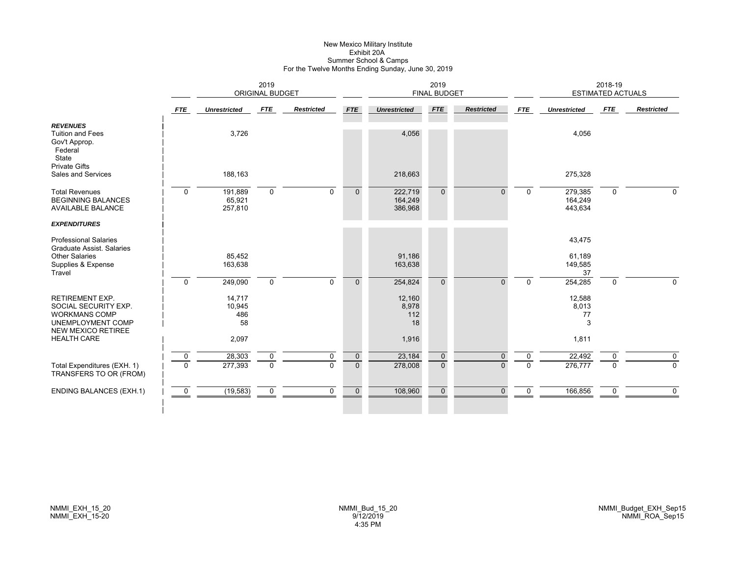#### New Mexico Military Institute Exhibit 20A Summer School & Camps For the Twelve Months Ending Sunday, June 30, 2019

|                                                                                                                                                |                | 2019<br><b>ORIGINAL BUDGET</b>         |             |                   |                |                                       | 2019<br><b>FINAL BUDGET</b> |                   |             |                                     | 2018-19<br><b>ESTIMATED ACTUALS</b> |                   |
|------------------------------------------------------------------------------------------------------------------------------------------------|----------------|----------------------------------------|-------------|-------------------|----------------|---------------------------------------|-----------------------------|-------------------|-------------|-------------------------------------|-------------------------------------|-------------------|
|                                                                                                                                                | <b>FTE</b>     | <b>Unrestricted</b>                    | FTE         | <b>Restricted</b> | <b>FTE</b>     | <b>Unrestricted</b>                   | <b>FTE</b>                  | <b>Restricted</b> | FTE         | <b>Unrestricted</b>                 | FTE                                 | <b>Restricted</b> |
| <b>REVENUES</b><br><b>Tuition and Fees</b><br>Gov't Approp.<br>Federal<br>State                                                                |                | 3,726                                  |             |                   |                | 4,056                                 |                             |                   |             | 4,056                               |                                     |                   |
| <b>Private Gifts</b><br>Sales and Services                                                                                                     |                | 188,163                                |             |                   |                | 218,663                               |                             |                   |             | 275,328                             |                                     |                   |
| <b>Total Revenues</b><br><b>BEGINNING BALANCES</b><br><b>AVAILABLE BALANCE</b>                                                                 | $\Omega$       | 191,889<br>65,921<br>257,810           | $\mathbf 0$ | $\Omega$          | $\Omega$       | 222,719<br>164,249<br>386,968         | $\Omega$                    | $\Omega$          | $\Omega$    | 279,385<br>164,249<br>443,634       | $\mathbf 0$                         | $\Omega$          |
| <b>EXPENDITURES</b>                                                                                                                            |                |                                        |             |                   |                |                                       |                             |                   |             |                                     |                                     |                   |
| <b>Professional Salaries</b><br>Graduate Assist. Salaries<br><b>Other Salaries</b><br>Supplies & Expense                                       |                | 85,452<br>163,638                      |             |                   |                | 91,186<br>163,638                     |                             |                   |             | 43,475<br>61,189<br>149,585         |                                     |                   |
| Travel                                                                                                                                         | $\mathbf{0}$   | 249,090                                | $\mathbf 0$ | $\Omega$          | $\Omega$       | 254,824                               | $\Omega$                    | $\Omega$          | $\Omega$    | 37<br>254,285                       | $\mathbf 0$                         | $\Omega$          |
| <b>RETIREMENT EXP.</b><br>SOCIAL SECURITY EXP.<br><b>WORKMANS COMP</b><br>UNEMPLOYMENT COMP<br><b>NEW MEXICO RETIREE</b><br><b>HEALTH CARE</b> |                | 14,717<br>10,945<br>486<br>58<br>2,097 |             |                   |                | 12,160<br>8,978<br>112<br>18<br>1,916 |                             |                   |             | 12,588<br>8,013<br>77<br>3<br>1,811 |                                     |                   |
|                                                                                                                                                | $\mathbf 0$    | 28,303                                 | $\mathbf 0$ | $\mathbf 0$       | $\mathbf 0$    | 23,184                                | $\mathbf 0$                 | $\Omega$          | $\Omega$    | 22,492                              | $\Omega$                            | $\mathbf 0$       |
| Total Expenditures (EXH. 1)<br>TRANSFERS TO OR (FROM)                                                                                          | $\Omega$       | 277,393                                | $\mathbf 0$ | $\Omega$          | $\overline{0}$ | 278,008                               | $\mathbf{0}$                | $\Omega$          | $\Omega$    | 276,777                             | $\Omega$                            | $\Omega$          |
| <b>ENDING BALANCES (EXH.1)</b>                                                                                                                 | $\overline{0}$ | (19, 583)                              | $\mathbf 0$ | 0                 | $\mathbf 0$    | 108,960                               | $\mathbf{0}$                | $\Omega$          | $\mathbf 0$ | 166,856                             | 0                                   | $\mathbf 0$       |
|                                                                                                                                                |                |                                        |             |                   |                |                                       |                             |                   |             |                                     |                                     |                   |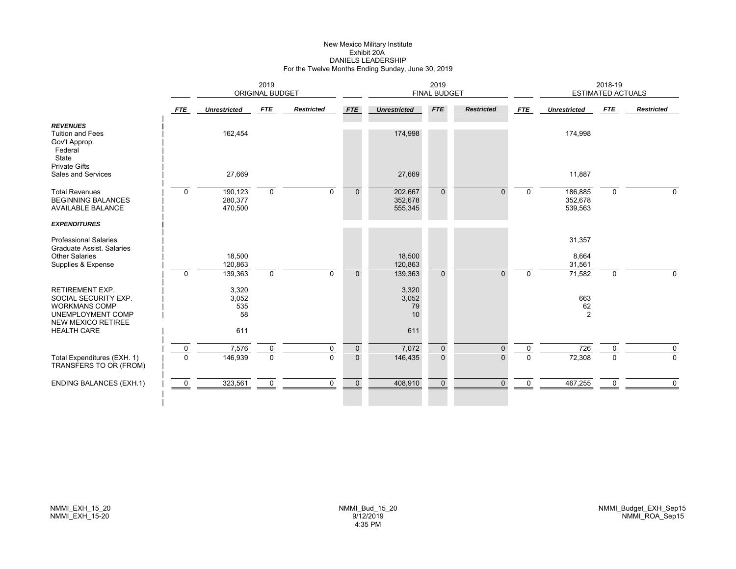# New Mexico Military Institute Exhibit 20ADANIELS LEADERSHIP For the Twelve Months Ending Sunday, June 30, 2019

|                                                                                                                          |              | 2019<br><b>ORIGINAL BUDGET</b> |             |                   |              |                               | 2019<br><b>FINAL BUDGET</b> |                   |             |                               | 2018-19<br><b>ESTIMATED ACTUALS</b> |                   |
|--------------------------------------------------------------------------------------------------------------------------|--------------|--------------------------------|-------------|-------------------|--------------|-------------------------------|-----------------------------|-------------------|-------------|-------------------------------|-------------------------------------|-------------------|
|                                                                                                                          | <b>FTE</b>   | <b>Unrestricted</b>            | <b>FTE</b>  | <b>Restricted</b> | <b>FTE</b>   | <b>Unrestricted</b>           | <b>FTE</b>                  | <b>Restricted</b> | <b>FTE</b>  | <b>Unrestricted</b>           | FTE                                 | <b>Restricted</b> |
| <b>REVENUES</b><br><b>Tuition and Fees</b><br>Gov't Approp.<br>Federal<br>State                                          |              | 162,454                        |             |                   |              | 174,998                       |                             |                   |             | 174,998                       |                                     |                   |
| <b>Private Gifts</b><br>Sales and Services                                                                               |              | 27,669                         |             |                   |              | 27,669                        |                             |                   |             | 11,887                        |                                     |                   |
| <b>Total Revenues</b><br><b>BEGINNING BALANCES</b><br><b>AVAILABLE BALANCE</b>                                           | $\mathbf 0$  | 190,123<br>280,377<br>470,500  | $\mathbf 0$ | $\Omega$          | $\Omega$     | 202,667<br>352,678<br>555,345 | $\Omega$                    |                   | $\Omega$    | 186,885<br>352,678<br>539,563 | $\mathbf 0$                         | $\Omega$          |
| <b>EXPENDITURES</b>                                                                                                      |              |                                |             |                   |              |                               |                             |                   |             |                               |                                     |                   |
| <b>Professional Salaries</b><br><b>Graduate Assist, Salaries</b><br><b>Other Salaries</b>                                |              | 18,500                         |             |                   |              | 18,500                        |                             |                   |             | 31,357<br>8,664               |                                     |                   |
| Supplies & Expense                                                                                                       | $\Omega$     | 120,863<br>139,363             | $\mathbf 0$ | $\Omega$          | $\Omega$     | 120,863<br>139,363            | $\Omega$                    | $\Omega$          | $\Omega$    | 31,561<br>71,582              | 0                                   | $\Omega$          |
| <b>RETIREMENT EXP.</b><br>SOCIAL SECURITY EXP.<br><b>WORKMANS COMP</b><br>UNEMPLOYMENT COMP<br><b>NEW MEXICO RETIREE</b> |              | 3,320<br>3,052<br>535<br>58    |             |                   |              | 3,320<br>3,052<br>79<br>10    |                             |                   |             | 663<br>62<br>$\overline{2}$   |                                     |                   |
| <b>HEALTH CARE</b>                                                                                                       |              | 611                            |             |                   |              | 611                           |                             |                   |             |                               |                                     |                   |
|                                                                                                                          | 0            | 7,576                          | 0           | 0                 | $\mathbf 0$  | 7,072                         | $\mathbf 0$                 | $\Omega$          | 0           | 726                           | 0                                   | $\mathbf 0$       |
| Total Expenditures (EXH. 1)<br>TRANSFERS TO OR (FROM)                                                                    | $\mathbf{0}$ | 146,939                        | $\mathbf 0$ | $\Omega$          | $\mathbf{0}$ | 146,435                       | $\mathbf{0}$                | $\Omega$          | $\Omega$    | 72,308                        | $\mathbf 0$                         | $\mathbf 0$       |
| <b>ENDING BALANCES (EXH.1)</b>                                                                                           | $\mathbf 0$  | 323,561                        | 0           | 0                 | $\mathbf 0$  | 408,910                       | $\mathbf 0$                 | $\Omega$          | $\mathbf 0$ | 467,255                       | $\mathbf 0$                         | $\mathbf 0$       |
|                                                                                                                          |              |                                |             |                   |              |                               |                             |                   |             |                               |                                     |                   |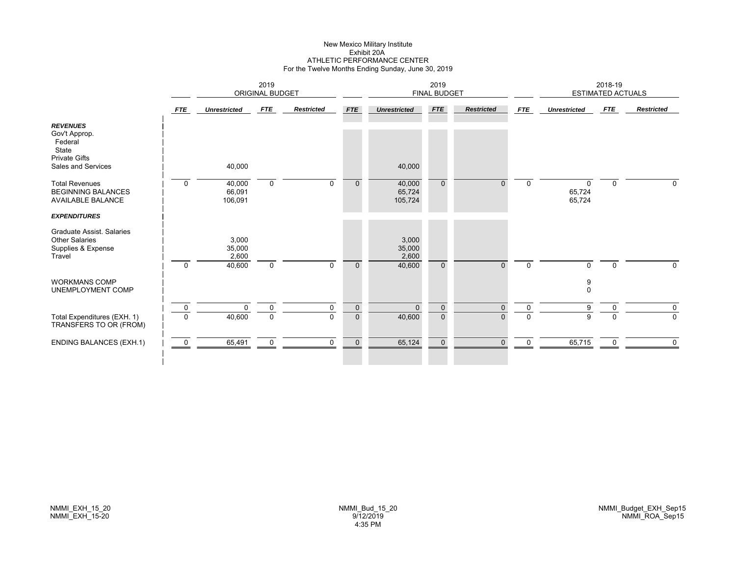# New Mexico Military Institute Exhibit 20AATHLETIC PERFORMANCE CENTER For the Twelve Months Ending Sunday, June 30, 2019

|                                                                                                    |                | 2019<br>ORIGINAL BUDGET            |             |                   |              |                                    | 2019<br>FINAL BUDGET |                   |             |                              | 2018-19<br><b>ESTIMATED ACTUALS</b> |                   |
|----------------------------------------------------------------------------------------------------|----------------|------------------------------------|-------------|-------------------|--------------|------------------------------------|----------------------|-------------------|-------------|------------------------------|-------------------------------------|-------------------|
|                                                                                                    | <b>FTE</b>     | <b>Unrestricted</b>                | FTE         | <b>Restricted</b> | <b>FTE</b>   | <b>Unrestricted</b>                | FTE                  | <b>Restricted</b> | <b>FTE</b>  | <b>Unrestricted</b>          | <b>FTE</b>                          | <b>Restricted</b> |
| <b>REVENUES</b><br>Gov't Approp.<br>Federal<br>State<br><b>Private Gifts</b><br>Sales and Services |                | 40,000                             |             |                   |              | 40,000                             |                      |                   |             |                              |                                     |                   |
| <b>Total Revenues</b><br><b>BEGINNING BALANCES</b><br><b>AVAILABLE BALANCE</b>                     | $\mathbf 0$    | 40,000<br>66,091<br>106,091        | $\mathbf 0$ | $\Omega$          | $\mathbf{0}$ | 40,000<br>65,724<br>105,724        | $\mathbf{0}$         | 0                 | $\Omega$    | $\Omega$<br>65,724<br>65,724 | $\mathbf 0$                         | $\Omega$          |
| <b>EXPENDITURES</b>                                                                                |                |                                    |             |                   |              |                                    |                      |                   |             |                              |                                     |                   |
| Graduate Assist. Salaries<br><b>Other Salaries</b><br>Supplies & Expense<br>Travel                 | $\Omega$       | 3,000<br>35,000<br>2,600<br>40,600 | $\mathbf 0$ | $\Omega$          | $\mathbf{0}$ | 3,000<br>35,000<br>2,600<br>40,600 | $\mathbf{0}$         | $\Omega$          | $\Omega$    | $\Omega$                     | $\mathbf 0$                         | 0                 |
| <b>WORKMANS COMP</b><br>UNEMPLOYMENT COMP                                                          |                |                                    |             |                   |              |                                    |                      |                   |             | 9<br>$\mathbf 0$             |                                     |                   |
|                                                                                                    | $\overline{0}$ | $\Omega$                           | $\mathbf 0$ | $\Omega$          | $\mathbf 0$  | $\Omega$                           | $\mathbf{0}$         | $\Omega$          | $\mathbf 0$ | 9                            | $\Omega$                            | 0                 |
| Total Expenditures (EXH. 1)<br>TRANSFERS TO OR (FROM)                                              | $\mathbf 0$    | 40,600                             | $\mathbf 0$ | $\Omega$          | $\mathbf{0}$ | 40,600                             | $\mathbf{0}$         | 0                 | $\Omega$    | 9                            | $\Omega$                            | 0                 |
| <b>ENDING BALANCES (EXH.1)</b>                                                                     | $\overline{0}$ | 65,491                             | $\mathbf 0$ | $\mathbf 0$       | $\mathbf 0$  | 65,124                             | $\mathbf{0}$         | $\Omega$          | 0           | 65,715                       | 0                                   | $\mathbf 0$       |
|                                                                                                    |                |                                    |             |                   |              |                                    |                      |                   |             |                              |                                     |                   |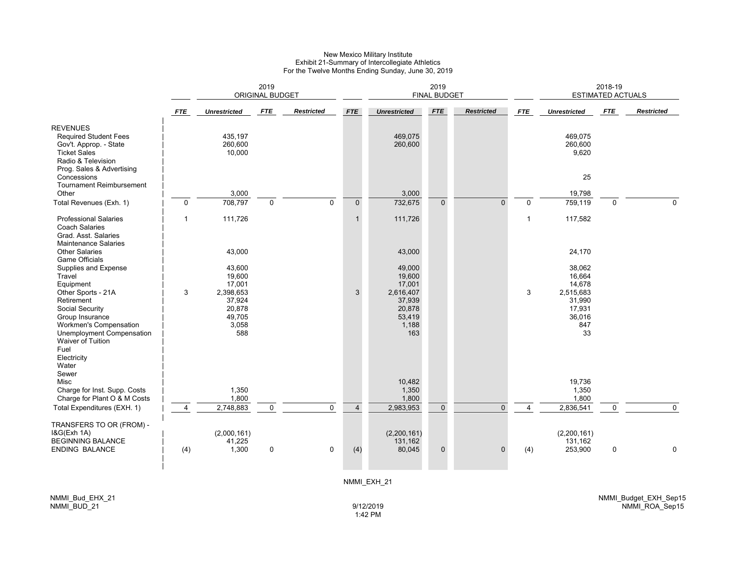#### New Mexico Military Institute Exhibit 21-Summary of Intercollegiate Athletics For the Twelve Months Ending Sunday, June 30, 2019

|                                                                                                                                                     | 2019<br>ORIGINAL BUDGET |                                                         |             |                   |                |                                                         | 2019<br><b>FINAL BUDGET</b> |                   |                |                                                      | 2018-19<br>ESTIMATED ACTUALS |                   |
|-----------------------------------------------------------------------------------------------------------------------------------------------------|-------------------------|---------------------------------------------------------|-------------|-------------------|----------------|---------------------------------------------------------|-----------------------------|-------------------|----------------|------------------------------------------------------|------------------------------|-------------------|
|                                                                                                                                                     | <b>FTE</b>              | <b>Unrestricted</b>                                     | <b>FTE</b>  | <b>Restricted</b> | <b>FTE</b>     | <b>Unrestricted</b>                                     | <b>FTE</b>                  | <b>Restricted</b> | <b>FTE</b>     | <b>Unrestricted</b>                                  | <b>FTE</b>                   | <b>Restricted</b> |
| <b>REVENUES</b><br><b>Required Student Fees</b><br>Gov't. Approp. - State<br><b>Ticket Sales</b><br>Radio & Television<br>Prog. Sales & Advertising |                         | 435,197<br>260,600<br>10,000                            |             |                   |                | 469,075<br>260,600                                      |                             |                   |                | 469,075<br>260,600<br>9,620                          |                              |                   |
| Concessions<br><b>Tournament Reimbursement</b>                                                                                                      |                         |                                                         |             |                   |                |                                                         |                             |                   |                | 25                                                   |                              |                   |
| Other                                                                                                                                               |                         | 3,000                                                   |             |                   |                | 3,000                                                   |                             |                   |                | 19,798                                               |                              |                   |
| Total Revenues (Exh. 1)                                                                                                                             | $\mathbf 0$             | 708,797                                                 | $\mathbf 0$ | $\Omega$          | $\mathbf{0}$   | 732,675                                                 | $\mathbf{0}$                | $\Omega$          | $\mathbf 0$    | 759,119                                              | $\Omega$                     | $\Omega$          |
| <b>Professional Salaries</b><br><b>Coach Salaries</b><br>Grad. Asst. Salaries<br><b>Maintenance Salaries</b>                                        | 1                       | 111,726                                                 |             |                   | $\mathbf{1}$   | 111,726                                                 |                             |                   | $\overline{1}$ | 117,582                                              |                              |                   |
| <b>Other Salaries</b><br><b>Game Officials</b>                                                                                                      |                         | 43,000                                                  |             |                   |                | 43,000                                                  |                             |                   |                | 24,170                                               |                              |                   |
| Supplies and Expense<br>Travel<br>Equipment                                                                                                         |                         | 43,600<br>19,600<br>17,001                              |             |                   |                | 49,000<br>19,600<br>17,001                              |                             |                   |                | 38,062<br>16,664<br>14,678                           |                              |                   |
| Other Sports - 21A<br>Retirement<br>Social Security<br>Group Insurance<br>Workmen's Compensation<br>Unemployment Compensation<br>Waiver of Tuition  | 3                       | 2,398,653<br>37,924<br>20,878<br>49,705<br>3,058<br>588 |             |                   | 3              | 2,616,407<br>37,939<br>20,878<br>53,419<br>1,188<br>163 |                             |                   | 3              | 2,515,683<br>31,990<br>17,931<br>36,016<br>847<br>33 |                              |                   |
| Fuel<br>Electricity<br>Water<br>Sewer<br>Misc                                                                                                       |                         |                                                         |             |                   |                | 10,482                                                  |                             |                   |                | 19,736                                               |                              |                   |
| Charge for Inst. Supp. Costs                                                                                                                        |                         | 1,350                                                   |             |                   |                | 1,350                                                   |                             |                   |                | 1,350                                                |                              |                   |
| Charge for Plant O & M Costs<br>Total Expenditures (EXH. 1)                                                                                         | $\overline{4}$          | 1,800<br>2,748,883                                      | $\mathbf 0$ | $\mathbf 0$       | $\overline{4}$ | 1,800<br>2,983,953                                      | $\mathbf 0$                 | $\mathbf{0}$      | $\overline{4}$ | 1,800<br>2,836,541                                   | $\Omega$                     | $\mathbf 0$       |
| TRANSFERS TO OR (FROM) -<br>I&G(Exh 1A)                                                                                                             |                         | (2,000,161)                                             |             |                   |                | (2,200,161)                                             |                             |                   |                | (2,200,161)                                          |                              |                   |
| <b>BEGINNING BALANCE</b><br><b>ENDING BALANCE</b>                                                                                                   | (4)                     | 41,225<br>1,300                                         | 0           | 0                 | (4)            | 131,162<br>80,045                                       | $\pmb{0}$                   | $\Omega$          | (4)            | 131,162<br>253,900                                   | 0                            | 0                 |
|                                                                                                                                                     |                         |                                                         |             |                   |                |                                                         |                             |                   |                |                                                      |                              |                   |

NMMI\_EXH\_21

NMMI\_Bud\_EHX\_21 NMMI\_BUD\_21

9/12/20191:42 PM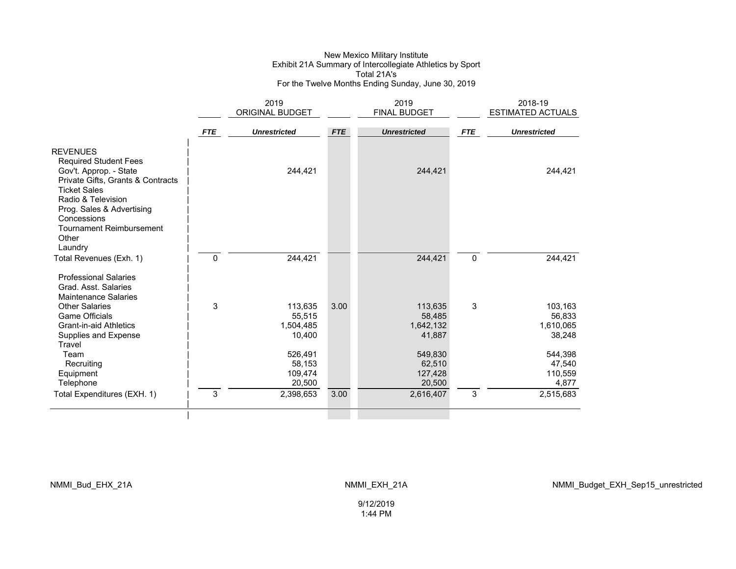#### New Mexico Military Institute Exhibit 21A Summary of Intercollegiate Athletics by Sport Total 21A's For the Twelve Months Ending Sunday, June 30, 2019

|                                                                                                                | 2019         |                     |            | 2019                |             | 2018-19                  |
|----------------------------------------------------------------------------------------------------------------|--------------|---------------------|------------|---------------------|-------------|--------------------------|
|                                                                                                                |              | ORIGINAL BUDGET     |            | <b>FINAL BUDGET</b> |             | <b>ESTIMATED ACTUALS</b> |
|                                                                                                                | <b>FTE</b>   | <b>Unrestricted</b> | <b>FTE</b> | <b>Unrestricted</b> | <b>FTE</b>  | <b>Unrestricted</b>      |
| <b>REVENUES</b><br><b>Required Student Fees</b><br>Gov't. Approp. - State<br>Private Gifts, Grants & Contracts |              | 244,421             |            | 244,421             |             | 244,421                  |
| <b>Ticket Sales</b><br>Radio & Television<br>Prog. Sales & Advertising<br>Concessions                          |              |                     |            |                     |             |                          |
| <b>Tournament Reimbursement</b><br>Other<br>Laundry                                                            |              |                     |            |                     |             |                          |
| Total Revenues (Exh. 1)                                                                                        | $\mathbf{0}$ | 244,421             |            | 244,421             | $\mathbf 0$ | 244,421                  |
| <b>Professional Salaries</b><br>Grad. Asst. Salaries<br><b>Maintenance Salaries</b>                            |              |                     |            |                     |             |                          |
| <b>Other Salaries</b>                                                                                          | 3            | 113,635             | 3.00       | 113,635             | 3           | 103,163                  |
| <b>Game Officials</b>                                                                                          |              | 55,515              |            | 58,485              |             | 56,833                   |
| <b>Grant-in-aid Athletics</b>                                                                                  |              | 1,504,485           |            | 1,642,132           |             | 1,610,065                |
| Supplies and Expense                                                                                           |              | 10,400              |            | 41,887              |             | 38,248                   |
| Travel                                                                                                         |              |                     |            |                     |             |                          |
| Team<br>Recruiting                                                                                             |              | 526,491<br>58,153   |            | 549,830<br>62,510   |             | 544,398<br>47,540        |
| Equipment                                                                                                      |              | 109,474             |            | 127,428             |             | 110,559                  |
| Telephone                                                                                                      |              | 20,500              |            | 20,500              |             | 4,877                    |
| Total Expenditures (EXH. 1)                                                                                    | 3            | 2,398,653           | 3.00       | 2,616,407           | 3           | 2,515,683                |
|                                                                                                                |              |                     |            |                     |             |                          |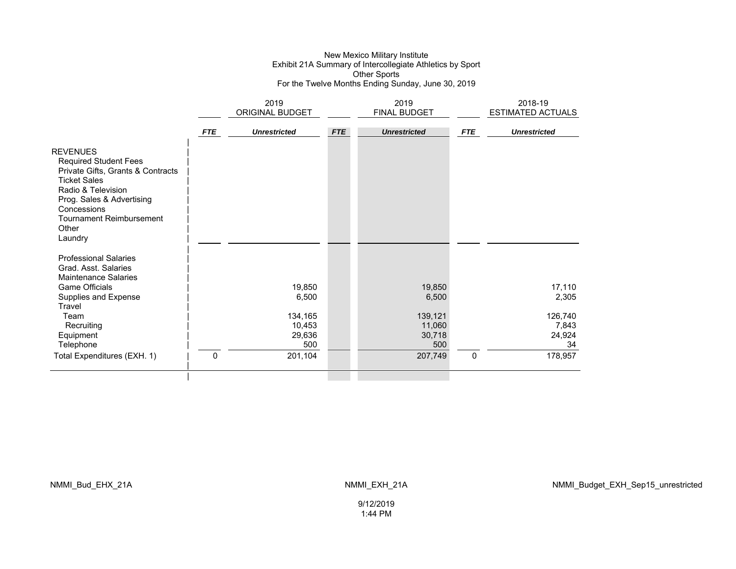#### New Mexico Military Institute Exhibit 21A Summary of Intercollegiate Athletics by Sport Other Sports For the Twelve Months Ending Sunday, June 30, 2019

|                                                                                                                                                                                                                                      |            | 2019<br>ORIGINAL BUDGET            |            | 2019<br><b>FINAL BUDGET</b>        |            | 2018-19<br><b>ESTIMATED ACTUALS</b> |
|--------------------------------------------------------------------------------------------------------------------------------------------------------------------------------------------------------------------------------------|------------|------------------------------------|------------|------------------------------------|------------|-------------------------------------|
|                                                                                                                                                                                                                                      | <b>FTE</b> | <b>Unrestricted</b>                | <b>FTE</b> | <b>Unrestricted</b>                | <b>FTE</b> | <b>Unrestricted</b>                 |
| <b>REVENUES</b><br><b>Required Student Fees</b><br>Private Gifts, Grants & Contracts<br><b>Ticket Sales</b><br>Radio & Television<br>Prog. Sales & Advertising<br>Concessions<br><b>Tournament Reimbursement</b><br>Other<br>Laundry |            |                                    |            |                                    |            |                                     |
| <b>Professional Salaries</b><br>Grad. Asst. Salaries<br><b>Maintenance Salaries</b><br><b>Game Officials</b>                                                                                                                         |            | 19,850                             |            | 19,850                             |            | 17,110                              |
| Supplies and Expense                                                                                                                                                                                                                 |            | 6,500                              |            | 6,500                              |            | 2,305                               |
| Travel<br>Team<br>Recruiting<br>Equipment<br>Telephone                                                                                                                                                                               |            | 134,165<br>10,453<br>29,636<br>500 |            | 139,121<br>11,060<br>30,718<br>500 |            | 126,740<br>7,843<br>24,924<br>34    |
| Total Expenditures (EXH. 1)                                                                                                                                                                                                          | 0          | 201,104                            |            | 207,749                            | 0          | 178,957                             |
|                                                                                                                                                                                                                                      |            |                                    |            |                                    |            |                                     |

NMMI\_Bud\_EHX\_21A NMMI\_EXH\_21A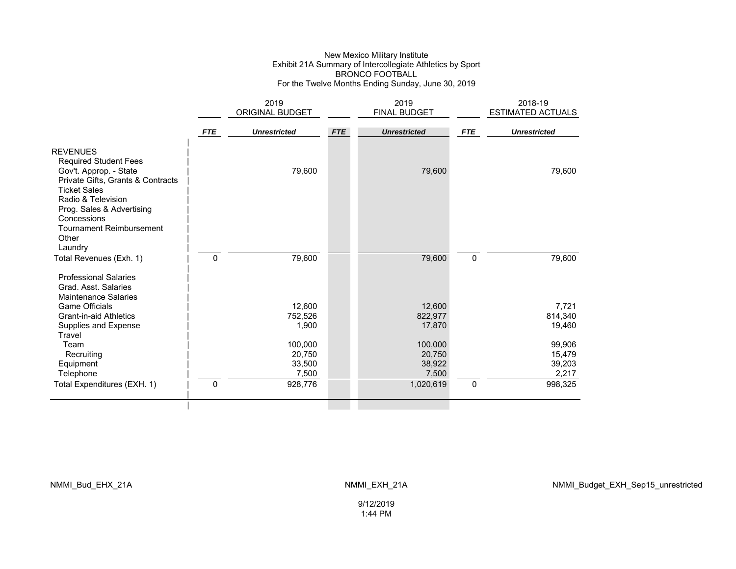#### New Mexico Military Institute Exhibit 21A Summary of Intercollegiate Athletics by Sport BRONCO FOOTBALL For the Twelve Months Ending Sunday, June 30, 2019

|                                                                                                                                       |            | 2019<br>ORIGINAL BUDGET |            | 2019<br><b>FINAL BUDGET</b> |             | 2018-19<br>ESTIMATED ACTUALS |
|---------------------------------------------------------------------------------------------------------------------------------------|------------|-------------------------|------------|-----------------------------|-------------|------------------------------|
|                                                                                                                                       |            |                         |            |                             |             |                              |
|                                                                                                                                       | <b>FTE</b> | <b>Unrestricted</b>     | <b>FTE</b> | <b>Unrestricted</b>         | <b>FTE</b>  | <b>Unrestricted</b>          |
| <b>REVENUES</b><br><b>Required Student Fees</b><br>Gov't. Approp. - State<br>Private Gifts, Grants & Contracts<br><b>Ticket Sales</b> |            | 79,600                  |            | 79,600                      |             | 79,600                       |
| Radio & Television<br>Prog. Sales & Advertising<br>Concessions<br><b>Tournament Reimbursement</b><br>Other<br>Laundry                 |            |                         |            |                             |             |                              |
| Total Revenues (Exh. 1)                                                                                                               | 0          | 79,600                  |            | 79,600                      | $\mathbf 0$ | 79,600                       |
| <b>Professional Salaries</b><br>Grad. Asst. Salaries<br><b>Maintenance Salaries</b>                                                   |            |                         |            |                             |             |                              |
| <b>Game Officials</b>                                                                                                                 |            | 12,600                  |            | 12,600                      |             | 7,721                        |
| Grant-in-aid Athletics                                                                                                                |            | 752,526                 |            | 822,977                     |             | 814,340                      |
| Supplies and Expense<br>Travel                                                                                                        |            | 1,900                   |            | 17,870                      |             | 19,460                       |
| Team                                                                                                                                  |            | 100,000                 |            | 100,000                     |             | 99,906                       |
| Recruiting                                                                                                                            |            | 20,750                  |            | 20,750                      |             | 15,479                       |
| Equipment                                                                                                                             |            | 33,500                  |            | 38,922                      |             | 39,203                       |
| Telephone                                                                                                                             |            | 7,500                   |            | 7,500                       |             | 2,217                        |
| Total Expenditures (EXH. 1)                                                                                                           | 0          | 928,776                 |            | 1,020,619                   | 0           | 998,325                      |
|                                                                                                                                       |            |                         |            |                             |             |                              |

9/12/2019 1:44 PM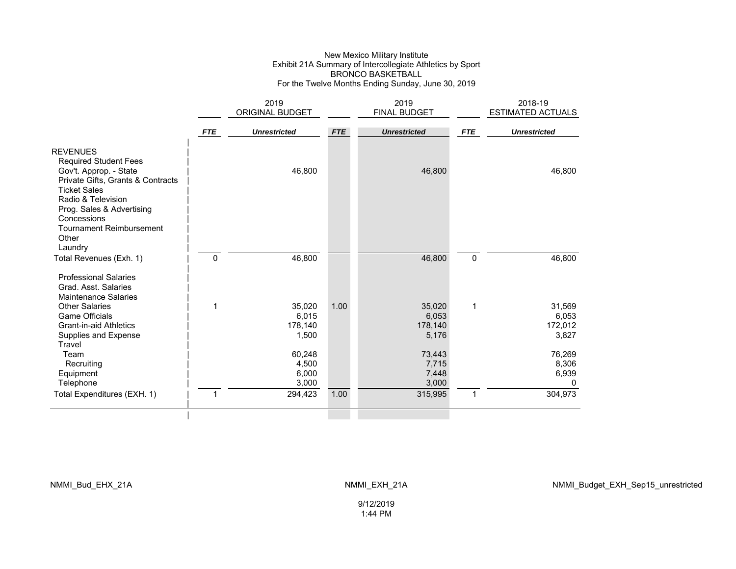#### New Mexico Military Institute Exhibit 21A Summary of Intercollegiate Athletics by Sport BRONCO BASKETBALL For the Twelve Months Ending Sunday, June 30, 2019

|                                                                                                                                                                                                         |              | 2019                                |                     | 2019                                | 2018-19      |                                     |
|---------------------------------------------------------------------------------------------------------------------------------------------------------------------------------------------------------|--------------|-------------------------------------|---------------------|-------------------------------------|--------------|-------------------------------------|
|                                                                                                                                                                                                         |              | <b>ORIGINAL BUDGET</b>              | <b>FINAL BUDGET</b> |                                     |              | <b>ESTIMATED ACTUALS</b>            |
|                                                                                                                                                                                                         | <b>FTE</b>   | <b>Unrestricted</b>                 | <b>FTE</b>          | <b>Unrestricted</b>                 | <b>FTE</b>   | <b>Unrestricted</b>                 |
| <b>REVENUES</b><br><b>Required Student Fees</b><br>Gov't. Approp. - State<br>Private Gifts, Grants & Contracts<br><b>Ticket Sales</b><br>Radio & Television<br>Prog. Sales & Advertising<br>Concessions |              | 46,800                              |                     | 46,800                              |              | 46,800                              |
| <b>Tournament Reimbursement</b><br>Other<br>Laundry<br>Total Revenues (Exh. 1)                                                                                                                          | $\mathbf{0}$ | 46,800                              |                     | 46,800                              | $\mathbf 0$  | 46,800                              |
| <b>Professional Salaries</b><br>Grad. Asst. Salaries<br><b>Maintenance Salaries</b>                                                                                                                     |              |                                     |                     |                                     |              |                                     |
| <b>Other Salaries</b><br><b>Game Officials</b><br><b>Grant-in-aid Athletics</b><br>Supplies and Expense<br>Travel                                                                                       | 1            | 35,020<br>6,015<br>178,140<br>1,500 | 1.00                | 35,020<br>6,053<br>178,140<br>5,176 | 1            | 31,569<br>6,053<br>172,012<br>3,827 |
| Team<br>Recruiting<br>Equipment<br>Telephone                                                                                                                                                            |              | 60,248<br>4,500<br>6,000<br>3,000   |                     | 73,443<br>7,715<br>7,448<br>3,000   |              | 76,269<br>8,306<br>6,939<br>0       |
| Total Expenditures (EXH. 1)                                                                                                                                                                             | 1            | 294,423                             | 1.00                | 315,995                             | $\mathbf{1}$ | 304,973                             |
|                                                                                                                                                                                                         |              |                                     |                     |                                     |              |                                     |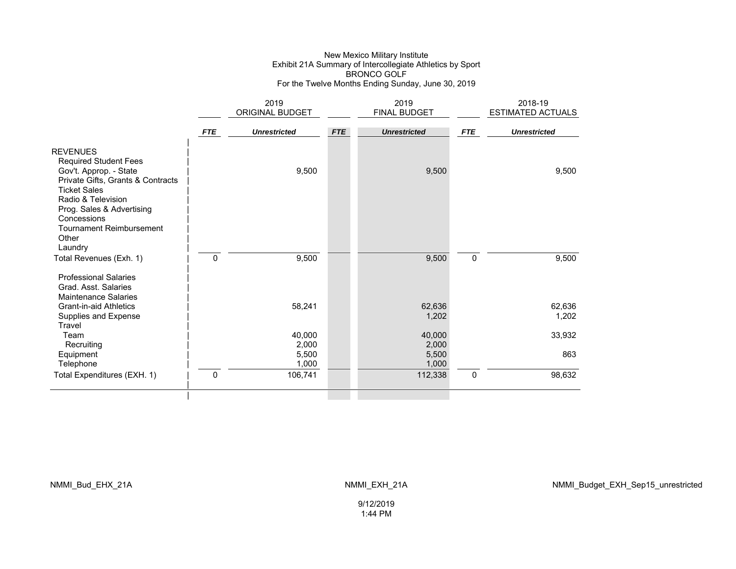#### New Mexico Military Institute Exhibit 21A Summary of Intercollegiate Athletics by Sport BRONCO GOLF For the Twelve Months Ending Sunday, June 30, 2019

|                                                                                                                                                                                   |              | 2019                |            | 2019                |            | 2018-19             |
|-----------------------------------------------------------------------------------------------------------------------------------------------------------------------------------|--------------|---------------------|------------|---------------------|------------|---------------------|
|                                                                                                                                                                                   |              | ORIGINAL BUDGET     |            | <b>FINAL BUDGET</b> |            | ESTIMATED ACTUALS   |
|                                                                                                                                                                                   | <b>FTE</b>   | <b>Unrestricted</b> | <b>FTE</b> | <b>Unrestricted</b> | <b>FTE</b> | <b>Unrestricted</b> |
| <b>REVENUES</b><br><b>Required Student Fees</b><br>Gov't. Approp. - State                                                                                                         |              | 9,500               |            | 9,500               |            | 9,500               |
| Private Gifts, Grants & Contracts<br><b>Ticket Sales</b><br>Radio & Television<br>Prog. Sales & Advertising<br>Concessions<br><b>Tournament Reimbursement</b><br>Other<br>Laundry |              |                     |            |                     |            |                     |
| Total Revenues (Exh. 1)                                                                                                                                                           | 0            | 9,500               |            | 9,500               | 0          | 9,500               |
| <b>Professional Salaries</b><br>Grad. Asst. Salaries<br><b>Maintenance Salaries</b>                                                                                               |              |                     |            |                     |            |                     |
| <b>Grant-in-aid Athletics</b>                                                                                                                                                     |              | 58,241              |            | 62,636              |            | 62,636              |
| Supplies and Expense<br>Travel                                                                                                                                                    |              |                     |            | 1,202               |            | 1,202               |
| Team                                                                                                                                                                              |              | 40,000              |            | 40,000              |            | 33,932              |
| Recruiting                                                                                                                                                                        |              | 2,000               |            | 2,000               |            |                     |
| Equipment                                                                                                                                                                         |              | 5,500               |            | 5,500               |            | 863                 |
| Telephone                                                                                                                                                                         |              | 1,000               |            | 1,000               |            |                     |
| Total Expenditures (EXH. 1)                                                                                                                                                       | $\mathbf{0}$ | 106,741             |            | 112,338             | 0          | 98,632              |
|                                                                                                                                                                                   |              |                     |            |                     |            |                     |

NMMI\_Bud\_EHX\_21A NMMI\_EXH\_21A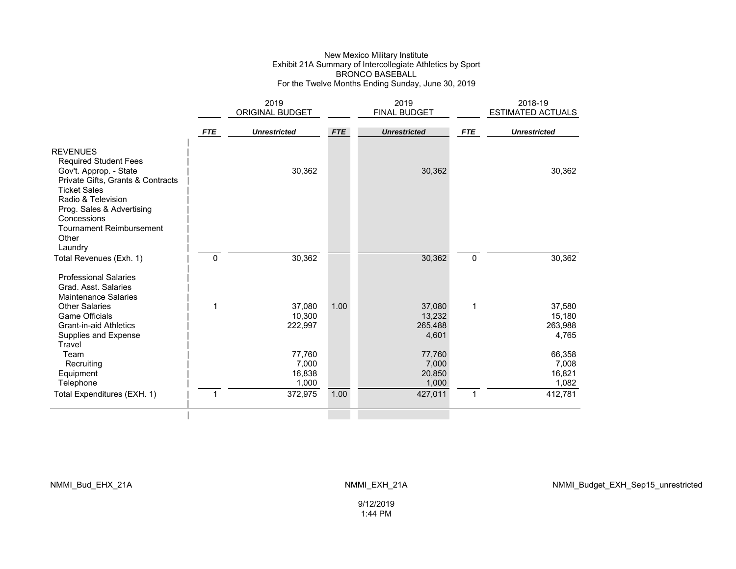#### New Mexico Military Institute Exhibit 21A Summary of Intercollegiate Athletics by Sport BRONCO BASEBALL For the Twelve Months Ending Sunday, June 30, 2019

|                                                                                                                                                                                                                                            |              | 2019                |            | 2019                |             | 2018-19                  |
|--------------------------------------------------------------------------------------------------------------------------------------------------------------------------------------------------------------------------------------------|--------------|---------------------|------------|---------------------|-------------|--------------------------|
|                                                                                                                                                                                                                                            |              | ORIGINAL BUDGET     |            | <b>FINAL BUDGET</b> |             | <b>ESTIMATED ACTUALS</b> |
|                                                                                                                                                                                                                                            | <b>FTE</b>   | <b>Unrestricted</b> | <b>FTE</b> | <b>Unrestricted</b> | <b>FTE</b>  | <b>Unrestricted</b>      |
| <b>REVENUES</b><br><b>Required Student Fees</b><br>Gov't. Approp. - State<br>Private Gifts, Grants & Contracts<br><b>Ticket Sales</b><br>Radio & Television<br>Prog. Sales & Advertising<br>Concessions<br><b>Tournament Reimbursement</b> |              | 30,362              |            | 30,362              |             | 30,362                   |
| Other<br>Laundry                                                                                                                                                                                                                           |              |                     |            |                     |             |                          |
| Total Revenues (Exh. 1)                                                                                                                                                                                                                    | $\mathbf{0}$ | 30,362              |            | 30,362              | $\mathbf 0$ | 30,362                   |
| <b>Professional Salaries</b><br>Grad. Asst. Salaries<br><b>Maintenance Salaries</b>                                                                                                                                                        |              |                     |            |                     |             |                          |
| <b>Other Salaries</b>                                                                                                                                                                                                                      | 1            | 37,080              | 1.00       | 37,080              | 1           | 37,580                   |
| <b>Game Officials</b><br><b>Grant-in-aid Athletics</b>                                                                                                                                                                                     |              | 10,300<br>222,997   |            | 13,232<br>265,488   |             | 15,180<br>263,988        |
| Supplies and Expense<br>Travel                                                                                                                                                                                                             |              |                     |            | 4,601               |             | 4,765                    |
| Team                                                                                                                                                                                                                                       |              | 77,760              |            | 77,760              |             | 66,358                   |
| Recruiting                                                                                                                                                                                                                                 |              | 7,000<br>16,838     |            | 7,000               |             | 7,008                    |
| Equipment<br>Telephone                                                                                                                                                                                                                     |              | 1,000               |            | 20,850<br>1,000     |             | 16,821<br>1,082          |
| Total Expenditures (EXH. 1)                                                                                                                                                                                                                | 1            | 372,975             | 1.00       | 427,011             | 1           | 412,781                  |
|                                                                                                                                                                                                                                            |              |                     |            |                     |             |                          |

9/12/2019 1:44 PM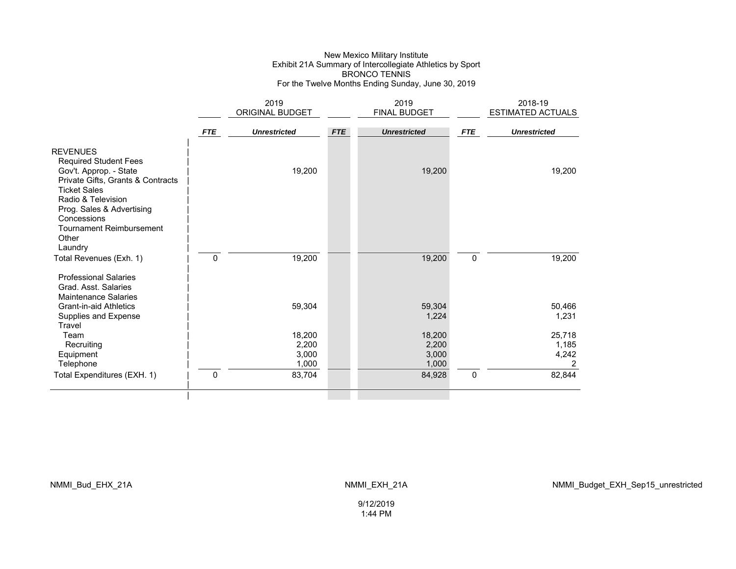#### New Mexico Military Institute Exhibit 21A Summary of Intercollegiate Athletics by Sport BRONCO TENNIS For the Twelve Months Ending Sunday, June 30, 2019

|                                                                                                                                                                                                                                            |              | 2019<br>ORIGINAL BUDGET           |            | 2019<br>FINAL BUDGET              |            | 2018-19<br><b>ESTIMATED ACTUALS</b> |
|--------------------------------------------------------------------------------------------------------------------------------------------------------------------------------------------------------------------------------------------|--------------|-----------------------------------|------------|-----------------------------------|------------|-------------------------------------|
|                                                                                                                                                                                                                                            | <b>FTE</b>   | <b>Unrestricted</b>               | <b>FTE</b> | <b>Unrestricted</b>               | <b>FTE</b> | <b>Unrestricted</b>                 |
| <b>REVENUES</b><br><b>Required Student Fees</b><br>Gov't. Approp. - State<br>Private Gifts, Grants & Contracts<br><b>Ticket Sales</b><br>Radio & Television<br>Prog. Sales & Advertising<br>Concessions<br><b>Tournament Reimbursement</b> |              | 19,200                            |            | 19,200                            |            | 19,200                              |
| Other<br>Laundry<br>Total Revenues (Exh. 1)                                                                                                                                                                                                | 0            | 19,200                            |            | 19,200                            | 0          | 19,200                              |
| <b>Professional Salaries</b><br>Grad. Asst. Salaries<br><b>Maintenance Salaries</b><br><b>Grant-in-aid Athletics</b><br>Supplies and Expense<br>Travel                                                                                     |              | 59,304                            |            | 59,304<br>1,224                   |            | 50,466<br>1,231                     |
| Team<br>Recruiting<br>Equipment<br>Telephone                                                                                                                                                                                               |              | 18,200<br>2,200<br>3,000<br>1,000 |            | 18,200<br>2,200<br>3,000<br>1,000 |            | 25,718<br>1,185<br>4,242<br>2       |
| Total Expenditures (EXH. 1)                                                                                                                                                                                                                | $\mathbf{0}$ | 83,704                            |            | 84,928                            | 0          | 82,844                              |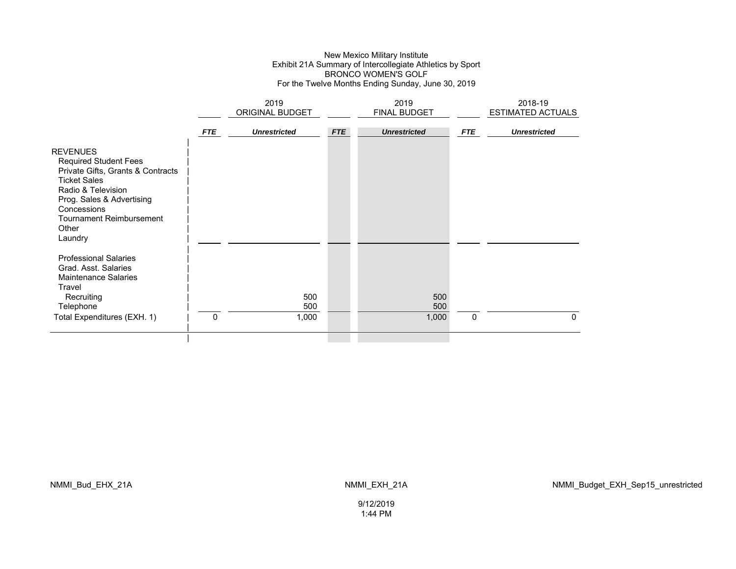#### New Mexico Military Institute Exhibit 21A Summary of Intercollegiate Athletics by Sport BRONCO WOMEN'S GOLF For the Twelve Months Ending Sunday, June 30, 2019

|                                                                                                                                                                                                                                      |            | 2019<br><b>ORIGINAL BUDGET</b> |            | 2019<br><b>FINAL BUDGET</b> | 2018-19<br><b>ESTIMATED ACTUALS</b> |                     |
|--------------------------------------------------------------------------------------------------------------------------------------------------------------------------------------------------------------------------------------|------------|--------------------------------|------------|-----------------------------|-------------------------------------|---------------------|
|                                                                                                                                                                                                                                      | <b>FTE</b> | <b>Unrestricted</b>            | <b>FTE</b> | <b>Unrestricted</b>         | <b>FTE</b>                          | <b>Unrestricted</b> |
| <b>REVENUES</b><br><b>Required Student Fees</b><br>Private Gifts, Grants & Contracts<br><b>Ticket Sales</b><br>Radio & Television<br>Prog. Sales & Advertising<br>Concessions<br><b>Tournament Reimbursement</b><br>Other<br>Laundry |            |                                |            |                             |                                     |                     |
| <b>Professional Salaries</b><br>Grad. Asst. Salaries<br><b>Maintenance Salaries</b><br>Travel<br>Recruiting<br>Telephone<br>Total Expenditures (EXH. 1)                                                                              | 0          | 500<br>500<br>1,000            |            | 500<br>500<br>1,000         | 0                                   | $\mathbf{0}$        |
|                                                                                                                                                                                                                                      |            |                                |            |                             |                                     |                     |

NMMI\_Bud\_EHX\_21A NMMI\_EXH\_21A

9/12/2019 1:44 PM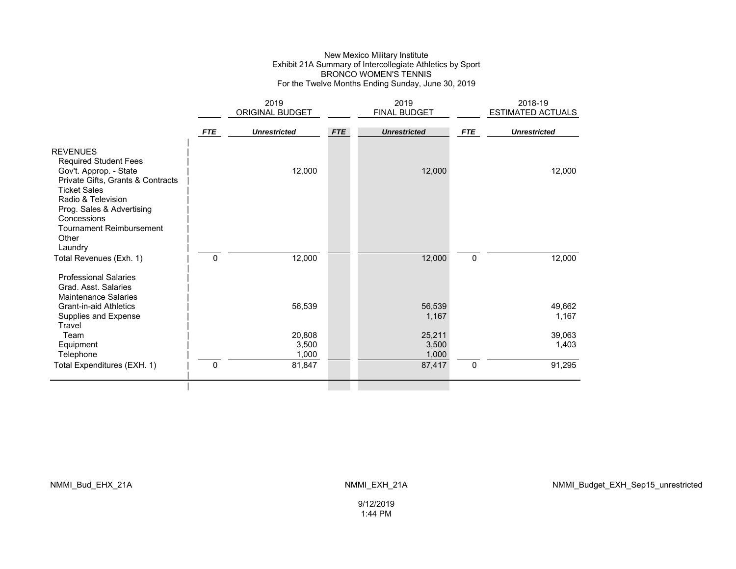#### New Mexico Military Institute Exhibit 21A Summary of Intercollegiate Athletics by Sport BRONCO WOMEN'S TENNIS For the Twelve Months Ending Sunday, June 30, 2019

|                                                                                                                                                                                                                                                     |            | 2019                     |            | 2019                     |             | 2018-19             |
|-----------------------------------------------------------------------------------------------------------------------------------------------------------------------------------------------------------------------------------------------------|------------|--------------------------|------------|--------------------------|-------------|---------------------|
|                                                                                                                                                                                                                                                     |            | ORIGINAL BUDGET          |            | FINAL BUDGET             |             | ESTIMATED ACTUALS   |
|                                                                                                                                                                                                                                                     | <b>FTE</b> | <b>Unrestricted</b>      | <b>FTE</b> | <b>Unrestricted</b>      | <b>FTE</b>  | <b>Unrestricted</b> |
| <b>REVENUES</b><br><b>Required Student Fees</b><br>Gov't. Approp. - State<br>Private Gifts, Grants & Contracts<br><b>Ticket Sales</b><br>Radio & Television<br>Prog. Sales & Advertising<br>Concessions<br><b>Tournament Reimbursement</b><br>Other |            | 12,000                   |            | 12,000                   |             | 12,000              |
| Laundry<br>Total Revenues (Exh. 1)                                                                                                                                                                                                                  | 0          | 12,000                   |            | 12,000                   | $\mathbf 0$ | 12,000              |
| <b>Professional Salaries</b><br>Grad. Asst. Salaries<br><b>Maintenance Salaries</b><br><b>Grant-in-aid Athletics</b><br>Supplies and Expense                                                                                                        |            | 56,539                   |            | 56,539<br>1,167          |             | 49,662<br>1,167     |
| Travel<br>Team<br>Equipment<br>Telephone                                                                                                                                                                                                            |            | 20,808<br>3,500<br>1,000 |            | 25,211<br>3,500<br>1,000 |             | 39,063<br>1,403     |
| Total Expenditures (EXH. 1)                                                                                                                                                                                                                         | 0          | 81,847                   |            | 87,417                   | $\pmb{0}$   | 91,295              |
|                                                                                                                                                                                                                                                     |            |                          |            |                          |             |                     |

NMMI\_Bud\_EHX\_21A NMMI\_EXH\_21A

9/12/2019 1:44 PM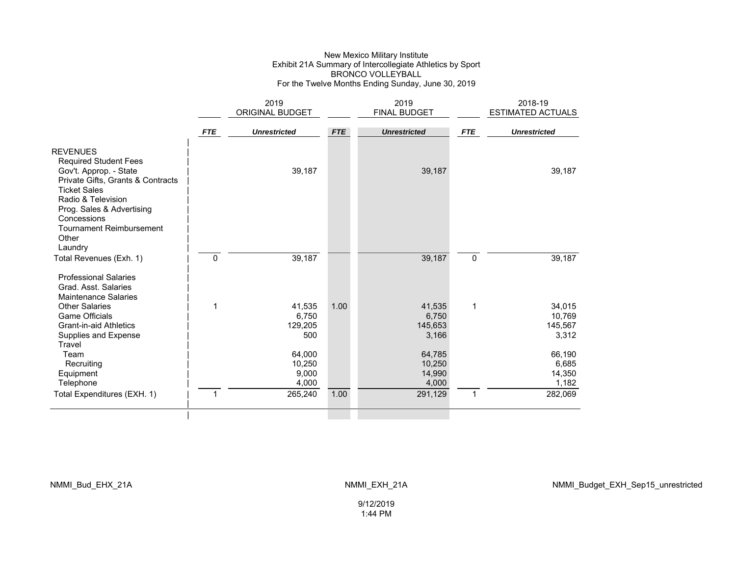#### New Mexico Military Institute Exhibit 21A Summary of Intercollegiate Athletics by Sport BRONCO VOLLEYBALL For the Twelve Months Ending Sunday, June 30, 2019

|                                                                                                                                                                                                         | 2019<br>ORIGINAL BUDGET |                                    |            | 2019<br><b>FINAL BUDGET</b>         |             | 2018-19<br><b>ESTIMATED ACTUALS</b>  |
|---------------------------------------------------------------------------------------------------------------------------------------------------------------------------------------------------------|-------------------------|------------------------------------|------------|-------------------------------------|-------------|--------------------------------------|
|                                                                                                                                                                                                         | <b>FTE</b>              | <b>Unrestricted</b>                | <b>FTE</b> | <b>Unrestricted</b>                 | <b>FTE</b>  | <b>Unrestricted</b>                  |
| <b>REVENUES</b><br><b>Required Student Fees</b><br>Gov't. Approp. - State<br>Private Gifts, Grants & Contracts<br><b>Ticket Sales</b><br>Radio & Television<br>Prog. Sales & Advertising<br>Concessions |                         | 39,187                             |            | 39,187                              |             | 39,187                               |
| <b>Tournament Reimbursement</b><br>Other<br>Laundry<br>Total Revenues (Exh. 1)                                                                                                                          | $\mathbf{0}$            | 39,187                             |            | 39,187                              | $\mathbf 0$ | 39,187                               |
| <b>Professional Salaries</b><br>Grad. Asst. Salaries<br><b>Maintenance Salaries</b>                                                                                                                     |                         |                                    |            |                                     |             |                                      |
| <b>Other Salaries</b><br><b>Game Officials</b><br><b>Grant-in-aid Athletics</b><br>Supplies and Expense<br>Travel                                                                                       | 1                       | 41,535<br>6,750<br>129,205<br>500  | 1.00       | 41,535<br>6,750<br>145,653<br>3,166 | 1           | 34,015<br>10,769<br>145,567<br>3,312 |
| Team<br>Recruiting<br>Equipment<br>Telephone                                                                                                                                                            |                         | 64,000<br>10,250<br>9,000<br>4,000 |            | 64,785<br>10,250<br>14,990<br>4,000 |             | 66,190<br>6,685<br>14,350<br>1,182   |
| Total Expenditures (EXH. 1)                                                                                                                                                                             | 1                       | 265,240                            | 1.00       | 291,129                             | 1           | 282,069                              |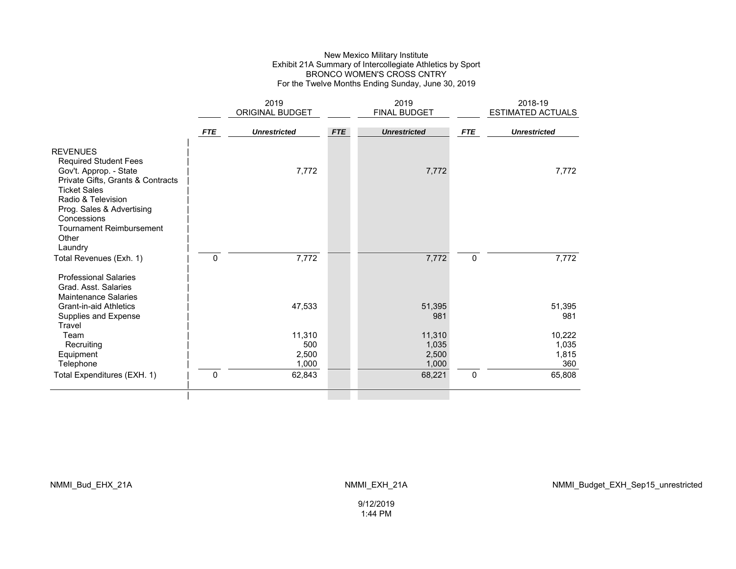### New Mexico Military Institute Exhibit 21A Summary of Intercollegiate Athletics by Sport BRONCO WOMEN'S CROSS CNTRY For the Twelve Months Ending Sunday, June 30, 2019

|                                                                                                                                                                                                             |            | 2019<br>ORIGINAL BUDGET |            | 2019<br>FINAL BUDGET |            | 2018-19<br>ESTIMATED ACTUALS |
|-------------------------------------------------------------------------------------------------------------------------------------------------------------------------------------------------------------|------------|-------------------------|------------|----------------------|------------|------------------------------|
|                                                                                                                                                                                                             |            |                         |            |                      |            |                              |
|                                                                                                                                                                                                             | <b>FTE</b> | <b>Unrestricted</b>     | <b>FTE</b> | <b>Unrestricted</b>  | <b>FTE</b> | <b>Unrestricted</b>          |
| <b>REVENUES</b><br><b>Required Student Fees</b>                                                                                                                                                             |            | 7,772                   |            |                      |            |                              |
| Gov't. Approp. - State<br>Private Gifts, Grants & Contracts<br><b>Ticket Sales</b><br>Radio & Television<br>Prog. Sales & Advertising<br>Concessions<br><b>Tournament Reimbursement</b><br>Other<br>Laundry |            |                         |            | 7,772                |            | 7,772                        |
| Total Revenues (Exh. 1)                                                                                                                                                                                     | 0          | 7,772                   |            | 7,772                | 0          | 7,772                        |
| <b>Professional Salaries</b><br>Grad, Asst. Salaries<br><b>Maintenance Salaries</b>                                                                                                                         |            |                         |            |                      |            |                              |
| <b>Grant-in-aid Athletics</b><br>Supplies and Expense<br>Travel                                                                                                                                             |            | 47,533                  |            | 51,395<br>981        |            | 51,395<br>981                |
| Team                                                                                                                                                                                                        |            | 11,310                  |            | 11,310               |            | 10,222                       |
| Recruiting                                                                                                                                                                                                  |            | 500                     |            | 1,035                |            | 1,035                        |
| Equipment                                                                                                                                                                                                   |            | 2,500                   |            | 2,500                |            | 1,815                        |
| Telephone                                                                                                                                                                                                   |            | 1,000                   |            | 1,000                |            | 360                          |
| Total Expenditures (EXH. 1)                                                                                                                                                                                 | $\Omega$   | 62,843                  |            | 68,221               | 0          | 65,808                       |
|                                                                                                                                                                                                             |            |                         |            |                      |            |                              |

NMMI\_Bud\_EHX\_21A NMMI\_EXH\_21A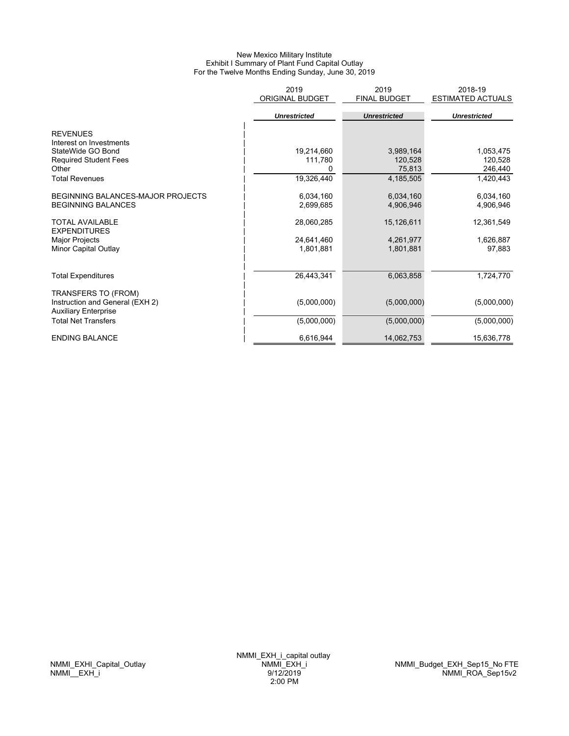#### New Mexico Military Institute Exhibit I Summary of Plant Fund Capital Outlay For the Twelve Months Ending Sunday, June 30, 2019

|                                                                | 2019<br><b>ORIGINAL BUDGET</b> | 2019<br><b>FINAL BUDGET</b> | 2018-19<br><b>ESTIMATED ACTUALS</b> |
|----------------------------------------------------------------|--------------------------------|-----------------------------|-------------------------------------|
|                                                                | <b>Unrestricted</b>            | <b>Unrestricted</b>         | <b>Unrestricted</b>                 |
| <b>REVENUES</b>                                                |                                |                             |                                     |
| Interest on Investments                                        |                                |                             |                                     |
| StateWide GO Bond                                              | 19,214,660                     | 3,989,164                   | 1,053,475                           |
| <b>Required Student Fees</b>                                   | 111,780                        | 120,528                     | 120,528                             |
| Other                                                          | 0                              | 75,813                      | 246,440                             |
| <b>Total Revenues</b>                                          | 19,326,440                     | 4,185,505                   | 1,420,443                           |
| BEGINNING BALANCES-MAJOR PROJECTS                              | 6,034,160                      | 6,034,160                   | 6,034,160                           |
| <b>BEGINNING BALANCES</b>                                      | 2,699,685                      | 4,906,946                   | 4,906,946                           |
| <b>TOTAL AVAILABLE</b><br><b>EXPENDITURES</b>                  | 28,060,285                     | 15,126,611                  | 12,361,549                          |
| Major Projects                                                 | 24,641,460                     | 4,261,977                   | 1,626,887                           |
| Minor Capital Outlay                                           | 1,801,881                      | 1,801,881                   | 97,883                              |
|                                                                |                                |                             |                                     |
| <b>Total Expenditures</b>                                      | 26,443,341                     | 6,063,858                   | 1,724,770                           |
| <b>TRANSFERS TO (FROM)</b>                                     |                                |                             |                                     |
| Instruction and General (EXH 2)<br><b>Auxiliary Enterprise</b> | (5,000,000)                    | (5,000,000)                 | (5,000,000)                         |
| <b>Total Net Transfers</b>                                     | (5,000,000)                    | (5,000,000)                 | (5,000,000)                         |
| <b>ENDING BALANCE</b>                                          | 6,616,944                      | 14,062,753                  | 15,636,778                          |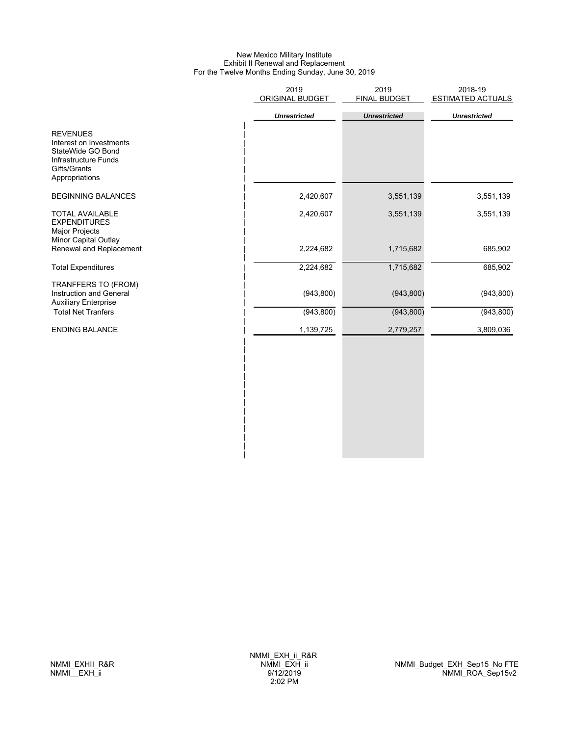### New Mexico Military Institute Exhibit II Renewal and Replacement For the Twelve Months Ending Sunday, June 30, 2019

| 2019<br>ORIGINAL BUDGET | 2019<br>FINAL BUDGET | 2018-19<br><b>ESTIMATED ACTUALS</b> |
|-------------------------|----------------------|-------------------------------------|
| <b>Unrestricted</b>     | <b>Unrestricted</b>  | <b>Unrestricted</b>                 |
|                         |                      |                                     |
| 2,420,607               | 3,551,139            | 3,551,139                           |
| 2,420,607               | 3,551,139            | 3,551,139                           |
| 2,224,682               | 1,715,682            | 685,902                             |
| 2,224,682               | 1,715,682            | 685,902                             |
| (943, 800)              | (943, 800)           | (943, 800)                          |
| (943, 800)              | (943, 800)           | (943, 800)                          |
| 1,139,725               | 2,779,257            | 3,809,036                           |
|                         |                      |                                     |
|                         |                      |                                     |

| | |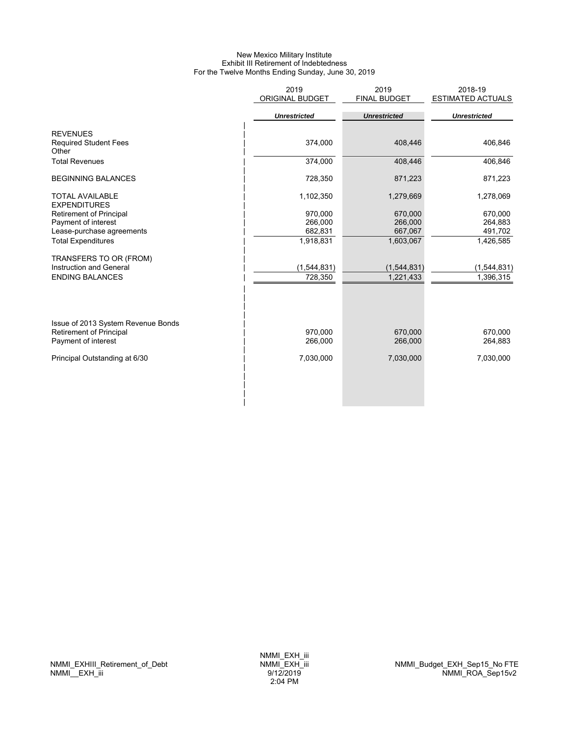### New Mexico Military Institute Exhibit III Retirement of Indebtedness For the Twelve Months Ending Sunday, June 30, 2019

|                                               | 2019                | 2019                | 2018-19                  |
|-----------------------------------------------|---------------------|---------------------|--------------------------|
|                                               | ORIGINAL BUDGET     | <b>FINAL BUDGET</b> | <b>ESTIMATED ACTUALS</b> |
|                                               |                     |                     |                          |
|                                               | <b>Unrestricted</b> | <b>Unrestricted</b> | <b>Unrestricted</b>      |
| <b>REVENUES</b>                               |                     |                     |                          |
| <b>Required Student Fees</b><br>Other         | 374,000             | 408,446             | 406,846                  |
| <b>Total Revenues</b>                         | 374,000             | 408,446             | 406,846                  |
| <b>BEGINNING BALANCES</b>                     | 728,350             | 871,223             | 871,223                  |
| <b>TOTAL AVAILABLE</b><br><b>EXPENDITURES</b> | 1,102,350           | 1,279,669           | 1,278,069                |
| Retirement of Principal                       | 970,000             | 670,000             | 670,000                  |
| Payment of interest                           | 266,000             | 266,000             | 264,883                  |
| Lease-purchase agreements                     | 682,831             | 667,067             | 491,702                  |
| <b>Total Expenditures</b>                     | 1,918,831           | 1,603,067           | 1,426,585                |
| TRANSFERS TO OR (FROM)                        |                     |                     |                          |
| Instruction and General                       | (1,544,831)         | (1, 544, 831)       | (1, 544, 831)            |
| <b>ENDING BALANCES</b>                        | 728,350             | 1,221,433           | 1,396,315                |
|                                               |                     |                     |                          |
| Issue of 2013 System Revenue Bonds            |                     |                     |                          |
| <b>Retirement of Principal</b>                | 970,000             | 670,000             | 670,000                  |
| Payment of interest                           | 266,000             | 266,000             | 264,883                  |
| Principal Outstanding at 6/30                 | 7,030,000           | 7,030,000           | 7,030,000                |
|                                               |                     |                     |                          |
|                                               |                     |                     |                          |
|                                               |                     |                     |                          |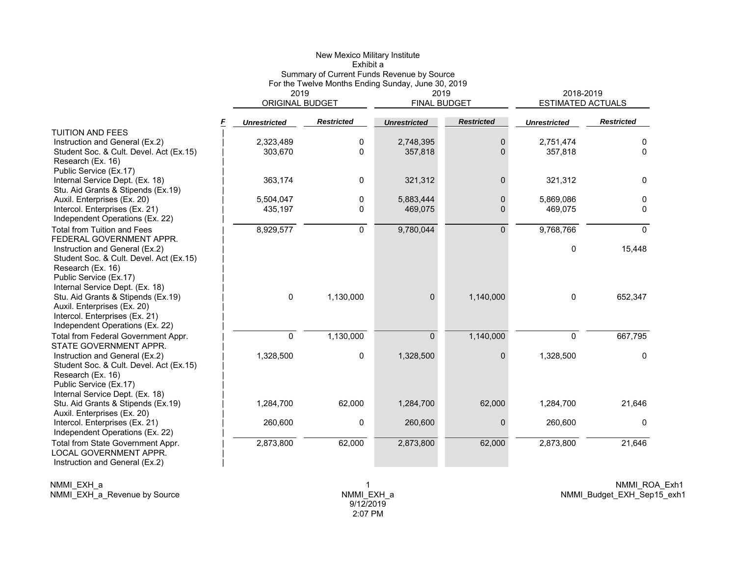|                                                                   |                          | New Mexico Military Institute<br>Exhibit a                                                       |                     |                   |                                       |                   |
|-------------------------------------------------------------------|--------------------------|--------------------------------------------------------------------------------------------------|---------------------|-------------------|---------------------------------------|-------------------|
|                                                                   | 2019                     | Summary of Current Funds Revenue by Source<br>For the Twelve Months Ending Sunday, June 30, 2019 | 2019                |                   |                                       |                   |
|                                                                   | ORIGINAL BUDGET          |                                                                                                  | <b>FINAL BUDGET</b> |                   | 2018-2019<br><b>ESTIMATED ACTUALS</b> |                   |
|                                                                   | F<br><b>Unrestricted</b> | <b>Restricted</b>                                                                                | <b>Unrestricted</b> | <b>Restricted</b> | <b>Unrestricted</b>                   | <b>Restricted</b> |
| <b>TUITION AND FEES</b>                                           |                          |                                                                                                  |                     |                   |                                       |                   |
| Instruction and General (Ex.2)                                    | 2,323,489                | 0                                                                                                | 2,748,395           | $\mathbf 0$       | 2,751,474                             | 0                 |
| Student Soc. & Cult. Devel. Act (Ex.15)                           | 303,670                  | $\Omega$                                                                                         | 357,818             | $\Omega$          | 357,818                               | 0                 |
| Research (Ex. 16)                                                 |                          |                                                                                                  |                     |                   |                                       |                   |
| Public Service (Ex.17)                                            |                          |                                                                                                  |                     |                   |                                       |                   |
| Internal Service Dept. (Ex. 18)                                   | 363,174                  | 0                                                                                                | 321,312             | $\mathbf{0}$      | 321,312                               | $\Omega$          |
| Stu. Aid Grants & Stipends (Ex.19)                                |                          |                                                                                                  |                     |                   |                                       |                   |
| Auxil. Enterprises (Ex. 20)                                       | 5,504,047                | $\Omega$                                                                                         | 5,883,444           | $\Omega$          | 5,869,086                             | $\mathbf{0}$      |
| Intercol. Enterprises (Ex. 21)<br>Independent Operations (Ex. 22) | 435,197                  | 0                                                                                                | 469,075             | $\Omega$          | 469,075                               | 0                 |
| <b>Total from Tuition and Fees</b>                                |                          |                                                                                                  |                     |                   |                                       |                   |
| FEDERAL GOVERNMENT APPR.                                          | 8,929,577                | 0                                                                                                | 9,780,044           | $\Omega$          | 9,768,766                             | $\mathbf{0}$      |
| Instruction and General (Ex.2)                                    |                          |                                                                                                  |                     |                   | $\mathbf{0}$                          | 15,448            |
| Student Soc. & Cult. Devel. Act (Ex.15)                           |                          |                                                                                                  |                     |                   |                                       |                   |
| Research (Ex. 16)                                                 |                          |                                                                                                  |                     |                   |                                       |                   |
| Public Service (Ex.17)                                            |                          |                                                                                                  |                     |                   |                                       |                   |
| Internal Service Dept. (Ex. 18)                                   |                          |                                                                                                  |                     |                   |                                       |                   |
| Stu. Aid Grants & Stipends (Ex.19)                                | $\mathbf 0$              | 1,130,000                                                                                        | $\overline{0}$      | 1,140,000         | $\mathbf{0}$                          | 652,347           |
| Auxil. Enterprises (Ex. 20)                                       |                          |                                                                                                  |                     |                   |                                       |                   |
| Intercol. Enterprises (Ex. 21)                                    |                          |                                                                                                  |                     |                   |                                       |                   |
| Independent Operations (Ex. 22)                                   |                          |                                                                                                  |                     |                   |                                       |                   |
| Total from Federal Government Appr.                               | $\overline{0}$           | 1,130,000                                                                                        | $\Omega$            | 1,140,000         | $\Omega$                              | 667,795           |
| STATE GOVERNMENT APPR.                                            |                          |                                                                                                  |                     |                   |                                       |                   |
| Instruction and General (Ex.2)                                    | 1,328,500                | 0                                                                                                | 1,328,500           | $\mathbf{0}$      | 1,328,500                             | $\mathbf 0$       |
| Student Soc. & Cult. Devel. Act (Ex.15)                           |                          |                                                                                                  |                     |                   |                                       |                   |
| Research (Ex. 16)                                                 |                          |                                                                                                  |                     |                   |                                       |                   |
| Public Service (Ex.17)                                            |                          |                                                                                                  |                     |                   |                                       |                   |
| Internal Service Dept. (Ex. 18)                                   |                          |                                                                                                  |                     |                   |                                       |                   |
| Stu. Aid Grants & Stipends (Ex.19)                                | 1,284,700                | 62,000                                                                                           | 1,284,700           | 62,000            | 1,284,700                             | 21,646            |
| Auxil. Enterprises (Ex. 20)                                       |                          |                                                                                                  |                     |                   |                                       |                   |
| Intercol. Enterprises (Ex. 21)                                    | 260,600                  | 0                                                                                                | 260,600             | $\mathbf{0}$      | 260,600                               | $\mathbf{0}$      |
| Independent Operations (Ex. 22)                                   |                          |                                                                                                  |                     |                   |                                       |                   |
| Total from State Government Appr.                                 | 2,873,800                | 62,000                                                                                           | 2,873,800           | 62,000            | 2,873,800                             | 21,646            |
| <b>LOCAL GOVERNMENT APPR.</b>                                     |                          |                                                                                                  |                     |                   |                                       |                   |
| Instruction and General (Ex.2)                                    |                          |                                                                                                  |                     |                   |                                       |                   |

NMMI\_EXH\_a NMMI\_EXH\_a\_Revenue by Source 1 NMMI\_EXH\_a 9/12/2019 2:07 PM

NMMI\_ROA\_Exh1 NMMI\_Budget\_EXH\_Sep15\_exh1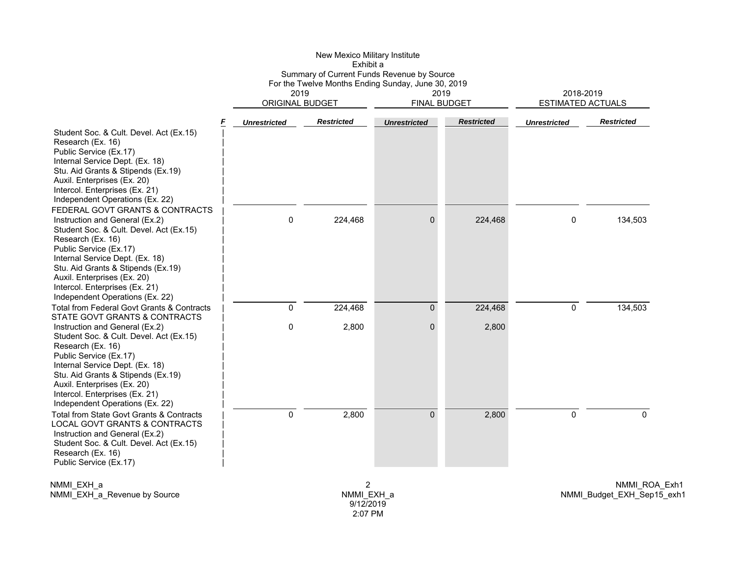|                                                                                                                                                                                                                                                                                                                                          |                                                                                                                                    | New Mexico Military Institute<br>Exhibit a |                      |                   |                                       |                   |
|------------------------------------------------------------------------------------------------------------------------------------------------------------------------------------------------------------------------------------------------------------------------------------------------------------------------------------------|------------------------------------------------------------------------------------------------------------------------------------|--------------------------------------------|----------------------|-------------------|---------------------------------------|-------------------|
|                                                                                                                                                                                                                                                                                                                                          | Summary of Current Funds Revenue by Source<br>For the Twelve Months Ending Sunday, June 30, 2019<br>2019<br><b>ORIGINAL BUDGET</b> |                                            | 2019<br>FINAL BUDGET |                   | 2018-2019<br><b>ESTIMATED ACTUALS</b> |                   |
|                                                                                                                                                                                                                                                                                                                                          | <b>Unrestricted</b>                                                                                                                | <b>Restricted</b>                          | <b>Unrestricted</b>  | <b>Restricted</b> | <b>Unrestricted</b>                   | <b>Restricted</b> |
| Student Soc. & Cult. Devel. Act (Ex.15)<br>Research (Ex. 16)<br>Public Service (Ex.17)<br>Internal Service Dept. (Ex. 18)<br>Stu. Aid Grants & Stipends (Ex.19)<br>Auxil. Enterprises (Ex. 20)<br>Intercol. Enterprises (Ex. 21)<br>Independent Operations (Ex. 22)                                                                      |                                                                                                                                    |                                            |                      |                   |                                       |                   |
| FEDERAL GOVT GRANTS & CONTRACTS<br>Instruction and General (Ex.2)<br>Student Soc. & Cult. Devel. Act (Ex.15)<br>Research (Ex. 16)<br>Public Service (Ex.17)<br>Internal Service Dept. (Ex. 18)<br>Stu. Aid Grants & Stipends (Ex.19)<br>Auxil. Enterprises (Ex. 20)<br>Intercol. Enterprises (Ex. 21)<br>Independent Operations (Ex. 22) | 0                                                                                                                                  | 224,468                                    | $\Omega$             | 224,468           | 0                                     | 134,503           |
| Total from Federal Govt Grants & Contracts<br>STATE GOVT GRANTS & CONTRACTS                                                                                                                                                                                                                                                              | $\mathbf 0$                                                                                                                        | 224,468                                    | $\overline{0}$       | 224,468           | $\mathbf 0$                           | 134,503           |
| Instruction and General (Ex.2)<br>Student Soc. & Cult. Devel. Act (Ex.15)<br>Research (Ex. 16)<br>Public Service (Ex.17)<br>Internal Service Dept. (Ex. 18)<br>Stu. Aid Grants & Stipends (Ex.19)<br>Auxil. Enterprises (Ex. 20)<br>Intercol. Enterprises (Ex. 21)<br>Independent Operations (Ex. 22)                                    | 0                                                                                                                                  | 2,800                                      | $\Omega$             | 2,800             |                                       |                   |
| Total from State Govt Grants & Contracts<br>LOCAL GOVT GRANTS & CONTRACTS<br>Instruction and General (Ex.2)<br>Student Soc. & Cult. Devel. Act (Ex.15)<br>Research (Ex. 16)<br>Public Service (Ex.17)                                                                                                                                    | 0                                                                                                                                  | 2,800                                      | $\Omega$             | 2,800             | $\mathbf 0$                           | 0                 |

NMMI\_EXH\_a NMMI\_EXH\_a\_Revenue by Source

2 NMMI\_EXH\_a 9/12/2019 2:07 PM

NMMI\_ROA\_Exh1 NMMI\_Budget\_EXH\_Sep15\_exh1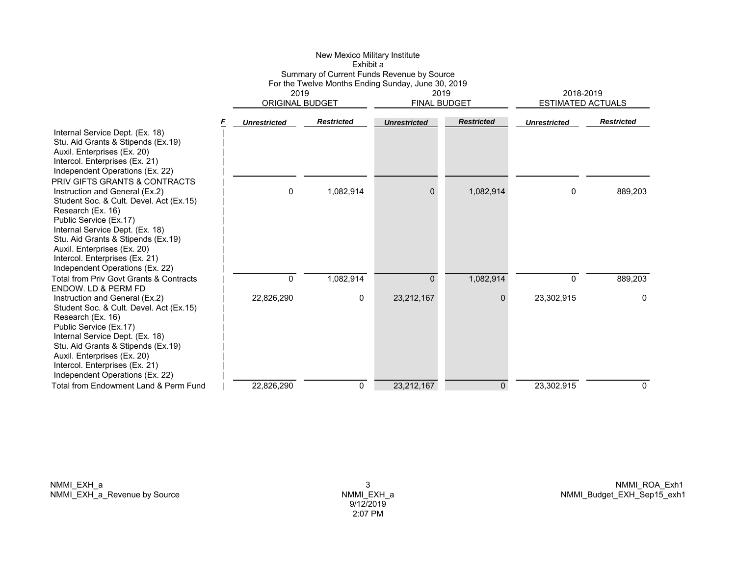|                                                                                                                                                                                                                                                                                                                                         |                     | Exhibit a                                                                                                                          |                     |                             |                                       |                   |  |
|-----------------------------------------------------------------------------------------------------------------------------------------------------------------------------------------------------------------------------------------------------------------------------------------------------------------------------------------|---------------------|------------------------------------------------------------------------------------------------------------------------------------|---------------------|-----------------------------|---------------------------------------|-------------------|--|
|                                                                                                                                                                                                                                                                                                                                         |                     | Summary of Current Funds Revenue by Source<br>For the Twelve Months Ending Sunday, June 30, 2019<br>2019<br><b>ORIGINAL BUDGET</b> |                     | 2019<br><b>FINAL BUDGET</b> | 2018-2019<br><b>ESTIMATED ACTUALS</b> |                   |  |
|                                                                                                                                                                                                                                                                                                                                         | <b>Unrestricted</b> | <b>Restricted</b>                                                                                                                  | <b>Unrestricted</b> | <b>Restricted</b>           | <b>Unrestricted</b>                   | <b>Restricted</b> |  |
| Internal Service Dept. (Ex. 18)<br>Stu. Aid Grants & Stipends (Ex.19)<br>Auxil. Enterprises (Ex. 20)<br>Intercol. Enterprises (Ex. 21)<br>Independent Operations (Ex. 22)<br>PRIV GIFTS GRANTS & CONTRACTS                                                                                                                              |                     |                                                                                                                                    |                     |                             |                                       |                   |  |
| Instruction and General (Ex.2)<br>Student Soc. & Cult. Devel. Act (Ex.15)<br>Research (Ex. 16)<br>Public Service (Ex.17)<br>Internal Service Dept. (Ex. 18)<br>Stu. Aid Grants & Stipends (Ex.19)<br>Auxil. Enterprises (Ex. 20)<br>Intercol. Enterprises (Ex. 21)<br>Independent Operations (Ex. 22)                                   | 0                   | 1,082,914                                                                                                                          | $\Omega$            | 1,082,914                   | 0                                     | 889.203           |  |
| Total from Priv Govt Grants & Contracts                                                                                                                                                                                                                                                                                                 | 0                   | 1,082,914                                                                                                                          | $\Omega$            | 1,082,914                   | 0                                     | 889,203           |  |
| <b>ENDOW. LD &amp; PERM FD</b><br>Instruction and General (Ex.2)<br>Student Soc. & Cult. Devel. Act (Ex.15)<br>Research (Ex. 16)<br>Public Service (Ex.17)<br>Internal Service Dept. (Ex. 18)<br>Stu. Aid Grants & Stipends (Ex.19)<br>Auxil. Enterprises (Ex. 20)<br>Intercol. Enterprises (Ex. 21)<br>Independent Operations (Ex. 22) | 22,826,290          | 0                                                                                                                                  | 23,212,167          | $\mathbf{0}$                | 23,302,915                            | 0                 |  |
| Total from Fndowment Land & Perm Fund                                                                                                                                                                                                                                                                                                   | 22,826,290          | 0                                                                                                                                  | 23,212,167          | 0                           | 23,302,915                            | 0                 |  |

New Mexico Military Institute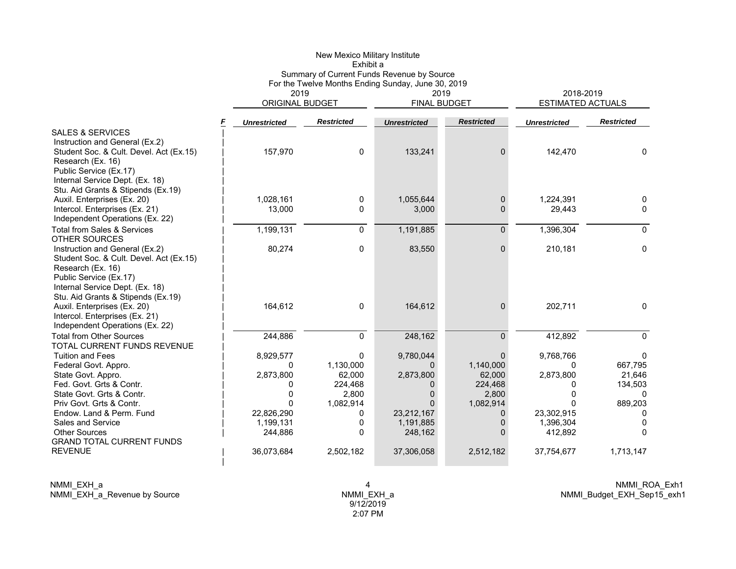|                                                                                                                                                                                                                                                                         |                                                                                                    | New Mexico Military Institute<br>Exhibit a                                      | Summary of Current Funds Revenue by Source                                              |                                                                                        |                                                                                                    |                                                                         |
|-------------------------------------------------------------------------------------------------------------------------------------------------------------------------------------------------------------------------------------------------------------------------|----------------------------------------------------------------------------------------------------|---------------------------------------------------------------------------------|-----------------------------------------------------------------------------------------|----------------------------------------------------------------------------------------|----------------------------------------------------------------------------------------------------|-------------------------------------------------------------------------|
|                                                                                                                                                                                                                                                                         | 2019<br><b>ORIGINAL BUDGET</b>                                                                     |                                                                                 | For the Twelve Months Ending Sunday, June 30, 2019<br>2019<br><b>FINAL BUDGET</b>       |                                                                                        | 2018-2019<br><b>ESTIMATED ACTUALS</b>                                                              |                                                                         |
|                                                                                                                                                                                                                                                                         | F<br><b>Unrestricted</b>                                                                           | <b>Restricted</b>                                                               | <b>Unrestricted</b>                                                                     | <b>Restricted</b>                                                                      | <b>Unrestricted</b>                                                                                | <b>Restricted</b>                                                       |
| <b>SALES &amp; SERVICES</b><br>Instruction and General (Ex.2)<br>Student Soc. & Cult. Devel. Act (Ex.15)<br>Research (Ex. 16)<br>Public Service (Ex.17)                                                                                                                 | 157,970                                                                                            | 0                                                                               | 133,241                                                                                 | 0                                                                                      | 142,470                                                                                            | $\mathbf{0}$                                                            |
| Internal Service Dept. (Ex. 18)<br>Stu. Aid Grants & Stipends (Ex.19)<br>Auxil. Enterprises (Ex. 20)                                                                                                                                                                    | 1,028,161                                                                                          | 0                                                                               | 1,055,644                                                                               | $\mathbf{0}$                                                                           | 1,224,391                                                                                          | $\Omega$                                                                |
| Intercol. Enterprises (Ex. 21)<br>Independent Operations (Ex. 22)                                                                                                                                                                                                       | 13,000                                                                                             | 0                                                                               | 3,000                                                                                   | 0                                                                                      | 29,443                                                                                             | 0                                                                       |
| <b>Total from Sales &amp; Services</b><br><b>OTHER SOURCES</b>                                                                                                                                                                                                          | 1,199,131                                                                                          | $\Omega$                                                                        | 1,191,885                                                                               | $\Omega$                                                                               | 1,396,304                                                                                          | $\Omega$                                                                |
| Instruction and General (Ex.2)<br>Student Soc. & Cult. Devel. Act (Ex.15)<br>Research (Ex. 16)<br>Public Service (Ex.17)<br>Internal Service Dept. (Ex. 18)<br>Stu. Aid Grants & Stipends (Ex.19)                                                                       | 80,274                                                                                             | 0                                                                               | 83,550                                                                                  | $\overline{0}$                                                                         | 210,181                                                                                            | 0                                                                       |
| Auxil. Enterprises (Ex. 20)<br>Intercol. Enterprises (Ex. 21)<br>Independent Operations (Ex. 22)                                                                                                                                                                        | 164,612                                                                                            | 0                                                                               | 164,612                                                                                 | $\Omega$                                                                               | 202,711                                                                                            | $\mathbf{0}$                                                            |
| <b>Total from Other Sources</b><br>TOTAL CURRENT FUNDS REVENUE                                                                                                                                                                                                          | 244,886                                                                                            | 0                                                                               | 248,162                                                                                 | $\Omega$                                                                               | 412,892                                                                                            | $\Omega$                                                                |
| <b>Tuition and Fees</b><br>Federal Govt. Appro.<br>State Govt. Appro.<br>Fed. Govt. Grts & Contr.<br>State Govt. Grts & Contr.<br>Priv Govt. Grts & Contr.<br>Endow. Land & Perm. Fund<br>Sales and Service<br><b>Other Sources</b><br><b>GRAND TOTAL CURRENT FUNDS</b> | 8,929,577<br>0<br>2,873,800<br>0<br>$\mathbf{0}$<br>$\Omega$<br>22,826,290<br>1,199,131<br>244,886 | $\Omega$<br>1,130,000<br>62,000<br>224,468<br>2,800<br>1,082,914<br>0<br>0<br>0 | 9,780,044<br>0<br>2,873,800<br>0<br>0<br>$\Omega$<br>23,212,167<br>1,191,885<br>248,162 | $\Omega$<br>1,140,000<br>62,000<br>224,468<br>2,800<br>1,082,914<br>0<br>0<br>$\Omega$ | 9,768,766<br>$\Omega$<br>2,873,800<br>0<br>$\mathbf{0}$<br>0<br>23,302,915<br>1,396,304<br>412,892 | 0<br>667,795<br>21,646<br>134,503<br>0<br>889,203<br>0<br>0<br>$\Omega$ |
| <b>REVENUE</b>                                                                                                                                                                                                                                                          | 36,073,684                                                                                         | 2,502,182                                                                       | 37,306,058                                                                              | 2,512,182                                                                              | 37,754,677                                                                                         | 1,713,147                                                               |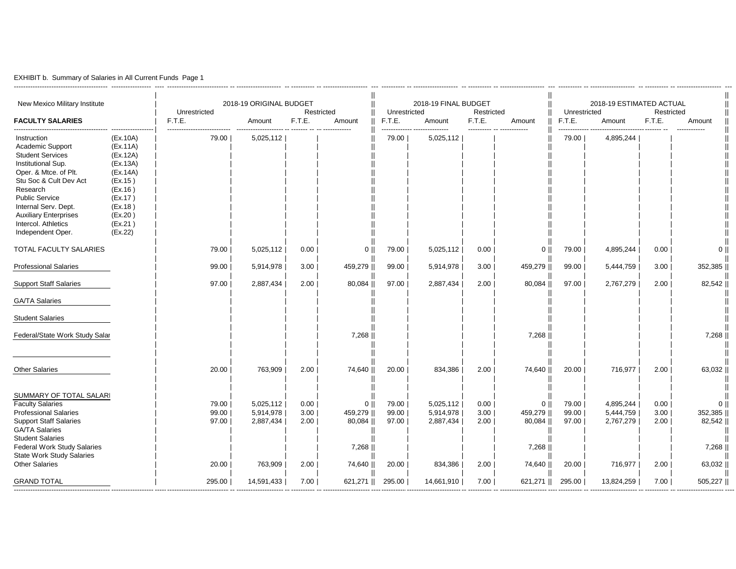|  | EXHIBIT b. Summary of Salaries in All Current Funds Page 1 |  |  |
|--|------------------------------------------------------------|--|--|
|--|------------------------------------------------------------|--|--|

| New Mexico Military Institute                                                                                                                                                                                                                                                |                                                                                                                                       | Unrestricted                     | 2018-19 ORIGINAL BUDGET<br>Restricted          |                              |                                                     |                                  | 2018-19 FINAL BUDGET<br>Restricted<br>Unrestricted |                              |                                                      |                                  | 2018-19 ESTIMATED ACTUAL<br>Restricted<br>Unrestricted |                              |                                                      |
|------------------------------------------------------------------------------------------------------------------------------------------------------------------------------------------------------------------------------------------------------------------------------|---------------------------------------------------------------------------------------------------------------------------------------|----------------------------------|------------------------------------------------|------------------------------|-----------------------------------------------------|----------------------------------|----------------------------------------------------|------------------------------|------------------------------------------------------|----------------------------------|--------------------------------------------------------|------------------------------|------------------------------------------------------|
| <b>FACULTY SALARIES</b>                                                                                                                                                                                                                                                      |                                                                                                                                       | F.T.E.                           | Amount                                         | F.T.E.                       | Amount                                              | F.T.E.                           | Amount                                             | F.T.E.                       | Amount                                               | F.T.E.                           | Amount                                                 | F.T.E.                       | Amount                                               |
| Instruction<br>Academic Support<br><b>Student Services</b><br>Institutional Sup.<br>Oper. & Mtce. of Plt.<br>Stu Soc & Cult Dev Act<br>Research<br><b>Public Service</b><br>Internal Serv. Dept.<br><b>Auxiliary Enterprises</b><br>Intercol. Athletics<br>Independent Oper. | (Ex.10A)<br>(EX.11A)<br>(Ex.12A)<br>(Ex.13A)<br>(Ex.14A)<br>(EX.15)<br>(EX.16)<br>(EX.17)<br>(EX.18)<br>(EX.20)<br>(EX.21)<br>(EX.22) | 79.00                            | 5,025,112                                      |                              |                                                     | ------------- .<br>79.00         | <br>5,025,112                                      | ----------                   | ------------                                         | .<br>79.00                       | 4,895,244                                              |                              |                                                      |
| TOTAL FACULTY SALARIES                                                                                                                                                                                                                                                       |                                                                                                                                       | 79.00                            | 5,025,112                                      | 0.00                         | $0$                                                 | 79.00                            | 5,025,112                                          | 0.00                         | $0$                                                  | 79.00                            | 4,895,244                                              | 0.00                         | 0 <sup>1</sup>                                       |
| <b>Professional Salaries</b>                                                                                                                                                                                                                                                 |                                                                                                                                       | 99.00                            | 5,914,978                                      | 3.00                         | 459,279                                             | 99.00                            | 5,914,978                                          | 3.00                         | 459,279                                              | 99.00                            | 5,444,759                                              | 3.00                         | 352,385                                              |
| <b>Support Staff Salaries</b>                                                                                                                                                                                                                                                |                                                                                                                                       | 97.00                            | 2,887,434                                      | 2.00                         | 80,084                                              | 97.00                            | 2,887,434                                          | 2.00                         | 80,084                                               | 97.00                            | 2,767,279                                              | 2.00                         | 82,542                                               |
| <b>GA/TA Salaries</b>                                                                                                                                                                                                                                                        |                                                                                                                                       |                                  |                                                |                              |                                                     |                                  |                                                    |                              |                                                      |                                  |                                                        |                              |                                                      |
| <b>Student Salaries</b>                                                                                                                                                                                                                                                      |                                                                                                                                       |                                  |                                                |                              |                                                     |                                  |                                                    |                              |                                                      |                                  |                                                        |                              |                                                      |
| Federal/State Work Study Salar                                                                                                                                                                                                                                               |                                                                                                                                       |                                  |                                                |                              | 7,268                                               |                                  |                                                    |                              | 7,268                                                |                                  |                                                        |                              | 7,268                                                |
| <b>Other Salaries</b>                                                                                                                                                                                                                                                        |                                                                                                                                       | 20.00                            | 763,909                                        | 2.00                         | 74,640                                              | 20.00                            | 834,386                                            | 2.00                         | 74,640                                               | 20.00                            | 716,977                                                | 2.00                         | 63,032                                               |
| SUMMARY OF TOTAL SALARI<br><b>Faculty Salaries</b><br><b>Professional Salaries</b><br><b>Support Staff Salaries</b><br><b>GA/TA Salaries</b><br><b>Student Salaries</b><br><b>Federal Work Study Salaries</b><br><b>State Work Study Salaries</b><br><b>Other Salaries</b>   |                                                                                                                                       | 79.00<br>99.00<br>97.00<br>20.00 | 5,025,112<br>5,914,978<br>2,887,434<br>763,909 | 0.00<br>3.00<br>2.00<br>2.00 | 0 <br>459,279   <br>80,084   <br>7,268   <br>74,640 | 79.00<br>99.00<br>97.00<br>20.00 | 5,025,112<br>5,914,978<br>2,887,434<br>834,386     | 0.00<br>3.00<br>2.00<br>2.00 | $0$   <br>459,279   <br>80,084   <br>7,268<br>74,640 | 79.00<br>99.00<br>97.00<br>20.00 | 4,895,244<br>5,444,759<br>2,767,279<br>716,977         | 0.00<br>3.00<br>2.00<br>2.00 | $\mathbf{0}$<br>352,385<br>82,542<br>7,268<br>63,032 |
| <b>GRAND TOTAL</b>                                                                                                                                                                                                                                                           |                                                                                                                                       | 295.00                           | 14,591,433                                     | 7.00                         | 621,271                                             | 295.00                           | 14,661,910                                         | 7.00                         | 621,271                                              | 295.00                           | 13,824,259                                             | 7.00                         | 505,227                                              |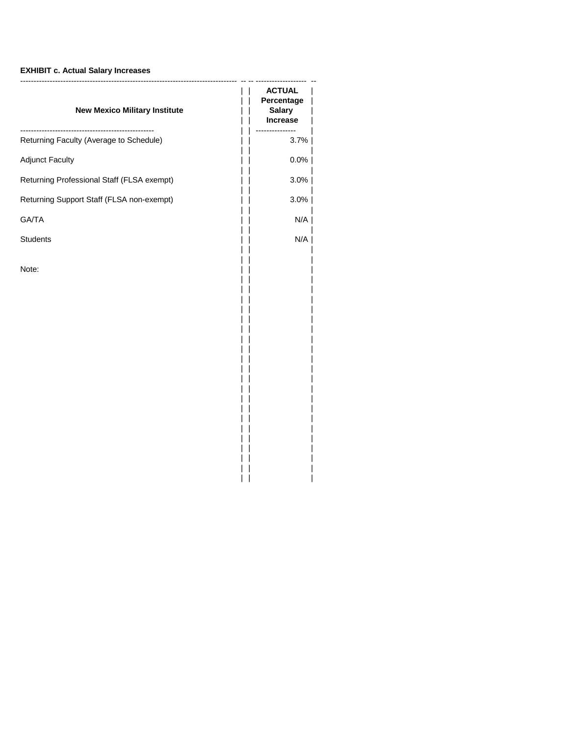# **EXHIBIT c. Actual Salary Increases**

| <b>ACTUAL</b><br>Percentage<br><b>Salary</b><br><b>Increase</b> |
|-----------------------------------------------------------------|
| 3.7%                                                            |
| $0.0\%$                                                         |
| 3.0%                                                            |
| 3.0%                                                            |
| N/A                                                             |
| N/A                                                             |
|                                                                 |
|                                                                 |

| | |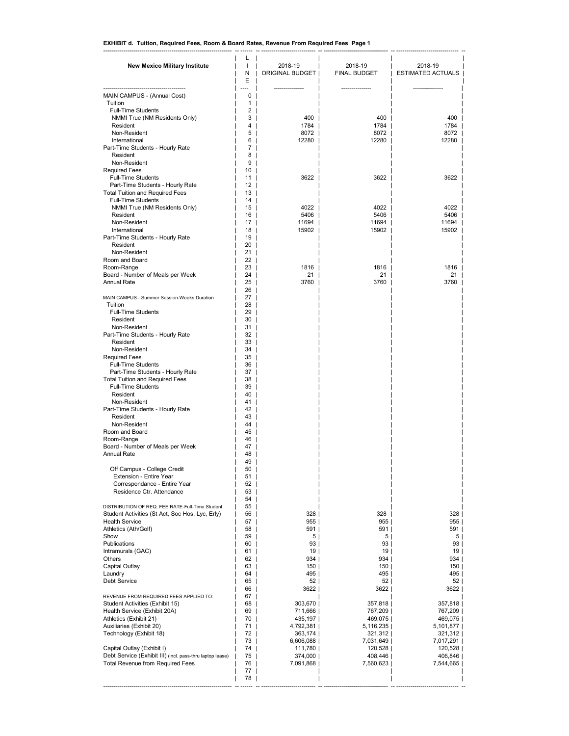### **EXHIBIT d. Tuition, Required Fees, Room & Board Rates, Revenue From Required Fees Page 1**

| <b>New Mexico Military Institute</b>                          | L<br>$\mathbf{I}$ | 2018-19              | 2018-19                | 2018-19                  |
|---------------------------------------------------------------|-------------------|----------------------|------------------------|--------------------------|
|                                                               | Ν<br>E            | ORIGINAL BUDGET      | FINAL BUDGET           | <b>ESTIMATED ACTUALS</b> |
| MAIN CAMPUS - (Annual Cost)                                   | 0                 |                      |                        |                          |
| Tuition                                                       | 1                 |                      |                        |                          |
| <b>Full-Time Students</b>                                     | 2                 |                      |                        |                          |
| NMMI True (NM Residents Only)<br>Resident                     | 3<br>4            | 400<br>1784          | 400<br>1784            | 400<br>1784              |
| Non-Resident                                                  | 5                 | 8072                 | 8072                   | 8072                     |
| International                                                 | 6                 | 12280                | 12280                  | 12280                    |
| Part-Time Students - Hourly Rate<br>Resident                  | 7<br>8            |                      |                        |                          |
| Non-Resident                                                  | 9                 |                      |                        |                          |
| <b>Required Fees</b>                                          | 10                |                      |                        |                          |
| <b>Full-Time Students</b><br>Part-Time Students - Hourly Rate | 11<br>12          | 3622                 | 3622                   | 3622                     |
| <b>Total Tuition and Required Fees</b>                        | 13                |                      |                        |                          |
| <b>Full-Time Students</b>                                     | 14                |                      |                        |                          |
| NMMI True (NM Residents Only)<br>Resident                     | 15<br>16          | 4022<br>5406         | 4022<br>5406           | 4022<br>5406             |
| Non-Resident                                                  | 17                | 11694                | 11694                  | 11694                    |
| International                                                 | 18                | 15902                | 15902                  | 15902                    |
| Part-Time Students - Hourly Rate                              | 19                |                      |                        |                          |
| Resident<br>Non-Resident                                      | 20<br>21          |                      |                        |                          |
| Room and Board                                                | 22                |                      |                        |                          |
| Room-Range                                                    | 23                | 1816                 | 1816                   | 1816                     |
| Board - Number of Meals per Week<br><b>Annual Rate</b>        | 24<br>25          | 21<br>3760           | 21<br>3760             | 21<br>3760               |
|                                                               | 26                |                      |                        |                          |
| MAIN CAMPUS - Summer Session-Weeks Duration                   | 27                |                      |                        |                          |
| Tuition<br><b>Full-Time Students</b>                          | 28<br>29          |                      |                        |                          |
| Resident                                                      | 30                |                      |                        |                          |
| Non-Resident                                                  | 31                |                      |                        |                          |
| Part-Time Students - Hourly Rate<br>Resident                  | 32<br>33          |                      |                        |                          |
| Non-Resident                                                  | 34                |                      |                        |                          |
| <b>Required Fees</b>                                          | 35                |                      |                        |                          |
| <b>Full-Time Students</b><br>Part-Time Students - Hourly Rate | 36<br>37          |                      |                        |                          |
| <b>Total Tuition and Required Fees</b>                        | 38                |                      |                        |                          |
| <b>Full-Time Students</b>                                     | 39                |                      |                        |                          |
| Resident                                                      | 40                |                      |                        |                          |
| Non-Resident<br>Part-Time Students - Hourly Rate              | 41<br>42          |                      |                        |                          |
| Resident                                                      | 43                |                      |                        |                          |
| Non-Resident<br>Room and Board                                | 44                |                      |                        |                          |
| Room-Range                                                    | 45<br>46          |                      |                        |                          |
| Board - Number of Meals per Week                              | 47                |                      |                        |                          |
| <b>Annual Rate</b>                                            | 48                |                      |                        |                          |
| Off Campus - College Credit                                   | 49<br>50          |                      |                        |                          |
| Extension - Entire Year                                       | 51                |                      |                        |                          |
| Correspondance - Entire Year                                  | 52                |                      |                        |                          |
| Residence Ctr. Attendance                                     | 53<br>54          |                      |                        |                          |
| DISTRIBUTION OF REQ. FEE RATE-Full-Time Student               | 55                |                      |                        |                          |
| Student Activities (St Act, Soc Hos, Lyc, Erly)               | 56                | 328                  | 328                    | 328                      |
| <b>Health Service</b><br>Athletics (Ath/Golf)                 | 57<br>58          | 955 <br>591          | 955 <br>591            | 955<br>591               |
| Show                                                          | 59                | 5                    | 5                      | 5                        |
| Publications                                                  | 60                | 93                   | 93                     | 93                       |
| Intramurals (GAC)<br>Others                                   | 61<br>62          | 19  <br>934          | 19  <br>934            | 19  <br>934              |
| Capital Outlay                                                | 63                | 150                  | 150                    | 150                      |
| Laundry<br><b>Debt Service</b>                                | 64                | 495                  | 495                    | 495                      |
|                                                               | 65<br>66          | 52 <br>3622          | 52 <br>3622            | 52 <br>3622              |
| REVENUE FROM REQUIRED FEES APPLIED TO:                        | 67                |                      |                        |                          |
| Student Activities (Exhibit 15)                               | 68                | 303,670              | 357,818                | 357,818                  |
| Health Service (Exhibit 20A)<br>Athletics (Exhibit 21)        | 69<br>70          | 711,666  <br>435,197 | 767,209<br>469,075     | 767,209  <br>469,075     |
| Auxiliaries (Exhibit 20)                                      | 71                | 4,792,381            | 5,116,235              | 5,101,877                |
| Technology (Exhibit 18)                                       | 72                | 363,174              | 321,312                | 321,312                  |
| Capital Outlay (Exhibit I)                                    | 73<br>74          | 6,606,088<br>111,780 | 7,031,649  <br>120,528 | 7,017,291<br>120,528     |
| Debt Service (Exhibit III) (incl. pass-thru laptop lease)     | 75                | 374,000              | 408,446                | 406,846                  |
| <b>Total Revenue from Required Fees</b>                       | 76                | 7,091,868            | 7,560,623              | 7,544,665                |
|                                                               | 77<br>78          |                      |                        |                          |
|                                                               |                   |                      |                        |                          |